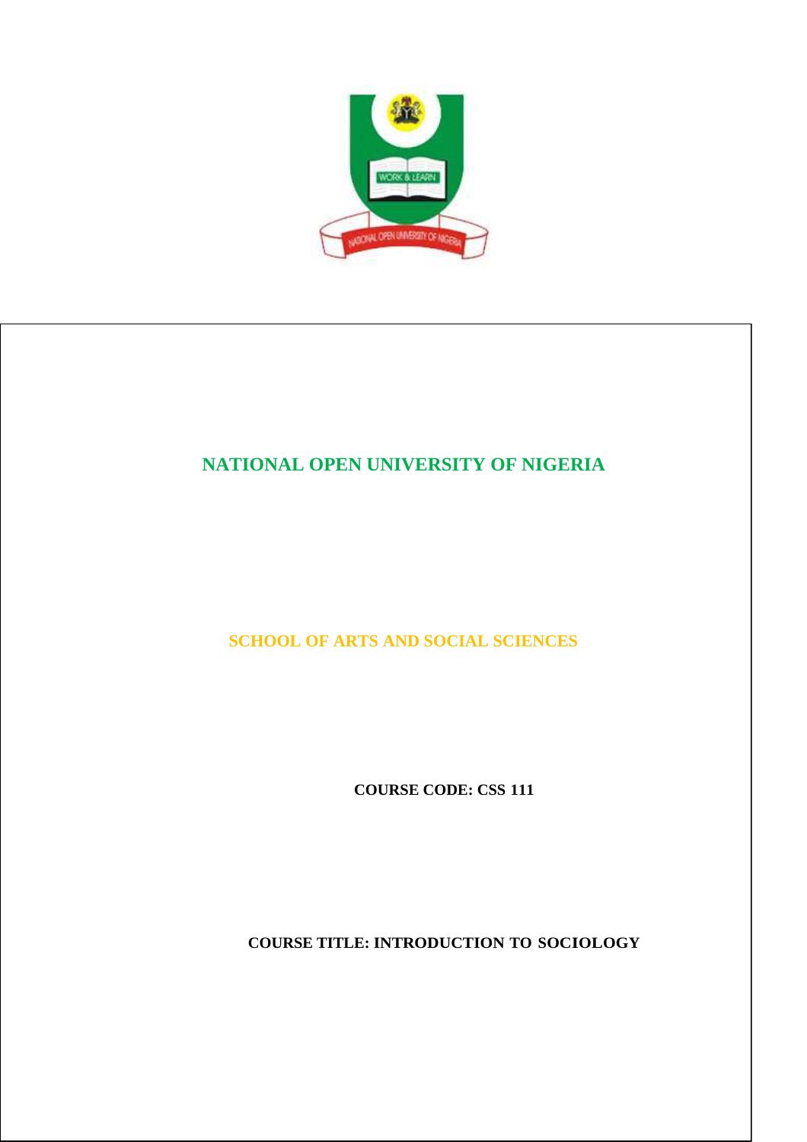

# **NATIONAL OPEN UNIVERSITY OF NIGERIA**

**SCHOOL OF ARTS AND SOCIAL SCIENCES** 

**COURSE CODE: CSS 111** 

**COURSE TITLE: INTRODUCTION TO SOCIOLOGY**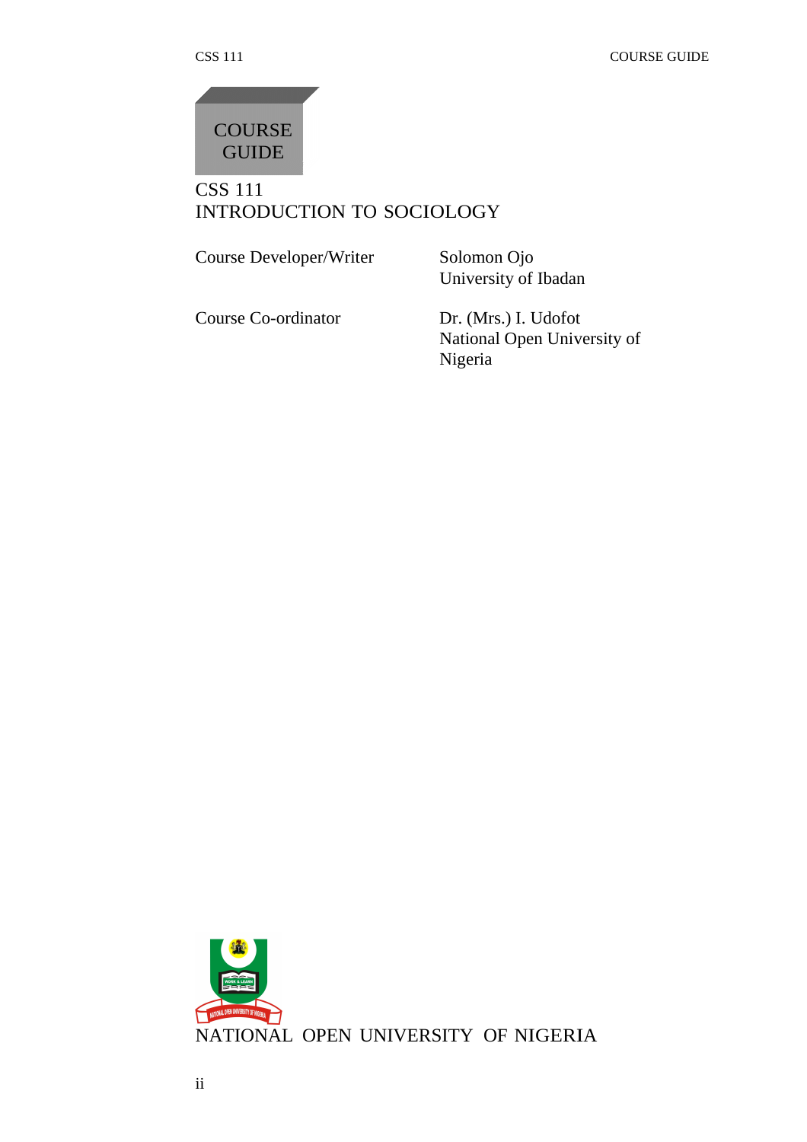

# CSS 111 INTRODUCTION TO SOCIOLOGY

Course Developer/Writer Solomon Ojo

University of Ibadan

Course Co-ordinator Dr. (Mrs.) I. Udofot

National Open University of Nigeria

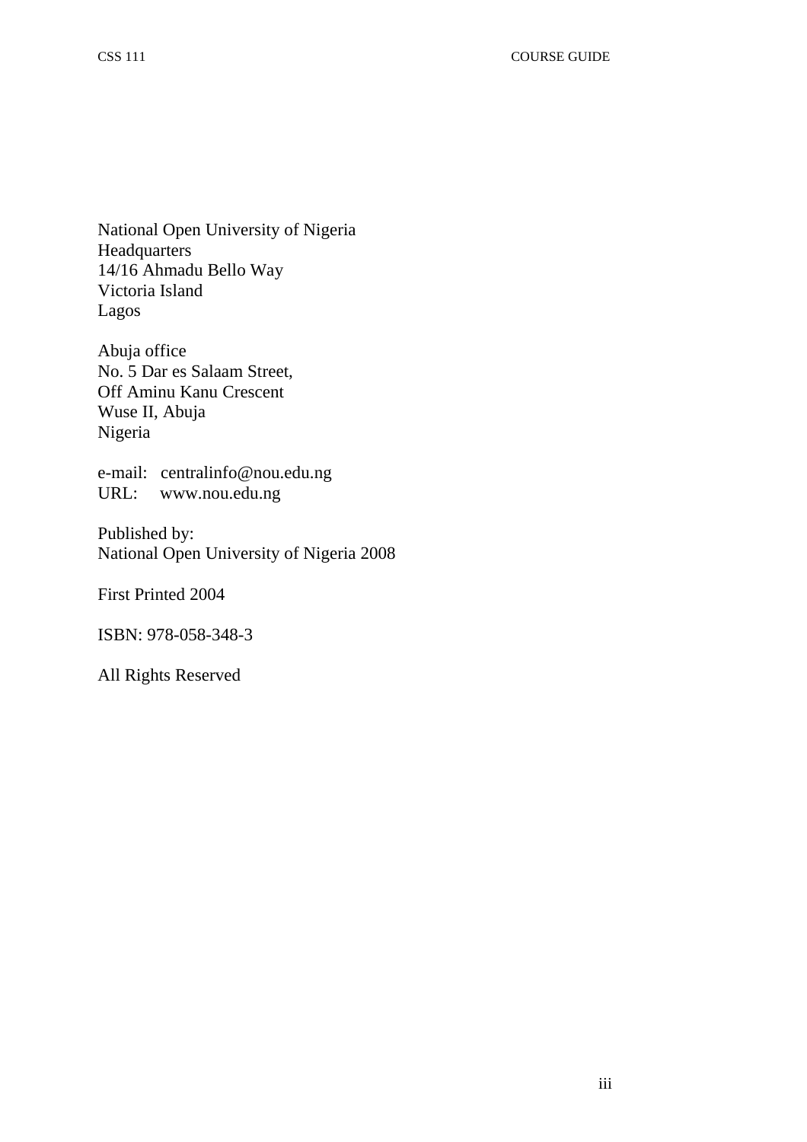National Open University of Nigeria Headquarters 14/16 Ahmadu Bello Way Victoria Island Lagos

Abuja office No. 5 Dar es Salaam Street, Off Aminu Kanu Crescent Wuse II, Abuja Nigeria

e-mail: centralinfo@nou.edu.ng URL: www.nou.edu.ng

Published by: National Open University of Nigeria 2008

First Printed 2004

ISBN: 978-058-348-3

All Rights Reserved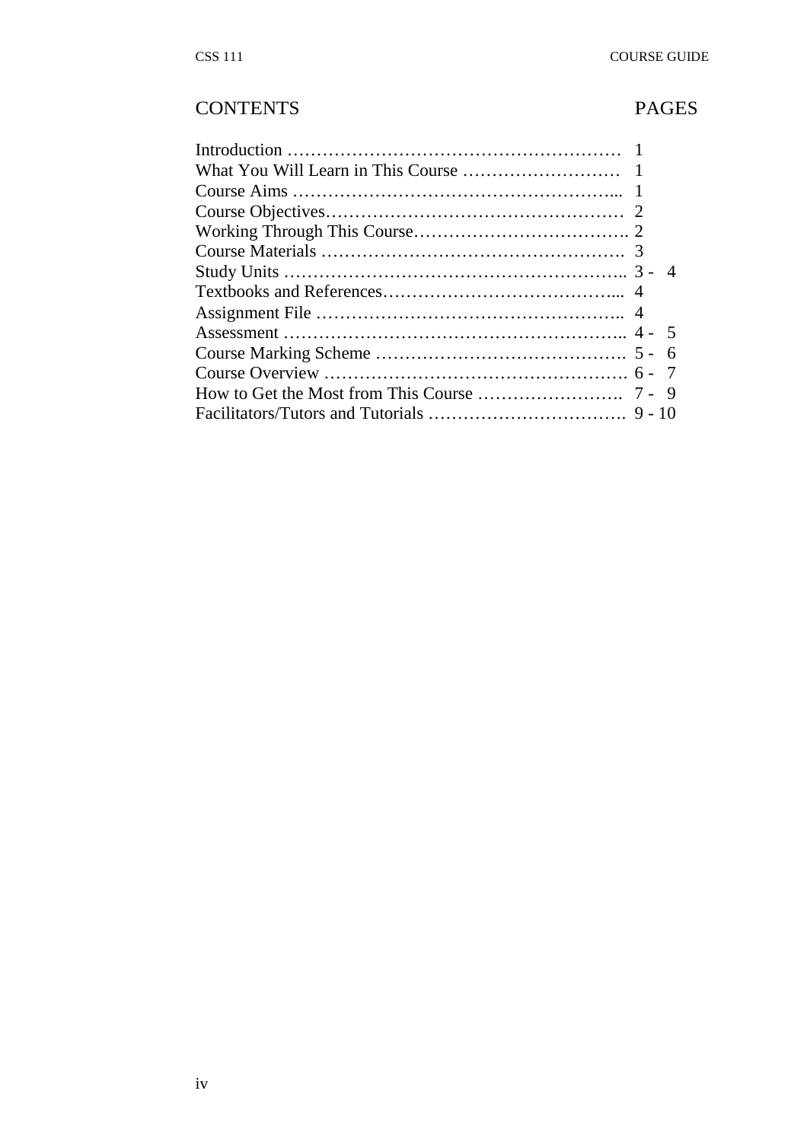# CONTENTS PAGES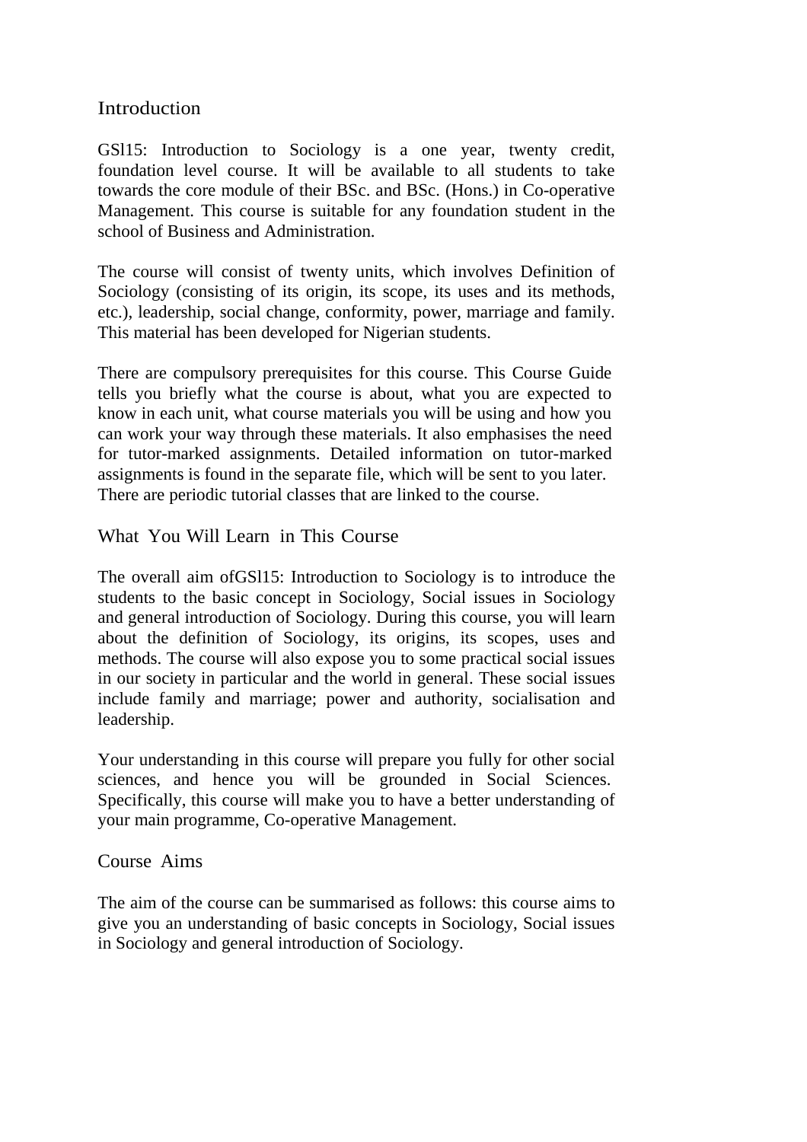# **Introduction**

GSl15: Introduction to Sociology is a one year, twenty credit, foundation level course. It will be available to all students to take towards the core module of their BSc. and BSc. (Hons.) in Co-operative Management. This course is suitable for any foundation student in the school of Business and Administration.

The course will consist of twenty units, which involves Definition of Sociology (consisting of its origin, its scope, its uses and its methods, etc.), leadership, social change, conformity, power, marriage and family. This material has been developed for Nigerian students.

There are compulsory prerequisites for this course. This Course Guide tells you briefly what the course is about, what you are expected to know in each unit, what course materials you will be using and how you can work your way through these materials. It also emphasises the need for tutor-marked assignments. Detailed information on tutor-marked assignments is found in the separate file, which will be sent to you later. There are periodic tutorial classes that are linked to the course.

# What You Will Learn in This Course

The overall aim ofGSl15: Introduction to Sociology is to introduce the students to the basic concept in Sociology, Social issues in Sociology and general introduction of Sociology. During this course, you will learn about the definition of Sociology, its origins, its scopes, uses and methods. The course will also expose you to some practical social issues in our society in particular and the world in general. These social issues include family and marriage; power and authority, socialisation and leadership.

Your understanding in this course will prepare you fully for other social sciences, and hence you will be grounded in Social Sciences. Specifically, this course will make you to have a better understanding of your main programme, Co-operative Management.

# Course Aims

The aim of the course can be summarised as follows: this course aims to give you an understanding of basic concepts in Sociology, Social issues in Sociology and general introduction of Sociology.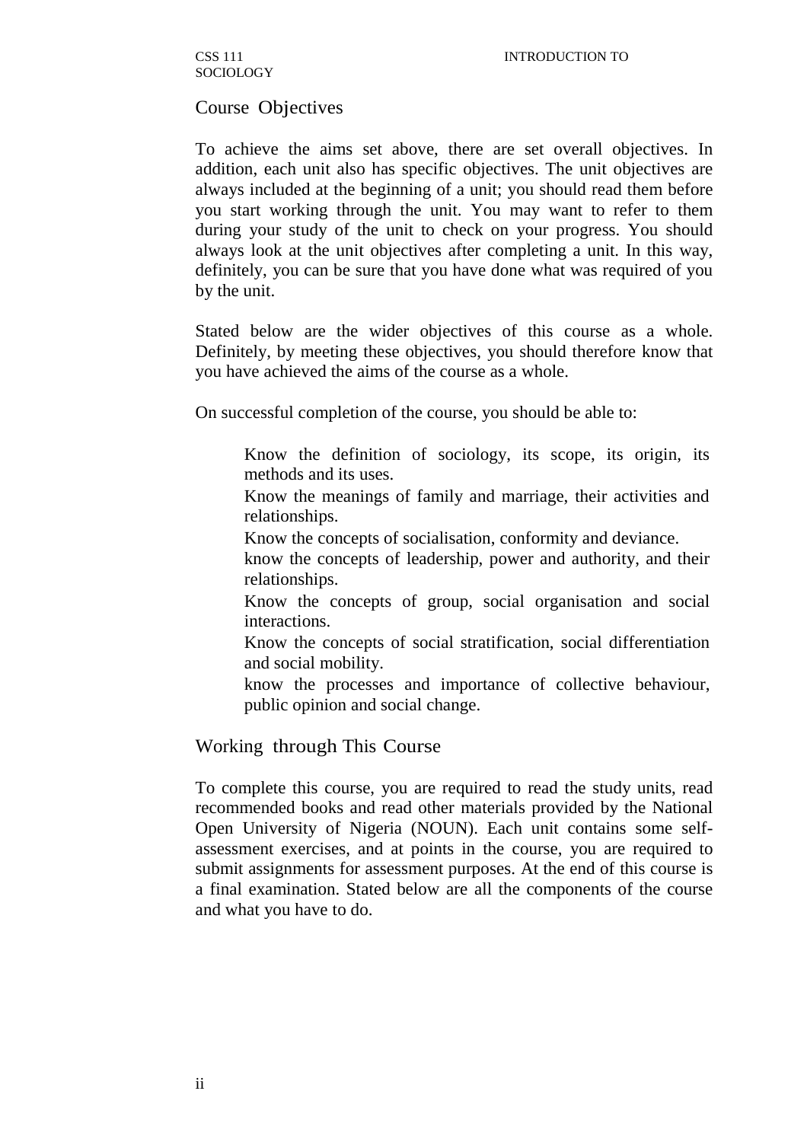# Course Objectives

To achieve the aims set above, there are set overall objectives. In addition, each unit also has specific objectives. The unit objectives are always included at the beginning of a unit; you should read them before you start working through the unit. You may want to refer to them during your study of the unit to check on your progress. You should always look at the unit objectives after completing a unit. In this way, definitely, you can be sure that you have done what was required of you by the unit.

Stated below are the wider objectives of this course as a whole. Definitely, by meeting these objectives, you should therefore know that you have achieved the aims of the course as a whole.

On successful completion of the course, you should be able to:

- Know the definition of sociology, its scope, its origin, its methods and its uses.
- Know the meanings of family and marriage, their activities and relationships.
- Know the concepts of socialisation, conformity and deviance.
- know the concepts of leadership, power and authority, and their relationships.
- Know the concepts of group, social organisation and social interactions.
- Know the concepts of social stratification, social differentiation and social mobility.
- know the processes and importance of collective behaviour, public opinion and social change.

## Working through This Course

To complete this course, you are required to read the study units, read recommended books and read other materials provided by the National Open University of Nigeria (NOUN). Each unit contains some selfassessment exercises, and at points in the course, you are required to submit assignments for assessment purposes. At the end of this course is a final examination. Stated below are all the components of the course and what you have to do.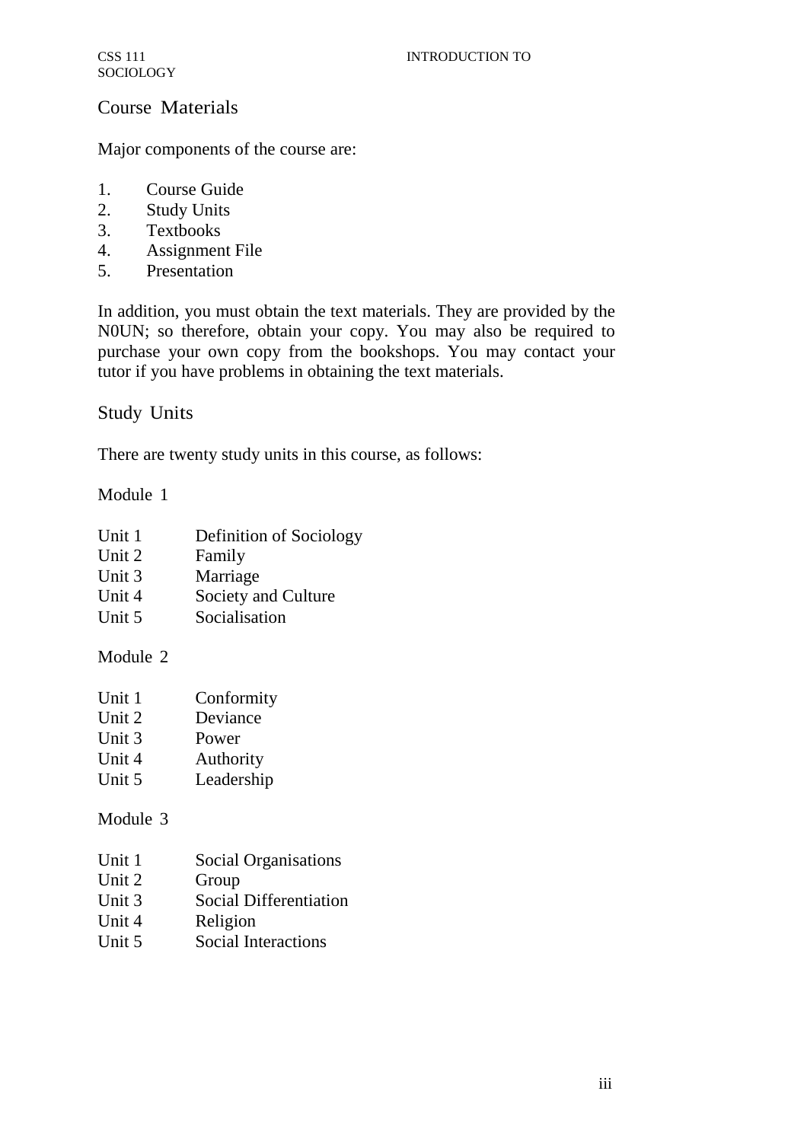# Course Materials

Major components of the course are:

- 1. Course Guide
- 2. Study Units
- 3. Textbooks
- 4. Assignment File
- 5. Presentation

In addition, you must obtain the text materials. They are provided by the N0UN; so therefore, obtain your copy. You may also be required to purchase your own copy from the bookshops. You may contact your tutor if you have problems in obtaining the text materials.

Study Units

There are twenty study units in this course, as follows:

Module 1

- Unit 1 Definition of Sociology
- Unit 2 Family
- Unit 3 Marriage
- Unit 4 Society and Culture
- Unit 5 Socialisation

# Module 2

- Unit 2 Deviance
- Unit 3 Power
- Unit 4 Authority
- Unit 5 Leadership

# Module 3

- Unit 1 Social Organisations
- Unit 2 Group
- Unit 3 Social Differentiation
- Unit 4 Religion
- Unit 5 Social Interactions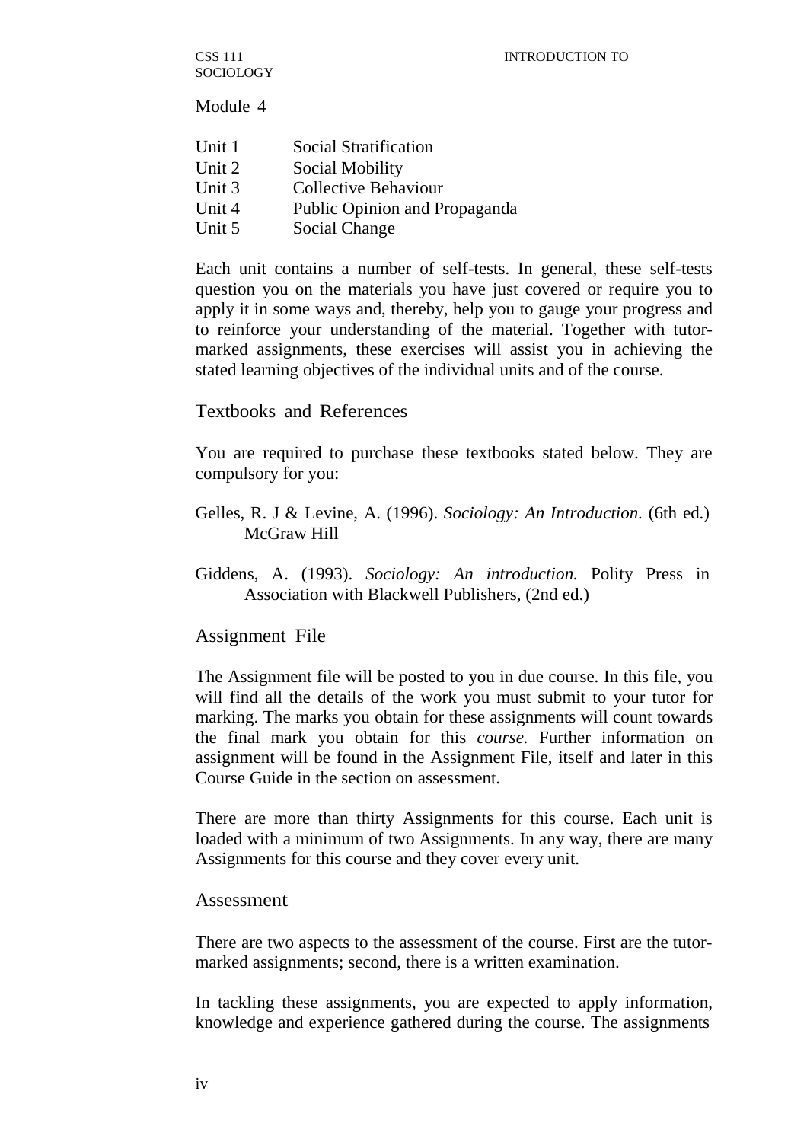CSS 111 SOCIOLOGY

Module 4

| Unit 1 | Social Stratification         |
|--------|-------------------------------|
| Unit 2 | Social Mobility               |
| Unit 3 | Collective Behaviour          |
| Unit 4 | Public Opinion and Propaganda |
| Unit 5 | Social Change                 |

Each unit contains a number of self-tests. In general, these self-tests question you on the materials you have just covered or require you to apply it in some ways and, thereby, help you to gauge your progress and to reinforce your understanding of the material. Together with tutormarked assignments, these exercises will assist you in achieving the stated learning objectives of the individual units and of the course.

## Textbooks and References

You are required to purchase these textbooks stated below. They are compulsory for you:

- Gelles, R. J & Levine, A. (1996). *Sociology: An Introduction.* (6th ed.) McGraw Hill
- Giddens, A. (1993). *Sociology: An introduction.* Polity Press in Association with Blackwell Publishers, (2nd ed.)

## Assignment File

The Assignment file will be posted to you in due course. In this file, you will find all the details of the work you must submit to your tutor for marking. The marks you obtain for these assignments will count towards the final mark you obtain for this *course.* Further information on assignment will be found in the Assignment File, itself and later in this Course Guide in the section on assessment.

There are more than thirty Assignments for this course. Each unit is loaded with a minimum of two Assignments. In any way, there are many Assignments for this course and they cover every unit.

## Assessment

There are two aspects to the assessment of the course. First are the tutormarked assignments; second, there is a written examination.

In tackling these assignments, you are expected to apply information, knowledge and experience gathered during the course. The assignments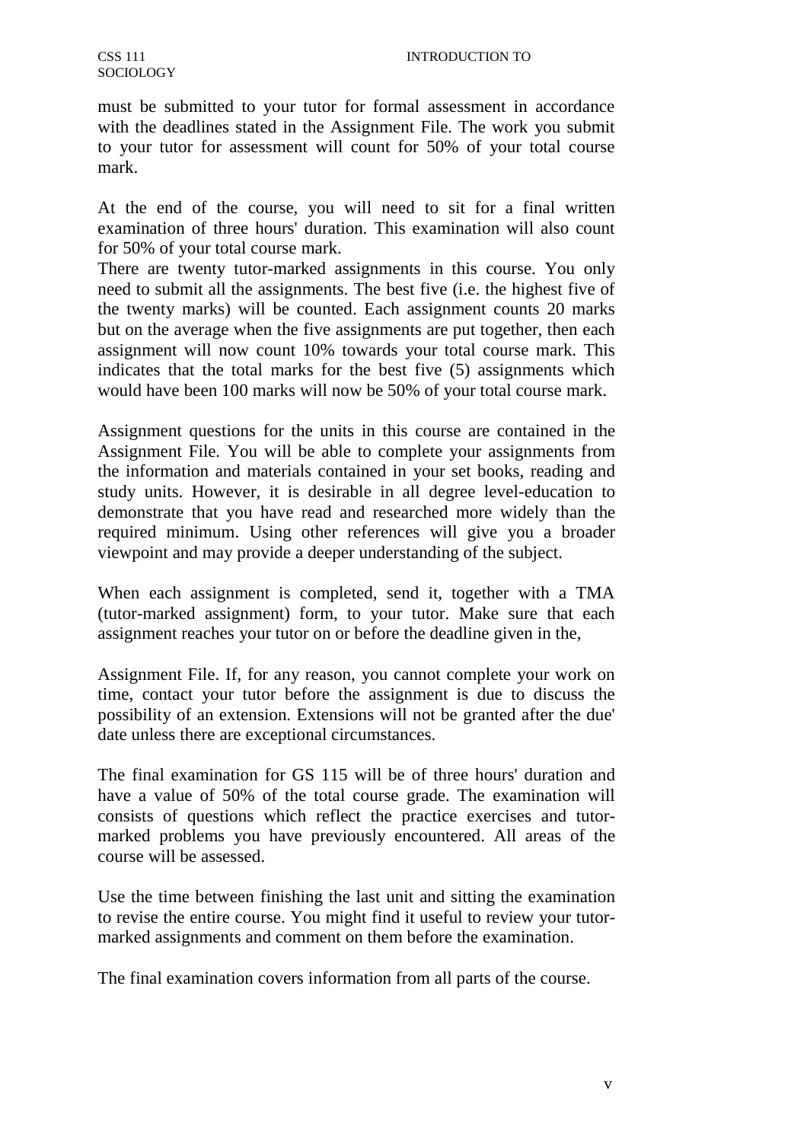must be submitted to your tutor for formal assessment in accordance with the deadlines stated in the Assignment File. The work you submit to your tutor for assessment will count for 50% of your total course mark.

At the end of the course, you will need to sit for a final written examination of three hours' duration. This examination will also count for 50% of your total course mark.

There are twenty tutor-marked assignments in this course. You only need to submit all the assignments. The best five (i.e. the highest five of the twenty marks) will be counted. Each assignment counts 20 marks but on the average when the five assignments are put together, then each assignment will now count 10% towards your total course mark. This indicates that the total marks for the best five (5) assignments which would have been 100 marks will now be 50% of your total course mark.

Assignment questions for the units in this course are contained in the Assignment File. You will be able to complete your assignments from the information and materials contained in your set books, reading and study units. However, it is desirable in all degree level-education to demonstrate that you have read and researched more widely than the required minimum. Using other references will give you a broader viewpoint and may provide a deeper understanding of the subject.

When each assignment is completed, send it, together with a TMA (tutor-marked assignment) form, to your tutor. Make sure that each assignment reaches your tutor on or before the deadline given in the,

Assignment File. If, for any reason, you cannot complete your work on time, contact your tutor before the assignment is due to discuss the possibility of an extension. Extensions will not be granted after the due' date unless there are exceptional circumstances.

The final examination for GS 115 will be of three hours' duration and have a value of 50% of the total course grade. The examination will consists of questions which reflect the practice exercises and tutormarked problems you have previously encountered. All areas of the course will be assessed.

Use the time between finishing the last unit and sitting the examination to revise the entire course. You might find it useful to review your tutormarked assignments and comment on them before the examination.

The final examination covers information from all parts of the course.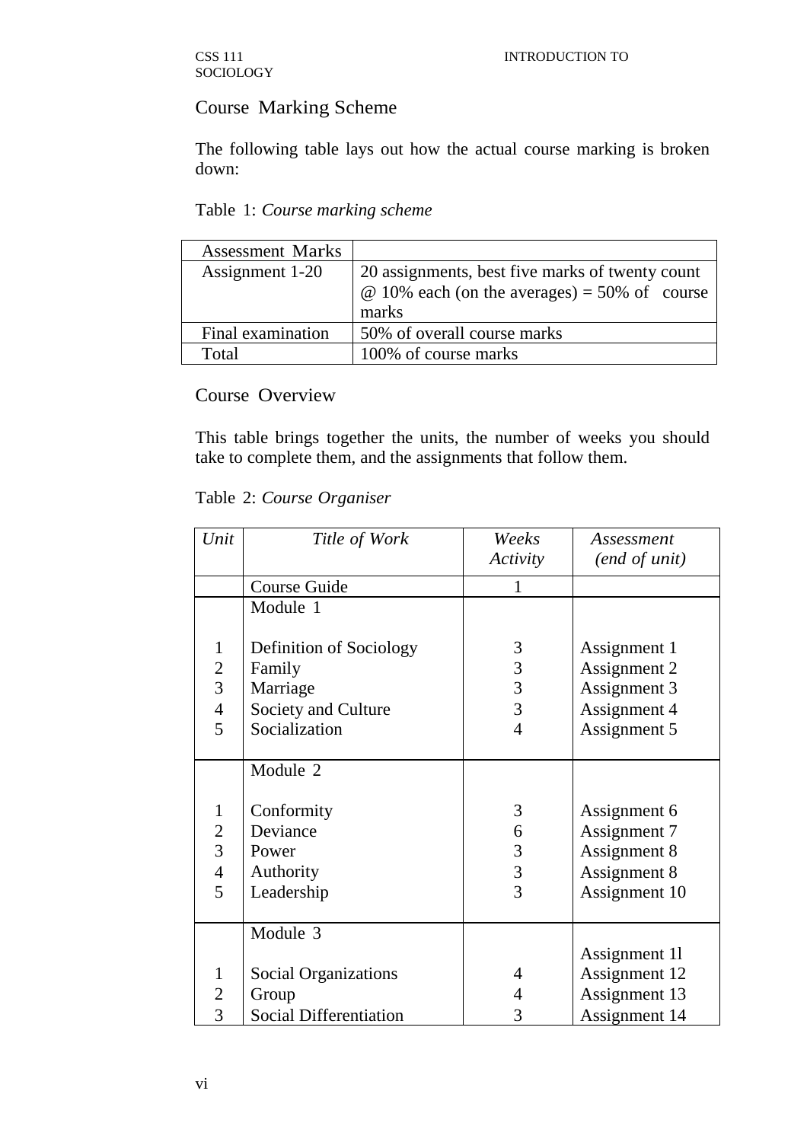# Course Marking Scheme

The following table lays out how the actual course marking is broken down:

Table 1: *Course marking scheme*

| <b>Assessment Marks</b> |                                                     |
|-------------------------|-----------------------------------------------------|
| Assignment 1-20         | 20 assignments, best five marks of twenty count     |
|                         | $\omega$ 10% each (on the averages) = 50% of course |
|                         | marks                                               |
| Final examination       | 50% of overall course marks                         |
| Total                   | 100% of course marks                                |

Course Overview

This table brings together the units, the number of weeks you should take to complete them, and the assignments that follow them.

|  |  | Table 2: Course Organiser |  |  |
|--|--|---------------------------|--|--|
|--|--|---------------------------|--|--|

| Unit           | Title of Work                 | Weeks<br>Activity | Assessment<br>(end of unit) |
|----------------|-------------------------------|-------------------|-----------------------------|
|                | Course Guide                  |                   |                             |
|                | Module 1                      |                   |                             |
| $\mathbf{1}$   | Definition of Sociology       | 3                 | Assignment 1                |
| $\overline{2}$ | Family                        | 3                 | Assignment 2                |
| $\overline{3}$ | Marriage                      | 3                 | Assignment 3                |
| $\frac{4}{5}$  | Society and Culture           | $\mathfrak{Z}$    | Assignment 4                |
|                | Socialization                 | $\overline{4}$    | Assignment 5                |
|                |                               |                   |                             |
|                | Module 2                      |                   |                             |
|                |                               |                   |                             |
| $\mathbf{1}$   | Conformity                    | 3                 | Assignment 6                |
| $\frac{2}{3}$  | Deviance                      | 6                 | Assignment 7                |
|                | Power                         | 3                 | Assignment 8                |
| $\overline{4}$ | Authority                     | 3                 | Assignment 8                |
| 5              | Leadership                    | 3                 | Assignment 10               |
|                |                               |                   |                             |
|                | Module 3                      |                   |                             |
|                |                               |                   | Assignment 11               |
| 1              | Social Organizations          | 4                 | Assignment 12               |
| $\overline{2}$ | Group                         | $\overline{4}$    | Assignment 13               |
| 3              | <b>Social Differentiation</b> | 3                 | Assignment 14               |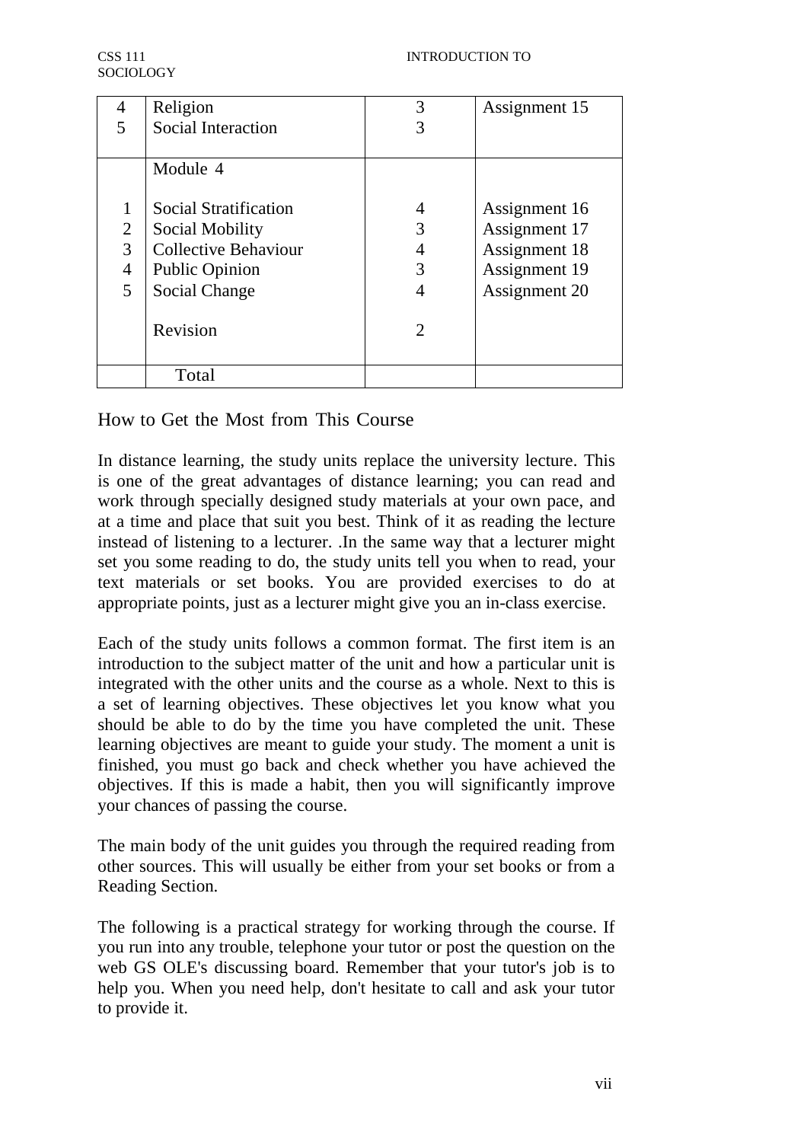| 4              | Religion                    | 3              | Assignment 15 |
|----------------|-----------------------------|----------------|---------------|
| 5              | <b>Social Interaction</b>   |                |               |
|                | Module 4                    |                |               |
| 1              | Social Stratification       | 4              | Assignment 16 |
| $\overline{2}$ | Social Mobility             | 3              | Assignment 17 |
| 3              | <b>Collective Behaviour</b> | 4              | Assignment 18 |
| 4              | <b>Public Opinion</b>       | 3              | Assignment 19 |
| 5              | Social Change               | 4              | Assignment 20 |
|                | Revision                    | $\overline{2}$ |               |
|                | Total                       |                |               |

How to Get the Most from This Course

In distance learning, the study units replace the university lecture. This is one of the great advantages of distance learning; you can read and work through specially designed study materials at your own pace, and at a time and place that suit you best. Think of it as reading the lecture instead of listening to a lecturer. .In the same way that a lecturer might set you some reading to do, the study units tell you when to read, your text materials or set books. You are provided exercises to do at appropriate points, just as a lecturer might give you an in-class exercise.

Each of the study units follows a common format. The first item is an introduction to the subject matter of the unit and how a particular unit is integrated with the other units and the course as a whole. Next to this is a set of learning objectives. These objectives let you know what you should be able to do by the time you have completed the unit. These learning objectives are meant to guide your study. The moment a unit is finished, you must go back and check whether you have achieved the objectives. If this is made a habit, then you will significantly improve your chances of passing the course.

The main body of the unit guides you through the required reading from other sources. This will usually be either from your set books or from a Reading Section.

The following is a practical strategy for working through the course. If you run into any trouble, telephone your tutor or post the question on the web GS OLE's discussing board. Remember that your tutor's job is to help you. When you need help, don't hesitate to call and ask your tutor to provide it.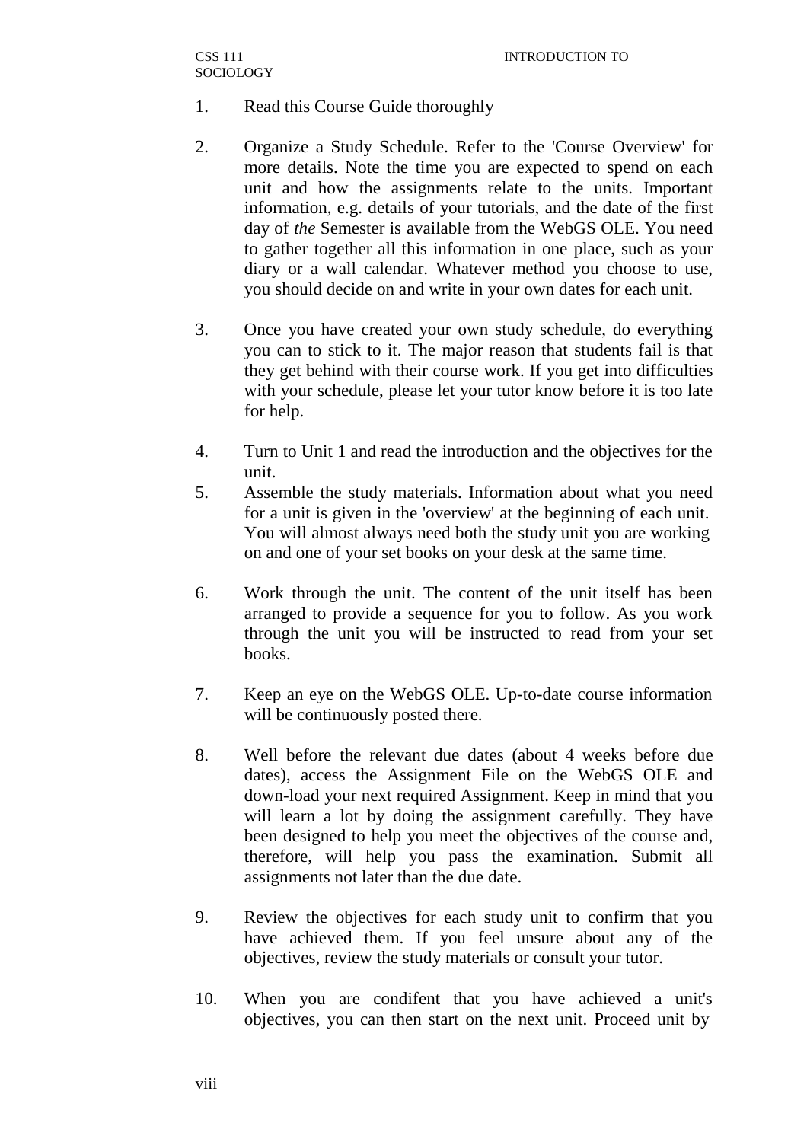- 1. Read this Course Guide thoroughly
- 2. Organize a Study Schedule. Refer to the 'Course Overview' for more details. Note the time you are expected to spend on each unit and how the assignments relate to the units. Important information, e.g. details of your tutorials, and the date of the first day of *the* Semester is available from the WebGS OLE. You need to gather together all this information in one place, such as your diary or a wall calendar. Whatever method you choose to use, you should decide on and write in your own dates for each unit.
- 3. Once you have created your own study schedule, do everything you can to stick to it. The major reason that students fail is that they get behind with their course work. If you get into difficulties with your schedule, please let your tutor know before it is too late for help.
- 4. Turn to Unit 1 and read the introduction and the objectives for the unit.
- 5. Assemble the study materials. Information about what you need for a unit is given in the 'overview' at the beginning of each unit. You will almost always need both the study unit you are working on and one of your set books on your desk at the same time.
- 6. Work through the unit. The content of the unit itself has been arranged to provide a sequence for you to follow. As you work through the unit you will be instructed to read from your set books.
- 7. Keep an eye on the WebGS OLE. Up-to-date course information will be continuously posted there.
- 8. Well before the relevant due dates (about 4 weeks before due dates), access the Assignment File on the WebGS OLE and down-load your next required Assignment. Keep in mind that you will learn a lot by doing the assignment carefully. They have been designed to help you meet the objectives of the course and, therefore, will help you pass the examination. Submit all assignments not later than the due date.
- 9. Review the objectives for each study unit to confirm that you have achieved them. If you feel unsure about any of the objectives, review the study materials or consult your tutor.
- 10. When you are condifent that you have achieved a unit's objectives, you can then start on the next unit. Proceed unit by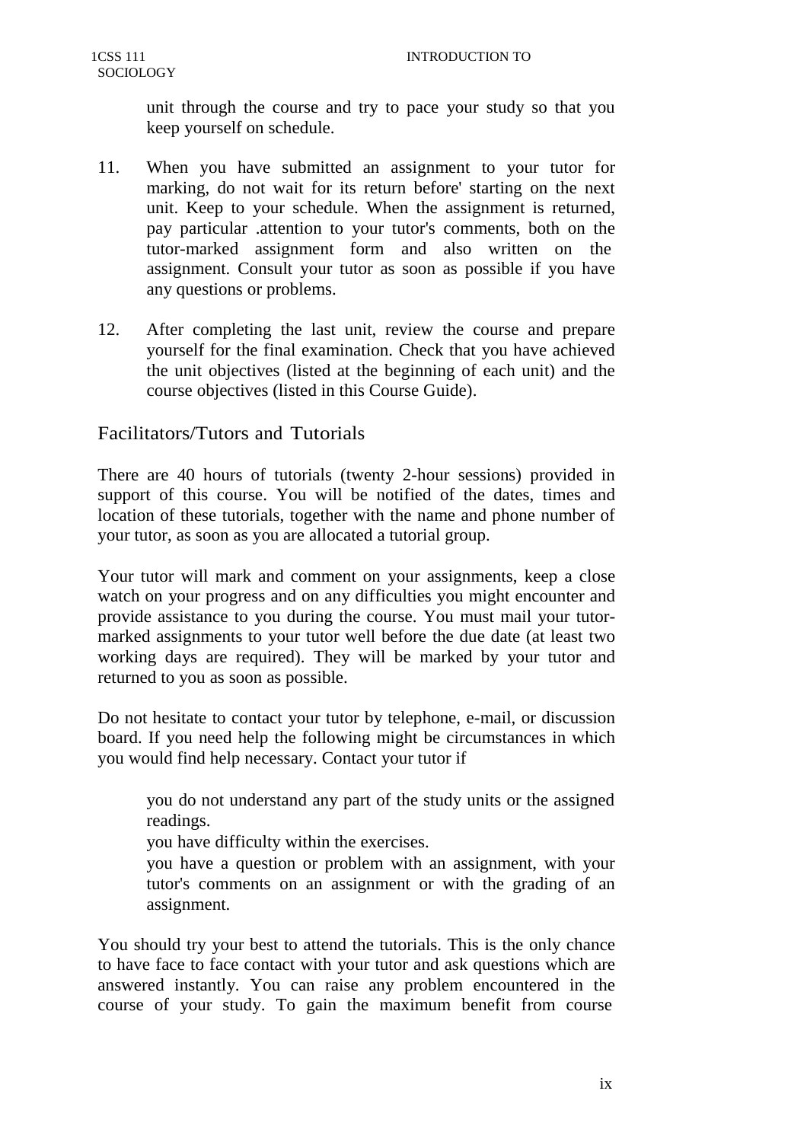unit through the course and try to pace your study so that you keep yourself on schedule.

- 11. When you have submitted an assignment to your tutor for marking, do not wait for its return before' starting on the next unit. Keep to your schedule. When the assignment is returned, pay particular .attention to your tutor's comments, both on the tutor-marked assignment form and also written on the assignment. Consult your tutor as soon as possible if you have any questions or problems.
- 12. After completing the last unit, review the course and prepare yourself for the final examination. Check that you have achieved the unit objectives (listed at the beginning of each unit) and the course objectives (listed in this Course Guide).

# Facilitators/Tutors and Tutorials

There are 40 hours of tutorials (twenty 2-hour sessions) provided in support of this course. You will be notified of the dates, times and location of these tutorials, together with the name and phone number of your tutor, as soon as you are allocated a tutorial group.

Your tutor will mark and comment on your assignments, keep a close watch on your progress and on any difficulties you might encounter and provide assistance to you during the course. You must mail your tutormarked assignments to your tutor well before the due date (at least two working days are required). They will be marked by your tutor and returned to you as soon as possible.

Do not hesitate to contact your tutor by telephone, e-mail, or discussion board. If you need help the following might be circumstances in which you would find help necessary. Contact your tutor if

you do not understand any part of the study units or the assigned readings.

you have difficulty within the exercises.

you have a question or problem with an assignment, with your tutor's comments on an assignment or with the grading of an assignment.

You should try your best to attend the tutorials. This is the only chance to have face to face contact with your tutor and ask questions which are answered instantly. You can raise any problem encountered in the course of your study. To gain the maximum benefit from course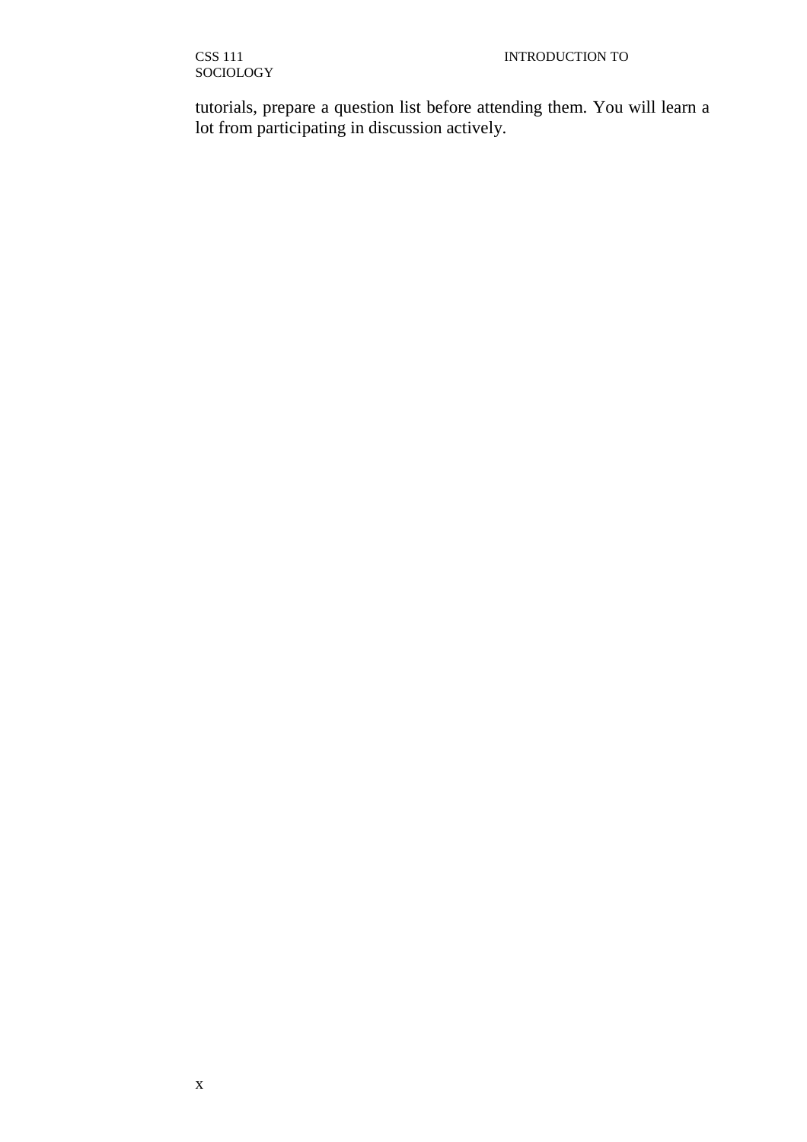tutorials, prepare a question list before attending them. You will learn a lot from participating in discussion actively.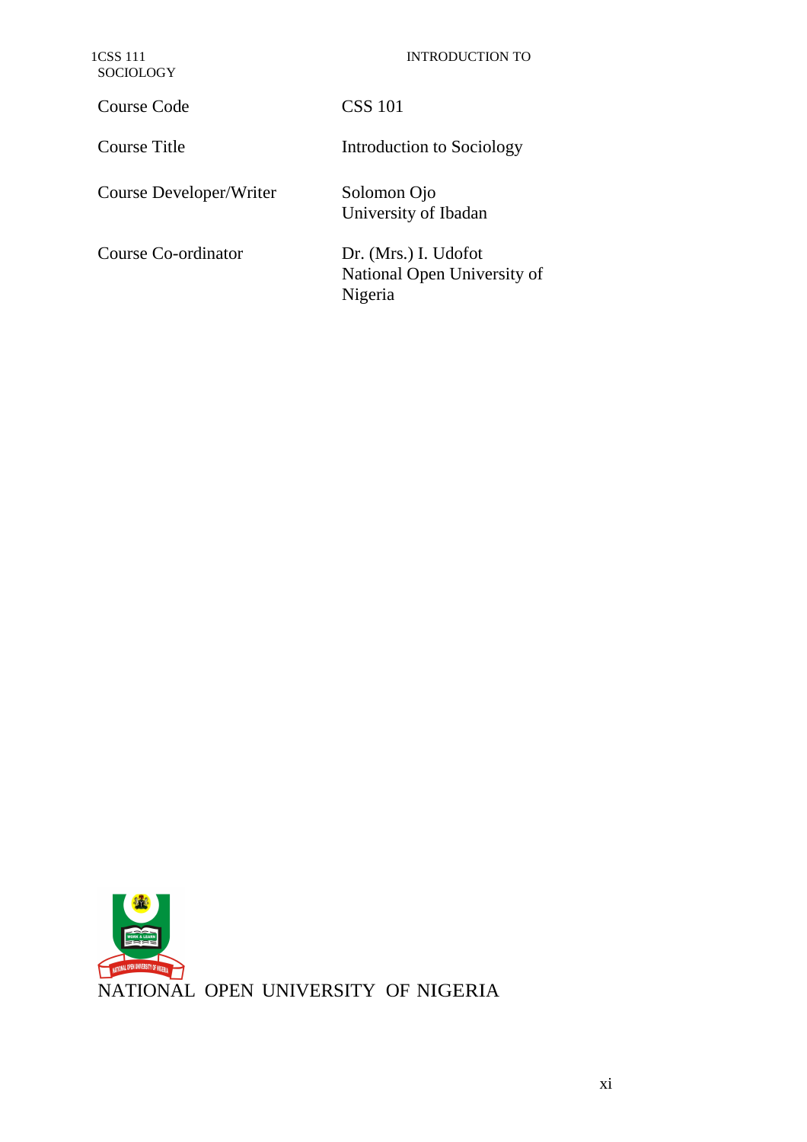| 1CSS 111<br><b>SOCIOLOGY</b> | <b>INTRODUCTION TO</b>                                         |
|------------------------------|----------------------------------------------------------------|
| Course Code                  | <b>CSS 101</b>                                                 |
| Course Title                 | Introduction to Sociology                                      |
| Course Developer/Writer      | Solomon Ojo<br>University of Ibadan                            |
| Course Co-ordinator          | Dr. (Mrs.) I. Udofot<br>National Open University of<br>Nigeria |

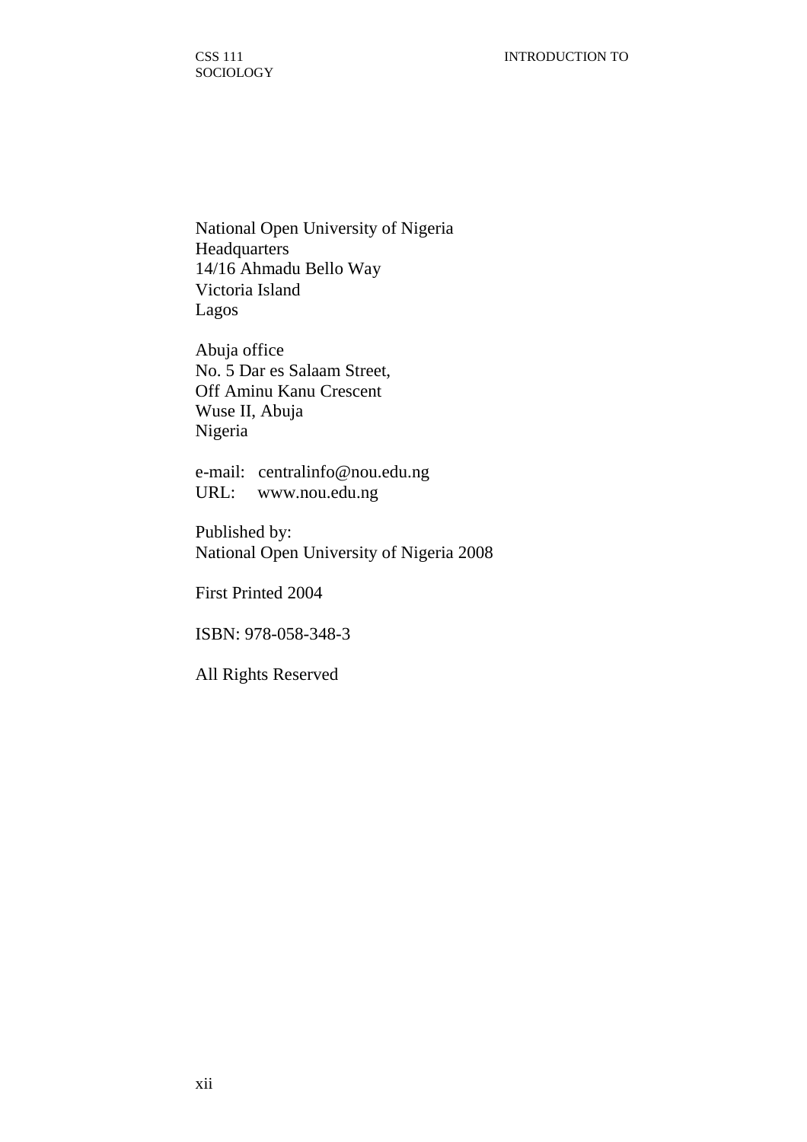National Open University of Nigeria **Headquarters** 14/16 Ahmadu Bello Way Victoria Island Lagos

Abuja office No. 5 Dar es Salaam Street, Off Aminu Kanu Crescent Wuse II, Abuja Nigeria

e-mail: centralinfo@nou.edu.ng URL: www.nou.edu.ng

Published by: National Open University of Nigeria 2008

First Printed 2004

ISBN: 978-058-348-3

All Rights Reserved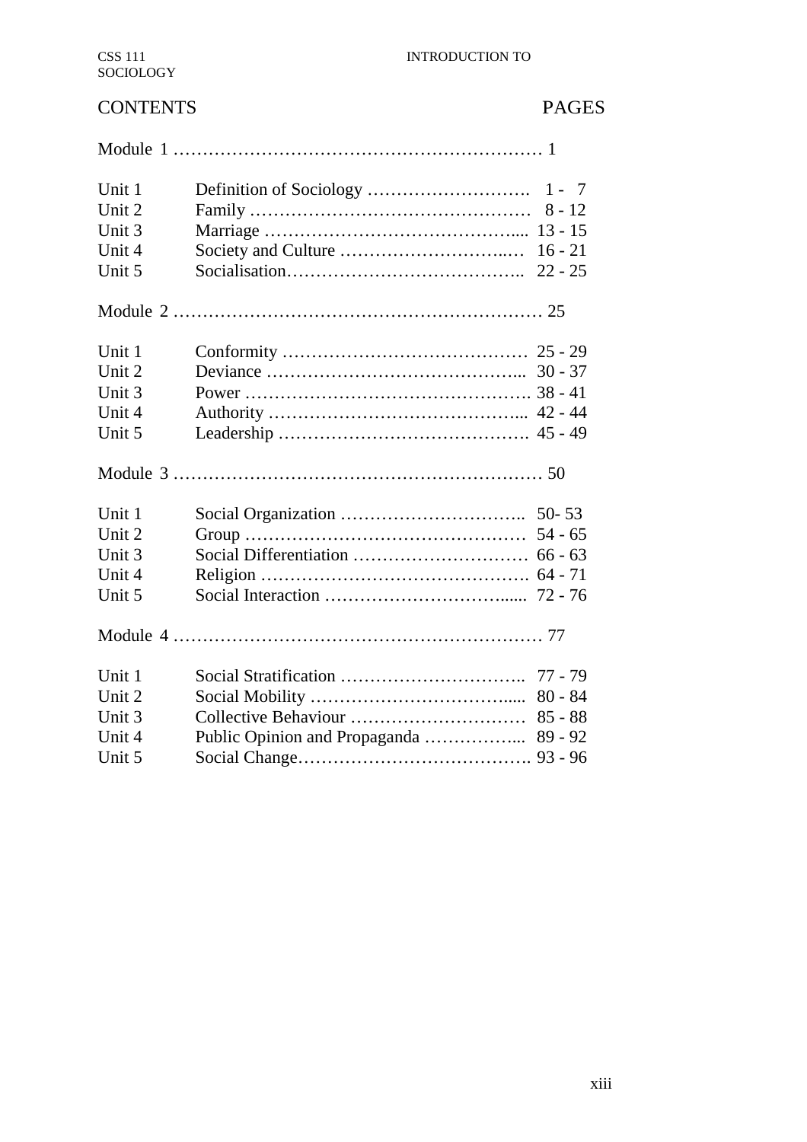# CONTENTS PAGES

| Unit 1 | $1 - 7$   |  |
|--------|-----------|--|
| Unit 2 | $8 - 12$  |  |
| Unit 3 |           |  |
| Unit 4 | $16 - 21$ |  |
| Unit 5 | $22 - 25$ |  |
|        |           |  |
| Unit 1 |           |  |
| Unit 2 |           |  |
| Unit 3 |           |  |
| Unit 4 |           |  |
| Unit 5 |           |  |
|        |           |  |
| Unit 1 |           |  |
| Unit 2 | $54 - 65$ |  |
| Unit 3 |           |  |
| Unit 4 |           |  |
| Unit 5 |           |  |
|        |           |  |
| Unit 1 | $77 - 79$ |  |
| Unit 2 | $80 - 84$ |  |
| Unit 3 | $85 - 88$ |  |
| Unit 4 | $89 - 92$ |  |
| Unit 5 |           |  |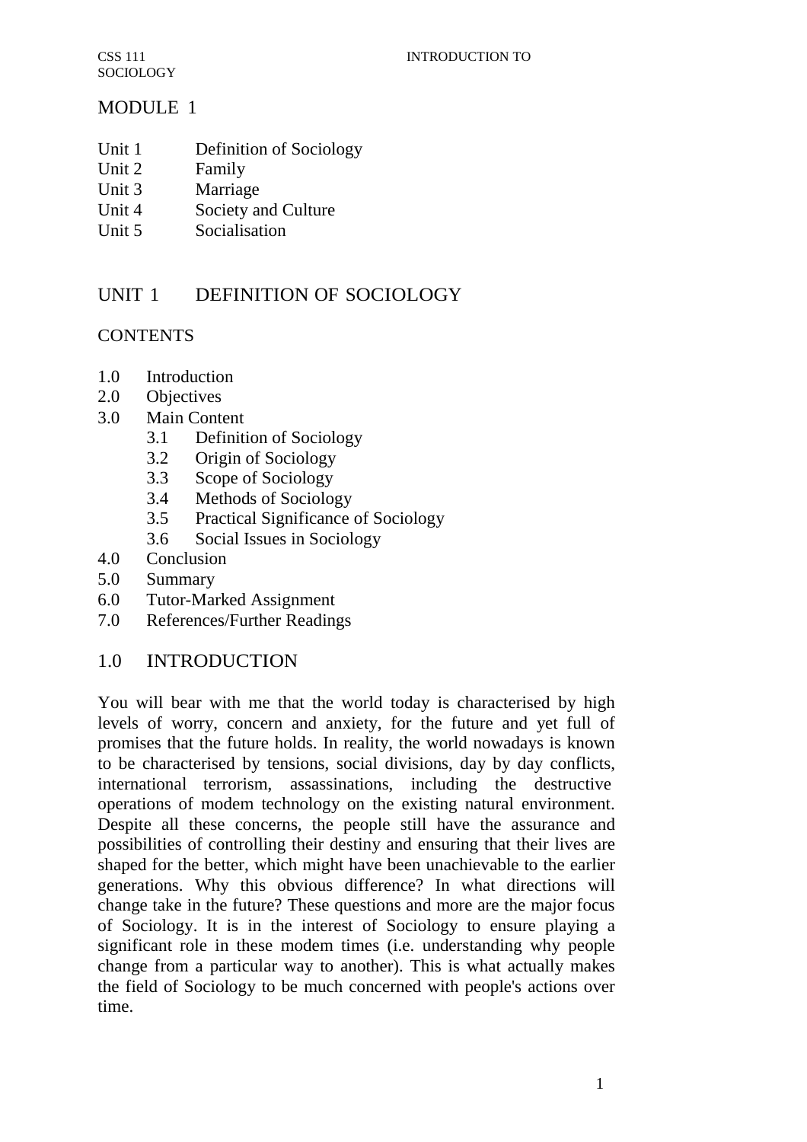# MODULE 1

- Unit 1 Definition of Sociology
- Unit 2 Family
- Unit 3 Marriage
- Unit 4 Society and Culture
- Unit 5 Socialisation

# UNIT 1 DEFINITION OF SOCIOLOGY

# **CONTENTS**

- 1.0 Introduction
- 2.0 Objectives
- 3.0 Main Content
	- 3.1 Definition of Sociology
	- 3.2 Origin of Sociology
	- 3.3 Scope of Sociology
	- 3.4 Methods of Sociology
	- 3.5 Practical Significance of Sociology
	- 3.6 Social Issues in Sociology
- 4.0 Conclusion
- 5.0 Summary
- 6.0 Tutor-Marked Assignment
- 7.0 References/Further Readings

# 1.0 INTRODUCTION

You will bear with me that the world today is characterised by high levels of worry, concern and anxiety, for the future and yet full of promises that the future holds. In reality, the world nowadays is known to be characterised by tensions, social divisions, day by day conflicts, international terrorism, assassinations, including the destructive operations of modem technology on the existing natural environment. Despite all these concerns, the people still have the assurance and possibilities of controlling their destiny and ensuring that their lives are shaped for the better, which might have been unachievable to the earlier generations. Why this obvious difference? In what directions will change take in the future? These questions and more are the major focus of Sociology. It is in the interest of Sociology to ensure playing a significant role in these modem times (i.e. understanding why people change from a particular way to another). This is what actually makes the field of Sociology to be much concerned with people's actions over time.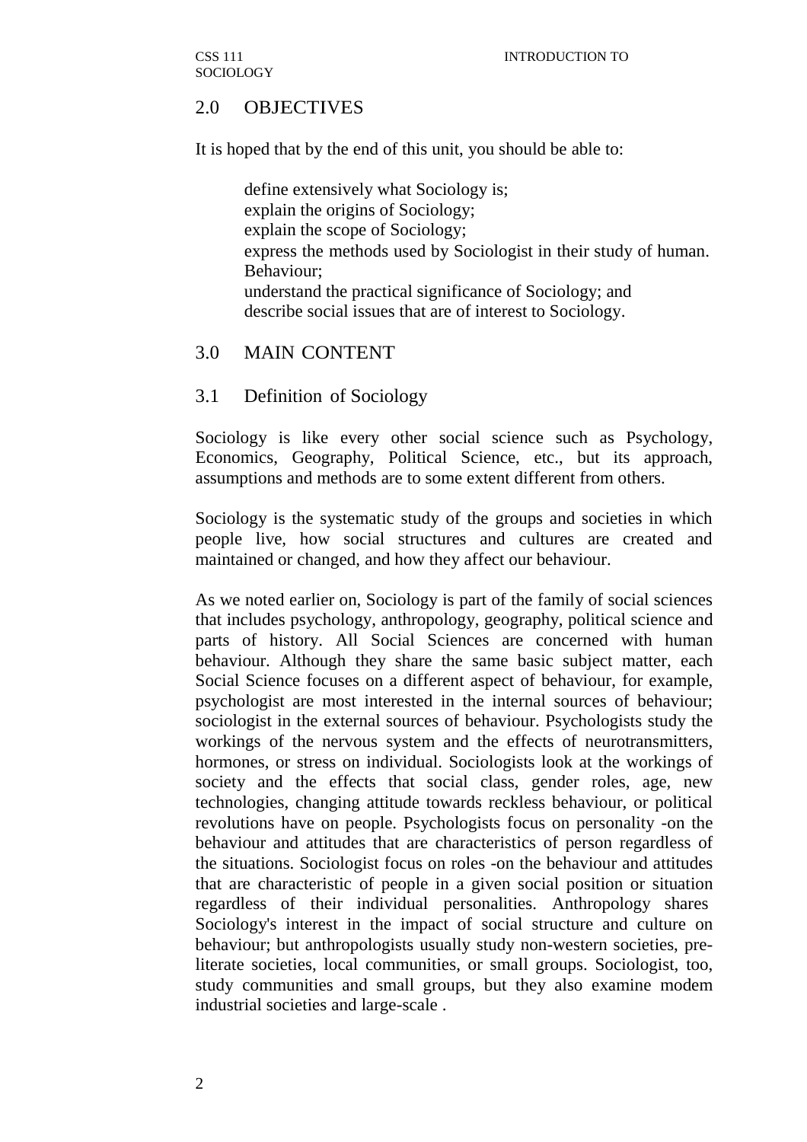# 2.0 OBJECTIVES

It is hoped that by the end of this unit, you should be able to:

define extensively what Sociology is; explain the origins of Sociology; explain the scope of Sociology; express the methods used by Sociologist in their study of human. Behaviour; understand the practical significance of Sociology; and describe social issues that are of interest to Sociology.

# 3.0 MAIN CONTENT

## 3.1 Definition of Sociology

Sociology is like every other social science such as Psychology, Economics, Geography, Political Science, etc., but its approach, assumptions and methods are to some extent different from others.

Sociology is the systematic study of the groups and societies in which people live, how social structures and cultures are created and maintained or changed, and how they affect our behaviour.

As we noted earlier on, Sociology is part of the family of social sciences that includes psychology, anthropology, geography, political science and parts of history. All Social Sciences are concerned with human behaviour. Although they share the same basic subject matter, each Social Science focuses on a different aspect of behaviour, for example, psychologist are most interested in the internal sources of behaviour; sociologist in the external sources of behaviour. Psychologists study the workings of the nervous system and the effects of neurotransmitters, hormones, or stress on individual. Sociologists look at the workings of society and the effects that social class, gender roles, age, new technologies, changing attitude towards reckless behaviour, or political revolutions have on people. Psychologists focus on personality -on the behaviour and attitudes that are characteristics of person regardless of the situations. Sociologist focus on roles -on the behaviour and attitudes that are characteristic of people in a given social position or situation regardless of their individual personalities. Anthropology shares Sociology's interest in the impact of social structure and culture on behaviour; but anthropologists usually study non-western societies, preliterate societies, local communities, or small groups. Sociologist, too, study communities and small groups, but they also examine modem industrial societies and large-scale .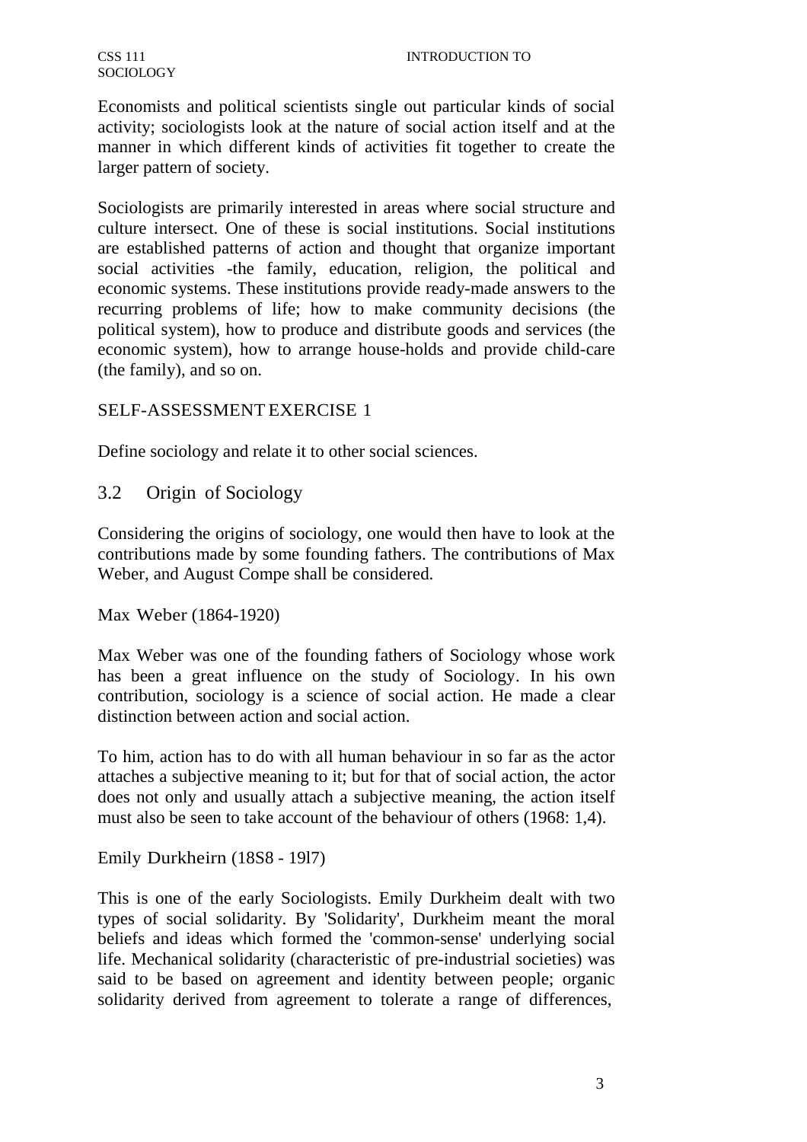Economists and political scientists single out particular kinds of social activity; sociologists look at the nature of social action itself and at the manner in which different kinds of activities fit together to create the larger pattern of society.

Sociologists are primarily interested in areas where social structure and culture intersect. One of these is social institutions. Social institutions are established patterns of action and thought that organize important social activities -the family, education, religion, the political and economic systems. These institutions provide ready-made answers to the recurring problems of life; how to make community decisions (the political system), how to produce and distribute goods and services (the economic system), how to arrange house-holds and provide child-care (the family), and so on.

# SELF-ASSESSMENT EXERCISE 1

Define sociology and relate it to other social sciences.

3.2 Origin of Sociology

Considering the origins of sociology, one would then have to look at the contributions made by some founding fathers. The contributions of Max Weber, and August Compe shall be considered.

Max Weber (1864-1920)

Max Weber was one of the founding fathers of Sociology whose work has been a great influence on the study of Sociology. In his own contribution, sociology is a science of social action. He made a clear distinction between action and social action.

To him, action has to do with all human behaviour in so far as the actor attaches a subjective meaning to it; but for that of social action, the actor does not only and usually attach a subjective meaning, the action itself must also be seen to take account of the behaviour of others (1968: 1,4).

Emily Durkheirn (18S8 - 19l7)

This is one of the early Sociologists. Emily Durkheim dealt with two types of social solidarity. By 'Solidarity', Durkheim meant the moral beliefs and ideas which formed the 'common-sense' underlying social life. Mechanical solidarity (characteristic of pre-industrial societies) was said to be based on agreement and identity between people; organic solidarity derived from agreement to tolerate a range of differences,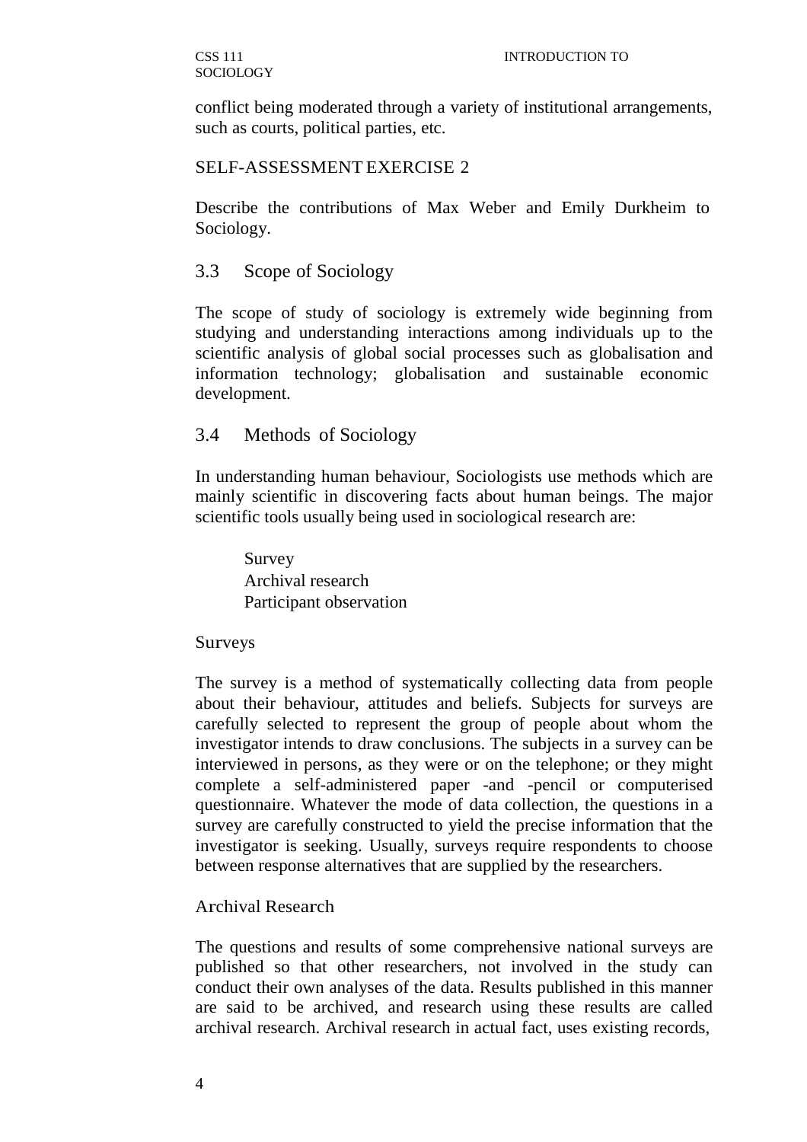conflict being moderated through a variety of institutional arrangements, such as courts, political parties, etc.

#### SELF-ASSESSMENT EXERCISE 2

Describe the contributions of Max Weber and Emily Durkheim to Sociology.

## 3.3 Scope of Sociology

The scope of study of sociology is extremely wide beginning from studying and understanding interactions among individuals up to the scientific analysis of global social processes such as globalisation and information technology; globalisation and sustainable economic development.

## 3.4 Methods of Sociology

In understanding human behaviour, Sociologists use methods which are mainly scientific in discovering facts about human beings. The major scientific tools usually being used in sociological research are:

Survey Archival research Participant observation

#### Surveys

The survey is a method of systematically collecting data from people about their behaviour, attitudes and beliefs. Subjects for surveys are carefully selected to represent the group of people about whom the investigator intends to draw conclusions. The subjects in a survey can be interviewed in persons, as they were or on the telephone; or they might complete a self-administered paper -and -pencil or computerised questionnaire. Whatever the mode of data collection, the questions in a survey are carefully constructed to yield the precise information that the investigator is seeking. Usually, surveys require respondents to choose between response alternatives that are supplied by the researchers.

## Archival Research

The questions and results of some comprehensive national surveys are published so that other researchers, not involved in the study can conduct their own analyses of the data. Results published in this manner are said to be archived, and research using these results are called archival research. Archival research in actual fact, uses existing records,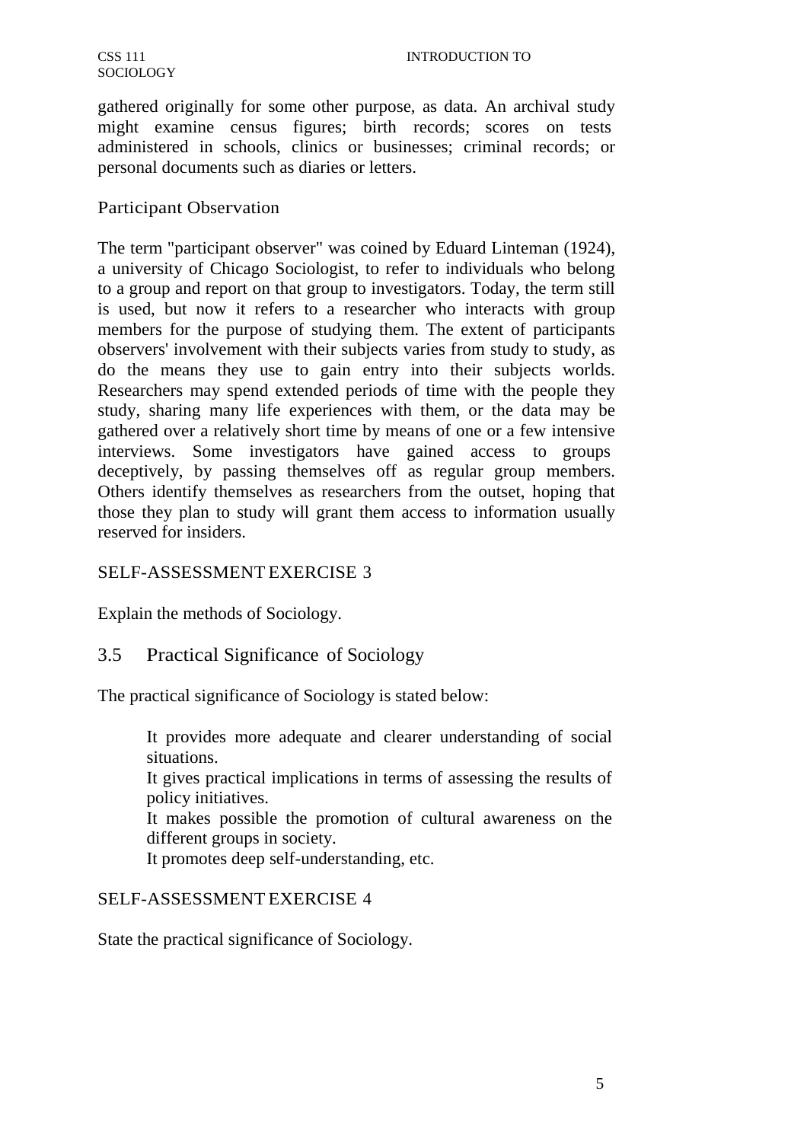gathered originally for some other purpose, as data. An archival study might examine census figures; birth records; scores on tests administered in schools, clinics or businesses; criminal records; or personal documents such as diaries or letters.

## Participant Observation

The term "participant observer" was coined by Eduard Linteman (1924), a university of Chicago Sociologist, to refer to individuals who belong to a group and report on that group to investigators. Today, the term still is used, but now it refers to a researcher who interacts with group members for the purpose of studying them. The extent of participants observers' involvement with their subjects varies from study to study, as do the means they use to gain entry into their subjects worlds. Researchers may spend extended periods of time with the people they study, sharing many life experiences with them, or the data may be gathered over a relatively short time by means of one or a few intensive interviews. Some investigators have gained access to groups deceptively, by passing themselves off as regular group members. Others identify themselves as researchers from the outset, hoping that those they plan to study will grant them access to information usually reserved for insiders.

# SELF-ASSESSMENT EXERCISE 3

Explain the methods of Sociology.

# 3.5 Practical Significance of Sociology

The practical significance of Sociology is stated below:

It provides more adequate and clearer understanding of social situations.

It gives practical implications in terms of assessing the results of policy initiatives.

It makes possible the promotion of cultural awareness on the different groups in society.

It promotes deep self-understanding, etc.

## SELF-ASSESSMENT EXERCISE 4

State the practical significance of Sociology.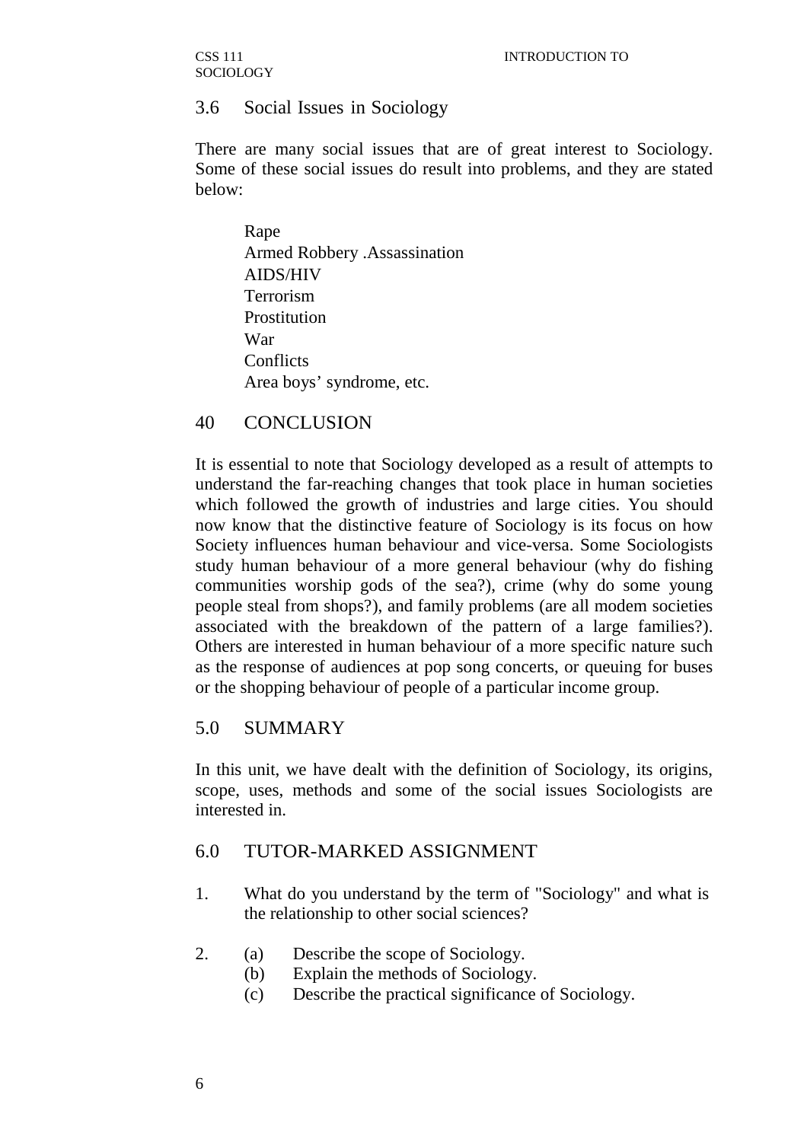CSS 111 **SOCIOLOGY** 

## 3.6 Social Issues in Sociology

There are many social issues that are of great interest to Sociology. Some of these social issues do result into problems, and they are stated below:

Rape Armed Robbery .Assassination AIDS/HIV Terrorism Prostitution War **Conflicts** Area boys' syndrome, etc.

#### 40 CONCLUSION

It is essential to note that Sociology developed as a result of attempts to understand the far-reaching changes that took place in human societies which followed the growth of industries and large cities. You should now know that the distinctive feature of Sociology is its focus on how Society influences human behaviour and vice-versa. Some Sociologists study human behaviour of a more general behaviour (why do fishing communities worship gods of the sea?), crime (why do some young people steal from shops?), and family problems (are all modem societies associated with the breakdown of the pattern of a large families?). Others are interested in human behaviour of a more specific nature such as the response of audiences at pop song concerts, or queuing for buses or the shopping behaviour of people of a particular income group.

## 5.0 SUMMARY

In this unit, we have dealt with the definition of Sociology, its origins, scope, uses, methods and some of the social issues Sociologists are interested in.

#### 6.0 TUTOR-MARKED ASSIGNMENT

- 1. What do you understand by the term of "Sociology" and what is the relationship to other social sciences?
- 2. (a) Describe the scope of Sociology.
	- (b) Explain the methods of Sociology.
	- (c) Describe the practical significance of Sociology.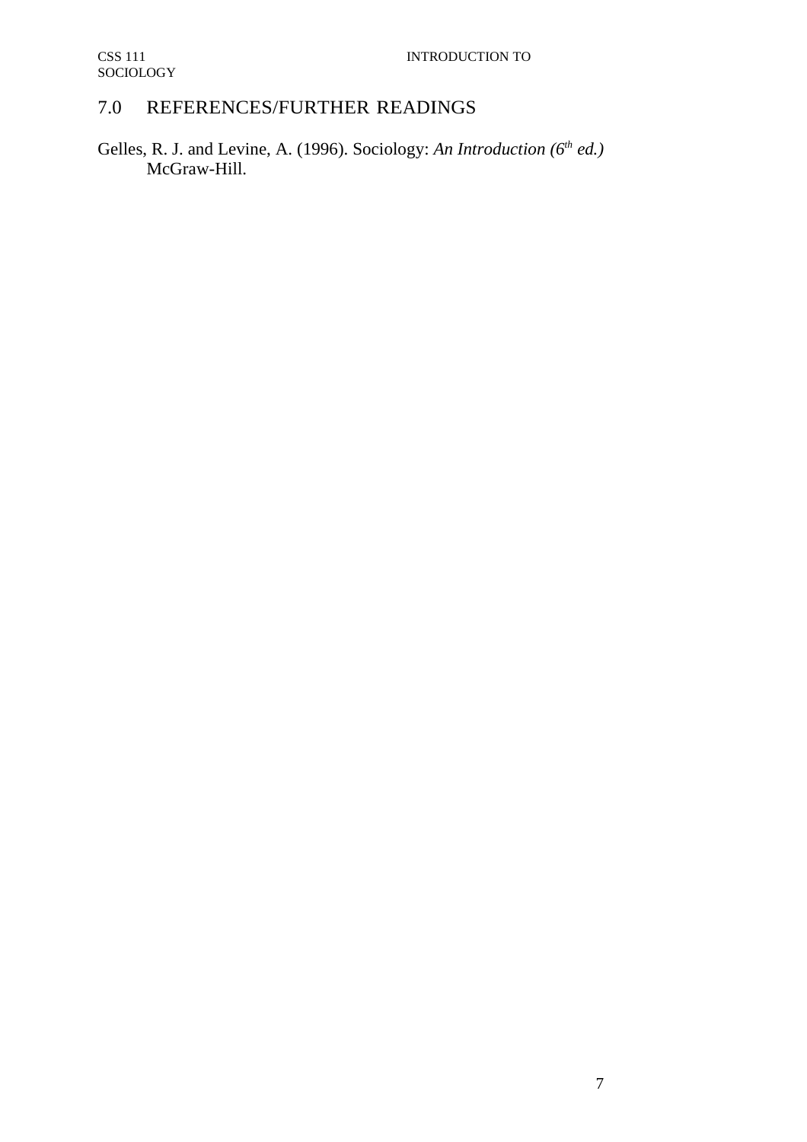# 7.0 REFERENCES/FURTHER READINGS

Gelles, R. J. and Levine, A. (1996). Sociology: *An Introduction (6th ed.)* McGraw-Hill.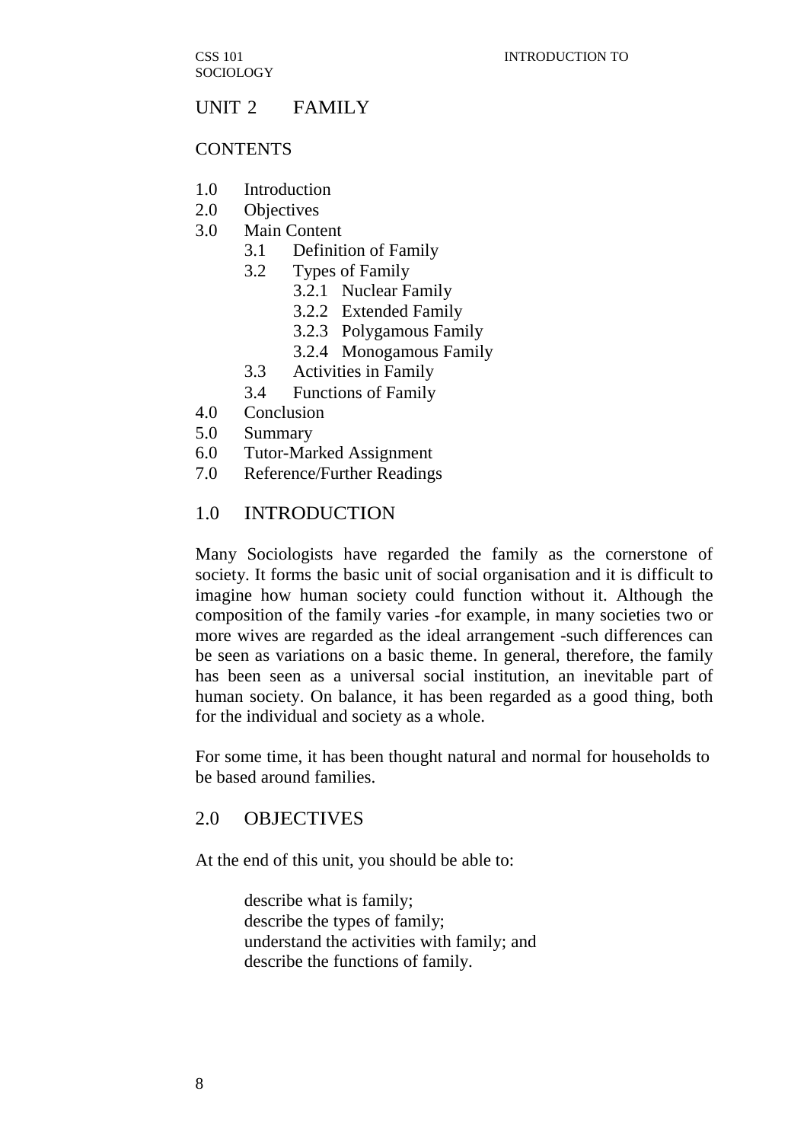# UNIT 2 FAMILY

#### **CONTENTS**

- 1.0 Introduction
- 2.0 Objectives
- 3.0 Main Content
	- 3.1 Definition of Family
	- 3.2 Types of Family
		- 3.2.1 Nuclear Family
		- 3.2.2 Extended Family
		- 3.2.3 Polygamous Family
		- 3.2.4 Monogamous Family
	- 3.3 Activities in Family
	- 3.4 Functions of Family
- 4.0 Conclusion
- 5.0 Summary
- 6.0 Tutor-Marked Assignment
- 7.0 Reference/Further Readings

#### 1.0 INTRODUCTION

Many Sociologists have regarded the family as the cornerstone of society. It forms the basic unit of social organisation and it is difficult to imagine how human society could function without it. Although the composition of the family varies -for example, in many societies two or more wives are regarded as the ideal arrangement -such differences can be seen as variations on a basic theme. In general, therefore, the family has been seen as a universal social institution, an inevitable part of human society. On balance, it has been regarded as a good thing, both for the individual and society as a whole.

For some time, it has been thought natural and normal for households to be based around families.

# 2.0 OBJECTIVES

At the end of this unit, you should be able to:

describe what is family; describe the types of family; understand the activities with family; and describe the functions of family.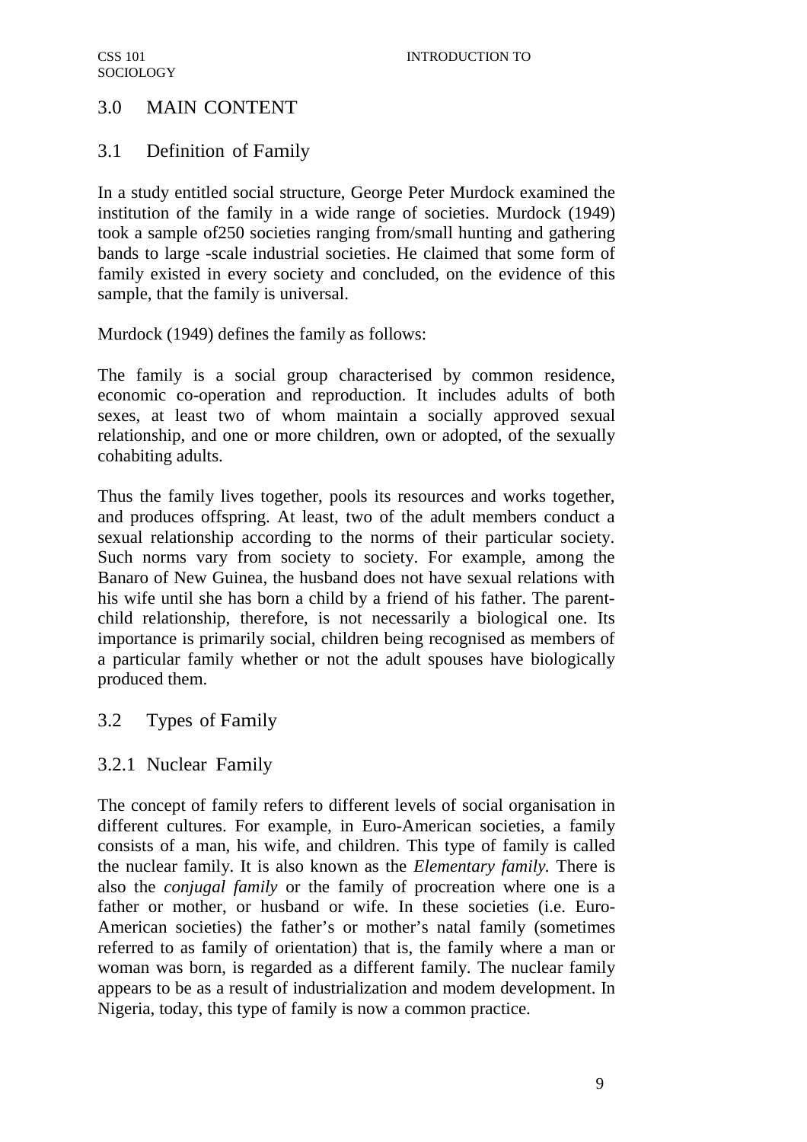# 3.0 MAIN CONTENT

# 3.1 Definition of Family

In a study entitled social structure, George Peter Murdock examined the institution of the family in a wide range of societies. Murdock (1949) took a sample of250 societies ranging from/small hunting and gathering bands to large -scale industrial societies. He claimed that some form of family existed in every society and concluded, on the evidence of this sample, that the family is universal.

Murdock (1949) defines the family as follows:

The family is a social group characterised by common residence, economic co-operation and reproduction. It includes adults of both sexes, at least two of whom maintain a socially approved sexual relationship, and one or more children, own or adopted, of the sexually cohabiting adults.

Thus the family lives together, pools its resources and works together, and produces offspring. At least, two of the adult members conduct a sexual relationship according to the norms of their particular society. Such norms vary from society to society. For example, among the Banaro of New Guinea, the husband does not have sexual relations with his wife until she has born a child by a friend of his father. The parentchild relationship, therefore, is not necessarily a biological one. Its importance is primarily social, children being recognised as members of a particular family whether or not the adult spouses have biologically produced them.

# 3.2 Types of Family

# 3.2.1 Nuclear Family

The concept of family refers to different levels of social organisation in different cultures. For example, in Euro-American societies, a family consists of a man, his wife, and children. This type of family is called the nuclear family. It is also known as the *Elementary family.* There is also the *conjugal family* or the family of procreation where one is a father or mother, or husband or wife. In these societies (i.e. Euro-American societies) the father's or mother's natal family (sometimes referred to as family of orientation) that is, the family where a man or woman was born, is regarded as a different family. The nuclear family appears to be as a result of industrialization and modem development. In Nigeria, today, this type of family is now a common practice.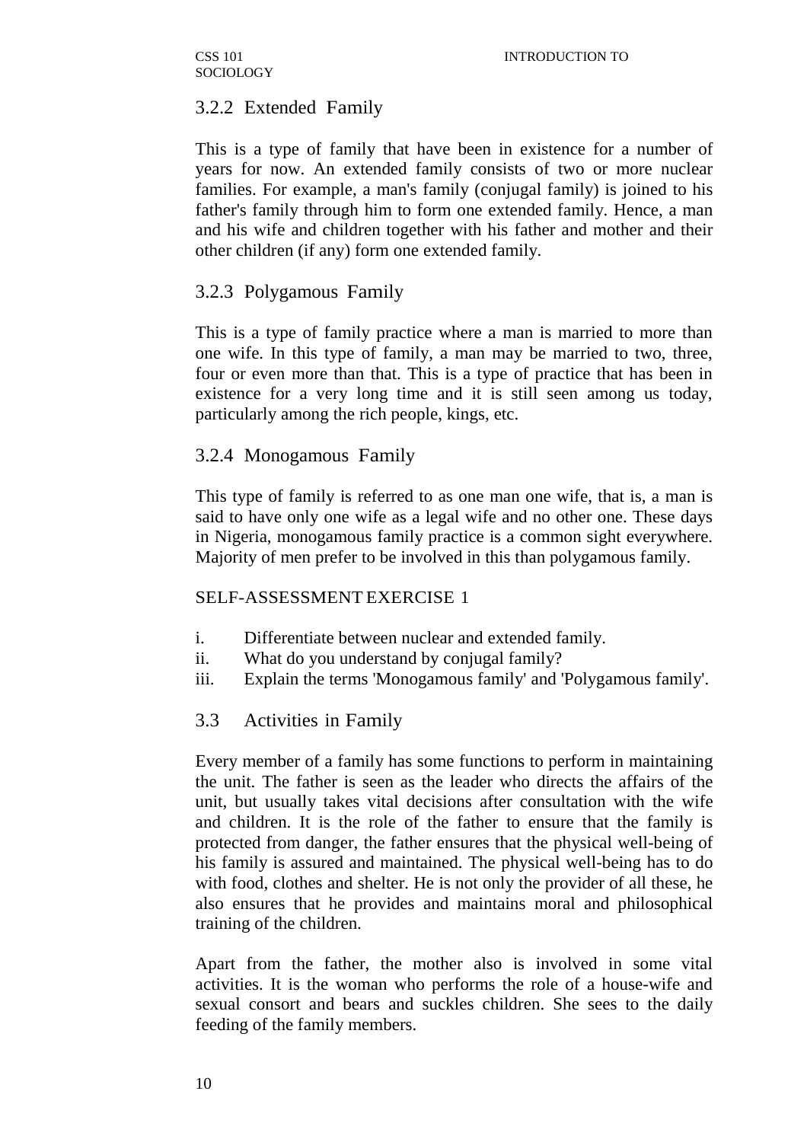CSS 101 **SOCIOLOGY** 

# 3.2.2 Extended Family

This is a type of family that have been in existence for a number of years for now. An extended family consists of two or more nuclear families. For example, a man's family (conjugal family) is joined to his father's family through him to form one extended family. Hence, a man and his wife and children together with his father and mother and their other children (if any) form one extended family.

# 3.2.3 Polygamous Family

This is a type of family practice where a man is married to more than one wife. In this type of family, a man may be married to two, three, four or even more than that. This is a type of practice that has been in existence for a very long time and it is still seen among us today, particularly among the rich people, kings, etc.

## 3.2.4 Monogamous Family

This type of family is referred to as one man one wife, that is, a man is said to have only one wife as a legal wife and no other one. These days in Nigeria, monogamous family practice is a common sight everywhere. Majority of men prefer to be involved in this than polygamous family.

## SELF-ASSESSMENT EXERCISE 1

- i. Differentiate between nuclear and extended family.
- ii. What do you understand by conjugal family?
- iii. Explain the terms 'Monogamous family' and 'Polygamous family'.

## 3.3 Activities in Family

Every member of a family has some functions to perform in maintaining the unit. The father is seen as the leader who directs the affairs of the unit, but usually takes vital decisions after consultation with the wife and children. It is the role of the father to ensure that the family is protected from danger, the father ensures that the physical well-being of his family is assured and maintained. The physical well-being has to do with food, clothes and shelter. He is not only the provider of all these, he also ensures that he provides and maintains moral and philosophical training of the children.

Apart from the father, the mother also is involved in some vital activities. It is the woman who performs the role of a house-wife and sexual consort and bears and suckles children. She sees to the daily feeding of the family members.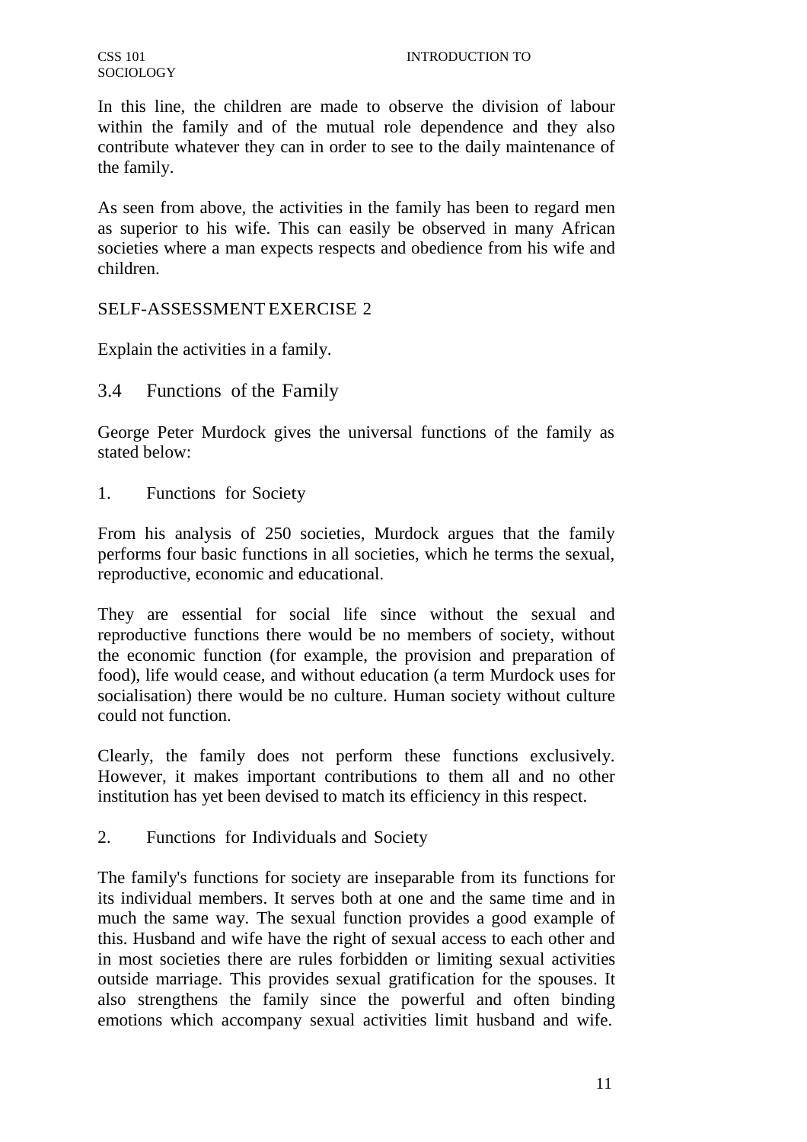In this line, the children are made to observe the division of labour within the family and of the mutual role dependence and they also contribute whatever they can in order to see to the daily maintenance of the family.

As seen from above, the activities in the family has been to regard men as superior to his wife. This can easily be observed in many African societies where a man expects respects and obedience from his wife and children.

## SELF-ASSESSMENT EXERCISE 2

Explain the activities in a family.

3.4 Functions of the Family

George Peter Murdock gives the universal functions of the family as stated below:

1. Functions for Society

From his analysis of 250 societies, Murdock argues that the family performs four basic functions in all societies, which he terms the sexual, reproductive, economic and educational.

They are essential for social life since without the sexual and reproductive functions there would be no members of society, without the economic function (for example, the provision and preparation of food), life would cease, and without education (a term Murdock uses for socialisation) there would be no culture. Human society without culture could not function.

Clearly, the family does not perform these functions exclusively. However, it makes important contributions to them all and no other institution has yet been devised to match its efficiency in this respect.

2. Functions for Individuals and Society

The family's functions for society are inseparable from its functions for its individual members. It serves both at one and the same time and in much the same way. The sexual function provides a good example of this. Husband and wife have the right of sexual access to each other and in most societies there are rules forbidden or limiting sexual activities outside marriage. This provides sexual gratification for the spouses. It also strengthens the family since the powerful and often binding emotions which accompany sexual activities limit husband and wife.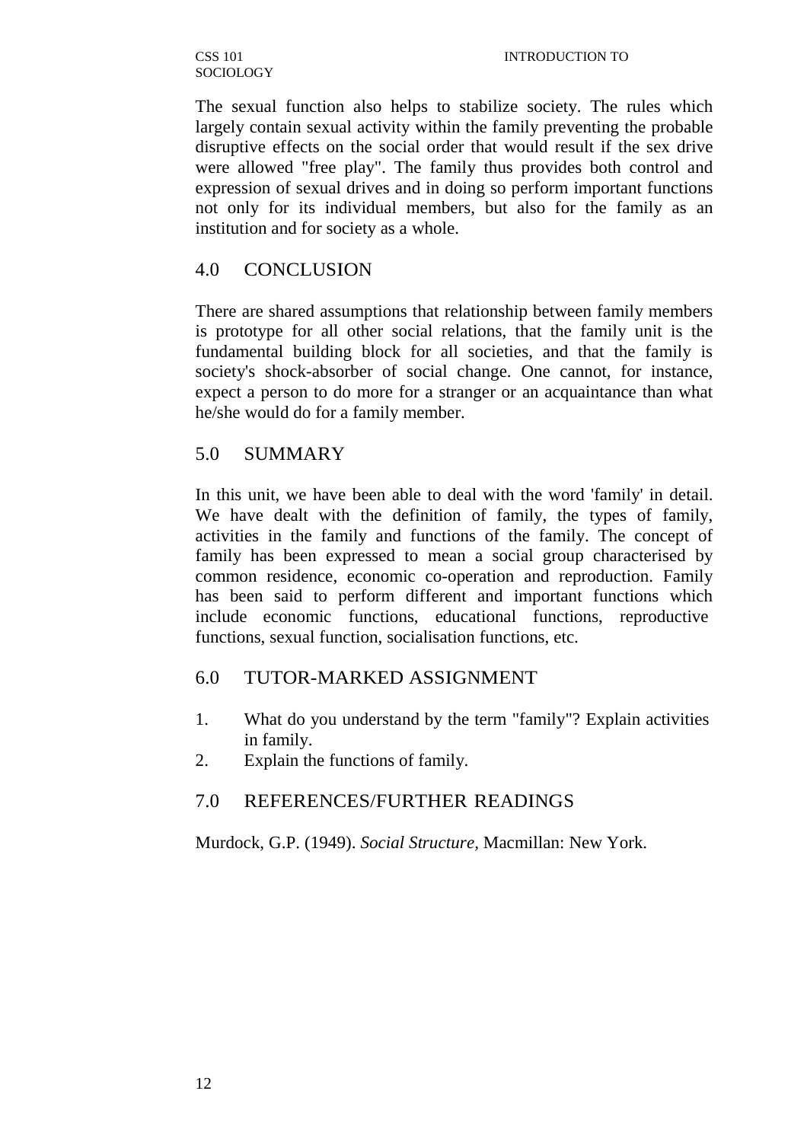CSS 101 SOCIOLOGY

The sexual function also helps to stabilize society. The rules which largely contain sexual activity within the family preventing the probable disruptive effects on the social order that would result if the sex drive were allowed "free play". The family thus provides both control and expression of sexual drives and in doing so perform important functions not only for its individual members, but also for the family as an institution and for society as a whole.

# 4.0 CONCLUSION

There are shared assumptions that relationship between family members is prototype for all other social relations, that the family unit is the fundamental building block for all societies, and that the family is society's shock-absorber of social change. One cannot, for instance, expect a person to do more for a stranger or an acquaintance than what he/she would do for a family member.

# 5.0 SUMMARY

In this unit, we have been able to deal with the word 'family' in detail. We have dealt with the definition of family, the types of family, activities in the family and functions of the family. The concept of family has been expressed to mean a social group characterised by common residence, economic co-operation and reproduction. Family has been said to perform different and important functions which include economic functions, educational functions, reproductive functions, sexual function, socialisation functions, etc.

# 6.0 TUTOR-MARKED ASSIGNMENT

- 1. What do you understand by the term "family"? Explain activities in family.
- 2. Explain the functions of family.

# 7.0 REFERENCES/FURTHER READINGS

Murdock, G.P. (1949). *Social Structure,* Macmillan: New York.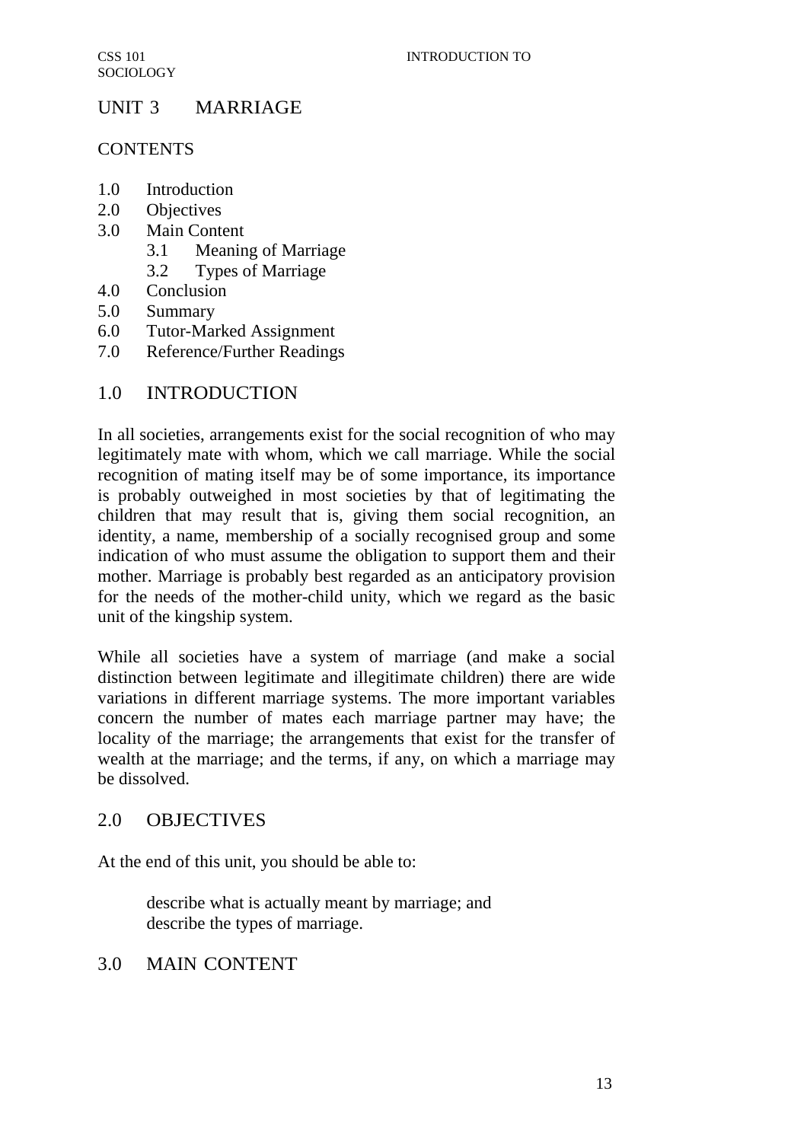# UNIT 3 MARRIAGE

## **CONTENTS**

- 1.0 Introduction
- 2.0 Objectives
- 3.0 Main Content
	- 3.1 Meaning of Marriage
	- 3.2 Types of Marriage
- 4.0 Conclusion
- 5.0 Summary
- 6.0 Tutor-Marked Assignment
- 7.0 Reference/Further Readings

# 1.0 INTRODUCTION

In all societies, arrangements exist for the social recognition of who may legitimately mate with whom, which we call marriage. While the social recognition of mating itself may be of some importance, its importance is probably outweighed in most societies by that of legitimating the children that may result that is, giving them social recognition, an identity, a name, membership of a socially recognised group and some indication of who must assume the obligation to support them and their mother. Marriage is probably best regarded as an anticipatory provision for the needs of the mother-child unity, which we regard as the basic unit of the kingship system.

While all societies have a system of marriage (and make a social distinction between legitimate and illegitimate children) there are wide variations in different marriage systems. The more important variables concern the number of mates each marriage partner may have; the locality of the marriage; the arrangements that exist for the transfer of wealth at the marriage; and the terms, if any, on which a marriage may be dissolved.

# 2.0 OBJECTIVES

At the end of this unit, you should be able to:

describe what is actually meant by marriage; and describe the types of marriage.

# 3.0 MAIN CONTENT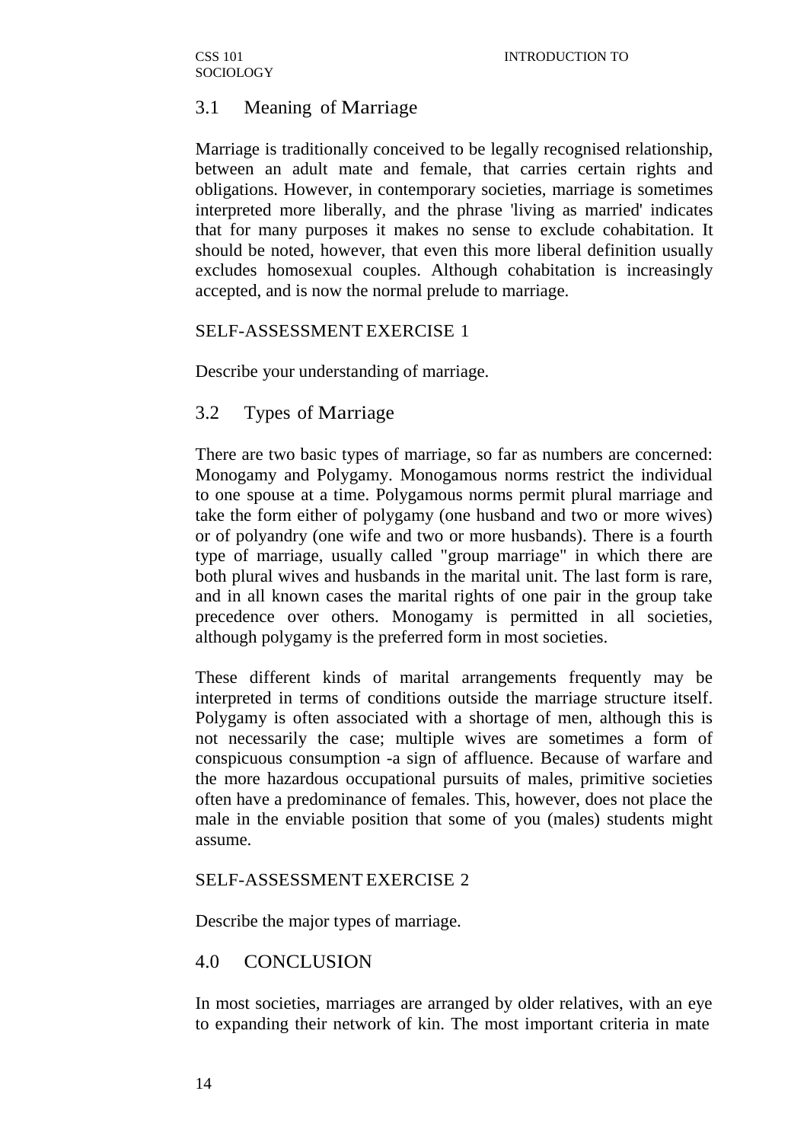# 3.1 Meaning of Marriage

Marriage is traditionally conceived to be legally recognised relationship, between an adult mate and female, that carries certain rights and obligations. However, in contemporary societies, marriage is sometimes interpreted more liberally, and the phrase 'living as married' indicates that for many purposes it makes no sense to exclude cohabitation. It should be noted, however, that even this more liberal definition usually excludes homosexual couples. Although cohabitation is increasingly accepted, and is now the normal prelude to marriage.

## SELF-ASSESSMENT EXERCISE 1

Describe your understanding of marriage.

# 3.2 Types of Marriage

There are two basic types of marriage, so far as numbers are concerned: Monogamy and Polygamy. Monogamous norms restrict the individual to one spouse at a time. Polygamous norms permit plural marriage and take the form either of polygamy (one husband and two or more wives) or of polyandry (one wife and two or more husbands). There is a fourth type of marriage, usually called "group marriage" in which there are both plural wives and husbands in the marital unit. The last form is rare, and in all known cases the marital rights of one pair in the group take precedence over others. Monogamy is permitted in all societies, although polygamy is the preferred form in most societies.

These different kinds of marital arrangements frequently may be interpreted in terms of conditions outside the marriage structure itself. Polygamy is often associated with a shortage of men, although this is not necessarily the case; multiple wives are sometimes a form of conspicuous consumption -a sign of affluence. Because of warfare and the more hazardous occupational pursuits of males, primitive societies often have a predominance of females. This, however, does not place the male in the enviable position that some of you (males) students might assume.

# SELF-ASSESSMENT EXERCISE 2

Describe the major types of marriage.

# 4.0 CONCLUSION

In most societies, marriages are arranged by older relatives, with an eye to expanding their network of kin. The most important criteria in mate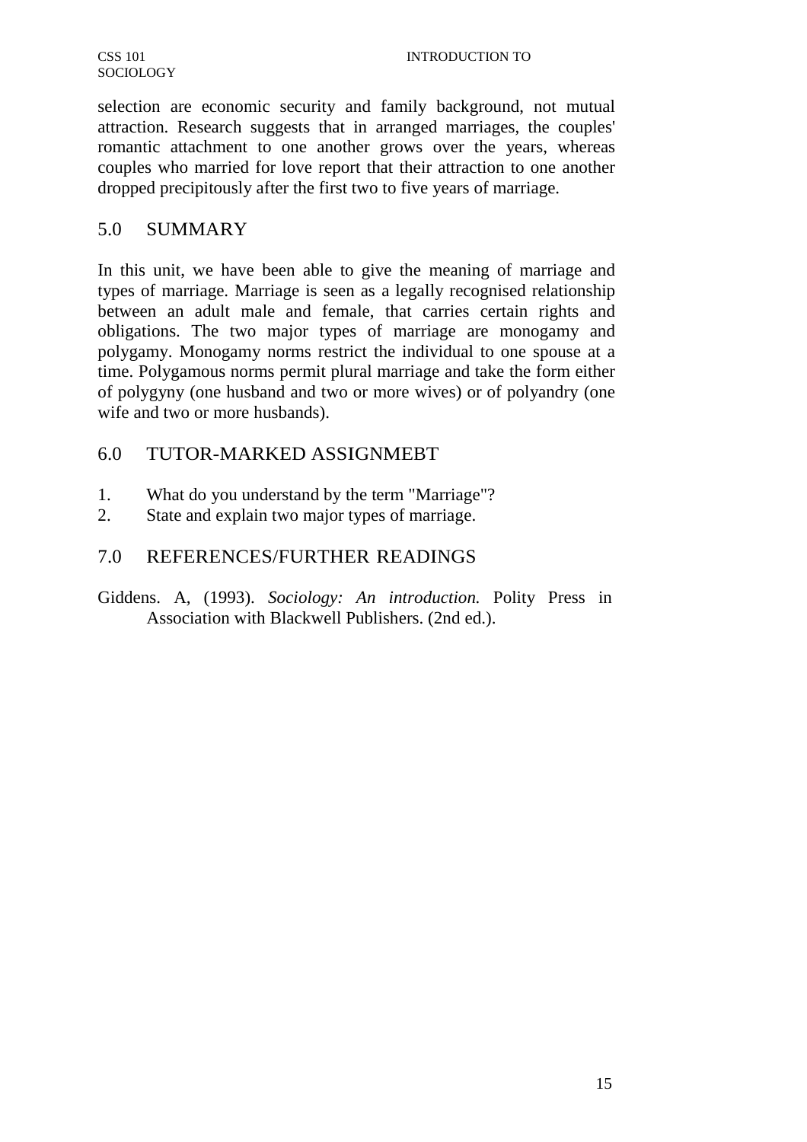selection are economic security and family background, not mutual attraction. Research suggests that in arranged marriages, the couples' romantic attachment to one another grows over the years, whereas couples who married for love report that their attraction to one another dropped precipitously after the first two to five years of marriage.

# 5.0 SUMMARY

In this unit, we have been able to give the meaning of marriage and types of marriage. Marriage is seen as a legally recognised relationship between an adult male and female, that carries certain rights and obligations. The two major types of marriage are monogamy and polygamy. Monogamy norms restrict the individual to one spouse at a time. Polygamous norms permit plural marriage and take the form either of polygyny (one husband and two or more wives) or of polyandry (one wife and two or more husbands).

# 6.0 TUTOR-MARKED ASSIGNMEBT

- 1. What do you understand by the term "Marriage"?
- 2. State and explain two major types of marriage.

# 7.0 REFERENCES/FURTHER READINGS

Giddens. A, (1993). *Sociology: An introduction.* Polity Press in Association with Blackwell Publishers. (2nd ed.).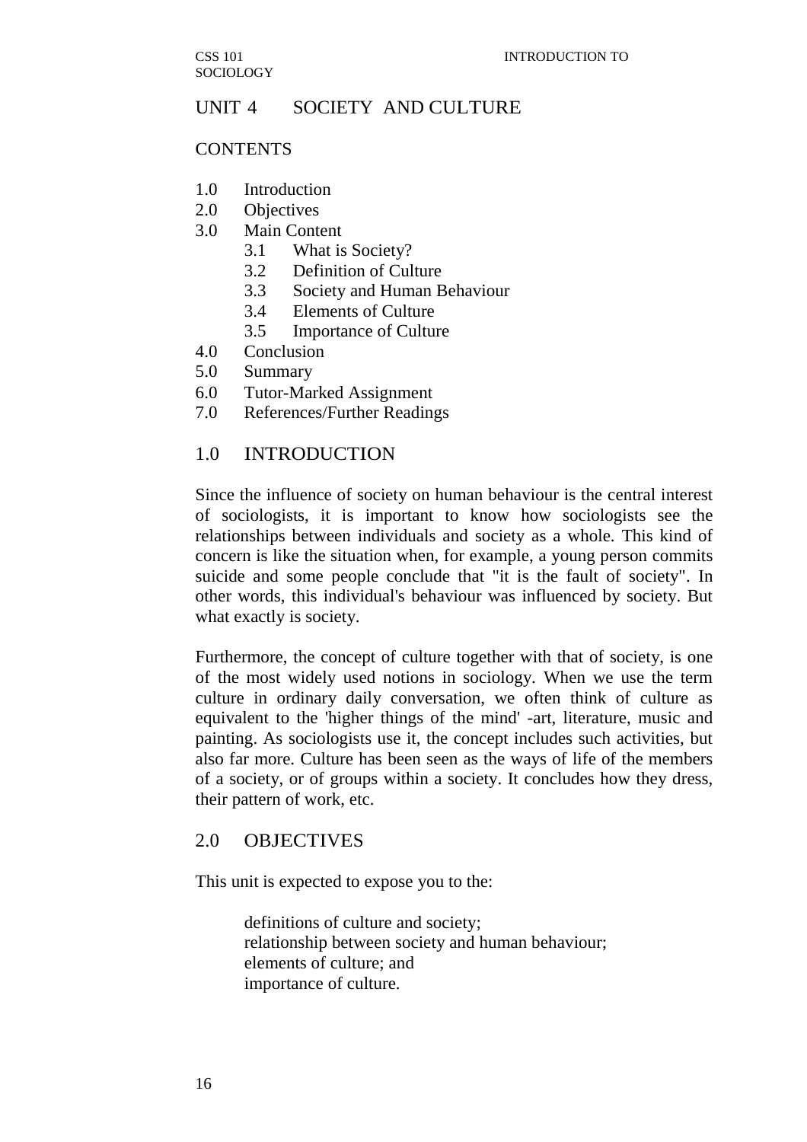# UNIT 4 SOCIETY AND CULTURE

#### **CONTENTS**

- 1.0 Introduction
- 2.0 Objectives
- 3.0 Main Content
	- 3.1 What is Society?
	- 3.2 Definition of Culture
	- 3.3 Society and Human Behaviour
	- 3.4 Elements of Culture
	- 3.5 Importance of Culture
- 4.0 Conclusion
- 5.0 Summary
- 6.0 Tutor-Marked Assignment
- 7.0 References/Further Readings

## 1.0 INTRODUCTION

Since the influence of society on human behaviour is the central interest of sociologists, it is important to know how sociologists see the relationships between individuals and society as a whole. This kind of concern is like the situation when, for example, a young person commits suicide and some people conclude that "it is the fault of society". In other words, this individual's behaviour was influenced by society. But what exactly is society.

Furthermore, the concept of culture together with that of society, is one of the most widely used notions in sociology. When we use the term culture in ordinary daily conversation, we often think of culture as equivalent to the 'higher things of the mind' -art, literature, music and painting. As sociologists use it, the concept includes such activities, but also far more. Culture has been seen as the ways of life of the members of a society, or of groups within a society. It concludes how they dress, their pattern of work, etc.

# 2.0 OBJECTIVES

This unit is expected to expose you to the:

definitions of culture and society; relationship between society and human behaviour; elements of culture; and importance of culture.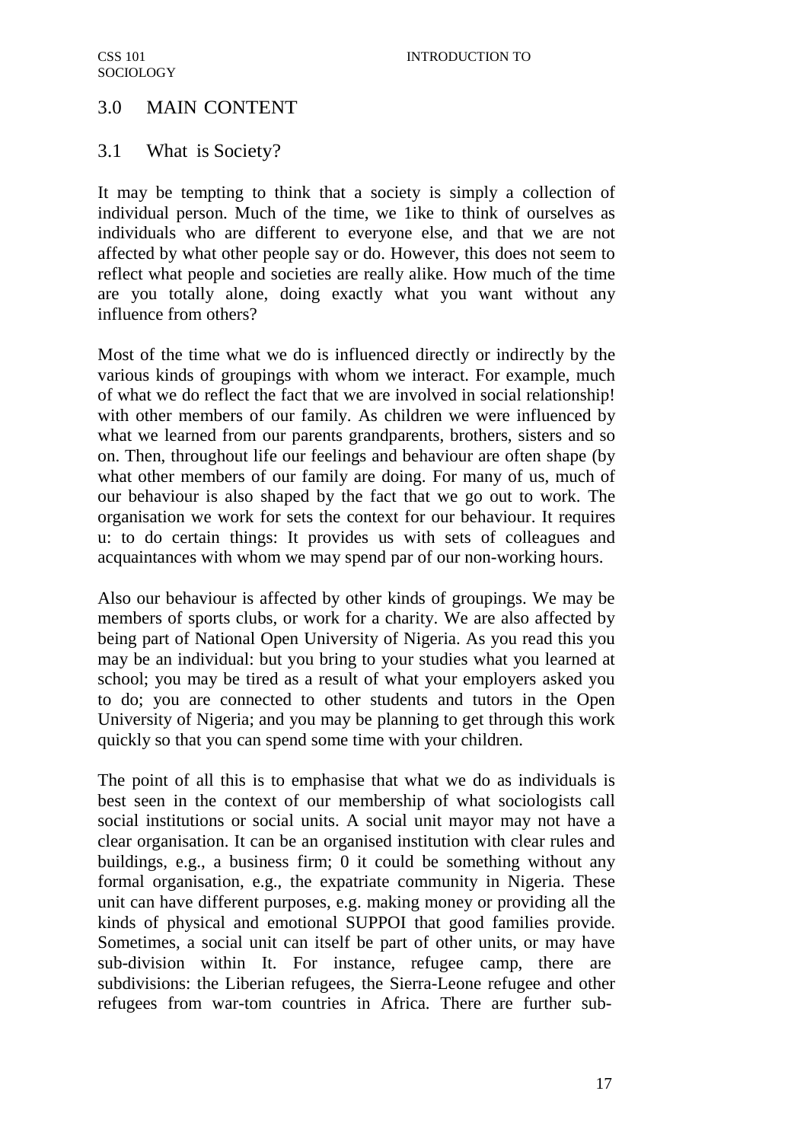# 3.0 MAIN CONTENT

# 3.1 What is Society?

It may be tempting to think that a society is simply a collection of individual person. Much of the time, we 1ike to think of ourselves as individuals who are different to everyone else, and that we are not affected by what other people say or do. However, this does not seem to reflect what people and societies are really alike. How much of the time are you totally alone, doing exactly what you want without any influence from others?

Most of the time what we do is influenced directly or indirectly by the various kinds of groupings with whom we interact. For example, much of what we do reflect the fact that we are involved in social relationship! with other members of our family. As children we were influenced by what we learned from our parents grandparents, brothers, sisters and so on. Then, throughout life our feelings and behaviour are often shape (by what other members of our family are doing. For many of us, much of our behaviour is also shaped by the fact that we go out to work. The organisation we work for sets the context for our behaviour. It requires u: to do certain things: It provides us with sets of colleagues and acquaintances with whom we may spend par of our non-working hours.

Also our behaviour is affected by other kinds of groupings. We may be members of sports clubs, or work for a charity. We are also affected by being part of National Open University of Nigeria. As you read this you may be an individual: but you bring to your studies what you learned at school; you may be tired as a result of what your employers asked you to do; you are connected to other students and tutors in the Open University of Nigeria; and you may be planning to get through this work quickly so that you can spend some time with your children.

The point of all this is to emphasise that what we do as individuals is best seen in the context of our membership of what sociologists call social institutions or social units. A social unit mayor may not have a clear organisation. It can be an organised institution with clear rules and buildings, e.g., a business firm; 0 it could be something without any formal organisation, e.g., the expatriate community in Nigeria. These unit can have different purposes, e.g. making money or providing all the kinds of physical and emotional SUPPOI that good families provide. Sometimes, a social unit can itself be part of other units, or may have sub-division within It. For instance, refugee camp, there are subdivisions: the Liberian refugees, the Sierra-Leone refugee and other refugees from war-tom countries in Africa. There are further sub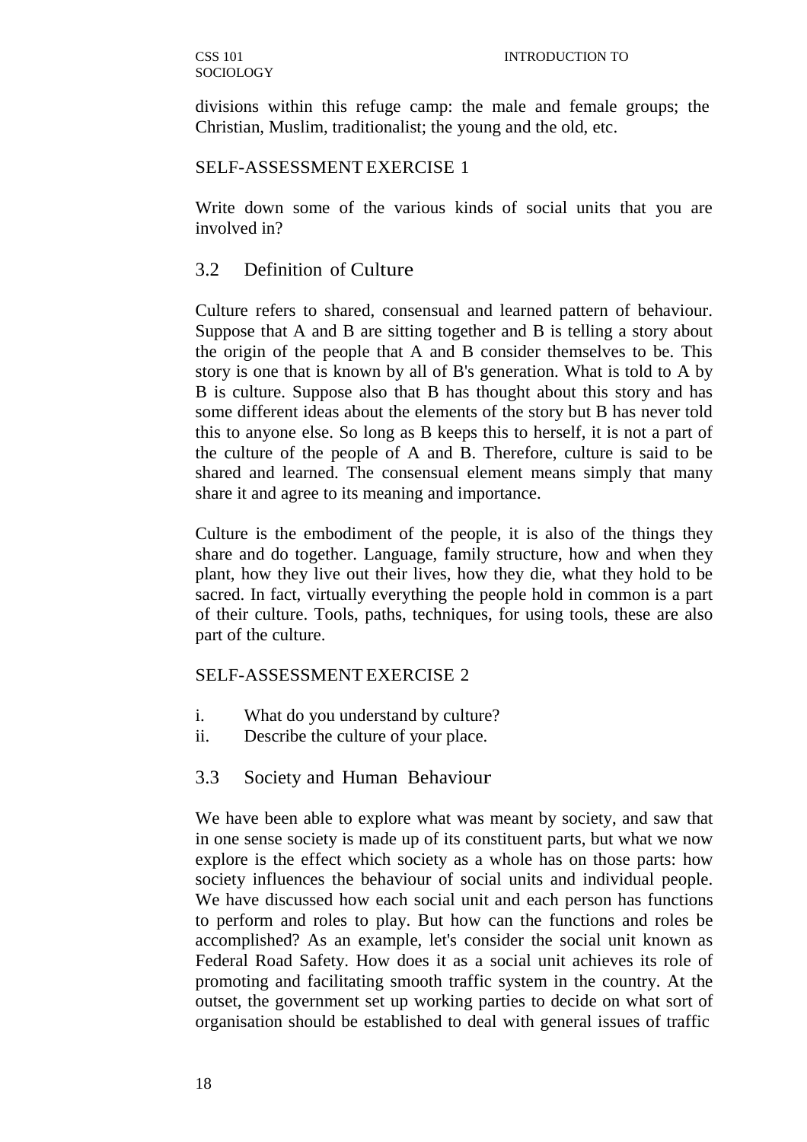divisions within this refuge camp: the male and female groups; the Christian, Muslim, traditionalist; the young and the old, etc.

## SELF-ASSESSMENT EXERCISE 1

Write down some of the various kinds of social units that you are involved in?

# 3.2 Definition of Culture

Culture refers to shared, consensual and learned pattern of behaviour. Suppose that A and B are sitting together and B is telling a story about the origin of the people that A and B consider themselves to be. This story is one that is known by all of B's generation. What is told to A by B is culture. Suppose also that B has thought about this story and has some different ideas about the elements of the story but B has never told this to anyone else. So long as B keeps this to herself, it is not a part of the culture of the people of A and B. Therefore, culture is said to be shared and learned. The consensual element means simply that many share it and agree to its meaning and importance.

Culture is the embodiment of the people, it is also of the things they share and do together. Language, family structure, how and when they plant, how they live out their lives, how they die, what they hold to be sacred. In fact, virtually everything the people hold in common is a part of their culture. Tools, paths, techniques, for using tools, these are also part of the culture.

# SELF-ASSESSMENT EXERCISE 2

- i. What do you understand by culture?
- ii. Describe the culture of your place.

# 3.3 Society and Human Behaviour

We have been able to explore what was meant by society, and saw that in one sense society is made up of its constituent parts, but what we now explore is the effect which society as a whole has on those parts: how society influences the behaviour of social units and individual people. We have discussed how each social unit and each person has functions to perform and roles to play. But how can the functions and roles be accomplished? As an example, let's consider the social unit known as Federal Road Safety. How does it as a social unit achieves its role of promoting and facilitating smooth traffic system in the country. At the outset, the government set up working parties to decide on what sort of organisation should be established to deal with general issues of traffic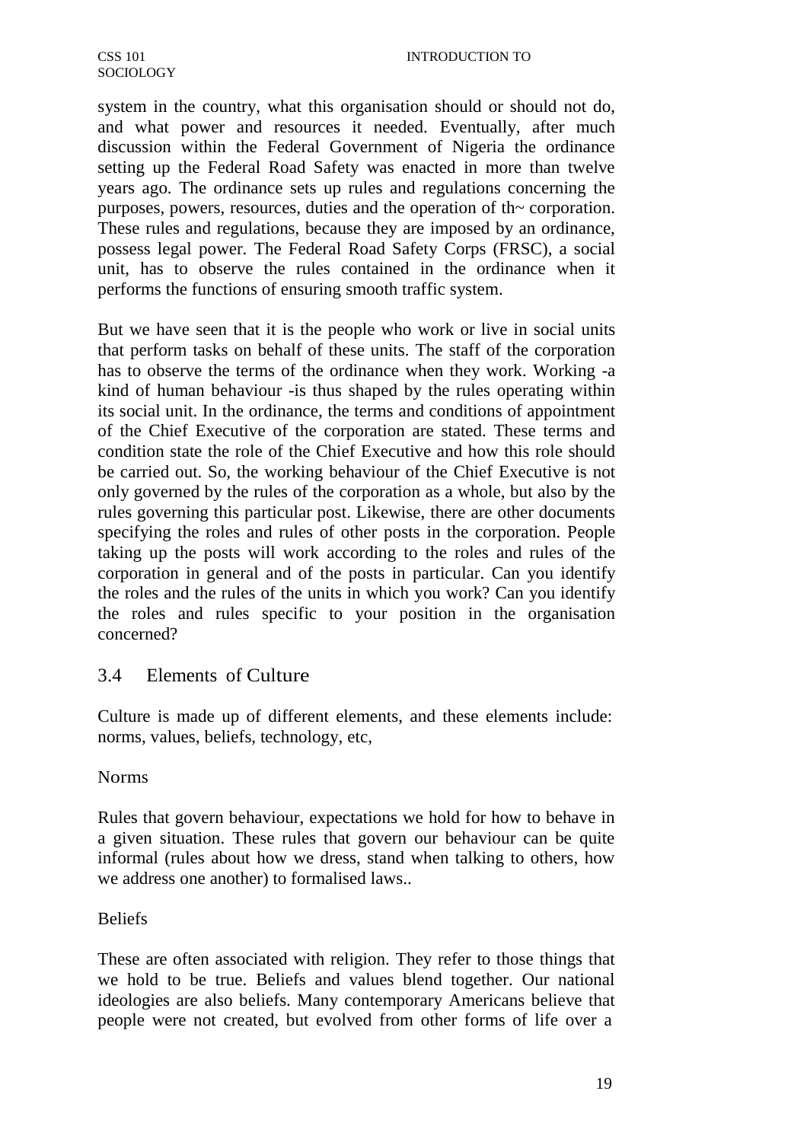system in the country, what this organisation should or should not do, and what power and resources it needed. Eventually, after much discussion within the Federal Government of Nigeria the ordinance setting up the Federal Road Safety was enacted in more than twelve years ago. The ordinance sets up rules and regulations concerning the purposes, powers, resources, duties and the operation of th~ corporation. These rules and regulations, because they are imposed by an ordinance, possess legal power. The Federal Road Safety Corps (FRSC), a social unit, has to observe the rules contained in the ordinance when it performs the functions of ensuring smooth traffic system.

But we have seen that it is the people who work or live in social units that perform tasks on behalf of these units. The staff of the corporation has to observe the terms of the ordinance when they work. Working -a kind of human behaviour -is thus shaped by the rules operating within its social unit. In the ordinance, the terms and conditions of appointment of the Chief Executive of the corporation are stated. These terms and condition state the role of the Chief Executive and how this role should be carried out. So, the working behaviour of the Chief Executive is not only governed by the rules of the corporation as a whole, but also by the rules governing this particular post. Likewise, there are other documents specifying the roles and rules of other posts in the corporation. People taking up the posts will work according to the roles and rules of the corporation in general and of the posts in particular. Can you identify the roles and the rules of the units in which you work? Can you identify the roles and rules specific to your position in the organisation concerned?

## 3.4 Elements of Culture

Culture is made up of different elements, and these elements include: norms, values, beliefs, technology, etc,

### Norms

Rules that govern behaviour, expectations we hold for how to behave in a given situation. These rules that govern our behaviour can be quite informal (rules about how we dress, stand when talking to others, how we address one another) to formalised laws..

### Beliefs

These are often associated with religion. They refer to those things that we hold to be true. Beliefs and values blend together. Our national ideologies are also beliefs. Many contemporary Americans believe that people were not created, but evolved from other forms of life over a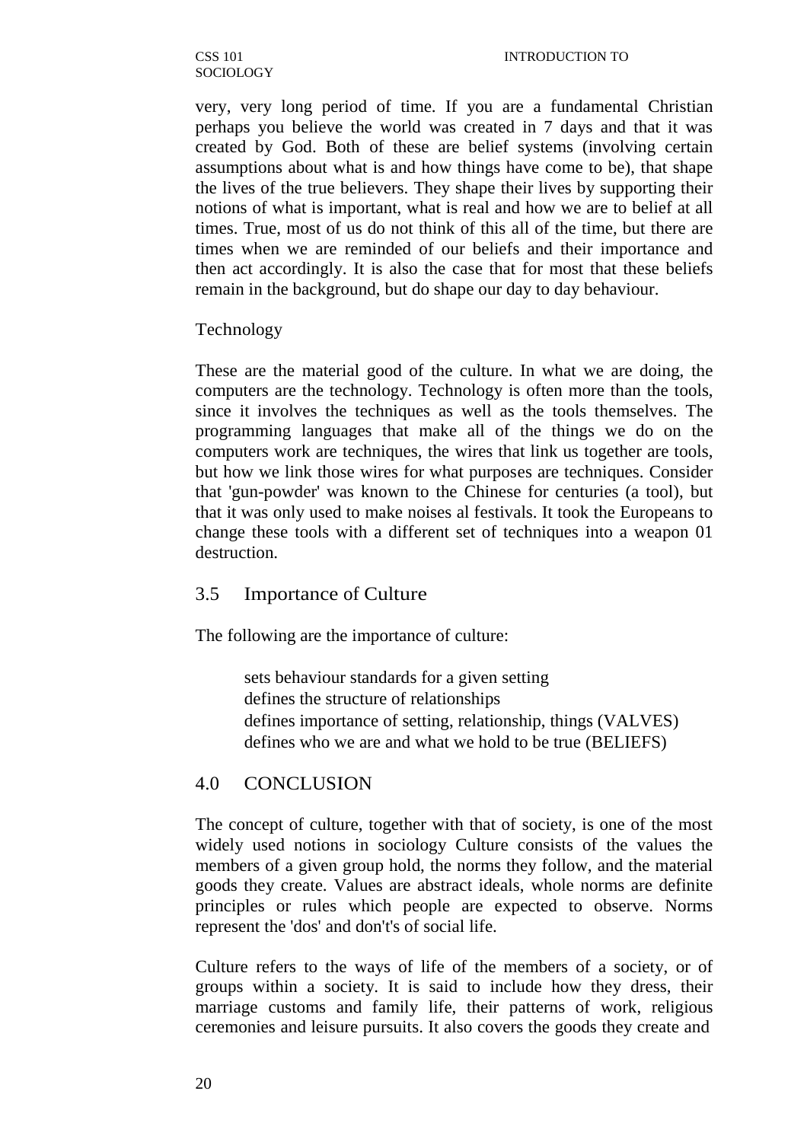very, very long period of time. If you are a fundamental Christian perhaps you believe the world was created in 7 days and that it was created by God. Both of these are belief systems (involving certain assumptions about what is and how things have come to be), that shape the lives of the true believers. They shape their lives by supporting their notions of what is important, what is real and how we are to belief at all times. True, most of us do not think of this all of the time, but there are times when we are reminded of our beliefs and their importance and then act accordingly. It is also the case that for most that these beliefs remain in the background, but do shape our day to day behaviour.

#### Technology

These are the material good of the culture. In what we are doing, the computers are the technology. Technology is often more than the tools, since it involves the techniques as well as the tools themselves. The programming languages that make all of the things we do on the computers work are techniques, the wires that link us together are tools, but how we link those wires for what purposes are techniques. Consider that 'gun-powder' was known to the Chinese for centuries (a tool), but that it was only used to make noises al festivals. It took the Europeans to change these tools with a different set of techniques into a weapon 01 destruction.

### 3.5 Importance of Culture

The following are the importance of culture:

sets behaviour standards for a given setting defines the structure of relationships defines importance of setting, relationship, things (VALVES) defines who we are and what we hold to be true (BELIEFS)

#### 4.0 CONCLUSION

The concept of culture, together with that of society, is one of the most widely used notions in sociology Culture consists of the values the members of a given group hold, the norms they follow, and the material goods they create. Values are abstract ideals, whole norms are definite principles or rules which people are expected to observe. Norms represent the 'dos' and don't's of social life.

Culture refers to the ways of life of the members of a society, or of groups within a society. It is said to include how they dress, their marriage customs and family life, their patterns of work, religious ceremonies and leisure pursuits. It also covers the goods they create and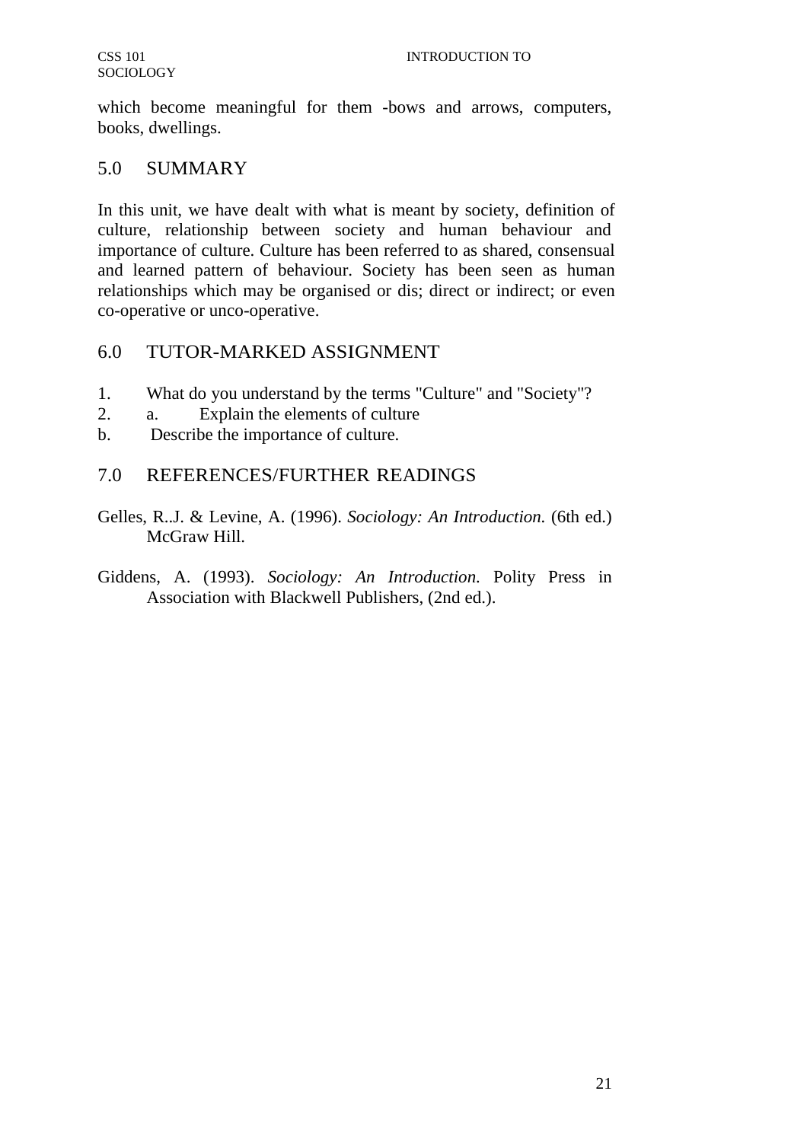which become meaningful for them -bows and arrows, computers, books, dwellings.

# 5.0 SUMMARY

In this unit, we have dealt with what is meant by society, definition of culture, relationship between society and human behaviour and importance of culture. Culture has been referred to as shared, consensual and learned pattern of behaviour. Society has been seen as human relationships which may be organised or dis; direct or indirect; or even co-operative or unco-operative.

# 6.0 TUTOR-MARKED ASSIGNMENT

- 1. What do you understand by the terms "Culture" and "Society"?
- 2. a. Explain the elements of culture
- b. Describe the importance of culture.

# 7.0 REFERENCES/FURTHER READINGS

- Gelles, R..J. & Levine, A. (1996). *Sociology: An Introduction.* (6th ed.) McGraw Hill.
- Giddens, A. (1993). *Sociology: An Introduction.* Polity Press in Association with Blackwell Publishers, (2nd ed.).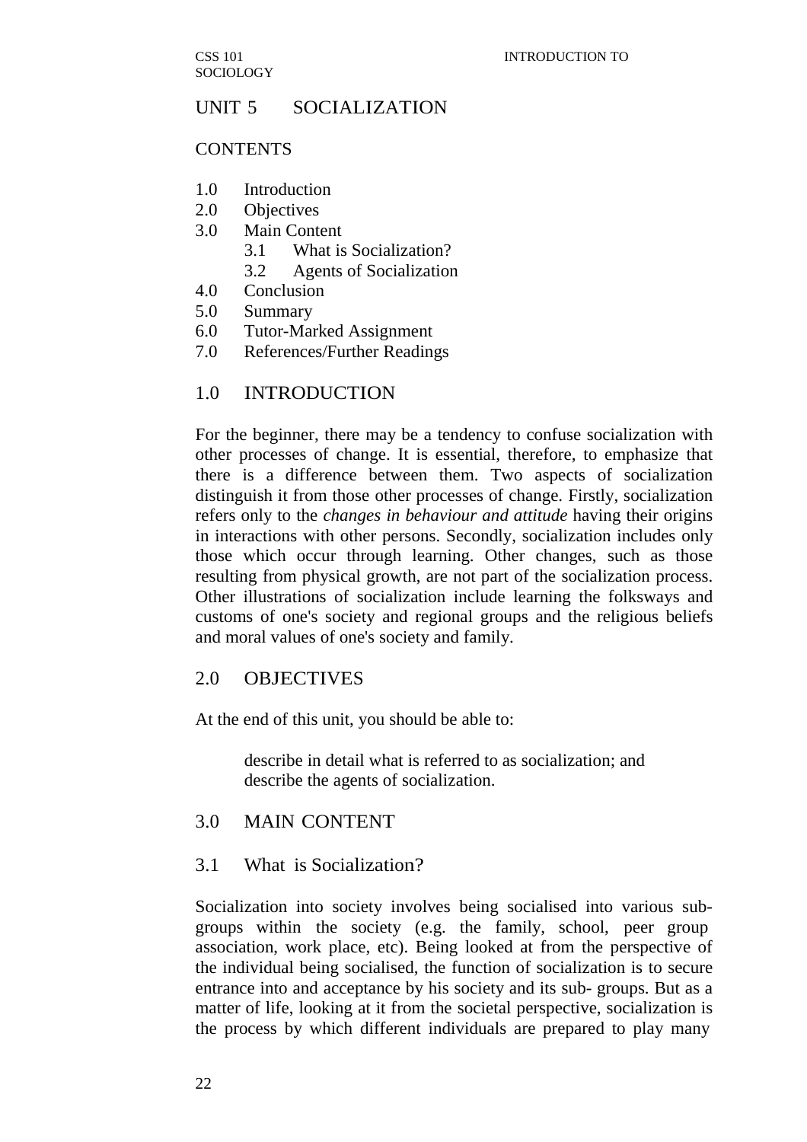# UNIT 5 SOCIALIZATION

#### **CONTENTS**

- 1.0 Introduction
- 2.0 Objectives
- 3.0 Main Content
	- 3.1 What is Socialization?
	- 3.2 Agents of Socialization
- 4.0 Conclusion
- 5.0 Summary
- 6.0 Tutor-Marked Assignment
- 7.0 References/Further Readings

### 1.0 INTRODUCTION

For the beginner, there may be a tendency to confuse socialization with other processes of change. It is essential, therefore, to emphasize that there is a difference between them. Two aspects of socialization distinguish it from those other processes of change. Firstly, socialization refers only to the *changes in behaviour and attitude* having their origins in interactions with other persons. Secondly, socialization includes only those which occur through learning. Other changes, such as those resulting from physical growth, are not part of the socialization process. Other illustrations of socialization include learning the folksways and customs of one's society and regional groups and the religious beliefs and moral values of one's society and family.

### 2.0 OBJECTIVES

At the end of this unit, you should be able to:

describe in detail what is referred to as socialization; and describe the agents of socialization.

### 3.0 MAIN CONTENT

### 3.1 What is Socialization?

Socialization into society involves being socialised into various subgroups within the society (e.g. the family, school, peer group association, work place, etc). Being looked at from the perspective of the individual being socialised, the function of socialization is to secure entrance into and acceptance by his society and its sub- groups. But as a matter of life, looking at it from the societal perspective, socialization is the process by which different individuals are prepared to play many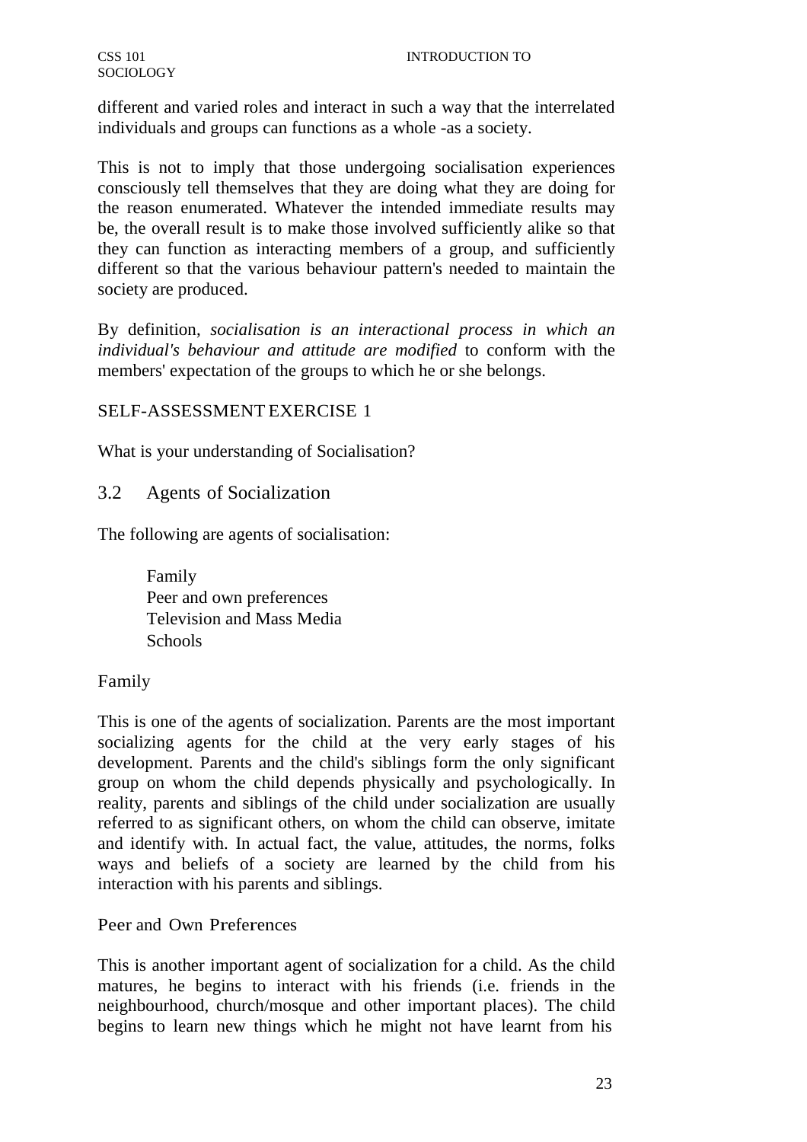different and varied roles and interact in such a way that the interrelated individuals and groups can functions as a whole -as a society.

This is not to imply that those undergoing socialisation experiences consciously tell themselves that they are doing what they are doing for the reason enumerated. Whatever the intended immediate results may be, the overall result is to make those involved sufficiently alike so that they can function as interacting members of a group, and sufficiently different so that the various behaviour pattern's needed to maintain the society are produced.

By definition, *socialisation is an interactional process in which an individual's behaviour and attitude are modified* to conform with the members' expectation of the groups to which he or she belongs.

## SELF-ASSESSMENT EXERCISE 1

What is your understanding of Socialisation?

# 3.2 Agents of Socialization

The following are agents of socialisation:

Family Peer and own preferences Television and Mass Media **Schools** 

## Family

This is one of the agents of socialization. Parents are the most important socializing agents for the child at the very early stages of his development. Parents and the child's siblings form the only significant group on whom the child depends physically and psychologically. In reality, parents and siblings of the child under socialization are usually referred to as significant others, on whom the child can observe, imitate and identify with. In actual fact, the value, attitudes, the norms, folks ways and beliefs of a society are learned by the child from his interaction with his parents and siblings.

Peer and Own Preferences

This is another important agent of socialization for a child. As the child matures, he begins to interact with his friends (i.e. friends in the neighbourhood, church/mosque and other important places). The child begins to learn new things which he might not have learnt from his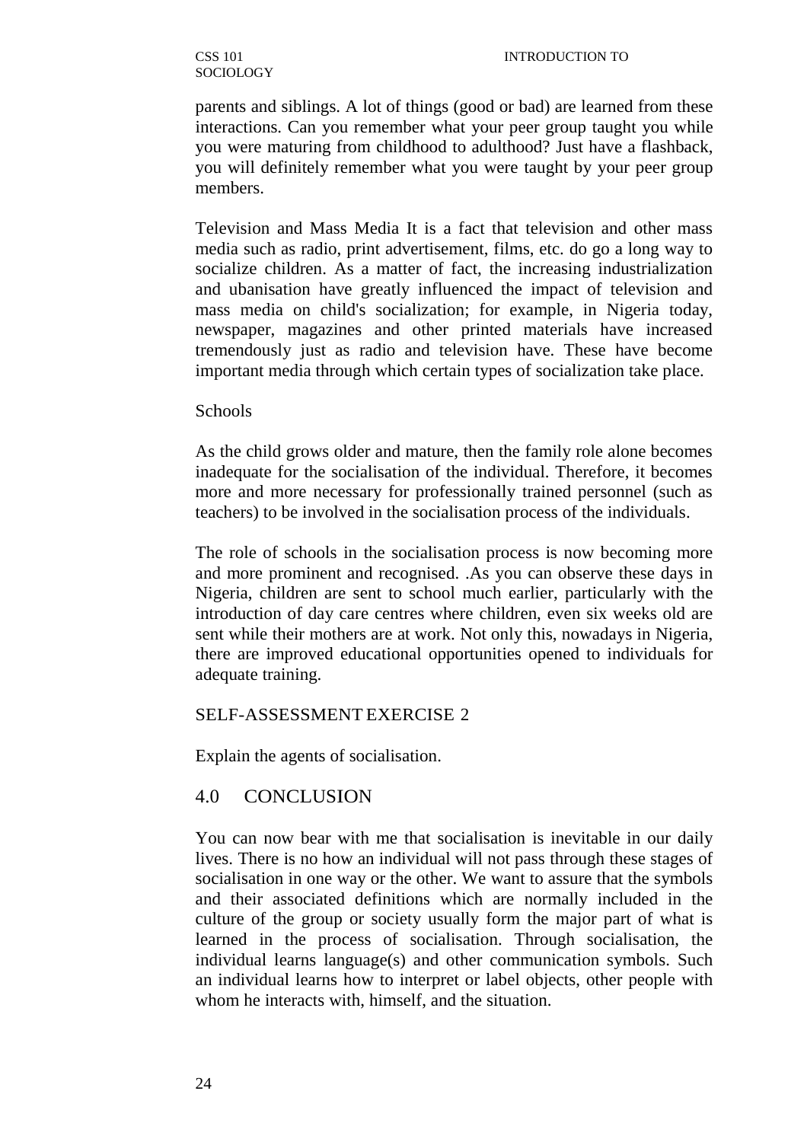parents and siblings. A lot of things (good or bad) are learned from these interactions. Can you remember what your peer group taught you while you were maturing from childhood to adulthood? Just have a flashback, you will definitely remember what you were taught by your peer group members.

Television and Mass Media It is a fact that television and other mass media such as radio, print advertisement, films, etc. do go a long way to socialize children. As a matter of fact, the increasing industrialization and ubanisation have greatly influenced the impact of television and mass media on child's socialization; for example, in Nigeria today, newspaper, magazines and other printed materials have increased tremendously just as radio and television have. These have become important media through which certain types of socialization take place.

#### Schools

As the child grows older and mature, then the family role alone becomes inadequate for the socialisation of the individual. Therefore, it becomes more and more necessary for professionally trained personnel (such as teachers) to be involved in the socialisation process of the individuals.

The role of schools in the socialisation process is now becoming more and more prominent and recognised. .As you can observe these days in Nigeria, children are sent to school much earlier, particularly with the introduction of day care centres where children, even six weeks old are sent while their mothers are at work. Not only this, nowadays in Nigeria, there are improved educational opportunities opened to individuals for adequate training.

#### SELF-ASSESSMENT EXERCISE 2

Explain the agents of socialisation.

#### 4.0 CONCLUSION

You can now bear with me that socialisation is inevitable in our daily lives. There is no how an individual will not pass through these stages of socialisation in one way or the other. We want to assure that the symbols and their associated definitions which are normally included in the culture of the group or society usually form the major part of what is learned in the process of socialisation. Through socialisation, the individual learns language(s) and other communication symbols. Such an individual learns how to interpret or label objects, other people with whom he interacts with, himself, and the situation.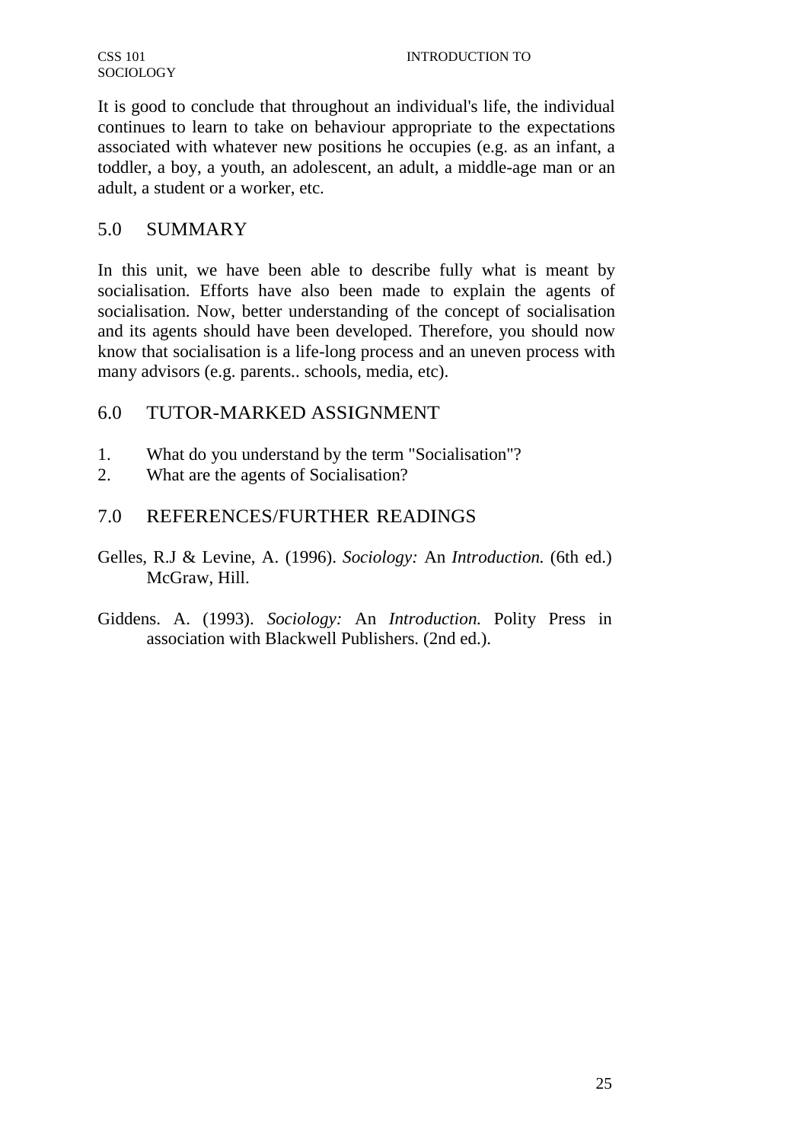It is good to conclude that throughout an individual's life, the individual continues to learn to take on behaviour appropriate to the expectations associated with whatever new positions he occupies (e.g. as an infant, a toddler, a boy, a youth, an adolescent, an adult, a middle-age man or an adult, a student or a worker, etc.

# 5.0 SUMMARY

In this unit, we have been able to describe fully what is meant by socialisation. Efforts have also been made to explain the agents of socialisation. Now, better understanding of the concept of socialisation and its agents should have been developed. Therefore, you should now know that socialisation is a life-long process and an uneven process with many advisors (e.g. parents.. schools, media, etc).

# 6.0 TUTOR-MARKED ASSIGNMENT

- 1. What do you understand by the term "Socialisation"?
- 2. What are the agents of Socialisation?

# 7.0 REFERENCES/FURTHER READINGS

- Gelles, R.J & Levine, A. (1996). *Sociology:* An *Introduction.* (6th ed.) McGraw, Hill.
- Giddens. A. (1993). *Sociology:* An *Introduction.* Polity Press in association with Blackwell Publishers. (2nd ed.).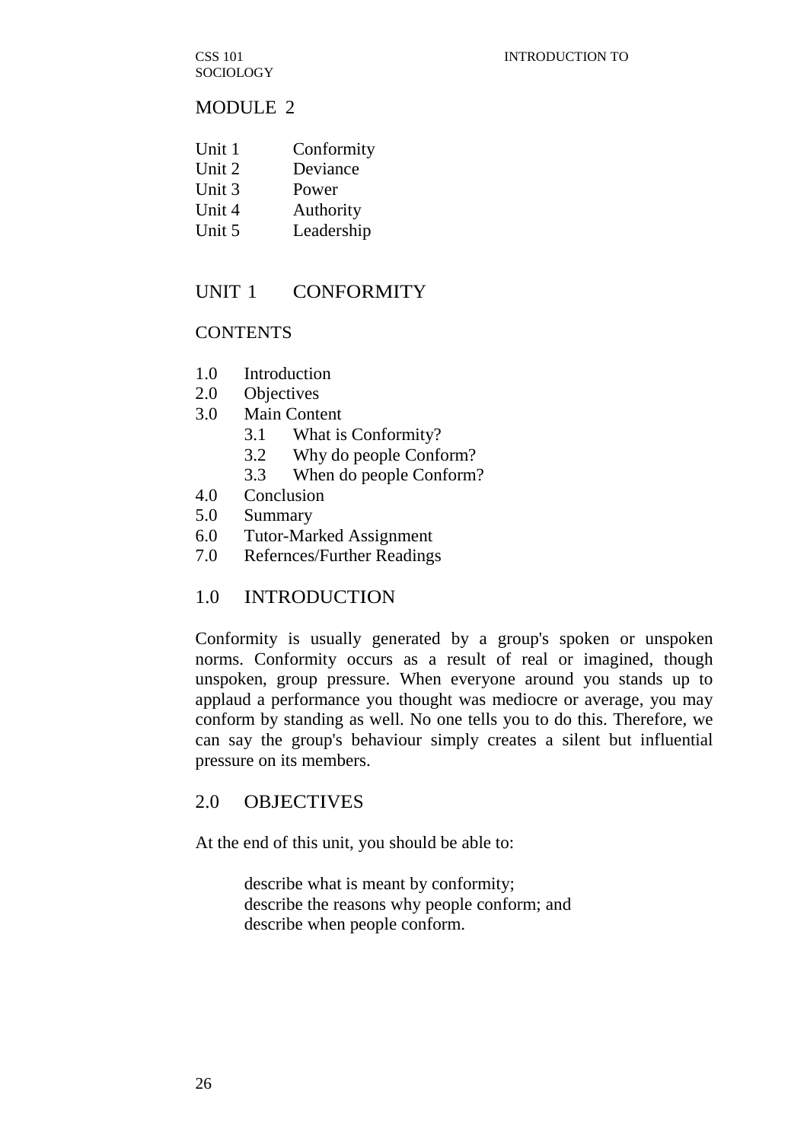CSS 101 **SOCIOLOGY** 

### MODULE 2

- Unit 1 Conformity
- Unit 2 Deviance
- Unit 3 Power
- Unit 4 Authority
- Unit 5 Leadership

# UNIT 1 CONFORMITY

### **CONTENTS**

- 1.0 Introduction
- 2.0 Objectives
- 3.0 Main Content
	- 3.1 What is Conformity?
	- 3.2 Why do people Conform?
	- 3.3 When do people Conform?
- 4.0 Conclusion
- 5.0 Summary
- 6.0 Tutor-Marked Assignment
- 7.0 Refernces/Further Readings

## 1.0 INTRODUCTION

Conformity is usually generated by a group's spoken or unspoken norms. Conformity occurs as a result of real or imagined, though unspoken, group pressure. When everyone around you stands up to applaud a performance you thought was mediocre or average, you may conform by standing as well. No one tells you to do this. Therefore, we can say the group's behaviour simply creates a silent but influential pressure on its members.

## 2.0 OBJECTIVES

At the end of this unit, you should be able to:

describe what is meant by conformity; describe the reasons why people conform; and describe when people conform.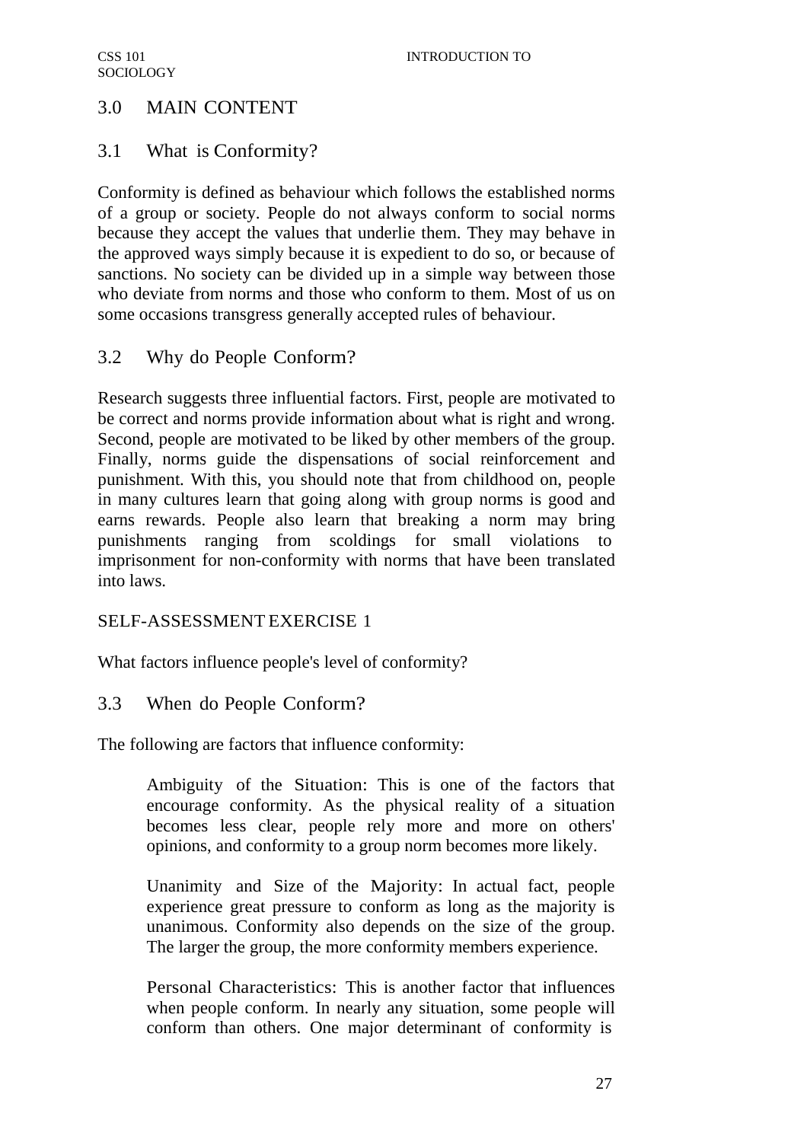# 3.0 MAIN CONTENT

# 3.1 What is Conformity?

Conformity is defined as behaviour which follows the established norms of a group or society. People do not always conform to social norms because they accept the values that underlie them. They may behave in the approved ways simply because it is expedient to do so, or because of sanctions. No society can be divided up in a simple way between those who deviate from norms and those who conform to them. Most of us on some occasions transgress generally accepted rules of behaviour.

# 3.2 Why do People Conform?

Research suggests three influential factors. First, people are motivated to be correct and norms provide information about what is right and wrong. Second, people are motivated to be liked by other members of the group. Finally, norms guide the dispensations of social reinforcement and punishment. With this, you should note that from childhood on, people in many cultures learn that going along with group norms is good and earns rewards. People also learn that breaking a norm may bring punishments ranging from scoldings for small violations to imprisonment for non-conformity with norms that have been translated into laws.

## SELF-ASSESSMENT EXERCISE 1

What factors influence people's level of conformity?

## 3.3 When do People Conform?

The following are factors that influence conformity:

Ambiguity of the Situation: This is one of the factors that encourage conformity. As the physical reality of a situation becomes less clear, people rely more and more on others' opinions, and conformity to a group norm becomes more likely.

Unanimity and Size of the Majority: In actual fact, people experience great pressure to conform as long as the majority is unanimous. Conformity also depends on the size of the group. The larger the group, the more conformity members experience.

Personal Characteristics: This is another factor that influences when people conform. In nearly any situation, some people will conform than others. One major determinant of conformity is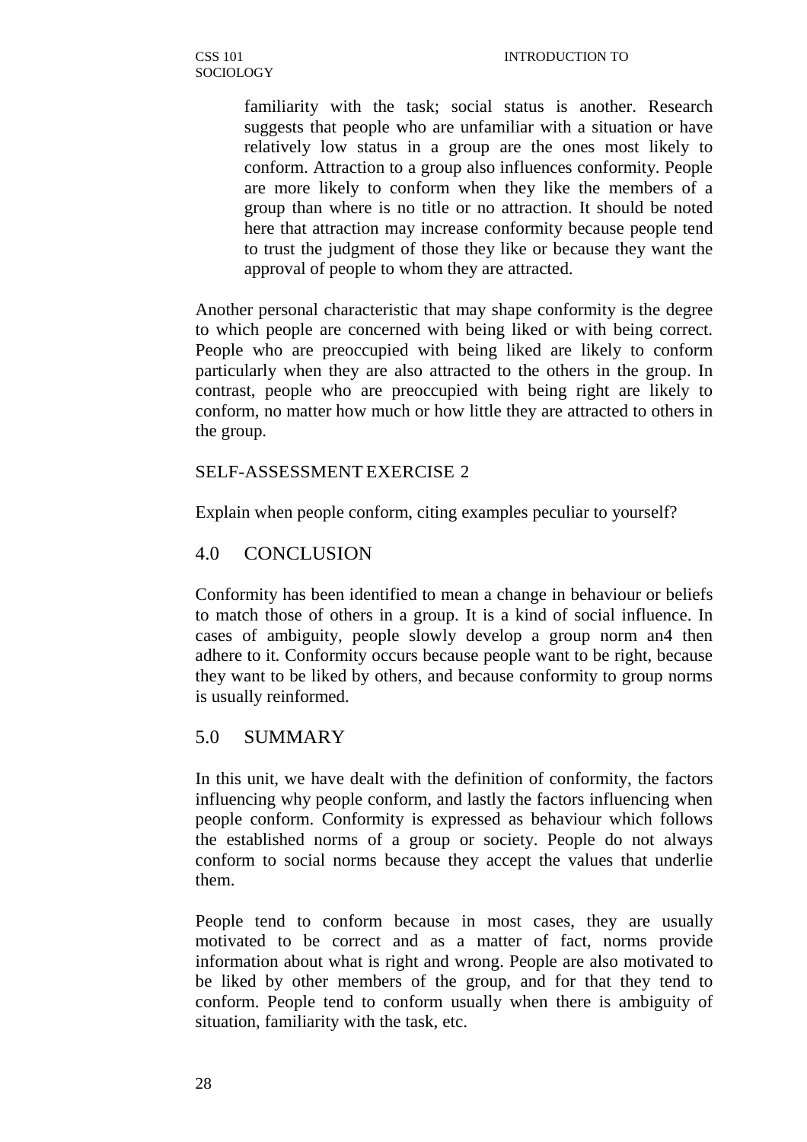familiarity with the task; social status is another. Research suggests that people who are unfamiliar with a situation or have relatively low status in a group are the ones most likely to conform. Attraction to a group also influences conformity. People are more likely to conform when they like the members of a group than where is no title or no attraction. It should be noted here that attraction may increase conformity because people tend to trust the judgment of those they like or because they want the approval of people to whom they are attracted.

Another personal characteristic that may shape conformity is the degree to which people are concerned with being liked or with being correct. People who are preoccupied with being liked are likely to conform particularly when they are also attracted to the others in the group. In contrast, people who are preoccupied with being right are likely to conform, no matter how much or how little they are attracted to others in the group.

### SELF-ASSESSMENT EXERCISE 2

Explain when people conform, citing examples peculiar to yourself?

### 4.0 CONCLUSION

Conformity has been identified to mean a change in behaviour or beliefs to match those of others in a group. It is a kind of social influence. In cases of ambiguity, people slowly develop a group norm an4 then adhere to it. Conformity occurs because people want to be right, because they want to be liked by others, and because conformity to group norms is usually reinformed.

## 5.0 SUMMARY

In this unit, we have dealt with the definition of conformity, the factors influencing why people conform, and lastly the factors influencing when people conform. Conformity is expressed as behaviour which follows the established norms of a group or society. People do not always conform to social norms because they accept the values that underlie them.

People tend to conform because in most cases, they are usually motivated to be correct and as a matter of fact, norms provide information about what is right and wrong. People are also motivated to be liked by other members of the group, and for that they tend to conform. People tend to conform usually when there is ambiguity of situation, familiarity with the task, etc.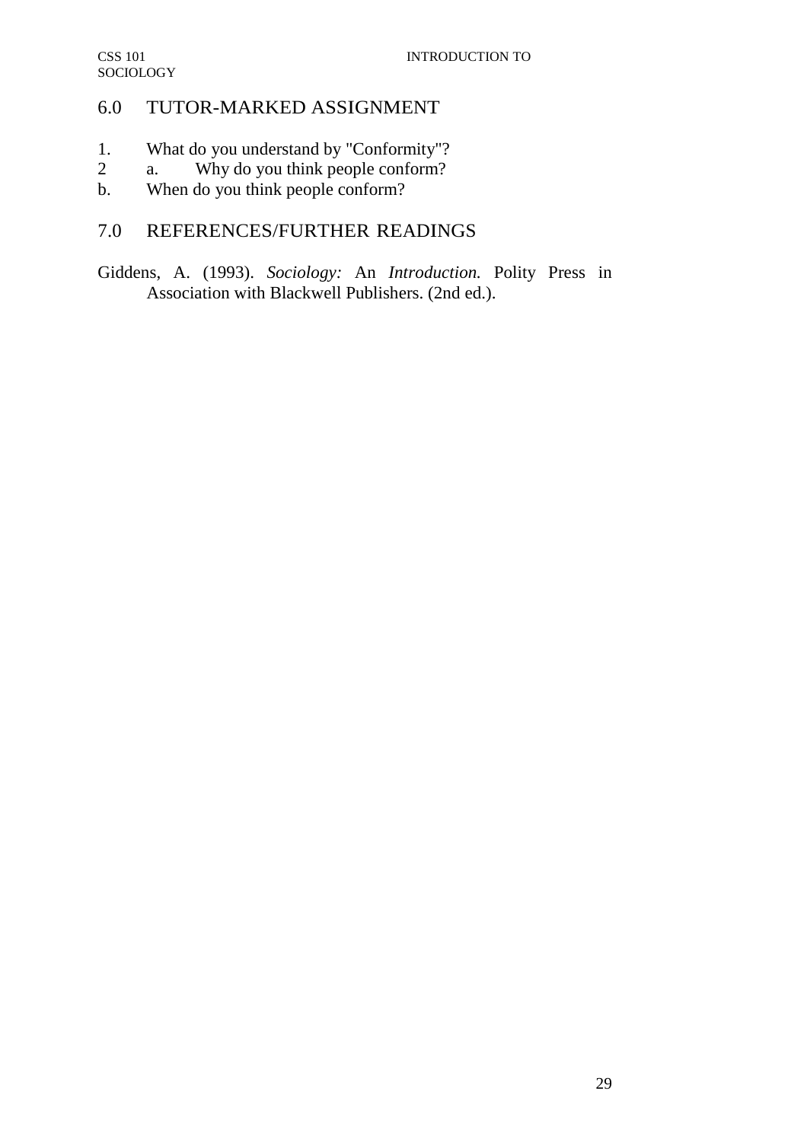# 6.0 TUTOR-MARKED ASSIGNMENT

- 1. What do you understand by "Conformity"?
- 2 a. Why do you think people conform?
- b. When do you think people conform?

# 7.0 REFERENCES/FURTHER READINGS

Giddens, A. (1993). *Sociology:* An *Introduction.* Polity Press in Association with Blackwell Publishers. (2nd ed.).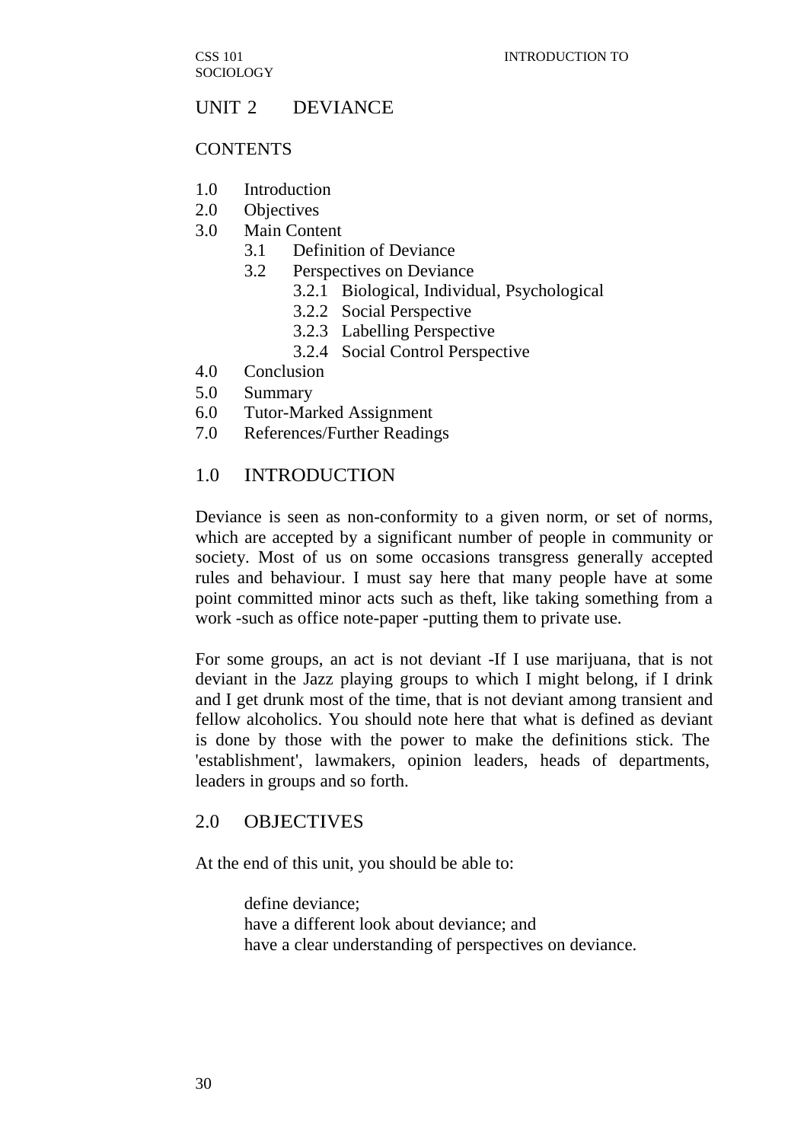CSS 101 **SOCIOLOGY** 

### UNIT 2 DEVIANCE

#### **CONTENTS**

- 1.0 Introduction
- 2.0 Objectives
- 3.0 Main Content
	- 3.1 Definition of Deviance
	- 3.2 Perspectives on Deviance
		- 3.2.1 Biological, Individual, Psychological
		- 3.2.2 Social Perspective
		- 3.2.3 Labelling Perspective
		- 3.2.4 Social Control Perspective
- 4.0 Conclusion
- 5.0 Summary
- 6.0 Tutor-Marked Assignment
- 7.0 References/Further Readings

#### 1.0 INTRODUCTION

Deviance is seen as non-conformity to a given norm, or set of norms, which are accepted by a significant number of people in community or society. Most of us on some occasions transgress generally accepted rules and behaviour. I must say here that many people have at some point committed minor acts such as theft, like taking something from a work -such as office note-paper -putting them to private use.

For some groups, an act is not deviant -If I use marijuana, that is not deviant in the Jazz playing groups to which I might belong, if I drink and I get drunk most of the time, that is not deviant among transient and fellow alcoholics. You should note here that what is defined as deviant is done by those with the power to make the definitions stick. The 'establishment', lawmakers, opinion leaders, heads of departments, leaders in groups and so forth.

### 2.0 OBJECTIVES

At the end of this unit, you should be able to:

define deviance; have a different look about deviance; and have a clear understanding of perspectives on deviance.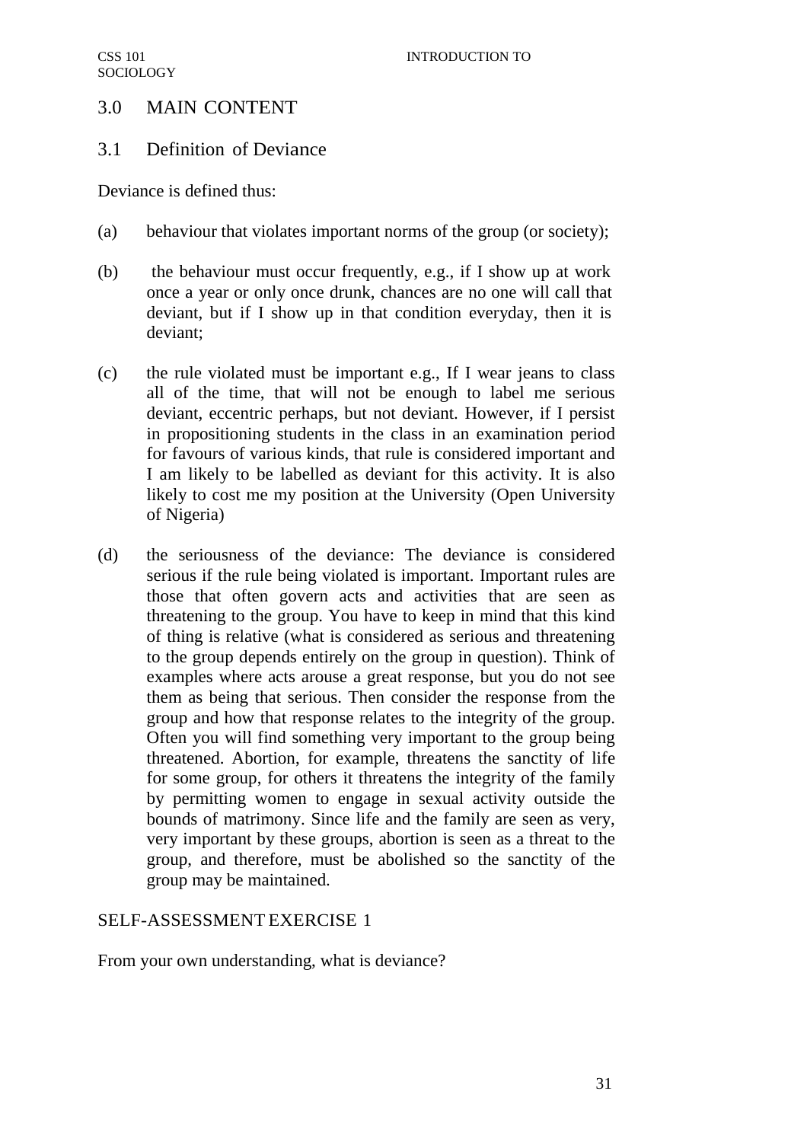# 3.0 MAIN CONTENT

## 3.1 Definition of Deviance

Deviance is defined thus:

- (a) behaviour that violates important norms of the group (or society);
- (b) the behaviour must occur frequently, e.g., if I show up at work once a year or only once drunk, chances are no one will call that deviant, but if I show up in that condition everyday, then it is deviant;
- (c) the rule violated must be important e.g., If I wear jeans to class all of the time, that will not be enough to label me serious deviant, eccentric perhaps, but not deviant. However, if I persist in propositioning students in the class in an examination period for favours of various kinds, that rule is considered important and I am likely to be labelled as deviant for this activity. It is also likely to cost me my position at the University (Open University of Nigeria)
- (d) the seriousness of the deviance: The deviance is considered serious if the rule being violated is important. Important rules are those that often govern acts and activities that are seen as threatening to the group. You have to keep in mind that this kind of thing is relative (what is considered as serious and threatening to the group depends entirely on the group in question). Think of examples where acts arouse a great response, but you do not see them as being that serious. Then consider the response from the group and how that response relates to the integrity of the group. Often you will find something very important to the group being threatened. Abortion, for example, threatens the sanctity of life for some group, for others it threatens the integrity of the family by permitting women to engage in sexual activity outside the bounds of matrimony. Since life and the family are seen as very, very important by these groups, abortion is seen as a threat to the group, and therefore, must be abolished so the sanctity of the group may be maintained.

## SELF-ASSESSMENT EXERCISE 1

From your own understanding, what is deviance?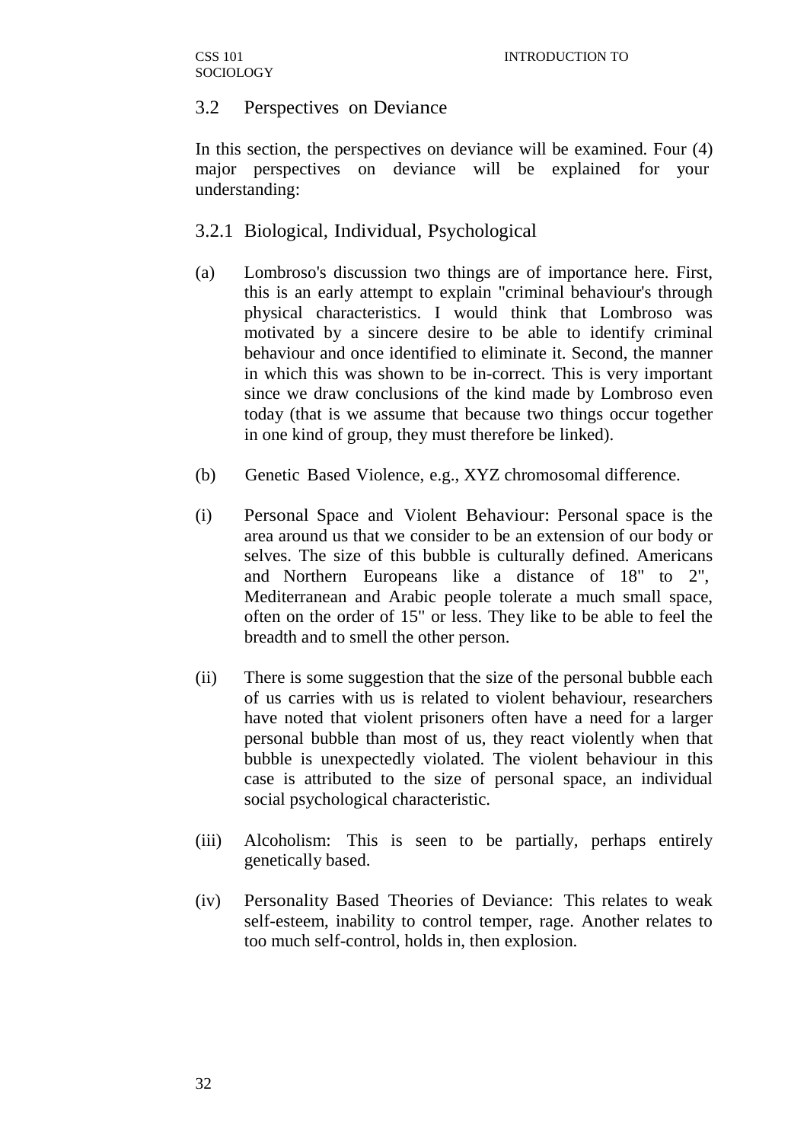## 3.2 Perspectives on Deviance

In this section, the perspectives on deviance will be examined. Four (4) major perspectives on deviance will be explained for your understanding:

## 3.2.1 Biological, Individual, Psychological

- (a) Lombroso's discussion two things are of importance here. First, this is an early attempt to explain "criminal behaviour's through physical characteristics. I would think that Lombroso was motivated by a sincere desire to be able to identify criminal behaviour and once identified to eliminate it. Second, the manner in which this was shown to be in-correct. This is very important since we draw conclusions of the kind made by Lombroso even today (that is we assume that because two things occur together in one kind of group, they must therefore be linked).
- (b) Genetic Based Violence, e.g., XYZ chromosomal difference.
- (i) Personal Space and Violent Behaviour: Personal space is the area around us that we consider to be an extension of our body or selves. The size of this bubble is culturally defined. Americans and Northern Europeans like a distance of 18" to 2", Mediterranean and Arabic people tolerate a much small space, often on the order of 15" or less. They like to be able to feel the breadth and to smell the other person.
- (ii) There is some suggestion that the size of the personal bubble each of us carries with us is related to violent behaviour, researchers have noted that violent prisoners often have a need for a larger personal bubble than most of us, they react violently when that bubble is unexpectedly violated. The violent behaviour in this case is attributed to the size of personal space, an individual social psychological characteristic.
- (iii) Alcoholism: This is seen to be partially, perhaps entirely genetically based.
- (iv) Personality Based Theories of Deviance: This relates to weak self-esteem, inability to control temper, rage. Another relates to too much self-control, holds in, then explosion.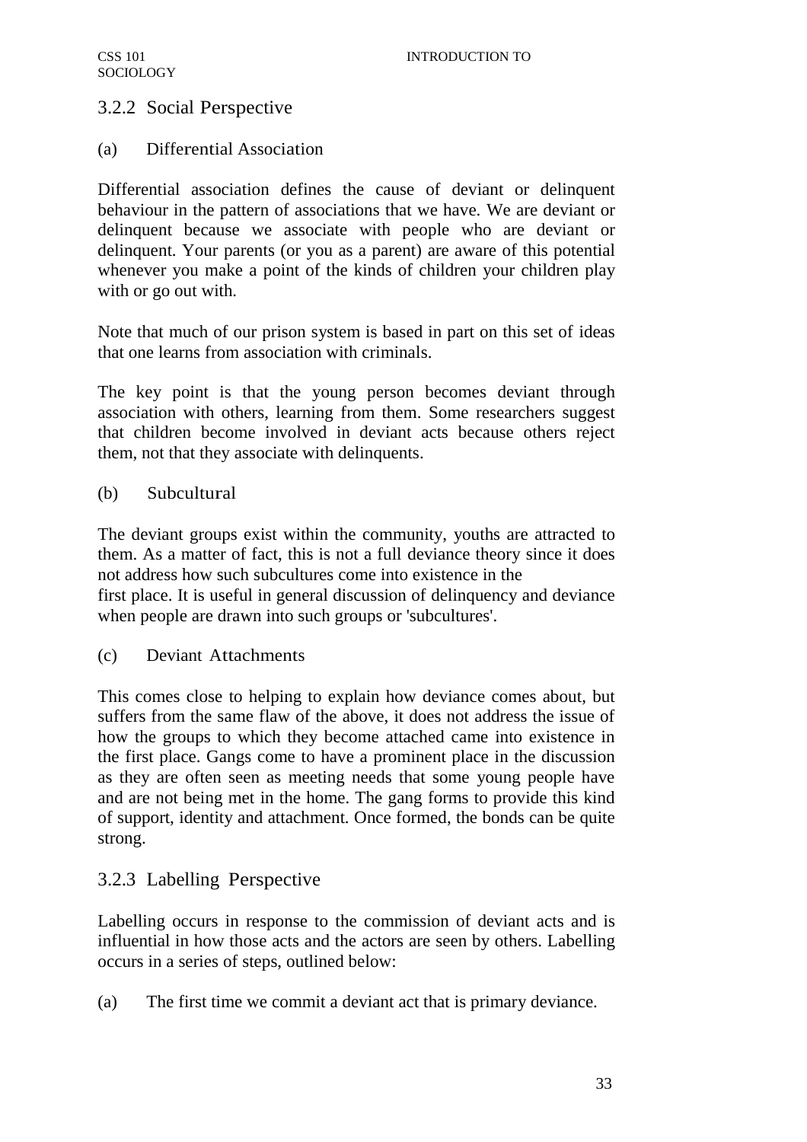# 3.2.2 Social Perspective

### (a) Differential Association

Differential association defines the cause of deviant or delinquent behaviour in the pattern of associations that we have. We are deviant or delinquent because we associate with people who are deviant or delinquent. Your parents (or you as a parent) are aware of this potential whenever you make a point of the kinds of children your children play with or go out with.

Note that much of our prison system is based in part on this set of ideas that one learns from association with criminals.

The key point is that the young person becomes deviant through association with others, learning from them. Some researchers suggest that children become involved in deviant acts because others reject them, not that they associate with delinquents.

### (b) Subcultural

The deviant groups exist within the community, youths are attracted to them. As a matter of fact, this is not a full deviance theory since it does not address how such subcultures come into existence in the first place. It is useful in general discussion of delinquency and deviance when people are drawn into such groups or 'subcultures'.

(c) Deviant Attachments

This comes close to helping to explain how deviance comes about, but suffers from the same flaw of the above, it does not address the issue of how the groups to which they become attached came into existence in the first place. Gangs come to have a prominent place in the discussion as they are often seen as meeting needs that some young people have and are not being met in the home. The gang forms to provide this kind of support, identity and attachment. Once formed, the bonds can be quite strong.

## 3.2.3 Labelling Perspective

Labelling occurs in response to the commission of deviant acts and is influential in how those acts and the actors are seen by others. Labelling occurs in a series of steps, outlined below:

(a) The first time we commit a deviant act that is primary deviance.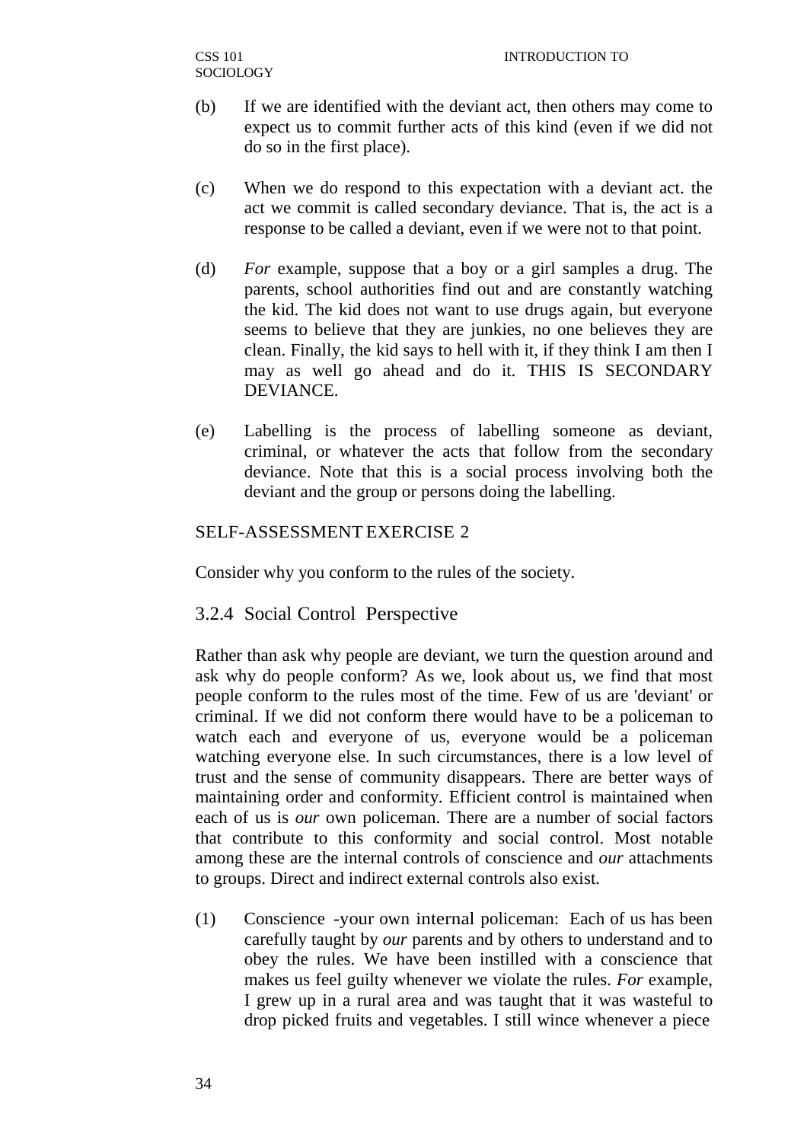- (b) If we are identified with the deviant act, then others may come to expect us to commit further acts of this kind (even if we did not do so in the first place).
- (c) When we do respond to this expectation with a deviant act. the act we commit is called secondary deviance. That is, the act is a response to be called a deviant, even if we were not to that point.
- (d) *For* example, suppose that a boy or a girl samples a drug. The parents, school authorities find out and are constantly watching the kid. The kid does not want to use drugs again, but everyone seems to believe that they are junkies, no one believes they are clean. Finally, the kid says to hell with it, if they think I am then I may as well go ahead and do it. THIS IS SECONDARY DEVIANCE.
- (e) Labelling is the process of labelling someone as deviant, criminal, or whatever the acts that follow from the secondary deviance. Note that this is a social process involving both the deviant and the group or persons doing the labelling.

# SELF-ASSESSMENT EXERCISE 2

Consider why you conform to the rules of the society.

## 3.2.4 Social Control Perspective

Rather than ask why people are deviant, we turn the question around and ask why do people conform? As we, look about us, we find that most people conform to the rules most of the time. Few of us are 'deviant' or criminal. If we did not conform there would have to be a policeman to watch each and everyone of us, everyone would be a policeman watching everyone else. In such circumstances, there is a low level of trust and the sense of community disappears. There are better ways of maintaining order and conformity. Efficient control is maintained when each of us is *our* own policeman. There are a number of social factors that contribute to this conformity and social control. Most notable among these are the internal controls of conscience and *our* attachments to groups. Direct and indirect external controls also exist.

(1) Conscience -your own internal policeman: Each of us has been carefully taught by *our* parents and by others to understand and to obey the rules. We have been instilled with a conscience that makes us feel guilty whenever we violate the rules. *For* example, I grew up in a rural area and was taught that it was wasteful to drop picked fruits and vegetables. I still wince whenever a piece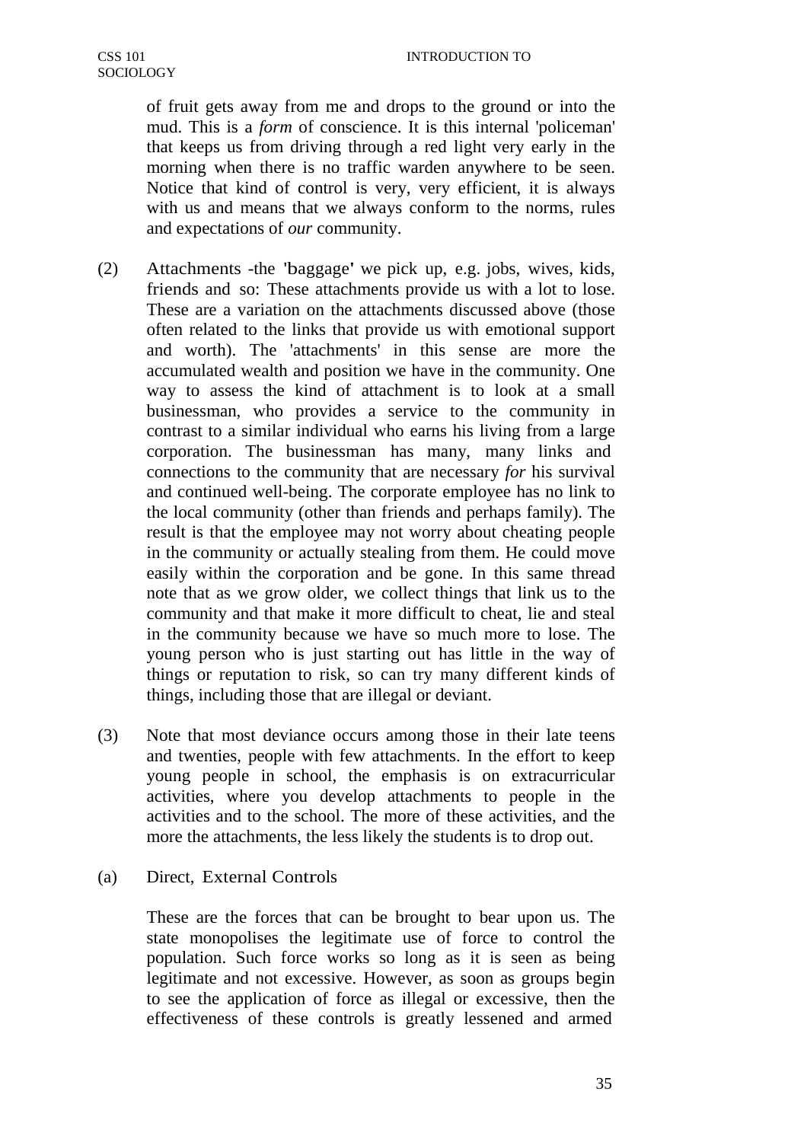of fruit gets away from me and drops to the ground or into the mud. This is a *form* of conscience. It is this internal 'policeman' that keeps us from driving through a red light very early in the morning when there is no traffic warden anywhere to be seen. Notice that kind of control is very, very efficient, it is always with us and means that we always conform to the norms, rules and expectations of *our* community.

- (2) Attachments -the 'baggage' we pick up, e.g. jobs, wives, kids, friends and so: These attachments provide us with a lot to lose. These are a variation on the attachments discussed above (those often related to the links that provide us with emotional support and worth). The 'attachments' in this sense are more the accumulated wealth and position we have in the community. One way to assess the kind of attachment is to look at a small businessman, who provides a service to the community in contrast to a similar individual who earns his living from a large corporation. The businessman has many, many links and connections to the community that are necessary *for* his survival and continued well-being. The corporate employee has no link to the local community (other than friends and perhaps family). The result is that the employee may not worry about cheating people in the community or actually stealing from them. He could move easily within the corporation and be gone. In this same thread note that as we grow older, we collect things that link us to the community and that make it more difficult to cheat, lie and steal in the community because we have so much more to lose. The young person who is just starting out has little in the way of things or reputation to risk, so can try many different kinds of things, including those that are illegal or deviant.
- (3) Note that most deviance occurs among those in their late teens and twenties, people with few attachments. In the effort to keep young people in school, the emphasis is on extracurricular activities, where you develop attachments to people in the activities and to the school. The more of these activities, and the more the attachments, the less likely the students is to drop out.
- (a) Direct, External Controls

These are the forces that can be brought to bear upon us. The state monopolises the legitimate use of force to control the population. Such force works so long as it is seen as being legitimate and not excessive. However, as soon as groups begin to see the application of force as illegal or excessive, then the effectiveness of these controls is greatly lessened and armed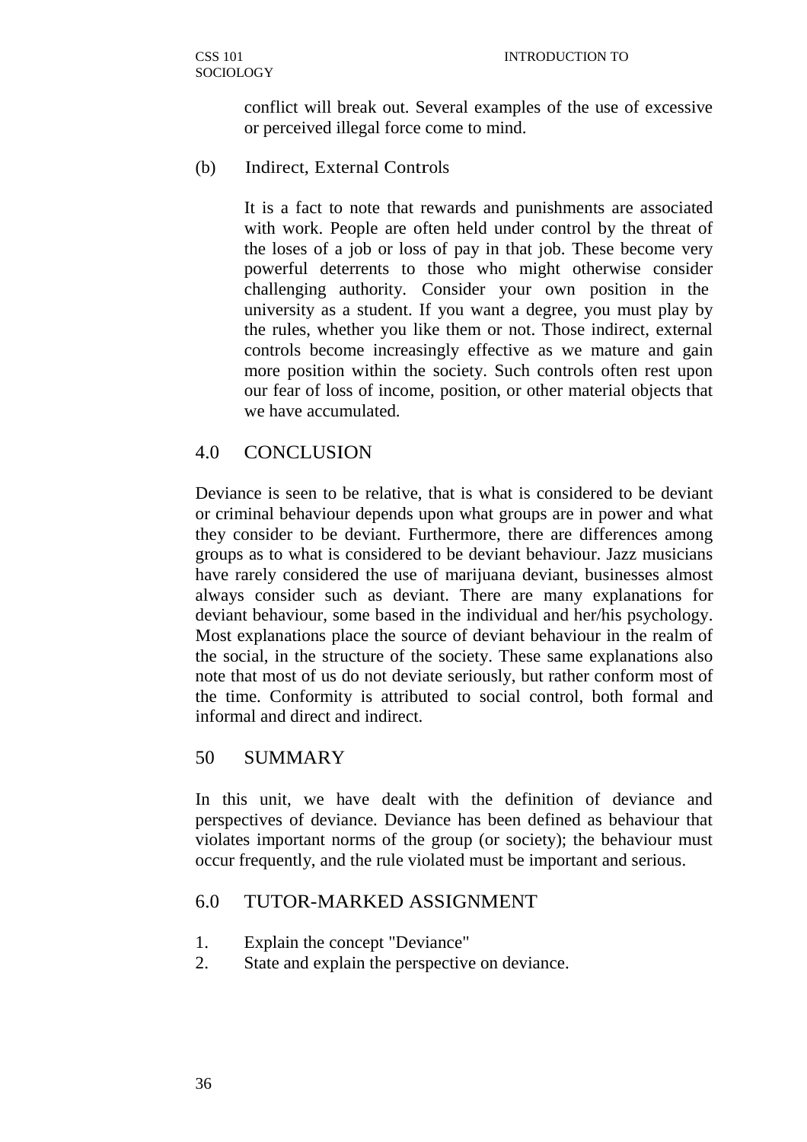conflict will break out. Several examples of the use of excessive or perceived illegal force come to mind.

(b) Indirect, External Controls

It is a fact to note that rewards and punishments are associated with work. People are often held under control by the threat of the loses of a job or loss of pay in that job. These become very powerful deterrents to those who might otherwise consider challenging authority. Consider your own position in the university as a student. If you want a degree, you must play by the rules, whether you like them or not. Those indirect, external controls become increasingly effective as we mature and gain more position within the society. Such controls often rest upon our fear of loss of income, position, or other material objects that we have accumulated.

# 4.0 CONCLUSION

Deviance is seen to be relative, that is what is considered to be deviant or criminal behaviour depends upon what groups are in power and what they consider to be deviant. Furthermore, there are differences among groups as to what is considered to be deviant behaviour. Jazz musicians have rarely considered the use of marijuana deviant, businesses almost always consider such as deviant. There are many explanations for deviant behaviour, some based in the individual and her/his psychology. Most explanations place the source of deviant behaviour in the realm of the social, in the structure of the society. These same explanations also note that most of us do not deviate seriously, but rather conform most of the time. Conformity is attributed to social control, both formal and informal and direct and indirect.

## 50 SUMMARY

In this unit, we have dealt with the definition of deviance and perspectives of deviance. Deviance has been defined as behaviour that violates important norms of the group (or society); the behaviour must occur frequently, and the rule violated must be important and serious.

## 6.0 TUTOR-MARKED ASSIGNMENT

- 1. Explain the concept "Deviance"
- 2. State and explain the perspective on deviance.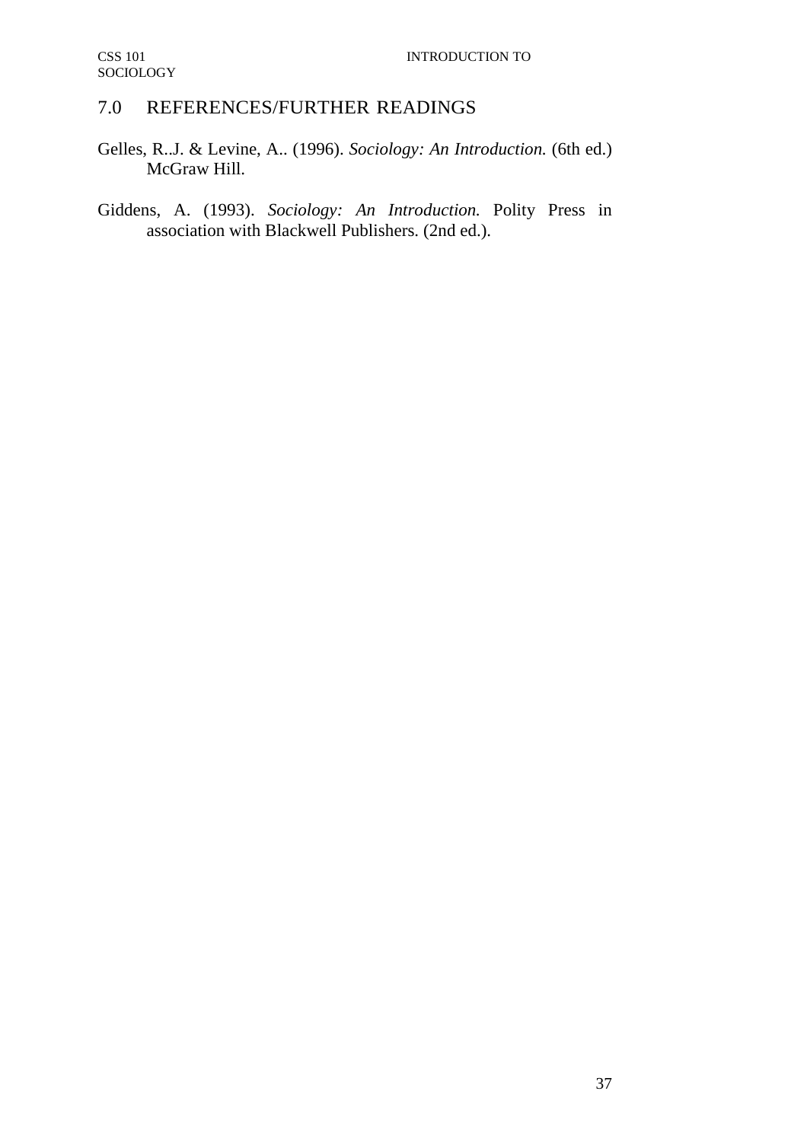# 7.0 REFERENCES/FURTHER READINGS

- Gelles, R..J. & Levine, A.. (1996). *Sociology: An Introduction.* (6th ed.) McGraw Hill.
- Giddens, A. (1993). *Sociology: An Introduction.* Polity Press in association with Blackwell Publishers. (2nd ed.).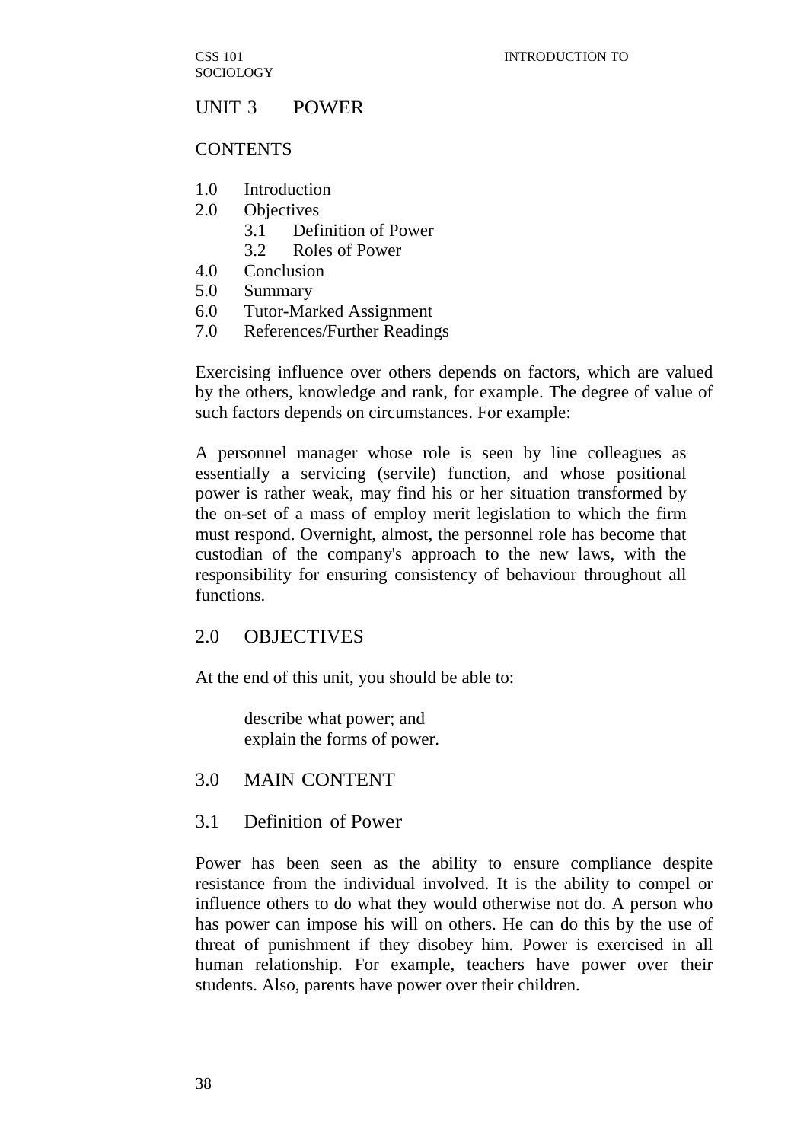## UNIT 3 POWER

#### **CONTENTS**

- 1.0 Introduction
- 2.0 Objectives
	- 3.1 Definition of Power
	- 3.2 Roles of Power
- 4.0 Conclusion
- 5.0 Summary
- 6.0 Tutor-Marked Assignment
- 7.0 References/Further Readings

Exercising influence over others depends on factors, which are valued by the others, knowledge and rank, for example. The degree of value of such factors depends on circumstances. For example:

A personnel manager whose role is seen by line colleagues as essentially a servicing (servile) function, and whose positional power is rather weak, may find his or her situation transformed by the on-set of a mass of employ merit legislation to which the firm must respond. Overnight, almost, the personnel role has become that custodian of the company's approach to the new laws, with the responsibility for ensuring consistency of behaviour throughout all functions.

### 2.0 OBJECTIVES

At the end of this unit, you should be able to:

describe what power; and explain the forms of power.

### 3.0 MAIN CONTENT

### 3.1 Definition of Power

Power has been seen as the ability to ensure compliance despite resistance from the individual involved. It is the ability to compel or influence others to do what they would otherwise not do. A person who has power can impose his will on others. He can do this by the use of threat of punishment if they disobey him. Power is exercised in all human relationship. For example, teachers have power over their students. Also, parents have power over their children.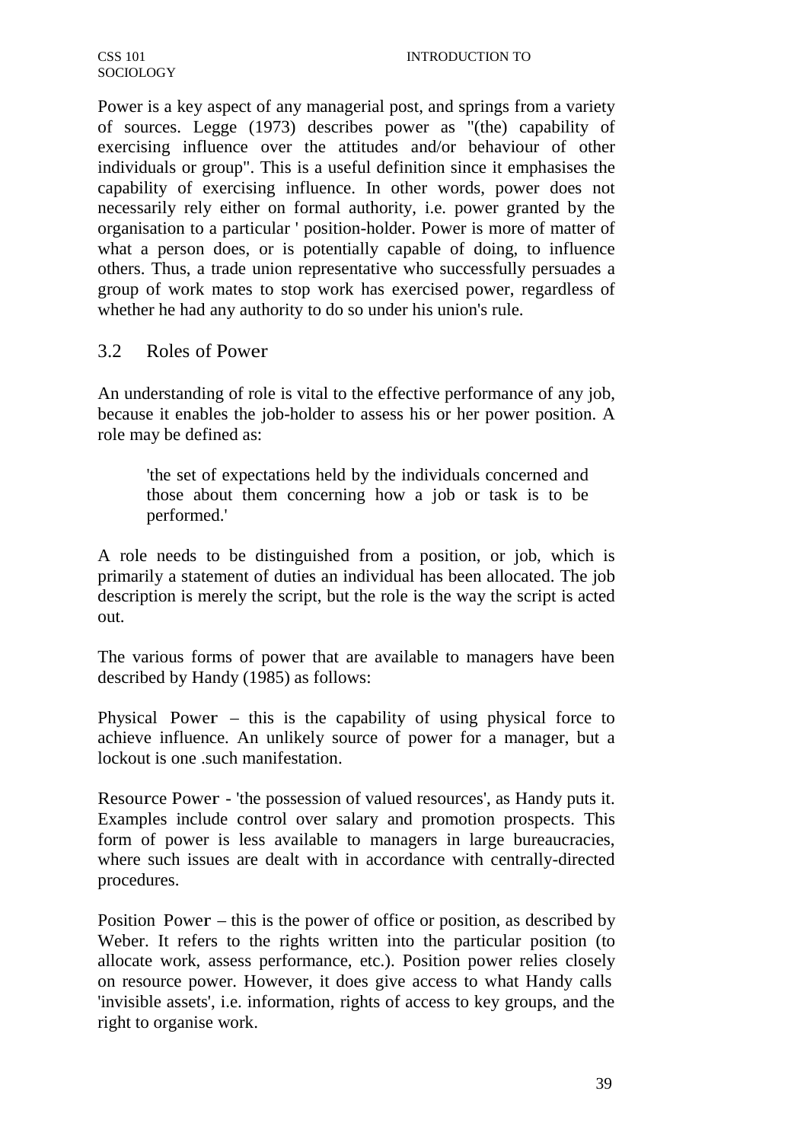Power is a key aspect of any managerial post, and springs from a variety of sources. Legge (1973) describes power as "(the) capability of exercising influence over the attitudes and/or behaviour of other individuals or group". This is a useful definition since it emphasises the capability of exercising influence. In other words, power does not necessarily rely either on formal authority, i.e. power granted by the organisation to a particular ' position-holder. Power is more of matter of what a person does, or is potentially capable of doing, to influence others. Thus, a trade union representative who successfully persuades a group of work mates to stop work has exercised power, regardless of whether he had any authority to do so under his union's rule.

## 3.2 Roles of Power

An understanding of role is vital to the effective performance of any job, because it enables the job-holder to assess his or her power position. A role may be defined as:

'the set of expectations held by the individuals concerned and those about them concerning how a job or task is to be performed.'

A role needs to be distinguished from a position, or job, which is primarily a statement of duties an individual has been allocated. The job description is merely the script, but the role is the way the script is acted out.

The various forms of power that are available to managers have been described by Handy (1985) as follows:

Physical Power – this is the capability of using physical force to achieve influence. An unlikely source of power for a manager, but a lockout is one such manifestation.

Resource Power - 'the possession of valued resources', as Handy puts it. Examples include control over salary and promotion prospects. This form of power is less available to managers in large bureaucracies, where such issues are dealt with in accordance with centrally-directed procedures.

Position Power – this is the power of office or position, as described by Weber. It refers to the rights written into the particular position (to allocate work, assess performance, etc.). Position power relies closely on resource power. However, it does give access to what Handy calls 'invisible assets', i.e. information, rights of access to key groups, and the right to organise work.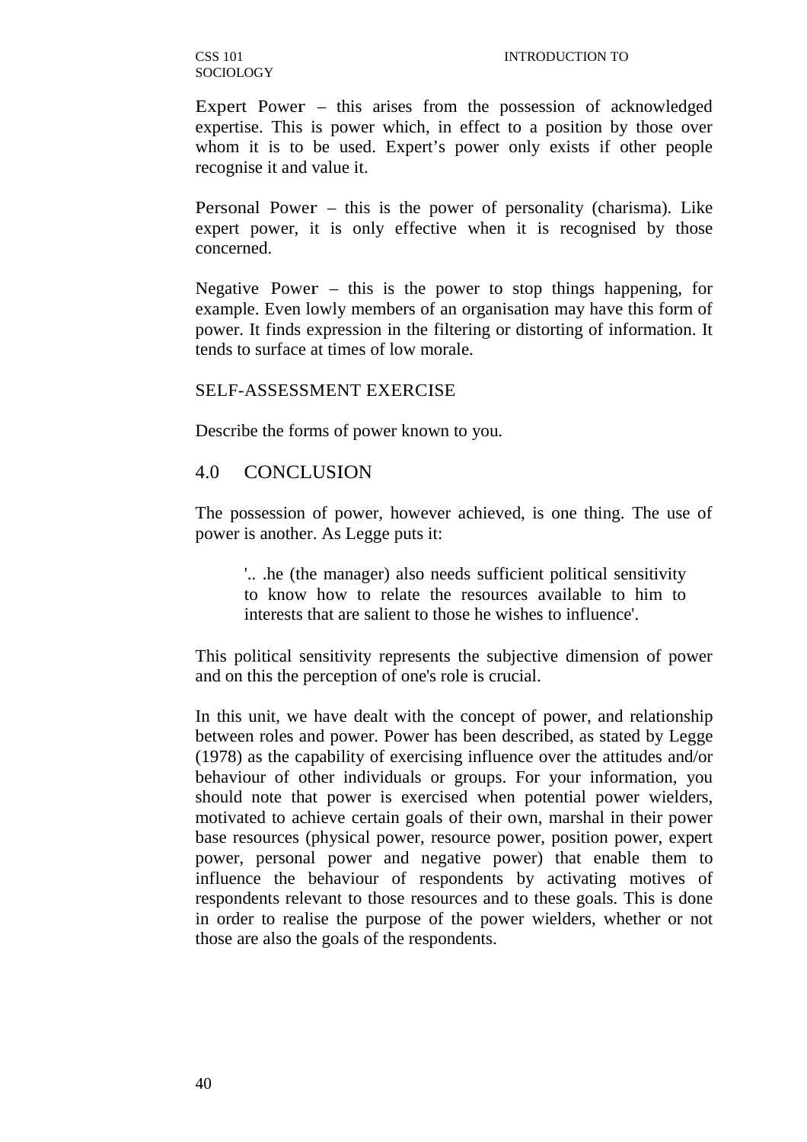CSS 101 **SOCIOLOGY** 

Expert Power – this arises from the possession of acknowledged expertise. This is power which, in effect to a position by those over whom it is to be used. Expert's power only exists if other people recognise it and value it.

Personal Power – this is the power of personality (charisma). Like expert power, it is only effective when it is recognised by those concerned.

Negative Power – this is the power to stop things happening, for example. Even lowly members of an organisation may have this form of power. It finds expression in the filtering or distorting of information. It tends to surface at times of low morale.

#### SELF-ASSESSMENT EXERCISE

Describe the forms of power known to you.

### 4.0 CONCLUSION

The possession of power, however achieved, is one thing. The use of power is another. As Legge puts it:

'.. .he (the manager) also needs sufficient political sensitivity to know how to relate the resources available to him to interests that are salient to those he wishes to influence'.

This political sensitivity represents the subjective dimension of power and on this the perception of one's role is crucial.

In this unit, we have dealt with the concept of power, and relationship between roles and power. Power has been described, as stated by Legge (1978) as the capability of exercising influence over the attitudes and/or behaviour of other individuals or groups. For your information, you should note that power is exercised when potential power wielders, motivated to achieve certain goals of their own, marshal in their power base resources (physical power, resource power, position power, expert power, personal power and negative power) that enable them to influence the behaviour of respondents by activating motives of respondents relevant to those resources and to these goals. This is done in order to realise the purpose of the power wielders, whether or not those are also the goals of the respondents.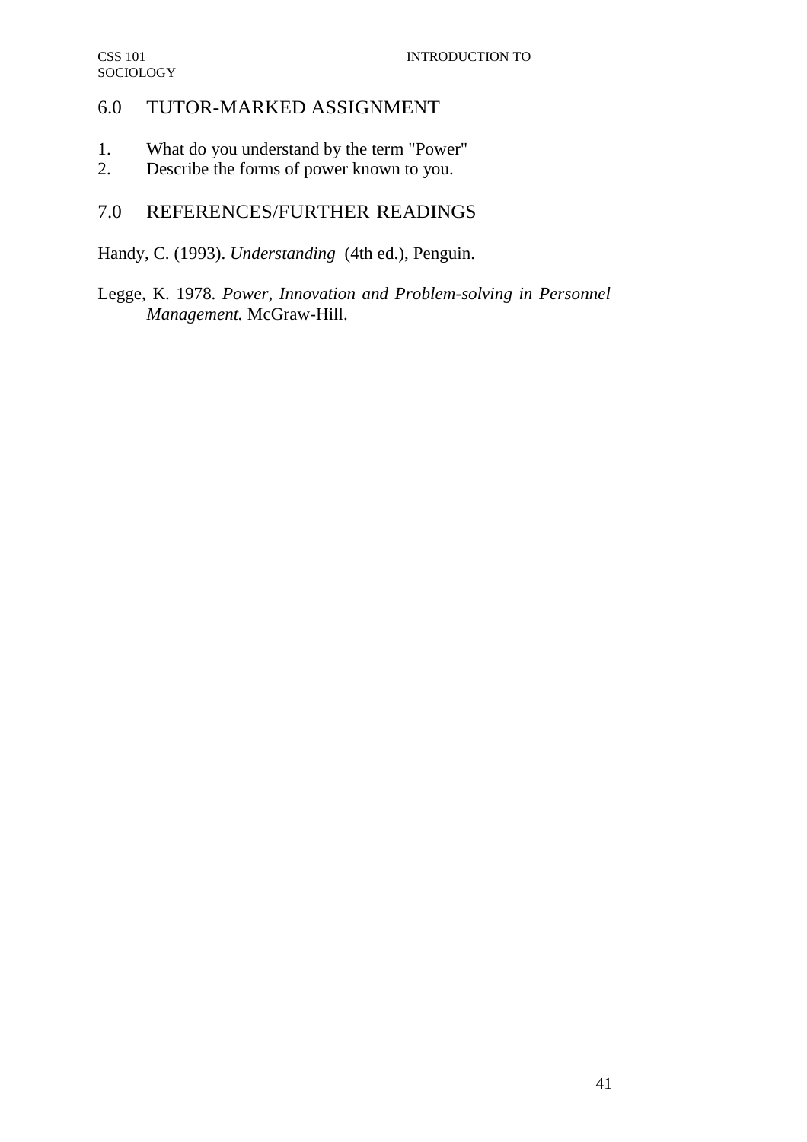# 6.0 TUTOR-MARKED ASSIGNMENT

- 1. What do you understand by the term "Power"
- 2. Describe the forms of power known to you.

# 7.0 REFERENCES/FURTHER READINGS

Handy, C. (1993). *Understanding* (4th ed.), Penguin.

Legge, K. 1978. *Power, Innovation and Problem-solving in Personnel Management.* McGraw-Hill.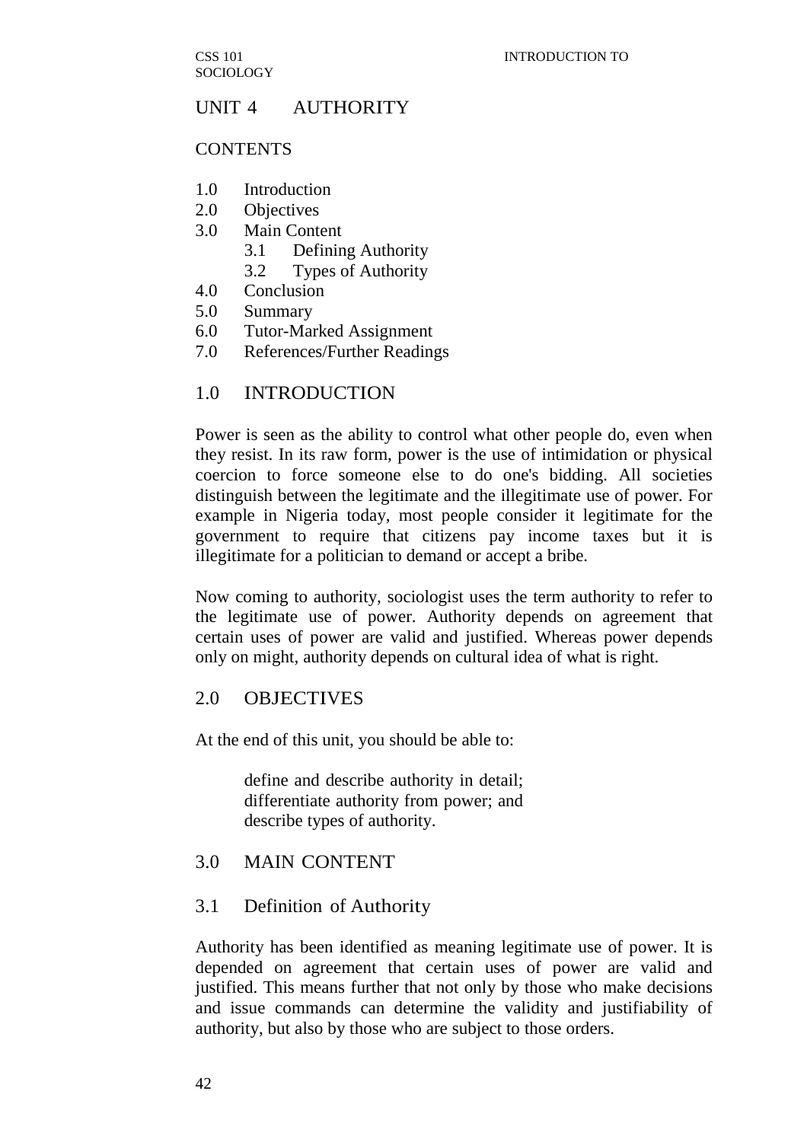CSS 101 SOCIOLOGY

### UNIT 4 AUTHORITY

#### **CONTENTS**

- 1.0 Introduction
- 2.0 Objectives
- 3.0 Main Content
	- 3.1 Defining Authority
	- 3.2 Types of Authority
- 4.0 Conclusion
- 5.0 Summary
- 6.0 Tutor-Marked Assignment
- 7.0 References/Further Readings

### 1.0 INTRODUCTION

Power is seen as the ability to control what other people do, even when they resist. In its raw form, power is the use of intimidation or physical coercion to force someone else to do one's bidding. All societies distinguish between the legitimate and the illegitimate use of power. For example in Nigeria today, most people consider it legitimate for the government to require that citizens pay income taxes but it is illegitimate for a politician to demand or accept a bribe.

Now coming to authority, sociologist uses the term authority to refer to the legitimate use of power. Authority depends on agreement that certain uses of power are valid and justified. Whereas power depends only on might, authority depends on cultural idea of what is right.

### 2.0 OBJECTIVES

At the end of this unit, you should be able to:

define and describe authority in detail; differentiate authority from power; and describe types of authority.

### 3.0 MAIN CONTENT

### 3.1 Definition of Authority

Authority has been identified as meaning legitimate use of power. It is depended on agreement that certain uses of power are valid and justified. This means further that not only by those who make decisions and issue commands can determine the validity and justifiability of authority, but also by those who are subject to those orders.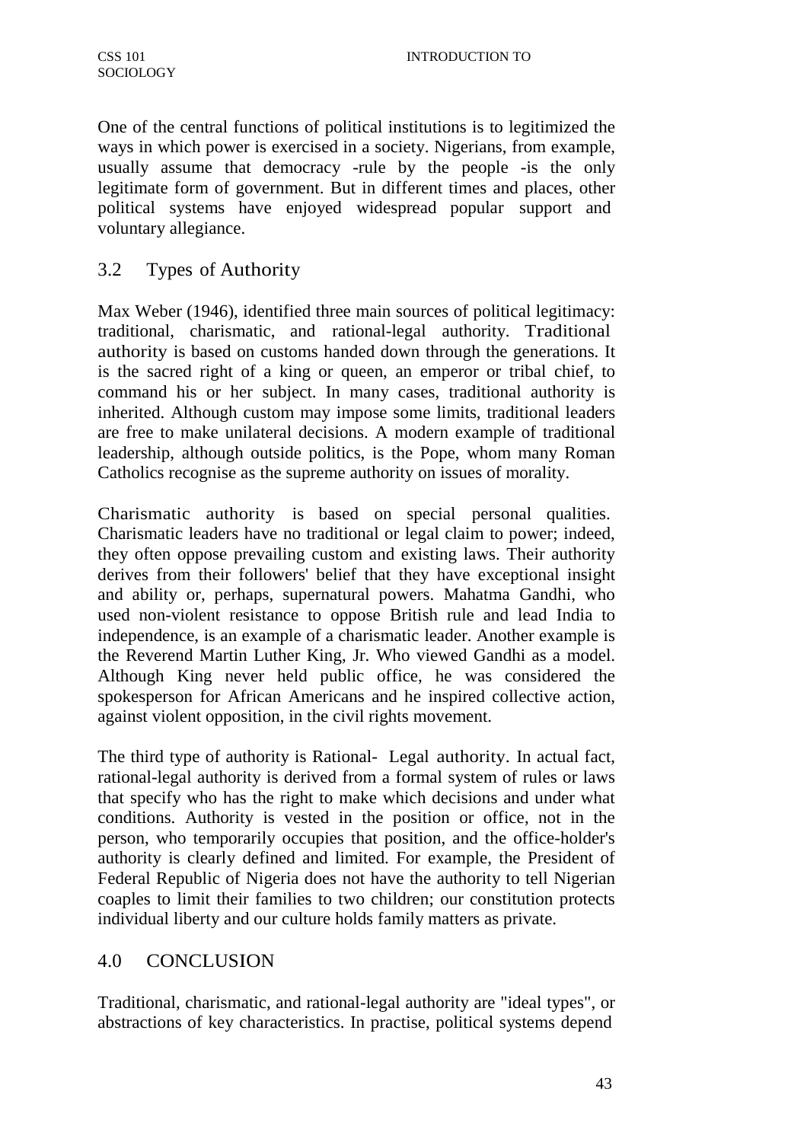One of the central functions of political institutions is to legitimized the ways in which power is exercised in a society. Nigerians, from example, usually assume that democracy -rule by the people -is the only legitimate form of government. But in different times and places, other political systems have enjoyed widespread popular support and voluntary allegiance.

# 3.2 Types of Authority

Max Weber (1946), identified three main sources of political legitimacy: traditional, charismatic, and rational-legal authority. Traditional authority is based on customs handed down through the generations. It is the sacred right of a king or queen, an emperor or tribal chief, to command his or her subject. In many cases, traditional authority is inherited. Although custom may impose some limits, traditional leaders are free to make unilateral decisions. A modern example of traditional leadership, although outside politics, is the Pope, whom many Roman Catholics recognise as the supreme authority on issues of morality.

Charismatic authority is based on special personal qualities. Charismatic leaders have no traditional or legal claim to power; indeed, they often oppose prevailing custom and existing laws. Their authority derives from their followers' belief that they have exceptional insight and ability or, perhaps, supernatural powers. Mahatma Gandhi, who used non-violent resistance to oppose British rule and lead India to independence, is an example of a charismatic leader. Another example is the Reverend Martin Luther King, Jr. Who viewed Gandhi as a model. Although King never held public office, he was considered the spokesperson for African Americans and he inspired collective action, against violent opposition, in the civil rights movement.

The third type of authority is Rational- Legal authority. In actual fact, rational-legal authority is derived from a formal system of rules or laws that specify who has the right to make which decisions and under what conditions. Authority is vested in the position or office, not in the person, who temporarily occupies that position, and the office-holder's authority is clearly defined and limited. For example, the President of Federal Republic of Nigeria does not have the authority to tell Nigerian coaples to limit their families to two children; our constitution protects individual liberty and our culture holds family matters as private.

## 4.0 CONCLUSION

Traditional, charismatic, and rational-legal authority are "ideal types", or abstractions of key characteristics. In practise, political systems depend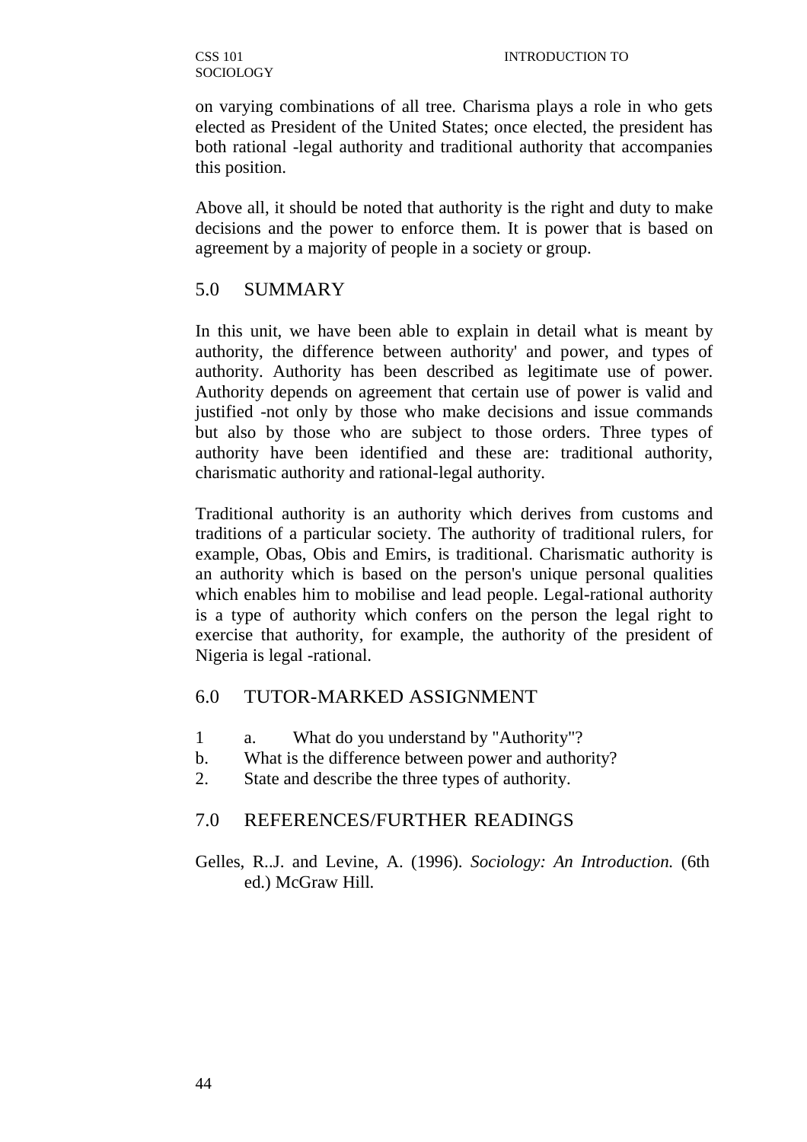on varying combinations of all tree. Charisma plays a role in who gets elected as President of the United States; once elected, the president has both rational -legal authority and traditional authority that accompanies this position.

Above all, it should be noted that authority is the right and duty to make decisions and the power to enforce them. It is power that is based on agreement by a majority of people in a society or group.

### 5.0 SUMMARY

In this unit, we have been able to explain in detail what is meant by authority, the difference between authority' and power, and types of authority. Authority has been described as legitimate use of power. Authority depends on agreement that certain use of power is valid and justified -not only by those who make decisions and issue commands but also by those who are subject to those orders. Three types of authority have been identified and these are: traditional authority, charismatic authority and rational-legal authority.

Traditional authority is an authority which derives from customs and traditions of a particular society. The authority of traditional rulers, for example, Obas, Obis and Emirs, is traditional. Charismatic authority is an authority which is based on the person's unique personal qualities which enables him to mobilise and lead people. Legal-rational authority is a type of authority which confers on the person the legal right to exercise that authority, for example, the authority of the president of Nigeria is legal -rational.

## 6.0 TUTOR-MARKED ASSIGNMENT

- 1 a. What do you understand by "Authority"?
- b. What is the difference between power and authority?
- 2. State and describe the three types of authority.

## 7.0 REFERENCES/FURTHER READINGS

Gelles, R..J. and Levine, A. (1996). *Sociology: An Introduction.* (6th ed.) McGraw Hill.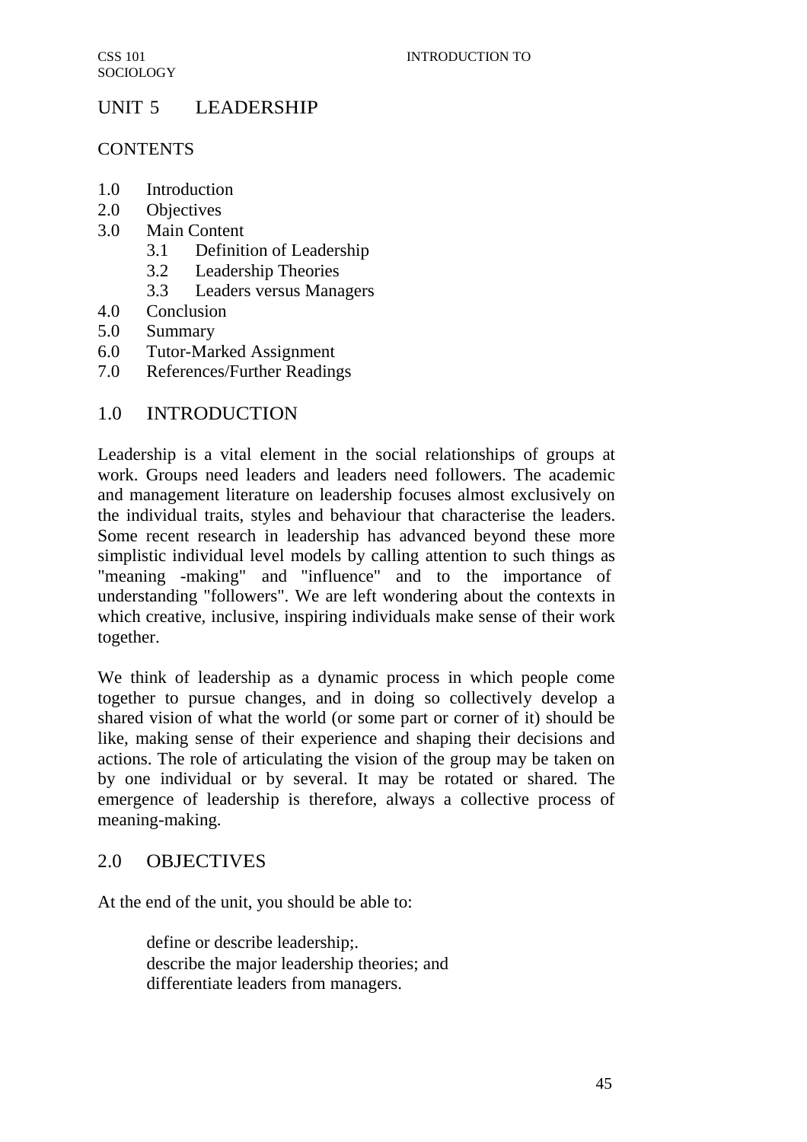# UNIT 5 LEADERSHIP

## **CONTENTS**

- 1.0 Introduction
- 2.0 Objectives
- 3.0 Main Content
	- 3.1 Definition of Leadership
	- 3.2 Leadership Theories
	- 3.3 Leaders versus Managers
- 4.0 Conclusion
- 5.0 Summary
- 6.0 Tutor-Marked Assignment
- 7.0 References/Further Readings

# 1.0 INTRODUCTION

Leadership is a vital element in the social relationships of groups at work. Groups need leaders and leaders need followers. The academic and management literature on leadership focuses almost exclusively on the individual traits, styles and behaviour that characterise the leaders. Some recent research in leadership has advanced beyond these more simplistic individual level models by calling attention to such things as "meaning -making" and "influence" and to the importance of understanding "followers". We are left wondering about the contexts in which creative, inclusive, inspiring individuals make sense of their work together.

We think of leadership as a dynamic process in which people come together to pursue changes, and in doing so collectively develop a shared vision of what the world (or some part or corner of it) should be like, making sense of their experience and shaping their decisions and actions. The role of articulating the vision of the group may be taken on by one individual or by several. It may be rotated or shared. The emergence of leadership is therefore, always a collective process of meaning-making.

# 2.0 OBJECTIVES

At the end of the unit, you should be able to:

define or describe leadership;. describe the major leadership theories; and differentiate leaders from managers.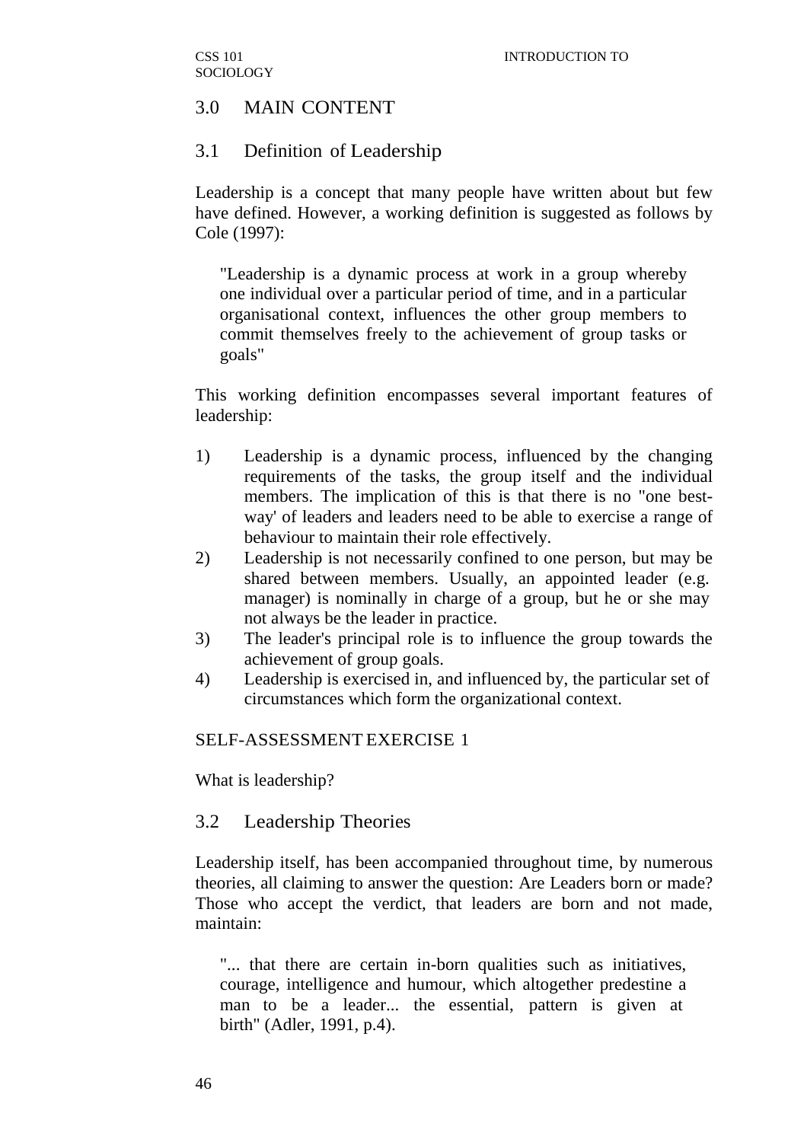### 3.0 MAIN CONTENT

#### 3.1 Definition of Leadership

Leadership is a concept that many people have written about but few have defined. However, a working definition is suggested as follows by Cole (1997):

"Leadership is a dynamic process at work in a group whereby one individual over a particular period of time, and in a particular organisational context, influences the other group members to commit themselves freely to the achievement of group tasks or goals"

This working definition encompasses several important features of leadership:

- 1) Leadership is a dynamic process, influenced by the changing requirements of the tasks, the group itself and the individual members. The implication of this is that there is no "one bestway' of leaders and leaders need to be able to exercise a range of behaviour to maintain their role effectively.
- 2) Leadership is not necessarily confined to one person, but may be shared between members. Usually, an appointed leader (e.g. manager) is nominally in charge of a group, but he or she may not always be the leader in practice.
- 3) The leader's principal role is to influence the group towards the achievement of group goals.
- 4) Leadership is exercised in, and influenced by, the particular set of circumstances which form the organizational context.

#### SELF-ASSESSMENT EXERCISE 1

What is leadership?

#### 3.2 Leadership Theories

Leadership itself, has been accompanied throughout time, by numerous theories, all claiming to answer the question: Are Leaders born or made? Those who accept the verdict, that leaders are born and not made, maintain:

"... that there are certain in-born qualities such as initiatives, courage, intelligence and humour, which altogether predestine a man to be a leader... the essential, pattern is given at birth" (Adler, 1991, p.4).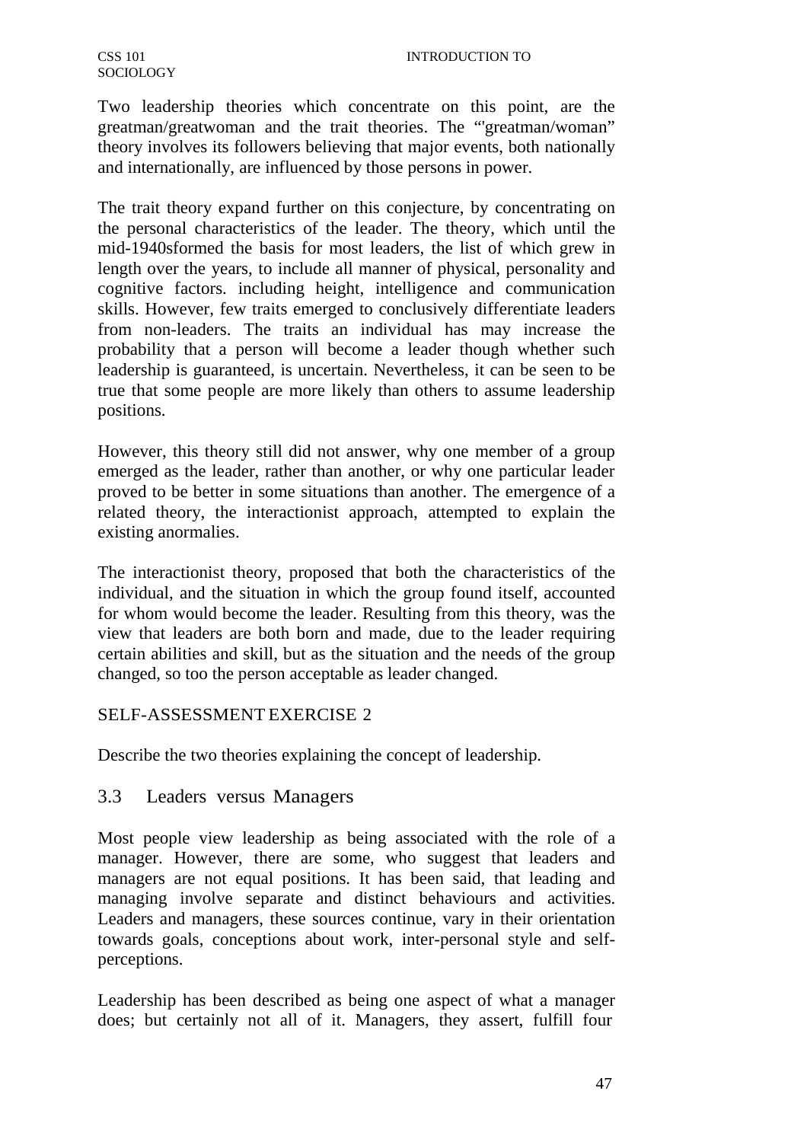Two leadership theories which concentrate on this point, are the greatman/greatwoman and the trait theories. The "'greatman/woman" theory involves its followers believing that major events, both nationally and internationally, are influenced by those persons in power.

The trait theory expand further on this conjecture, by concentrating on the personal characteristics of the leader. The theory, which until the mid-1940sformed the basis for most leaders, the list of which grew in length over the years, to include all manner of physical, personality and cognitive factors. including height, intelligence and communication skills. However, few traits emerged to conclusively differentiate leaders from non-leaders. The traits an individual has may increase the probability that a person will become a leader though whether such leadership is guaranteed, is uncertain. Nevertheless, it can be seen to be true that some people are more likely than others to assume leadership positions.

However, this theory still did not answer, why one member of a group emerged as the leader, rather than another, or why one particular leader proved to be better in some situations than another. The emergence of a related theory, the interactionist approach, attempted to explain the existing anormalies.

The interactionist theory, proposed that both the characteristics of the individual, and the situation in which the group found itself, accounted for whom would become the leader. Resulting from this theory, was the view that leaders are both born and made, due to the leader requiring certain abilities and skill, but as the situation and the needs of the group changed, so too the person acceptable as leader changed.

### SELF-ASSESSMENT EXERCISE 2

Describe the two theories explaining the concept of leadership.

## 3.3 Leaders versus Managers

Most people view leadership as being associated with the role of a manager. However, there are some, who suggest that leaders and managers are not equal positions. It has been said, that leading and managing involve separate and distinct behaviours and activities. Leaders and managers, these sources continue, vary in their orientation towards goals, conceptions about work, inter-personal style and selfperceptions.

Leadership has been described as being one aspect of what a manager does; but certainly not all of it. Managers, they assert, fulfill four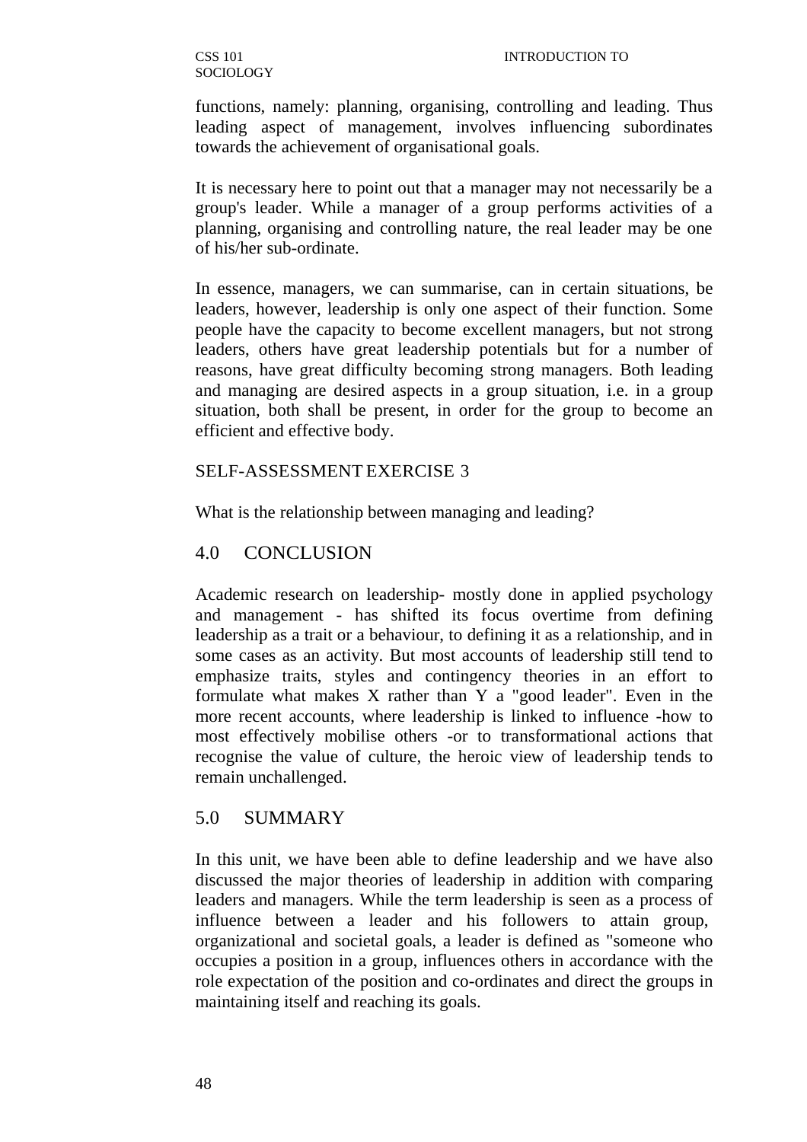functions, namely: planning, organising, controlling and leading. Thus leading aspect of management, involves influencing subordinates towards the achievement of organisational goals.

It is necessary here to point out that a manager may not necessarily be a group's leader. While a manager of a group performs activities of a planning, organising and controlling nature, the real leader may be one of his/her sub-ordinate.

In essence, managers, we can summarise, can in certain situations, be leaders, however, leadership is only one aspect of their function. Some people have the capacity to become excellent managers, but not strong leaders, others have great leadership potentials but for a number of reasons, have great difficulty becoming strong managers. Both leading and managing are desired aspects in a group situation, i.e. in a group situation, both shall be present, in order for the group to become an efficient and effective body.

### SELF-ASSESSMENT EXERCISE 3

What is the relationship between managing and leading?

### 4.0 CONCLUSION

Academic research on leadership- mostly done in applied psychology and management - has shifted its focus overtime from defining leadership as a trait or a behaviour, to defining it as a relationship, and in some cases as an activity. But most accounts of leadership still tend to emphasize traits, styles and contingency theories in an effort to formulate what makes X rather than Y a "good leader". Even in the more recent accounts, where leadership is linked to influence -how to most effectively mobilise others -or to transformational actions that recognise the value of culture, the heroic view of leadership tends to remain unchallenged.

## 5.0 SUMMARY

In this unit, we have been able to define leadership and we have also discussed the major theories of leadership in addition with comparing leaders and managers. While the term leadership is seen as a process of influence between a leader and his followers to attain group, organizational and societal goals, a leader is defined as "someone who occupies a position in a group, influences others in accordance with the role expectation of the position and co-ordinates and direct the groups in maintaining itself and reaching its goals.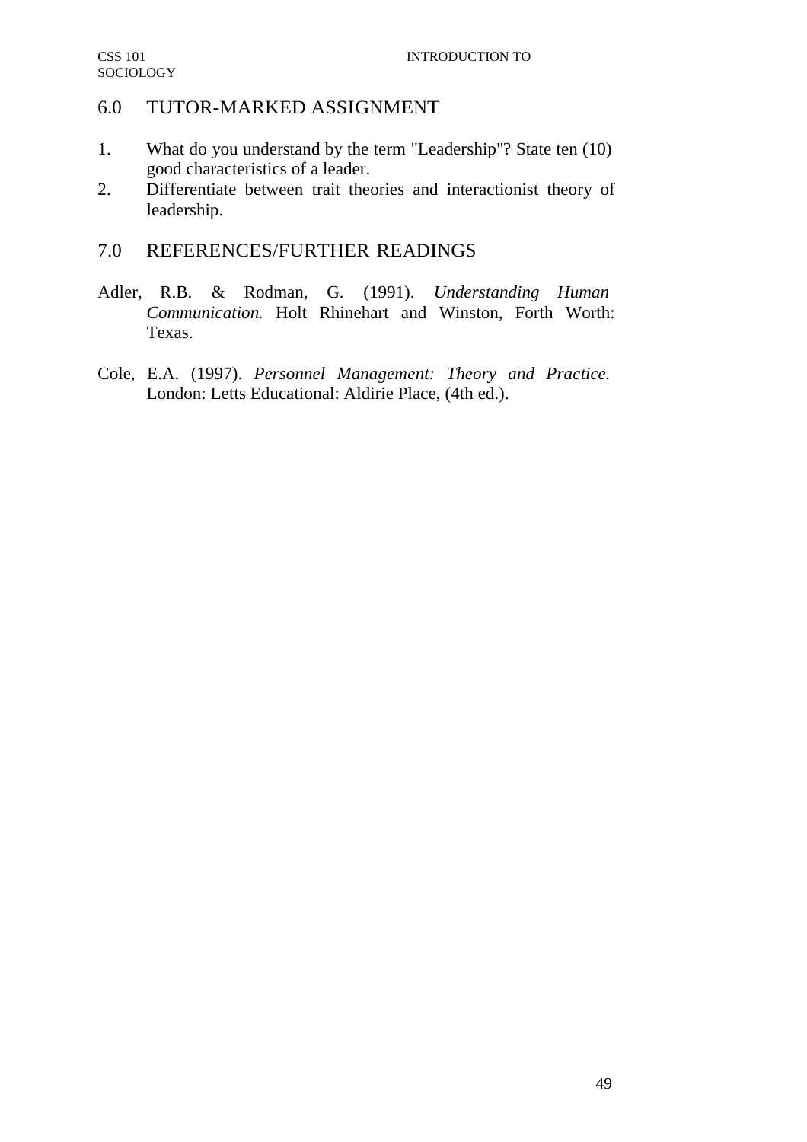## 6.0 TUTOR-MARKED ASSIGNMENT

- 1. What do you understand by the term "Leadership"? State ten (10) good characteristics of a leader.
- 2. Differentiate between trait theories and interactionist theory of leadership.

# 7.0 REFERENCES/FURTHER READINGS

- Adler, R.B. & Rodman, G. (1991). *Understanding Human Communication.* Holt Rhinehart and Winston, Forth Worth: Texas.
- Cole, E.A. (1997). *Personnel Management: Theory and Practice.* London: Letts Educational: Aldirie Place, (4th ed.).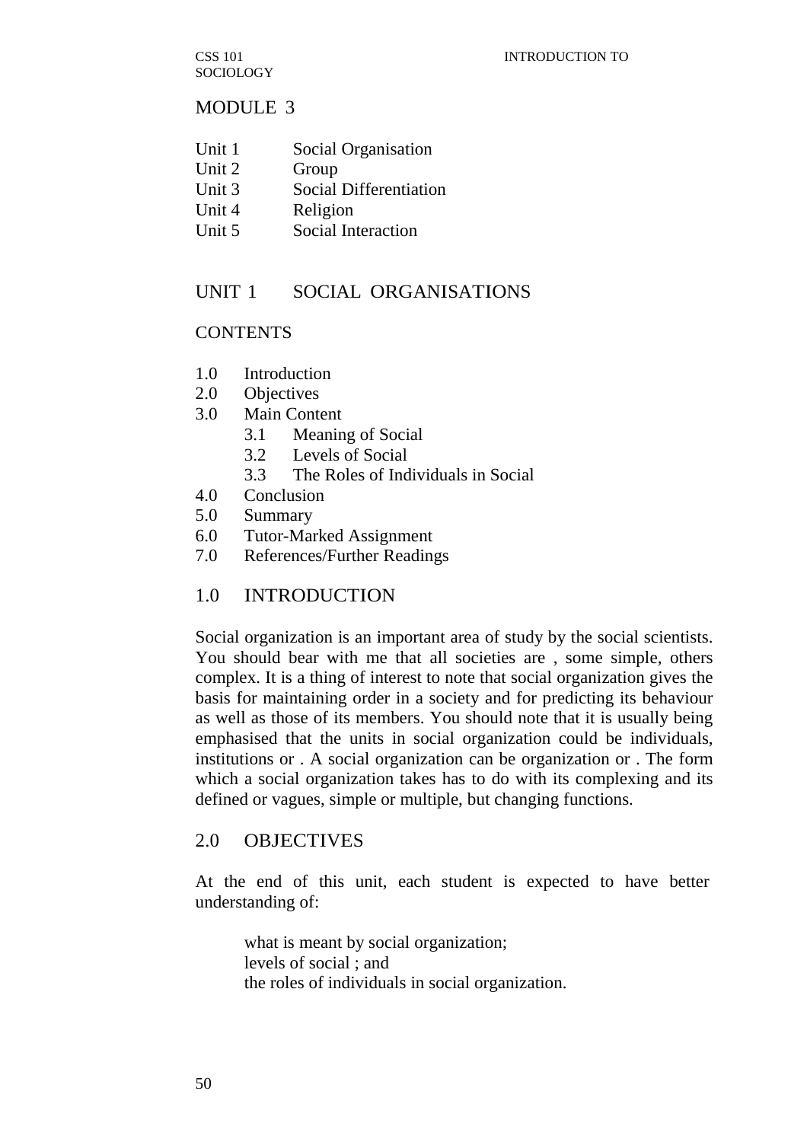CSS 101 SOCIOLOGY

#### MODULE 3

- Unit 1 Social Organisation
- Unit 2 Group
- Unit 3 Social Differentiation
- Unit 4 Religion
- Unit 5 Social Interaction

### UNIT 1 SOCIAL ORGANISATIONS

## **CONTENTS**

- 1.0 Introduction
- 2.0 Objectives
- 3.0 Main Content
	- 3.1 Meaning of Social
	- 3.2 Levels of Social
	- 3.3 The Roles of Individuals in Social
- 4.0 Conclusion
- 5.0 Summary
- 6.0 Tutor-Marked Assignment
- 7.0 References/Further Readings

### 1.0 INTRODUCTION

Social organization is an important area of study by the social scientists. You should bear with me that all societies are , some simple, others complex. It is a thing of interest to note that social organization gives the basis for maintaining order in a society and for predicting its behaviour as well as those of its members. You should note that it is usually being emphasised that the units in social organization could be individuals, institutions or . A social organization can be organization or . The form which a social organization takes has to do with its complexing and its defined or vagues, simple or multiple, but changing functions.

### 2.0 OBJECTIVES

At the end of this unit, each student is expected to have better understanding of:

what is meant by social organization; levels of social ; and the roles of individuals in social organization.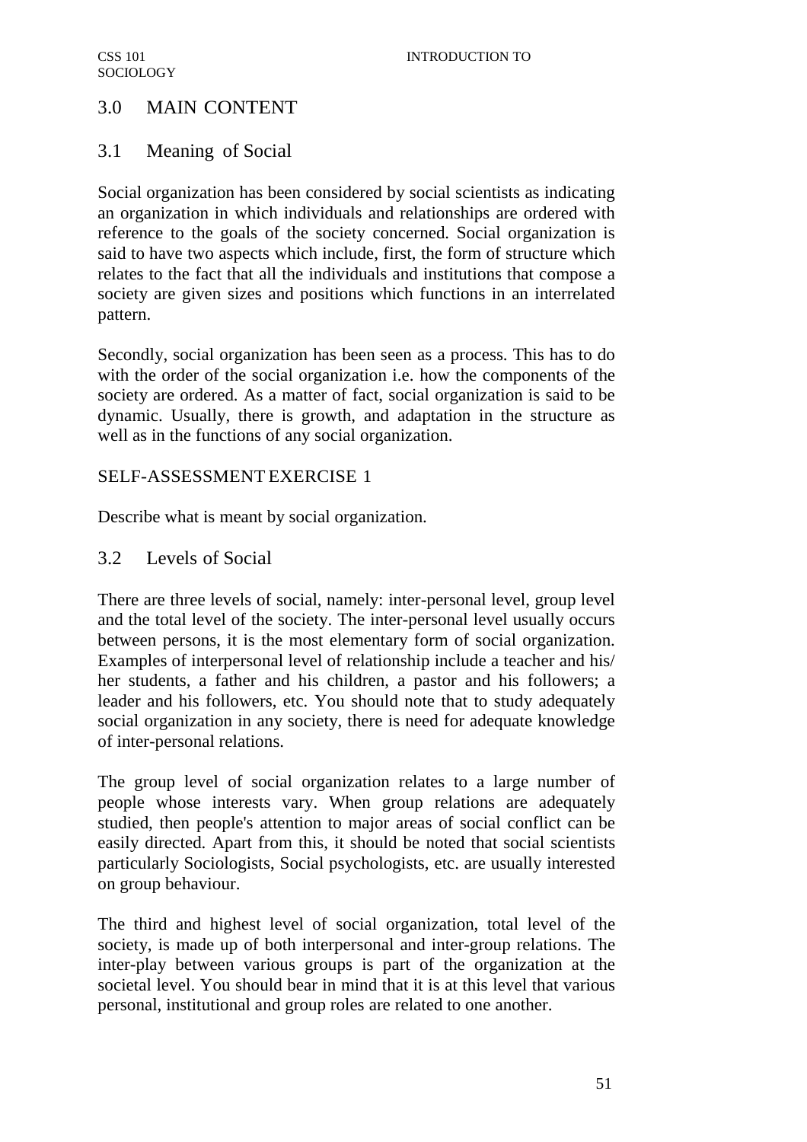# 3.0 MAIN CONTENT

## 3.1 Meaning of Social

Social organization has been considered by social scientists as indicating an organization in which individuals and relationships are ordered with reference to the goals of the society concerned. Social organization is said to have two aspects which include, first, the form of structure which relates to the fact that all the individuals and institutions that compose a society are given sizes and positions which functions in an interrelated pattern.

Secondly, social organization has been seen as a process. This has to do with the order of the social organization i.e. how the components of the society are ordered. As a matter of fact, social organization is said to be dynamic. Usually, there is growth, and adaptation in the structure as well as in the functions of any social organization.

## SELF-ASSESSMENT EXERCISE 1

Describe what is meant by social organization.

## 3.2 Levels of Social

There are three levels of social, namely: inter-personal level, group level and the total level of the society. The inter-personal level usually occurs between persons, it is the most elementary form of social organization. Examples of interpersonal level of relationship include a teacher and his/ her students, a father and his children, a pastor and his followers; a leader and his followers, etc. You should note that to study adequately social organization in any society, there is need for adequate knowledge of inter-personal relations.

The group level of social organization relates to a large number of people whose interests vary. When group relations are adequately studied, then people's attention to major areas of social conflict can be easily directed. Apart from this, it should be noted that social scientists particularly Sociologists, Social psychologists, etc. are usually interested on group behaviour.

The third and highest level of social organization, total level of the society, is made up of both interpersonal and inter-group relations. The inter-play between various groups is part of the organization at the societal level. You should bear in mind that it is at this level that various personal, institutional and group roles are related to one another.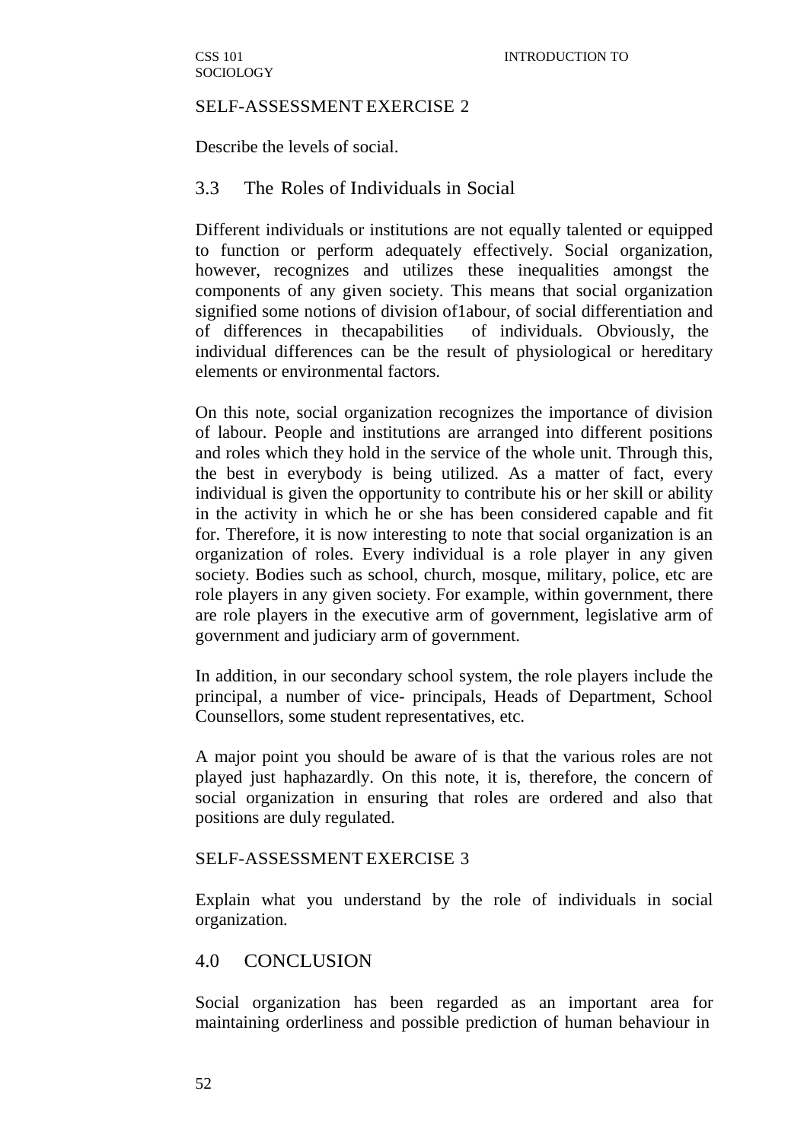#### SELF-ASSESSMENT EXERCISE 2

Describe the levels of social.

### 3.3 The Roles of Individuals in Social

Different individuals or institutions are not equally talented or equipped to function or perform adequately effectively. Social organization, however, recognizes and utilizes these inequalities amongst the components of any given society. This means that social organization signified some notions of division of1abour, of social differentiation and of differences in thecapabilities of individuals. Obviously, the individual differences can be the result of physiological or hereditary elements or environmental factors.

On this note, social organization recognizes the importance of division of labour. People and institutions are arranged into different positions and roles which they hold in the service of the whole unit. Through this, the best in everybody is being utilized. As a matter of fact, every individual is given the opportunity to contribute his or her skill or ability in the activity in which he or she has been considered capable and fit for. Therefore, it is now interesting to note that social organization is an organization of roles. Every individual is a role player in any given society. Bodies such as school, church, mosque, military, police, etc are role players in any given society. For example, within government, there are role players in the executive arm of government, legislative arm of government and judiciary arm of government.

In addition, in our secondary school system, the role players include the principal, a number of vice- principals, Heads of Department, School Counsellors, some student representatives, etc.

A major point you should be aware of is that the various roles are not played just haphazardly. On this note, it is, therefore, the concern of social organization in ensuring that roles are ordered and also that positions are duly regulated.

#### SELF-ASSESSMENT EXERCISE 3

Explain what you understand by the role of individuals in social organization.

### 4.0 CONCLUSION

Social organization has been regarded as an important area for maintaining orderliness and possible prediction of human behaviour in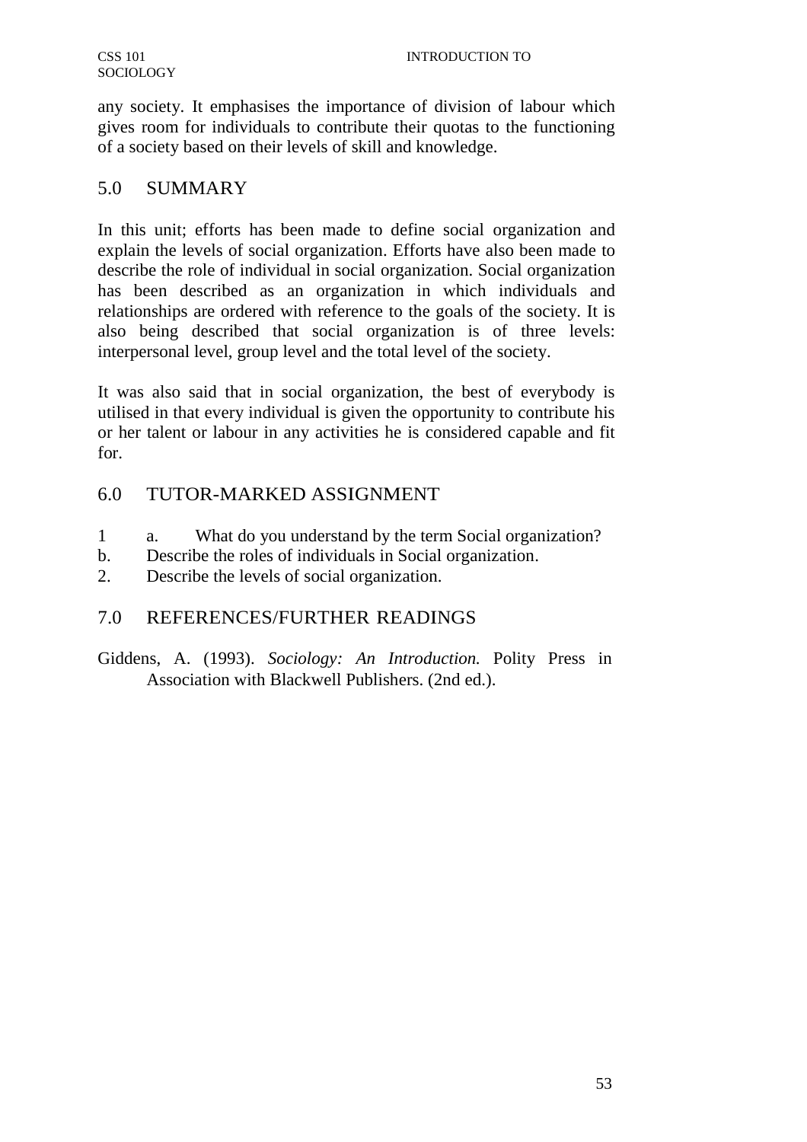any society. It emphasises the importance of division of labour which gives room for individuals to contribute their quotas to the functioning of a society based on their levels of skill and knowledge.

## 5.0 SUMMARY

In this unit; efforts has been made to define social organization and explain the levels of social organization. Efforts have also been made to describe the role of individual in social organization. Social organization has been described as an organization in which individuals and relationships are ordered with reference to the goals of the society. It is also being described that social organization is of three levels: interpersonal level, group level and the total level of the society.

It was also said that in social organization, the best of everybody is utilised in that every individual is given the opportunity to contribute his or her talent or labour in any activities he is considered capable and fit for.

# 6.0 TUTOR-MARKED ASSIGNMENT

- 1 a. What do you understand by the term Social organization?
- b. Describe the roles of individuals in Social organization.
- 2. Describe the levels of social organization.

## 7.0 REFERENCES/FURTHER READINGS

Giddens, A. (1993). *Sociology: An Introduction.* Polity Press in Association with Blackwell Publishers. (2nd ed.).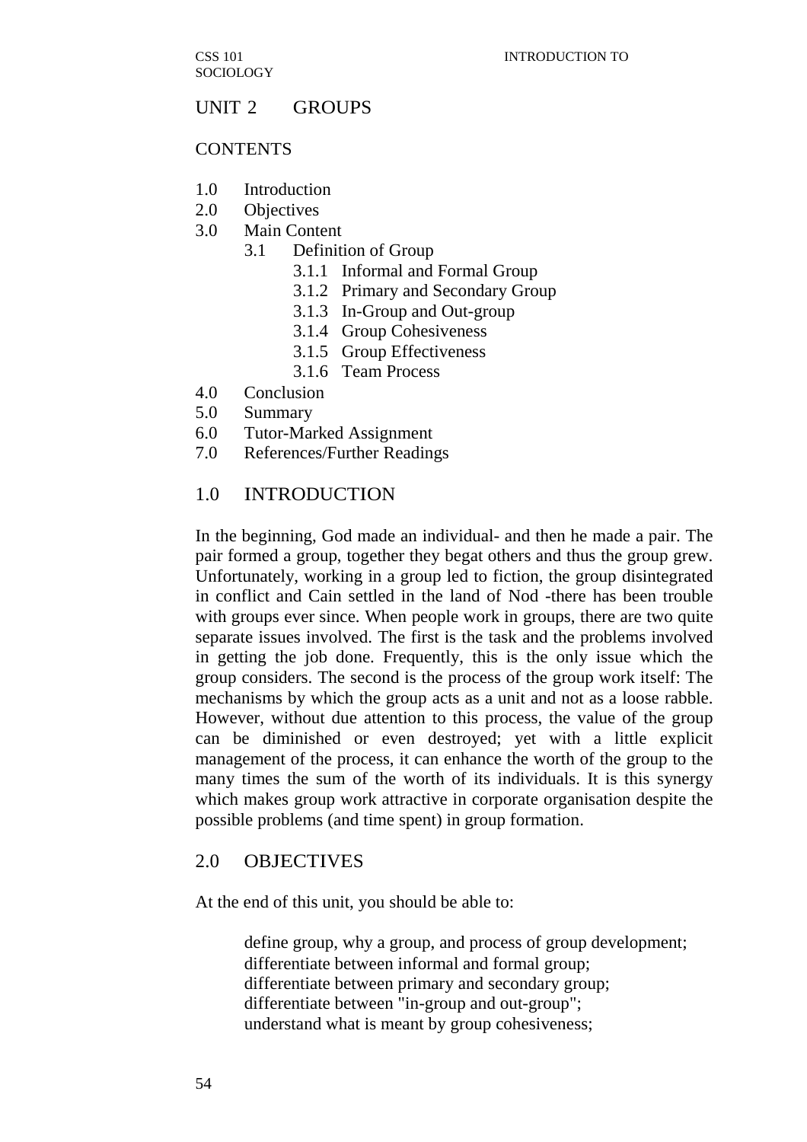### UNIT 2 GROUPS

#### **CONTENTS**

- 1.0 Introduction
- 2.0 Objectives
- 3.0 Main Content
	- 3.1 Definition of Group
		- 3.1.1 Informal and Formal Group
		- 3.1.2 Primary and Secondary Group
		- 3.1.3 In-Group and Out-group
		- 3.1.4 Group Cohesiveness
		- 3.1.5 Group Effectiveness
		- 3.1.6 Team Process
- 4.0 Conclusion
- 5.0 Summary
- 6.0 Tutor-Marked Assignment
- 7.0 References/Further Readings

### 1.0 INTRODUCTION

In the beginning, God made an individual- and then he made a pair. The pair formed a group, together they begat others and thus the group grew. Unfortunately, working in a group led to fiction, the group disintegrated in conflict and Cain settled in the land of Nod -there has been trouble with groups ever since. When people work in groups, there are two quite separate issues involved. The first is the task and the problems involved in getting the job done. Frequently, this is the only issue which the group considers. The second is the process of the group work itself: The mechanisms by which the group acts as a unit and not as a loose rabble. However, without due attention to this process, the value of the group can be diminished or even destroyed; yet with a little explicit management of the process, it can enhance the worth of the group to the many times the sum of the worth of its individuals. It is this synergy which makes group work attractive in corporate organisation despite the possible problems (and time spent) in group formation.

#### 2.0 OBJECTIVES

At the end of this unit, you should be able to:

define group, why a group, and process of group development; differentiate between informal and formal group; differentiate between primary and secondary group; differentiate between "in-group and out-group"; understand what is meant by group cohesiveness;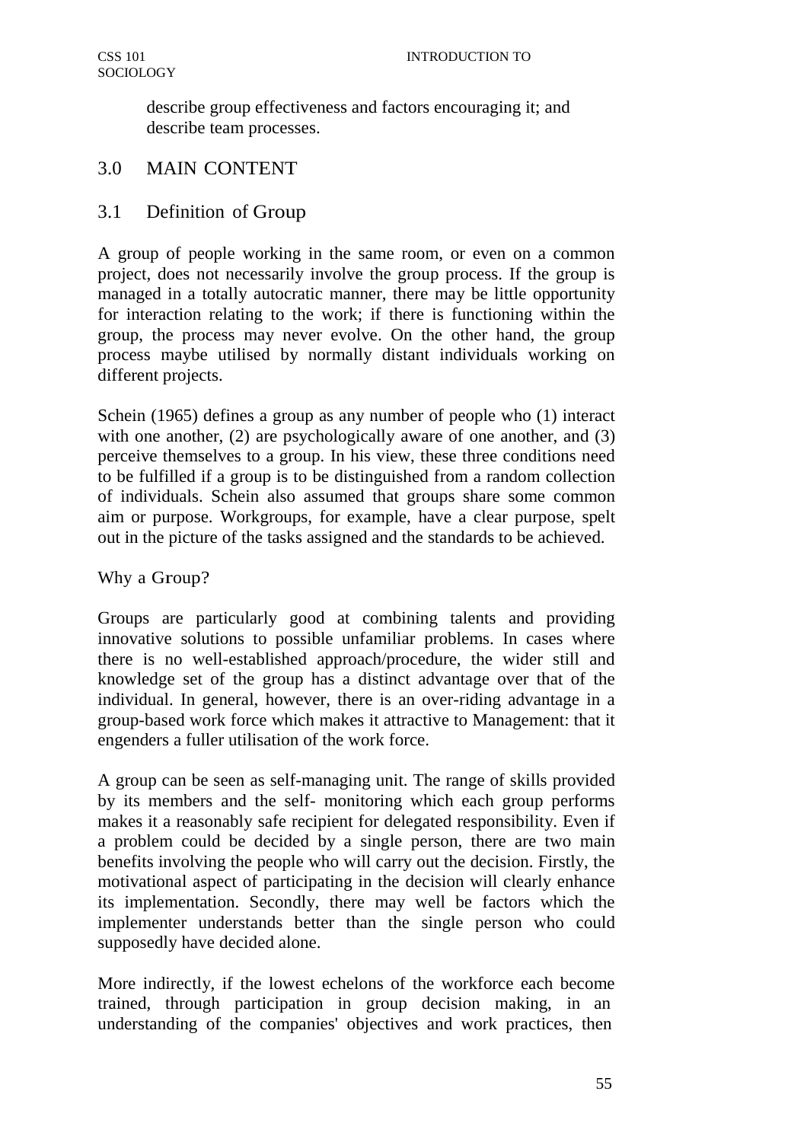describe group effectiveness and factors encouraging it; and describe team processes.

# 3.0 MAIN CONTENT

# 3.1 Definition of Group

A group of people working in the same room, or even on a common project, does not necessarily involve the group process. If the group is managed in a totally autocratic manner, there may be little opportunity for interaction relating to the work; if there is functioning within the group, the process may never evolve. On the other hand, the group process maybe utilised by normally distant individuals working on different projects.

Schein (1965) defines a group as any number of people who (1) interact with one another, (2) are psychologically aware of one another, and (3) perceive themselves to a group. In his view, these three conditions need to be fulfilled if a group is to be distinguished from a random collection of individuals. Schein also assumed that groups share some common aim or purpose. Workgroups, for example, have a clear purpose, spelt out in the picture of the tasks assigned and the standards to be achieved.

Why a Group?

Groups are particularly good at combining talents and providing innovative solutions to possible unfamiliar problems. In cases where there is no well-established approach/procedure, the wider still and knowledge set of the group has a distinct advantage over that of the individual. In general, however, there is an over-riding advantage in a group-based work force which makes it attractive to Management: that it engenders a fuller utilisation of the work force.

A group can be seen as self-managing unit. The range of skills provided by its members and the self- monitoring which each group performs makes it a reasonably safe recipient for delegated responsibility. Even if a problem could be decided by a single person, there are two main benefits involving the people who will carry out the decision. Firstly, the motivational aspect of participating in the decision will clearly enhance its implementation. Secondly, there may well be factors which the implementer understands better than the single person who could supposedly have decided alone.

More indirectly, if the lowest echelons of the workforce each become trained, through participation in group decision making, in an understanding of the companies' objectives and work practices, then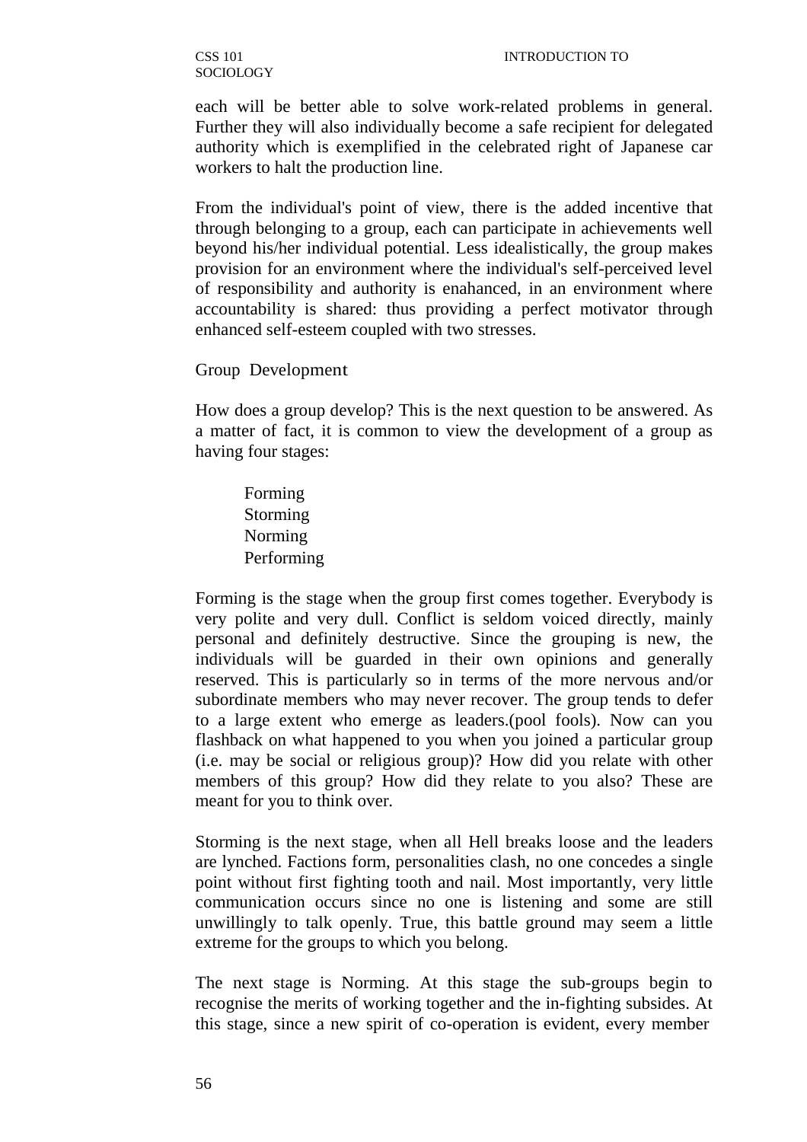each will be better able to solve work-related problems in general. Further they will also individually become a safe recipient for delegated authority which is exemplified in the celebrated right of Japanese car workers to halt the production line.

From the individual's point of view, there is the added incentive that through belonging to a group, each can participate in achievements well beyond his/her individual potential. Less idealistically, the group makes provision for an environment where the individual's self-perceived level of responsibility and authority is enahanced, in an environment where accountability is shared: thus providing a perfect motivator through enhanced self-esteem coupled with two stresses.

Group Development

How does a group develop? This is the next question to be answered. As a matter of fact, it is common to view the development of a group as having four stages:

Forming Storming Norming Performing

Forming is the stage when the group first comes together. Everybody is very polite and very dull. Conflict is seldom voiced directly, mainly personal and definitely destructive. Since the grouping is new, the individuals will be guarded in their own opinions and generally reserved. This is particularly so in terms of the more nervous and/or subordinate members who may never recover. The group tends to defer to a large extent who emerge as leaders.(pool fools). Now can you flashback on what happened to you when you joined a particular group (i.e. may be social or religious group)? How did you relate with other members of this group? How did they relate to you also? These are meant for you to think over.

Storming is the next stage, when all Hell breaks loose and the leaders are lynched. Factions form, personalities clash, no one concedes a single point without first fighting tooth and nail. Most importantly, very little communication occurs since no one is listening and some are still unwillingly to talk openly. True, this battle ground may seem a little extreme for the groups to which you belong.

The next stage is Norming. At this stage the sub-groups begin to recognise the merits of working together and the in-fighting subsides. At this stage, since a new spirit of co-operation is evident, every member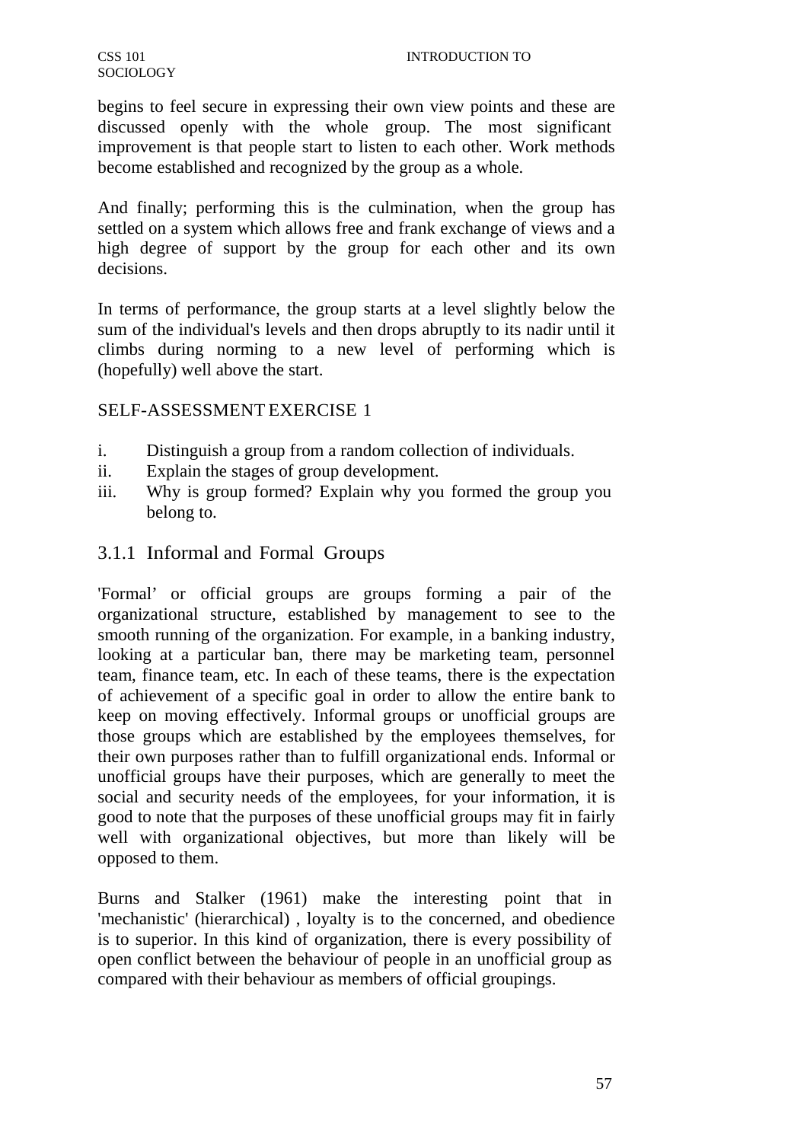begins to feel secure in expressing their own view points and these are discussed openly with the whole group. The most significant improvement is that people start to listen to each other. Work methods become established and recognized by the group as a whole.

And finally; performing this is the culmination, when the group has settled on a system which allows free and frank exchange of views and a high degree of support by the group for each other and its own decisions.

In terms of performance, the group starts at a level slightly below the sum of the individual's levels and then drops abruptly to its nadir until it climbs during norming to a new level of performing which is (hopefully) well above the start.

## SELF-ASSESSMENT EXERCISE 1

- i. Distinguish a group from a random collection of individuals.
- ii. Explain the stages of group development.
- iii. Why is group formed? Explain why you formed the group you belong to.

## 3.1.1 Informal and Formal Groups

'Formal' or official groups are groups forming a pair of the organizational structure, established by management to see to the smooth running of the organization. For example, in a banking industry, looking at a particular ban, there may be marketing team, personnel team, finance team, etc. In each of these teams, there is the expectation of achievement of a specific goal in order to allow the entire bank to keep on moving effectively. Informal groups or unofficial groups are those groups which are established by the employees themselves, for their own purposes rather than to fulfill organizational ends. Informal or unofficial groups have their purposes, which are generally to meet the social and security needs of the employees, for your information, it is good to note that the purposes of these unofficial groups may fit in fairly well with organizational objectives, but more than likely will be opposed to them.

Burns and Stalker (1961) make the interesting point that in 'mechanistic' (hierarchical) , loyalty is to the concerned, and obedience is to superior. In this kind of organization, there is every possibility of open conflict between the behaviour of people in an unofficial group as compared with their behaviour as members of official groupings.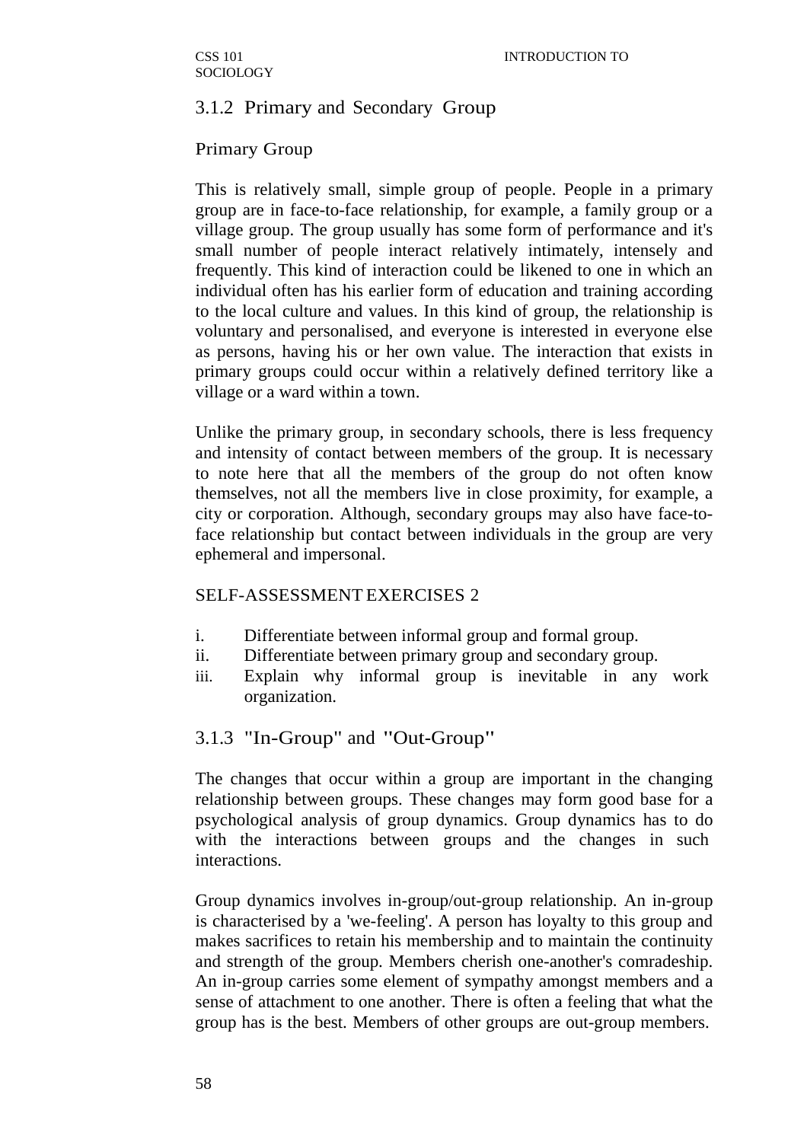# 3.1.2 Primary and Secondary Group

## Primary Group

This is relatively small, simple group of people. People in a primary group are in face-to-face relationship, for example, a family group or a village group. The group usually has some form of performance and it's small number of people interact relatively intimately, intensely and frequently. This kind of interaction could be likened to one in which an individual often has his earlier form of education and training according to the local culture and values. In this kind of group, the relationship is voluntary and personalised, and everyone is interested in everyone else as persons, having his or her own value. The interaction that exists in primary groups could occur within a relatively defined territory like a village or a ward within a town.

Unlike the primary group, in secondary schools, there is less frequency and intensity of contact between members of the group. It is necessary to note here that all the members of the group do not often know themselves, not all the members live in close proximity, for example, a city or corporation. Although, secondary groups may also have face-toface relationship but contact between individuals in the group are very ephemeral and impersonal.

### SELF-ASSESSMENT EXERCISES 2

- i. Differentiate between informal group and formal group.
- ii. Differentiate between primary group and secondary group.
- iii. Explain why informal group is inevitable in any work organization.

# 3.1.3 "In-Group" and "Out-Group"

The changes that occur within a group are important in the changing relationship between groups. These changes may form good base for a psychological analysis of group dynamics. Group dynamics has to do with the interactions between groups and the changes in such interactions.

Group dynamics involves in-group/out-group relationship. An in-group is characterised by a 'we-feeling'. A person has loyalty to this group and makes sacrifices to retain his membership and to maintain the continuity and strength of the group. Members cherish one-another's comradeship. An in-group carries some element of sympathy amongst members and a sense of attachment to one another. There is often a feeling that what the group has is the best. Members of other groups are out-group members.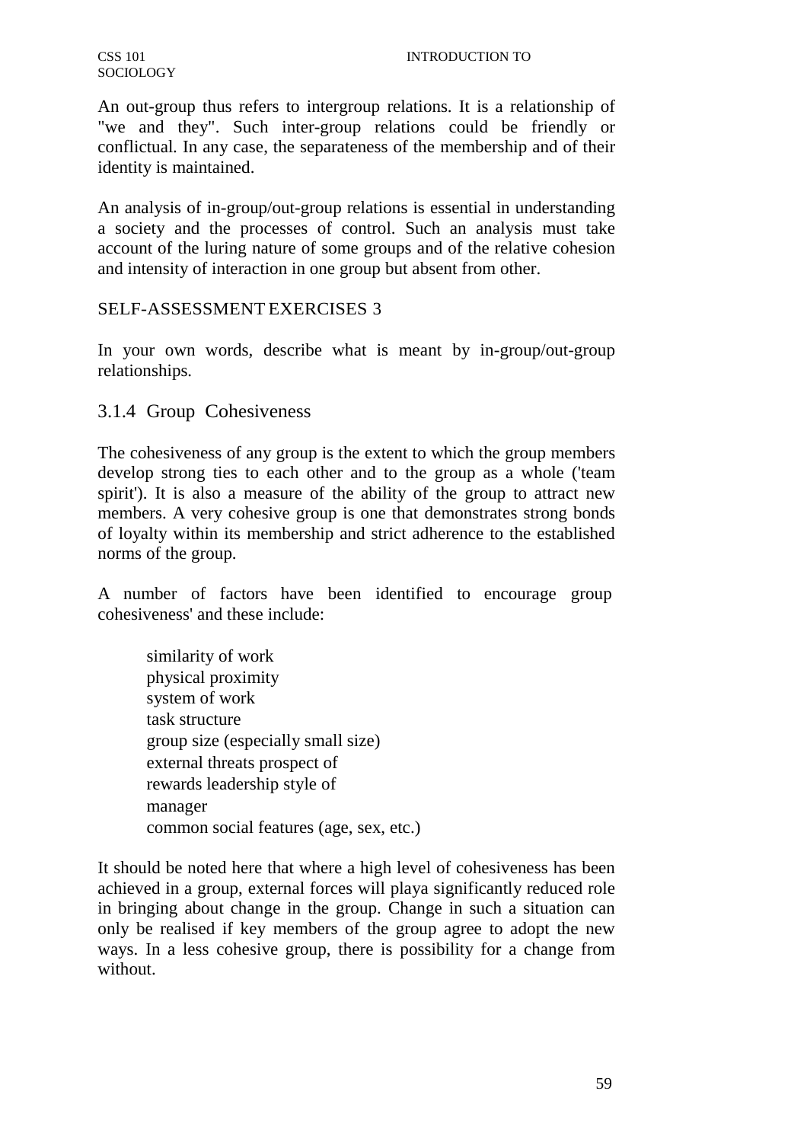An out-group thus refers to intergroup relations. It is a relationship of "we and they". Such inter-group relations could be friendly or conflictual. In any case, the separateness of the membership and of their identity is maintained.

An analysis of in-group/out-group relations is essential in understanding a society and the processes of control. Such an analysis must take account of the luring nature of some groups and of the relative cohesion and intensity of interaction in one group but absent from other.

# SELF-ASSESSMENT EXERCISES 3

In your own words, describe what is meant by in-group/out-group relationships.

# 3.1.4 Group Cohesiveness

The cohesiveness of any group is the extent to which the group members develop strong ties to each other and to the group as a whole ('team spirit'). It is also a measure of the ability of the group to attract new members. A very cohesive group is one that demonstrates strong bonds of loyalty within its membership and strict adherence to the established norms of the group.

A number of factors have been identified to encourage group cohesiveness' and these include:

similarity of work physical proximity system of work task structure group size (especially small size) external threats prospect of rewards leadership style of manager common social features (age, sex, etc.)

It should be noted here that where a high level of cohesiveness has been achieved in a group, external forces will playa significantly reduced role in bringing about change in the group. Change in such a situation can only be realised if key members of the group agree to adopt the new ways. In a less cohesive group, there is possibility for a change from without.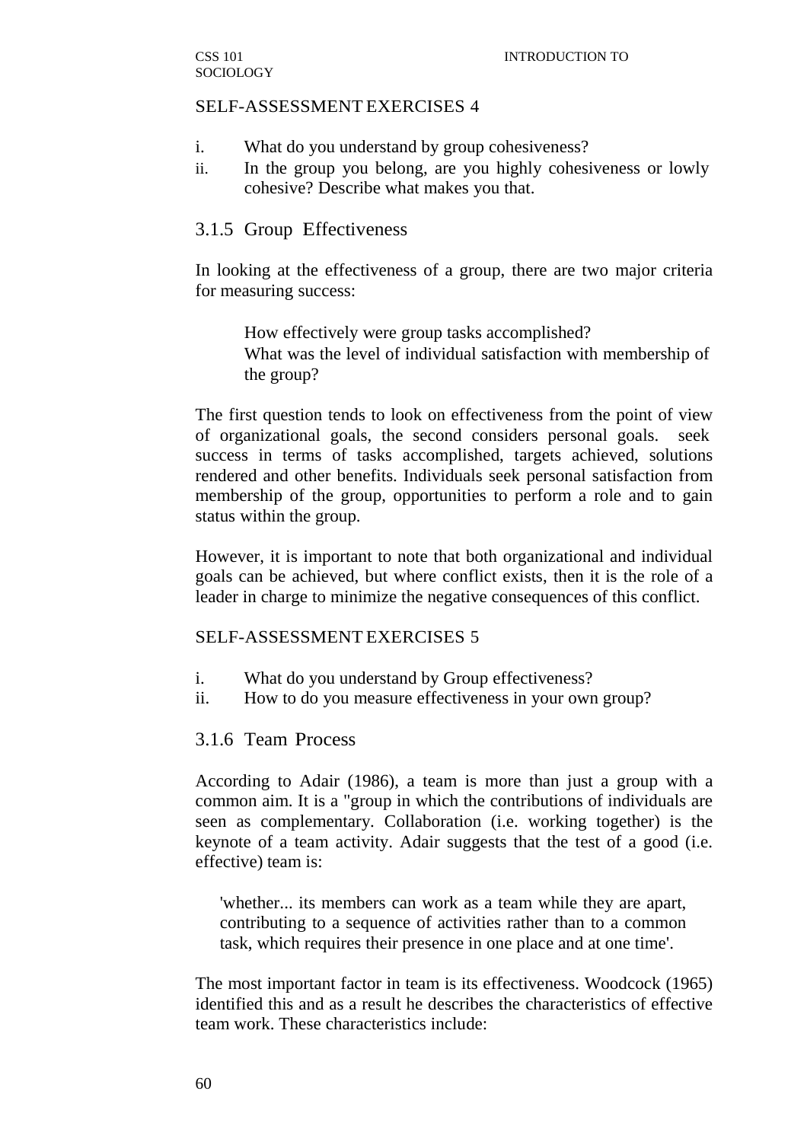#### SELF-ASSESSMENT EXERCISES 4

- i. What do you understand by group cohesiveness?
- ii. In the group you belong, are you highly cohesiveness or lowly cohesive? Describe what makes you that.

#### 3.1.5 Group Effectiveness

In looking at the effectiveness of a group, there are two major criteria for measuring success:

How effectively were group tasks accomplished? What was the level of individual satisfaction with membership of the group?

The first question tends to look on effectiveness from the point of view of organizational goals, the second considers personal goals. seek success in terms of tasks accomplished, targets achieved, solutions rendered and other benefits. Individuals seek personal satisfaction from membership of the group, opportunities to perform a role and to gain status within the group.

However, it is important to note that both organizational and individual goals can be achieved, but where conflict exists, then it is the role of a leader in charge to minimize the negative consequences of this conflict.

#### SELF-ASSESSMENT EXERCISES 5

- i. What do you understand by Group effectiveness?
- ii. How to do you measure effectiveness in your own group?

#### 3.1.6 Team Process

According to Adair (1986), a team is more than just a group with a common aim. It is a "group in which the contributions of individuals are seen as complementary. Collaboration (i.e. working together) is the keynote of a team activity. Adair suggests that the test of a good (i.e. effective) team is:

'whether... its members can work as a team while they are apart, contributing to a sequence of activities rather than to a common task, which requires their presence in one place and at one time'.

The most important factor in team is its effectiveness. Woodcock (1965) identified this and as a result he describes the characteristics of effective team work. These characteristics include: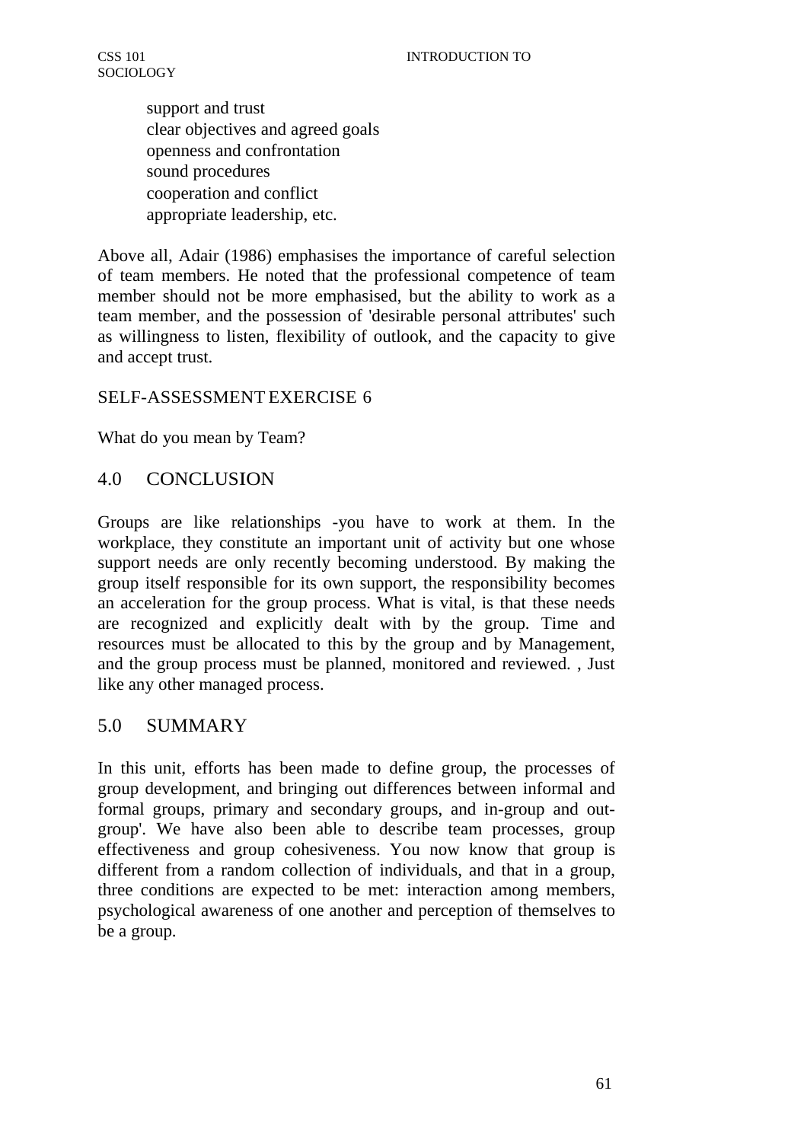support and trust clear objectives and agreed goals openness and confrontation sound procedures cooperation and conflict appropriate leadership, etc.

Above all, Adair (1986) emphasises the importance of careful selection of team members. He noted that the professional competence of team member should not be more emphasised, but the ability to work as a team member, and the possession of 'desirable personal attributes' such as willingness to listen, flexibility of outlook, and the capacity to give and accept trust.

# SELF-ASSESSMENT EXERCISE 6

What do you mean by Team?

# 4.0 CONCLUSION

Groups are like relationships -you have to work at them. In the workplace, they constitute an important unit of activity but one whose support needs are only recently becoming understood. By making the group itself responsible for its own support, the responsibility becomes an acceleration for the group process. What is vital, is that these needs are recognized and explicitly dealt with by the group. Time and resources must be allocated to this by the group and by Management, and the group process must be planned, monitored and reviewed. , Just like any other managed process.

# 5.0 SUMMARY

In this unit, efforts has been made to define group, the processes of group development, and bringing out differences between informal and formal groups, primary and secondary groups, and in-group and outgroup'. We have also been able to describe team processes, group effectiveness and group cohesiveness. You now know that group is different from a random collection of individuals, and that in a group, three conditions are expected to be met: interaction among members, psychological awareness of one another and perception of themselves to be a group.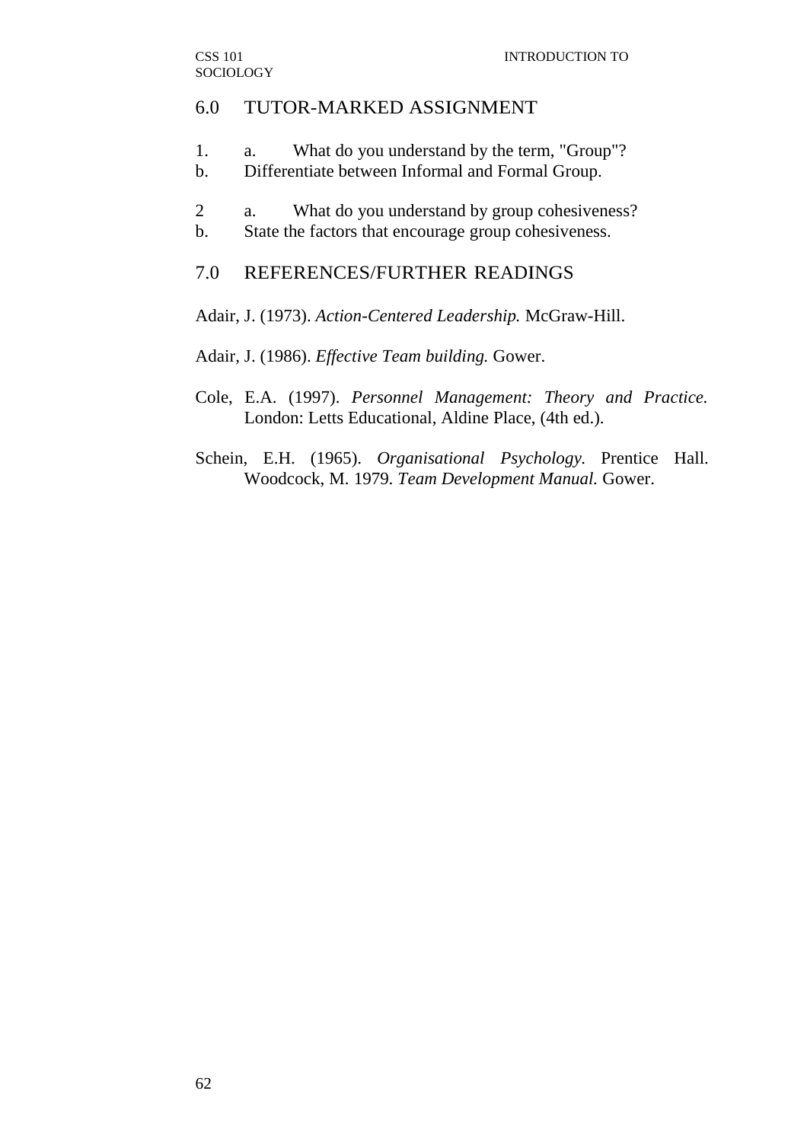### 6.0 TUTOR-MARKED ASSIGNMENT

- 1. a. What do you understand by the term, "Group"?
- b. Differentiate between Informal and Formal Group.
- 2 a. What do you understand by group cohesiveness?
- b. State the factors that encourage group cohesiveness.

### 7.0 REFERENCES/FURTHER READINGS

Adair, J. (1973). *Action-Centered Leadership.* McGraw-Hill.

Adair, J. (1986). *Effective Team building.* Gower.

- Cole, E.A. (1997). *Personnel Management: Theory and Practice.* London: Letts Educational, Aldine Place, (4th ed.).
- Schein, E.H. (1965). *Organisational Psychology.* Prentice Hall. Woodcock, M. 1979. *Team Development Manual.* Gower.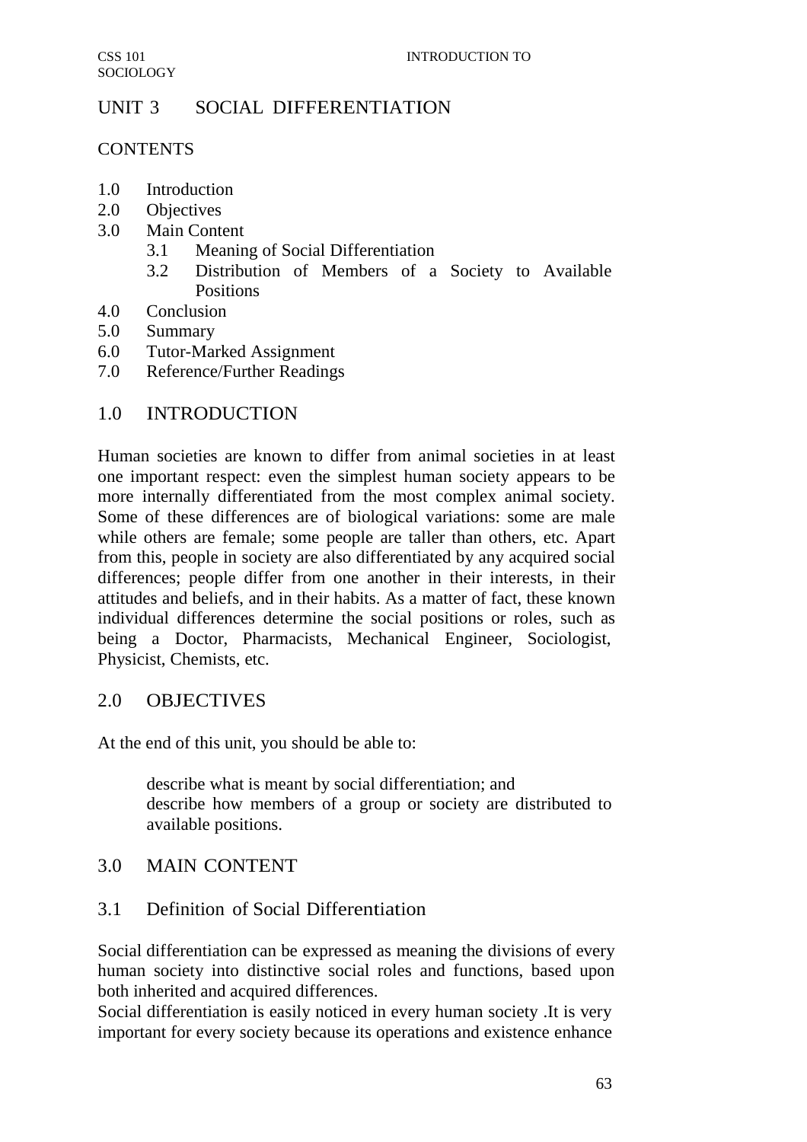# UNIT 3 SOCIAL DIFFERENTIATION

### **CONTENTS**

- 1.0 Introduction
- 2.0 Objectives
- 3.0 Main Content
	- 3.1 Meaning of Social Differentiation
	- 3.2 Distribution of Members of a Society to Available **Positions**
- 4.0 Conclusion
- 5.0 Summary
- 6.0 Tutor-Marked Assignment
- 7.0 Reference/Further Readings

# 1.0 INTRODUCTION

Human societies are known to differ from animal societies in at least one important respect: even the simplest human society appears to be more internally differentiated from the most complex animal society. Some of these differences are of biological variations: some are male while others are female; some people are taller than others, etc. Apart from this, people in society are also differentiated by any acquired social differences; people differ from one another in their interests, in their attitudes and beliefs, and in their habits. As a matter of fact, these known individual differences determine the social positions or roles, such as being a Doctor, Pharmacists, Mechanical Engineer, Sociologist, Physicist, Chemists, etc.

# 2.0 OBJECTIVES

At the end of this unit, you should be able to:

describe what is meant by social differentiation; and describe how members of a group or society are distributed to available positions.

# 3.0 MAIN CONTENT

# 3.1 Definition of Social Differentiation

Social differentiation can be expressed as meaning the divisions of every human society into distinctive social roles and functions, based upon both inherited and acquired differences.

Social differentiation is easily noticed in every human society .It is very important for every society because its operations and existence enhance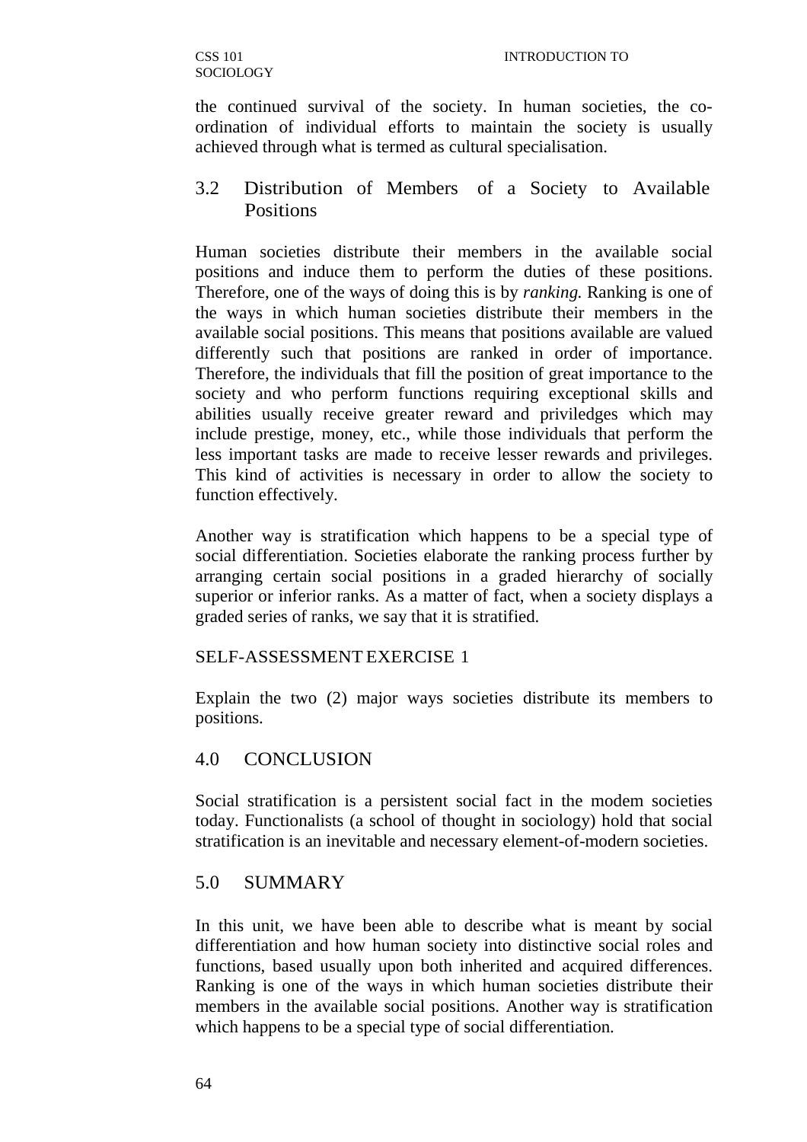the continued survival of the society. In human societies, the coordination of individual efforts to maintain the society is usually achieved through what is termed as cultural specialisation.

# 3.2 Distribution of Members of a Society to Available Positions

Human societies distribute their members in the available social positions and induce them to perform the duties of these positions. Therefore, one of the ways of doing this is by *ranking.* Ranking is one of the ways in which human societies distribute their members in the available social positions. This means that positions available are valued differently such that positions are ranked in order of importance. Therefore, the individuals that fill the position of great importance to the society and who perform functions requiring exceptional skills and abilities usually receive greater reward and priviledges which may include prestige, money, etc., while those individuals that perform the less important tasks are made to receive lesser rewards and privileges. This kind of activities is necessary in order to allow the society to function effectively.

Another way is stratification which happens to be a special type of social differentiation. Societies elaborate the ranking process further by arranging certain social positions in a graded hierarchy of socially superior or inferior ranks. As a matter of fact, when a society displays a graded series of ranks, we say that it is stratified.

### SELF-ASSESSMENT EXERCISE 1

Explain the two (2) major ways societies distribute its members to positions.

### 4.0 CONCLUSION

Social stratification is a persistent social fact in the modem societies today. Functionalists (a school of thought in sociology) hold that social stratification is an inevitable and necessary element-of-modern societies.

### 5.0 SUMMARY

In this unit, we have been able to describe what is meant by social differentiation and how human society into distinctive social roles and functions, based usually upon both inherited and acquired differences. Ranking is one of the ways in which human societies distribute their members in the available social positions. Another way is stratification which happens to be a special type of social differentiation.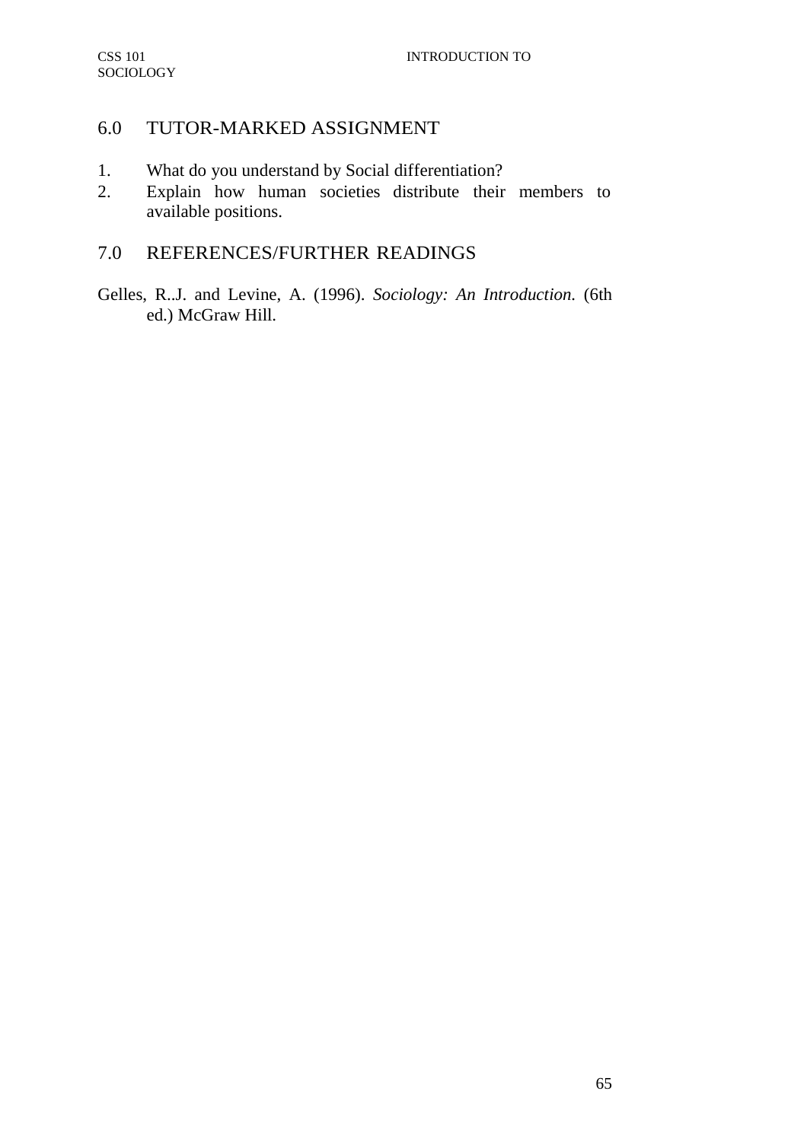# 6.0 TUTOR-MARKED ASSIGNMENT

- 1. What do you understand by Social differentiation?
- 2. Explain how human societies distribute their members to available positions.

# 7.0 REFERENCES/FURTHER READINGS

Gelles, R..J. and Levine, A. (1996). *Sociology: An Introduction.* (6th ed.) McGraw Hill.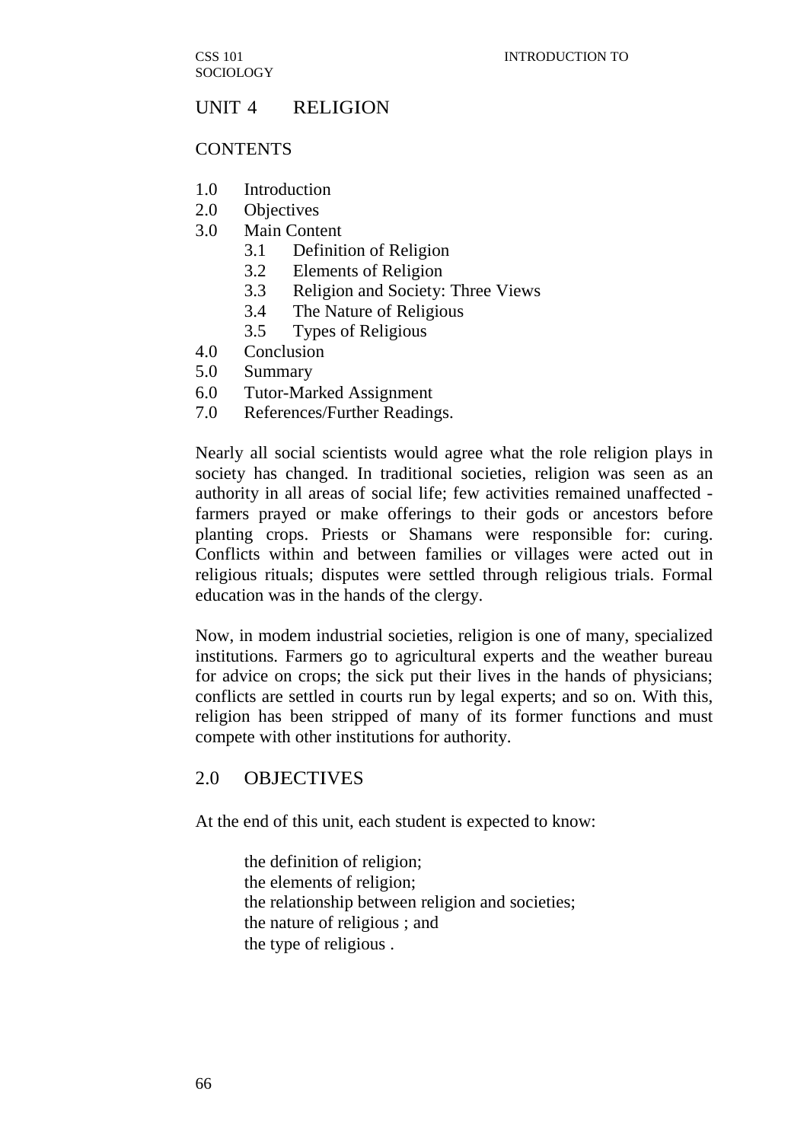## UNIT 4 RELIGION

#### **CONTENTS**

- 1.0 Introduction
- 2.0 Objectives
- 3.0 Main Content
	- 3.1 Definition of Religion
	- 3.2 Elements of Religion
	- 3.3 Religion and Society: Three Views
	- 3.4 The Nature of Religious
	- 3.5 Types of Religious
- 4.0 Conclusion
- 5.0 Summary
- 6.0 Tutor-Marked Assignment
- 7.0 References/Further Readings.

Nearly all social scientists would agree what the role religion plays in society has changed. In traditional societies, religion was seen as an authority in all areas of social life; few activities remained unaffected farmers prayed or make offerings to their gods or ancestors before planting crops. Priests or Shamans were responsible for: curing. Conflicts within and between families or villages were acted out in religious rituals; disputes were settled through religious trials. Formal education was in the hands of the clergy.

Now, in modem industrial societies, religion is one of many, specialized institutions. Farmers go to agricultural experts and the weather bureau for advice on crops; the sick put their lives in the hands of physicians; conflicts are settled in courts run by legal experts; and so on. With this, religion has been stripped of many of its former functions and must compete with other institutions for authority.

### 2.0 OBJECTIVES

At the end of this unit, each student is expected to know:

the definition of religion; the elements of religion; the relationship between religion and societies; the nature of religious ; and the type of religious .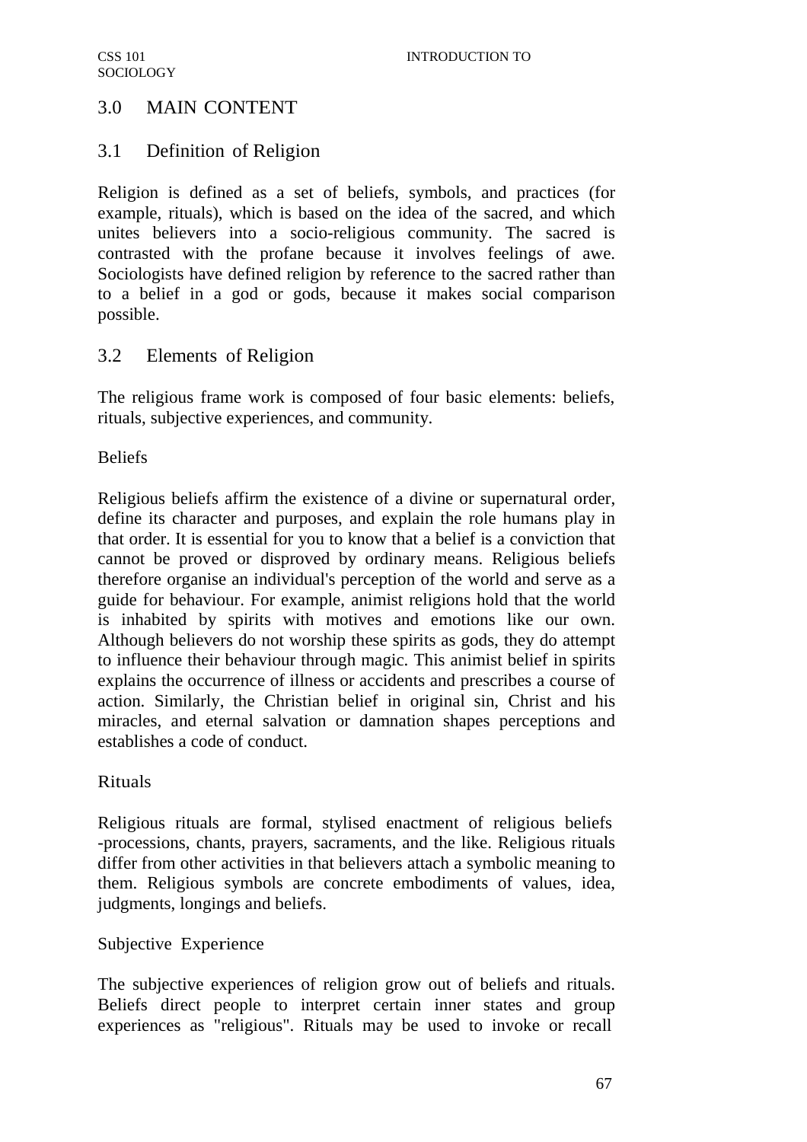# 3.0 MAIN CONTENT

# 3.1 Definition of Religion

Religion is defined as a set of beliefs, symbols, and practices (for example, rituals), which is based on the idea of the sacred, and which unites believers into a socio-religious community. The sacred is contrasted with the profane because it involves feelings of awe. Sociologists have defined religion by reference to the sacred rather than to a belief in a god or gods, because it makes social comparison possible.

# 3.2 Elements of Religion

The religious frame work is composed of four basic elements: beliefs, rituals, subjective experiences, and community.

Beliefs

Religious beliefs affirm the existence of a divine or supernatural order, define its character and purposes, and explain the role humans play in that order. It is essential for you to know that a belief is a conviction that cannot be proved or disproved by ordinary means. Religious beliefs therefore organise an individual's perception of the world and serve as a guide for behaviour. For example, animist religions hold that the world is inhabited by spirits with motives and emotions like our own. Although believers do not worship these spirits as gods, they do attempt to influence their behaviour through magic. This animist belief in spirits explains the occurrence of illness or accidents and prescribes a course of action. Similarly, the Christian belief in original sin, Christ and his miracles, and eternal salvation or damnation shapes perceptions and establishes a code of conduct.

### Rituals

Religious rituals are formal, stylised enactment of religious beliefs -processions, chants, prayers, sacraments, and the like. Religious rituals differ from other activities in that believers attach a symbolic meaning to them. Religious symbols are concrete embodiments of values, idea, judgments, longings and beliefs.

### Subjective Experience

The subjective experiences of religion grow out of beliefs and rituals. Beliefs direct people to interpret certain inner states and group experiences as "religious". Rituals may be used to invoke or recall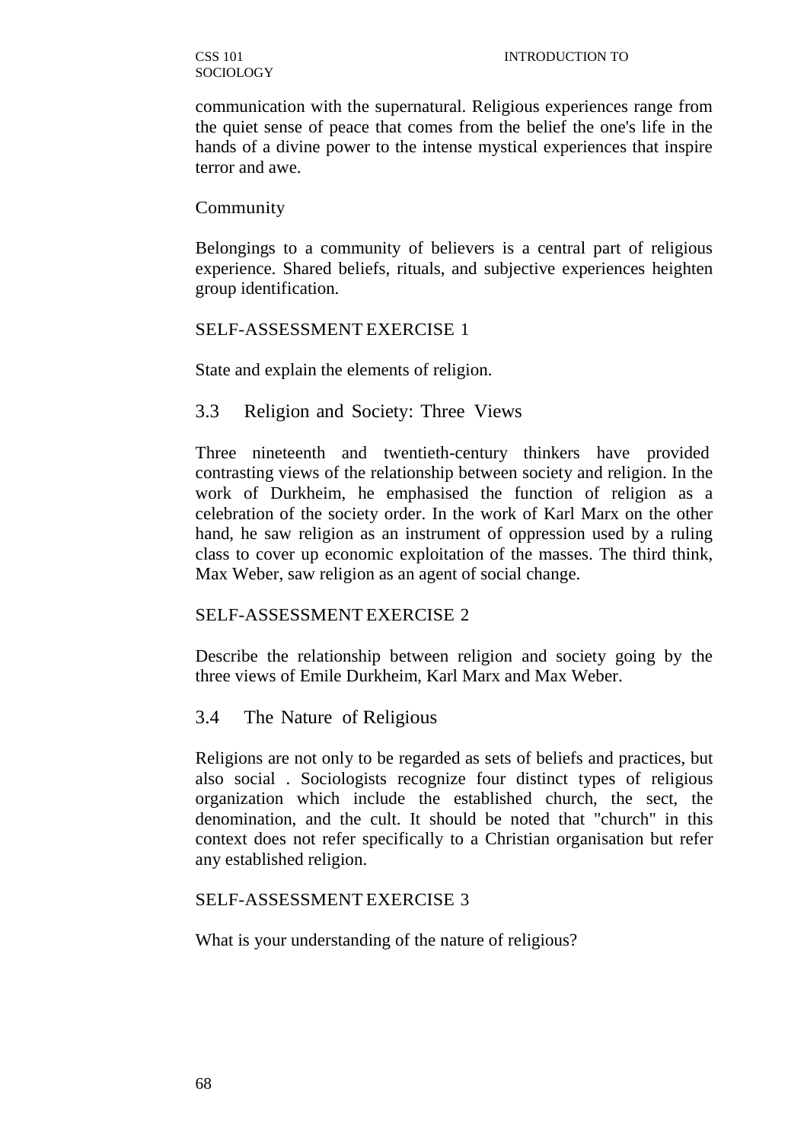communication with the supernatural. Religious experiences range from the quiet sense of peace that comes from the belief the one's life in the hands of a divine power to the intense mystical experiences that inspire terror and awe.

#### Community

Belongings to a community of believers is a central part of religious experience. Shared beliefs, rituals, and subjective experiences heighten group identification.

### SELF-ASSESSMENT EXERCISE 1

State and explain the elements of religion.

## 3.3 Religion and Society: Three Views

Three nineteenth and twentieth-century thinkers have provided contrasting views of the relationship between society and religion. In the work of Durkheim, he emphasised the function of religion as a celebration of the society order. In the work of Karl Marx on the other hand, he saw religion as an instrument of oppression used by a ruling class to cover up economic exploitation of the masses. The third think, Max Weber, saw religion as an agent of social change.

### SELF-ASSESSMENT EXERCISE 2

Describe the relationship between religion and society going by the three views of Emile Durkheim, Karl Marx and Max Weber.

### 3.4 The Nature of Religious

Religions are not only to be regarded as sets of beliefs and practices, but also social . Sociologists recognize four distinct types of religious organization which include the established church, the sect, the denomination, and the cult. It should be noted that "church" in this context does not refer specifically to a Christian organisation but refer any established religion.

### SELF-ASSESSMENT EXERCISE 3

What is your understanding of the nature of religious?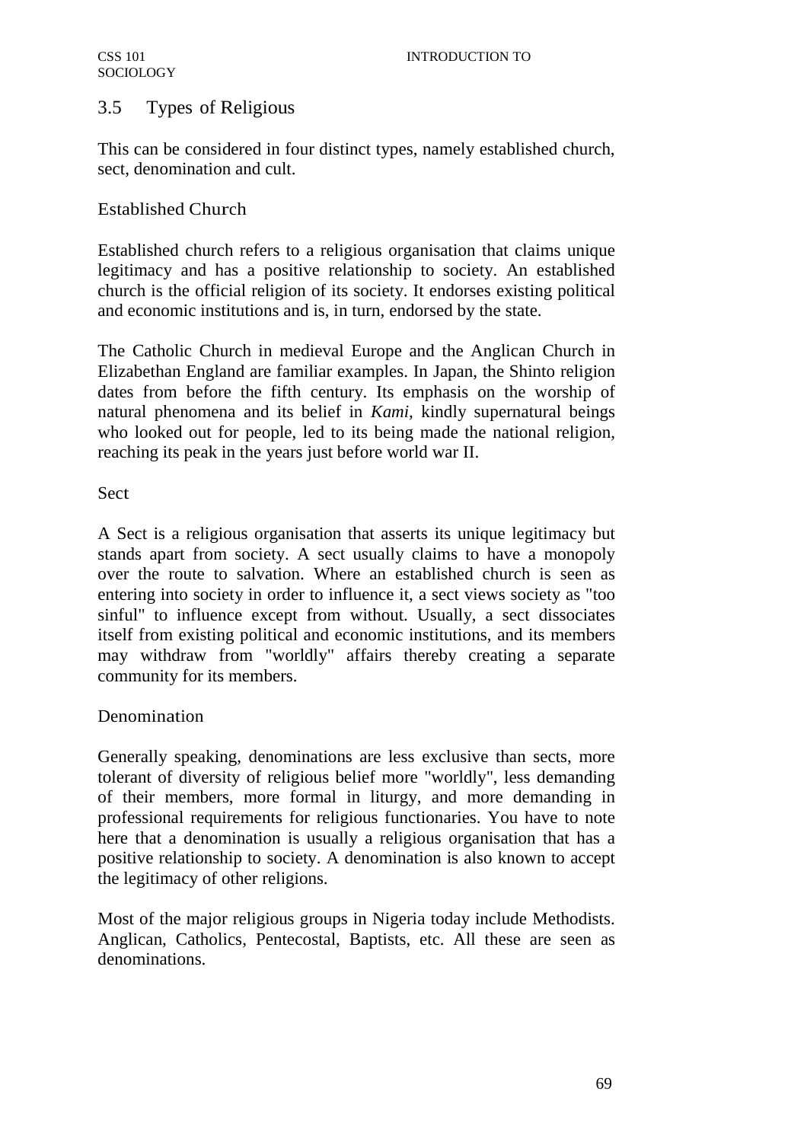# 3.5 Types of Religious

This can be considered in four distinct types, namely established church, sect, denomination and cult.

# Established Church

Established church refers to a religious organisation that claims unique legitimacy and has a positive relationship to society. An established church is the official religion of its society. It endorses existing political and economic institutions and is, in turn, endorsed by the state.

The Catholic Church in medieval Europe and the Anglican Church in Elizabethan England are familiar examples. In Japan, the Shinto religion dates from before the fifth century. Its emphasis on the worship of natural phenomena and its belief in *Kami,* kindly supernatural beings who looked out for people, led to its being made the national religion, reaching its peak in the years just before world war II.

## Sect

A Sect is a religious organisation that asserts its unique legitimacy but stands apart from society. A sect usually claims to have a monopoly over the route to salvation. Where an established church is seen as entering into society in order to influence it, a sect views society as "too sinful" to influence except from without. Usually, a sect dissociates itself from existing political and economic institutions, and its members may withdraw from "worldly" affairs thereby creating a separate community for its members.

# Denomination

Generally speaking, denominations are less exclusive than sects, more tolerant of diversity of religious belief more "worldly", less demanding of their members, more formal in liturgy, and more demanding in professional requirements for religious functionaries. You have to note here that a denomination is usually a religious organisation that has a positive relationship to society. A denomination is also known to accept the legitimacy of other religions.

Most of the major religious groups in Nigeria today include Methodists. Anglican, Catholics, Pentecostal, Baptists, etc. All these are seen as denominations.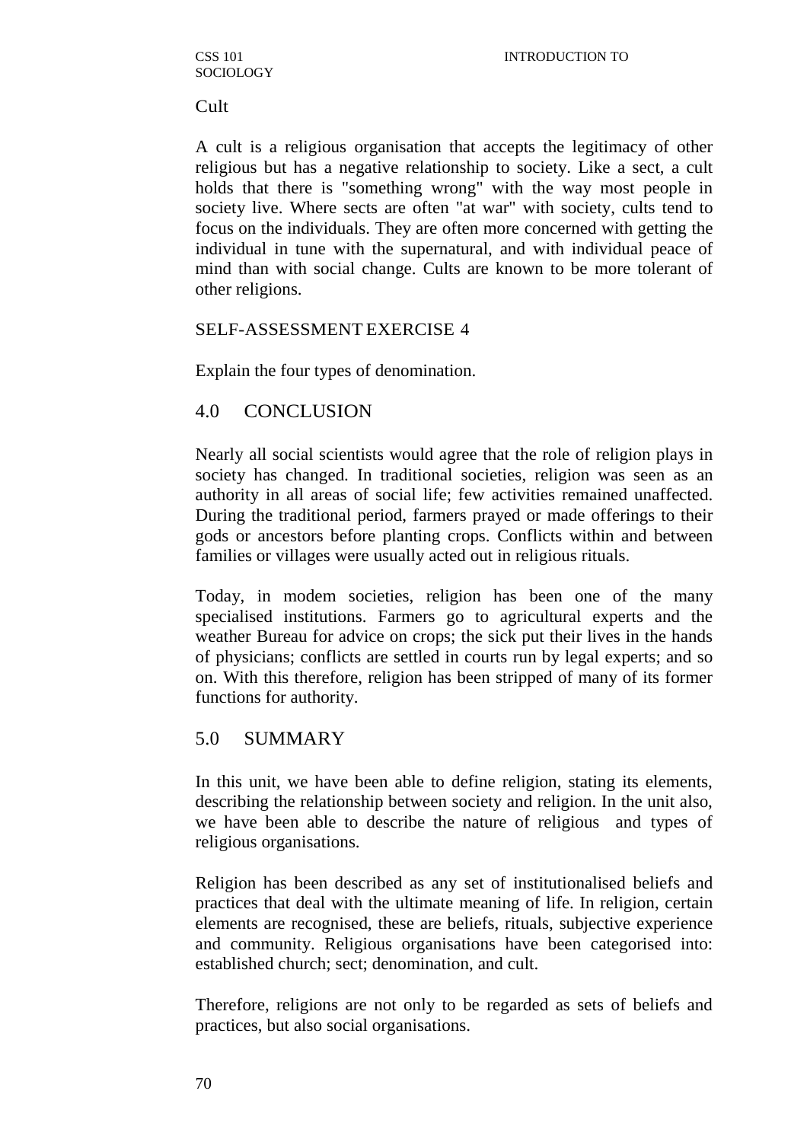Cult

A cult is a religious organisation that accepts the legitimacy of other religious but has a negative relationship to society. Like a sect, a cult holds that there is "something wrong" with the way most people in society live. Where sects are often "at war" with society, cults tend to focus on the individuals. They are often more concerned with getting the individual in tune with the supernatural, and with individual peace of mind than with social change. Cults are known to be more tolerant of other religions.

### SELF-ASSESSMENT EXERCISE 4

Explain the four types of denomination.

### 4.0 CONCLUSION

Nearly all social scientists would agree that the role of religion plays in society has changed. In traditional societies, religion was seen as an authority in all areas of social life; few activities remained unaffected. During the traditional period, farmers prayed or made offerings to their gods or ancestors before planting crops. Conflicts within and between families or villages were usually acted out in religious rituals.

Today, in modem societies, religion has been one of the many specialised institutions. Farmers go to agricultural experts and the weather Bureau for advice on crops; the sick put their lives in the hands of physicians; conflicts are settled in courts run by legal experts; and so on. With this therefore, religion has been stripped of many of its former functions for authority.

### 5.0 SUMMARY

In this unit, we have been able to define religion, stating its elements, describing the relationship between society and religion. In the unit also, we have been able to describe the nature of religious and types of religious organisations.

Religion has been described as any set of institutionalised beliefs and practices that deal with the ultimate meaning of life. In religion, certain elements are recognised, these are beliefs, rituals, subjective experience and community. Religious organisations have been categorised into: established church; sect; denomination, and cult.

Therefore, religions are not only to be regarded as sets of beliefs and practices, but also social organisations.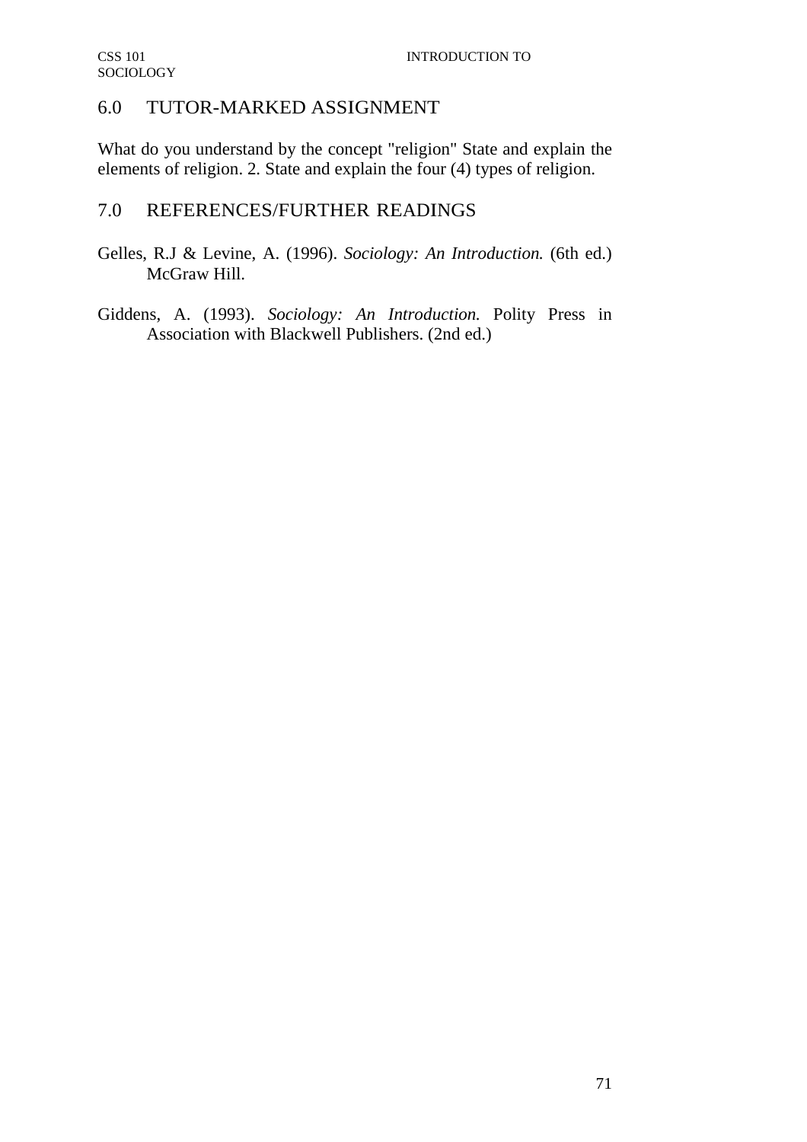# 6.0 TUTOR-MARKED ASSIGNMENT

What do you understand by the concept "religion" State and explain the elements of religion. 2. State and explain the four (4) types of religion.

# 7.0 REFERENCES/FURTHER READINGS

- Gelles, R.J & Levine, A. (1996). *Sociology: An Introduction.* (6th ed.) McGraw Hill.
- Giddens, A. (1993). *Sociology: An Introduction.* Polity Press in Association with Blackwell Publishers. (2nd ed.)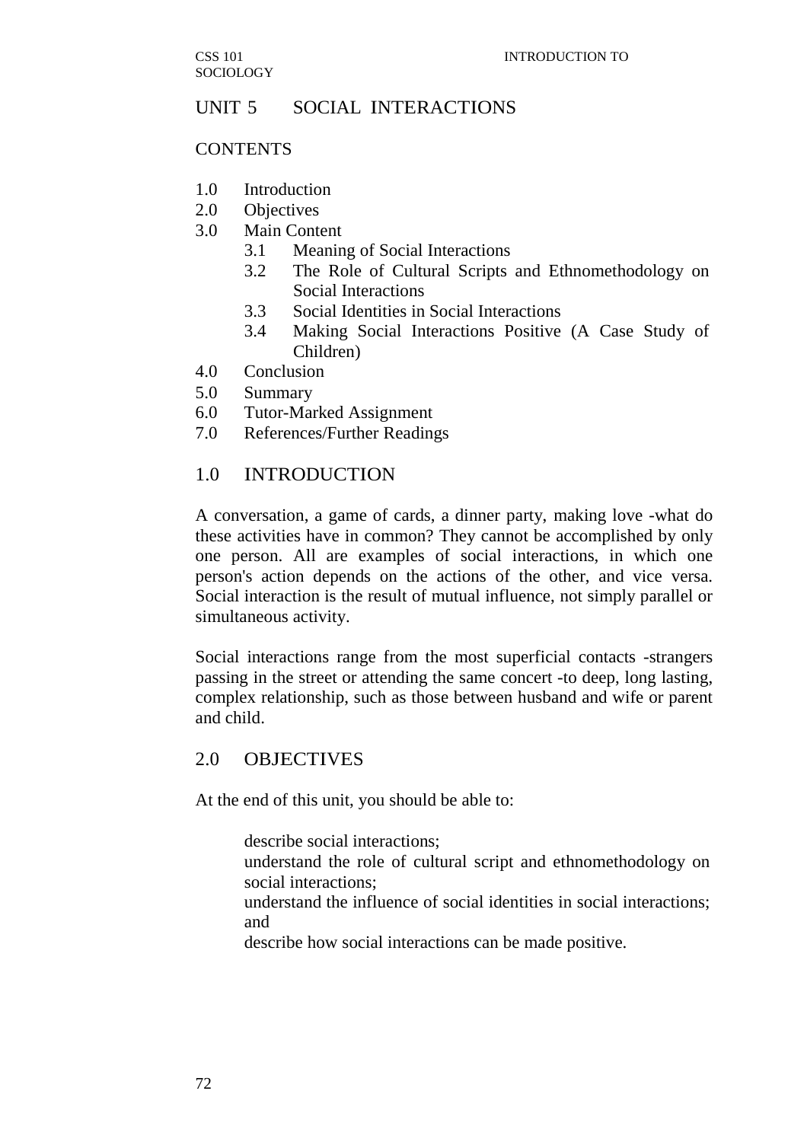# UNIT 5 SOCIAL INTERACTIONS

#### **CONTENTS**

- 1.0 Introduction
- 2.0 Objectives
- 3.0 Main Content
	- 3.1 Meaning of Social Interactions
	- 3.2 The Role of Cultural Scripts and Ethnomethodology on Social Interactions
	- 3.3 Social Identities in Social Interactions
	- 3.4 Making Social Interactions Positive (A Case Study of Children)
- 4.0 Conclusion
- 5.0 Summary
- 6.0 Tutor-Marked Assignment
- 7.0 References/Further Readings

## 1.0 INTRODUCTION

A conversation, a game of cards, a dinner party, making love -what do these activities have in common? They cannot be accomplished by only one person. All are examples of social interactions, in which one person's action depends on the actions of the other, and vice versa. Social interaction is the result of mutual influence, not simply parallel or simultaneous activity.

Social interactions range from the most superficial contacts -strangers passing in the street or attending the same concert -to deep, long lasting, complex relationship, such as those between husband and wife or parent and child.

# 2.0 OBJECTIVES

At the end of this unit, you should be able to:

describe social interactions;

understand the role of cultural script and ethnomethodology on social interactions;

understand the influence of social identities in social interactions; and

describe how social interactions can be made positive.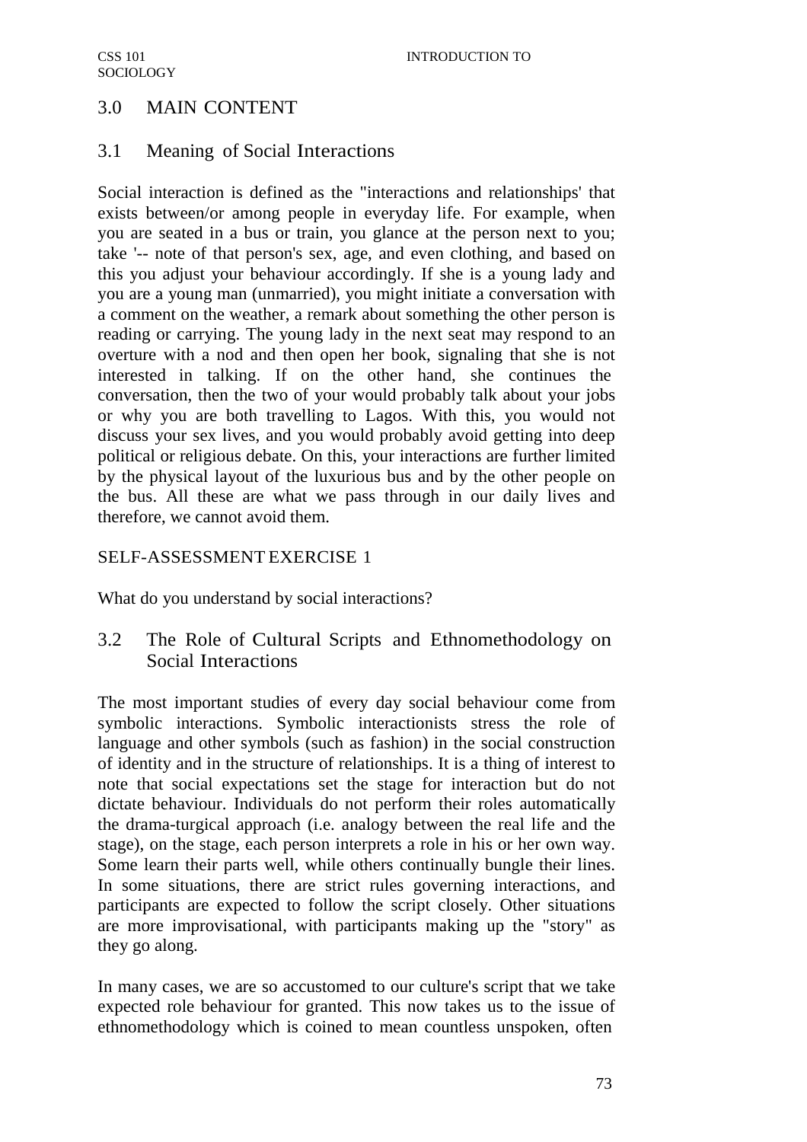# 3.0 MAIN CONTENT

# 3.1 Meaning of Social Interactions

Social interaction is defined as the "interactions and relationships' that exists between/or among people in everyday life. For example, when you are seated in a bus or train, you glance at the person next to you; take '-- note of that person's sex, age, and even clothing, and based on this you adjust your behaviour accordingly. If she is a young lady and you are a young man (unmarried), you might initiate a conversation with a comment on the weather, a remark about something the other person is reading or carrying. The young lady in the next seat may respond to an overture with a nod and then open her book, signaling that she is not interested in talking. If on the other hand, she continues the conversation, then the two of your would probably talk about your jobs or why you are both travelling to Lagos. With this, you would not discuss your sex lives, and you would probably avoid getting into deep political or religious debate. On this, your interactions are further limited by the physical layout of the luxurious bus and by the other people on the bus. All these are what we pass through in our daily lives and therefore, we cannot avoid them.

## SELF-ASSESSMENT EXERCISE 1

What do you understand by social interactions?

# 3.2 The Role of Cultural Scripts and Ethnomethodology on Social Interactions

The most important studies of every day social behaviour come from symbolic interactions. Symbolic interactionists stress the role of language and other symbols (such as fashion) in the social construction of identity and in the structure of relationships. It is a thing of interest to note that social expectations set the stage for interaction but do not dictate behaviour. Individuals do not perform their roles automatically the drama-turgical approach (i.e. analogy between the real life and the stage), on the stage, each person interprets a role in his or her own way. Some learn their parts well, while others continually bungle their lines. In some situations, there are strict rules governing interactions, and participants are expected to follow the script closely. Other situations are more improvisational, with participants making up the "story" as they go along.

In many cases, we are so accustomed to our culture's script that we take expected role behaviour for granted. This now takes us to the issue of ethnomethodology which is coined to mean countless unspoken, often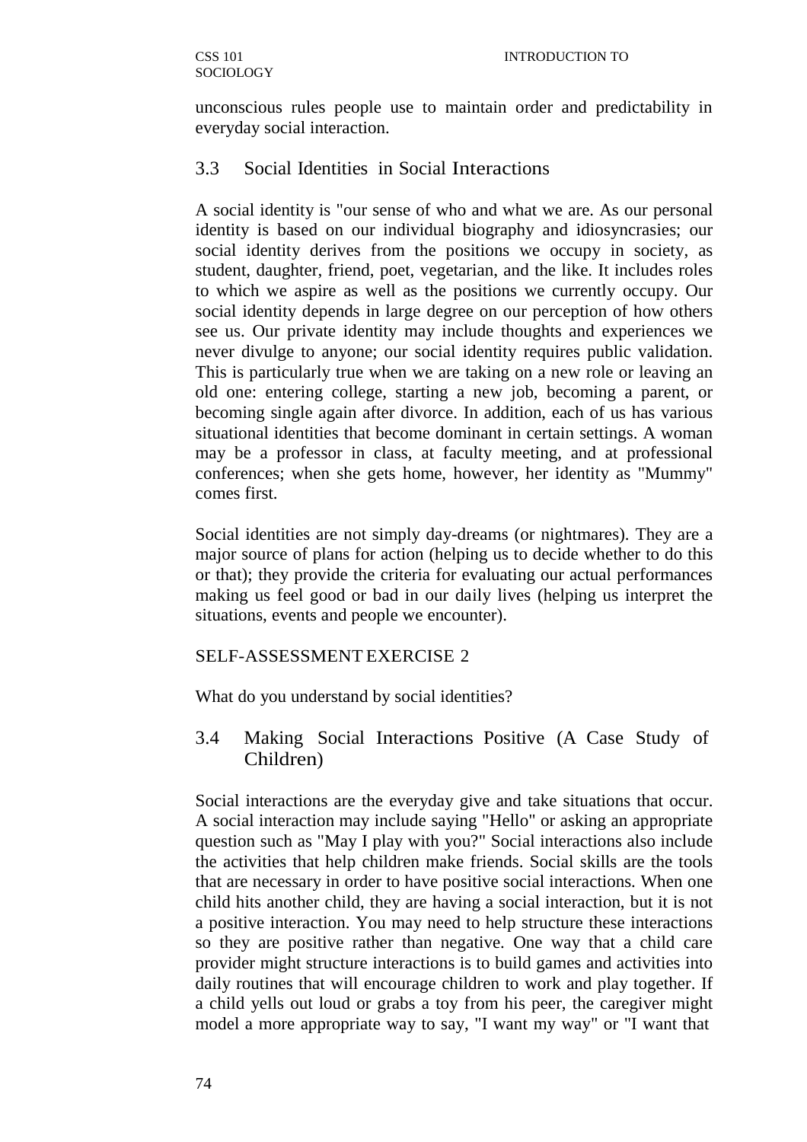unconscious rules people use to maintain order and predictability in everyday social interaction.

# 3.3 Social Identities in Social Interactions

A social identity is "our sense of who and what we are. As our personal identity is based on our individual biography and idiosyncrasies; our social identity derives from the positions we occupy in society, as student, daughter, friend, poet, vegetarian, and the like. It includes roles to which we aspire as well as the positions we currently occupy. Our social identity depends in large degree on our perception of how others see us. Our private identity may include thoughts and experiences we never divulge to anyone; our social identity requires public validation. This is particularly true when we are taking on a new role or leaving an old one: entering college, starting a new job, becoming a parent, or becoming single again after divorce. In addition, each of us has various situational identities that become dominant in certain settings. A woman may be a professor in class, at faculty meeting, and at professional conferences; when she gets home, however, her identity as "Mummy" comes first.

Social identities are not simply day-dreams (or nightmares). They are a major source of plans for action (helping us to decide whether to do this or that); they provide the criteria for evaluating our actual performances making us feel good or bad in our daily lives (helping us interpret the situations, events and people we encounter).

### SELF-ASSESSMENT EXERCISE 2

What do you understand by social identities?

3.4 Making Social Interactions Positive (A Case Study of Children)

Social interactions are the everyday give and take situations that occur. A social interaction may include saying "Hello" or asking an appropriate question such as "May I play with you?" Social interactions also include the activities that help children make friends. Social skills are the tools that are necessary in order to have positive social interactions. When one child hits another child, they are having a social interaction, but it is not a positive interaction. You may need to help structure these interactions so they are positive rather than negative. One way that a child care provider might structure interactions is to build games and activities into daily routines that will encourage children to work and play together. If a child yells out loud or grabs a toy from his peer, the caregiver might model a more appropriate way to say, "I want my way" or "I want that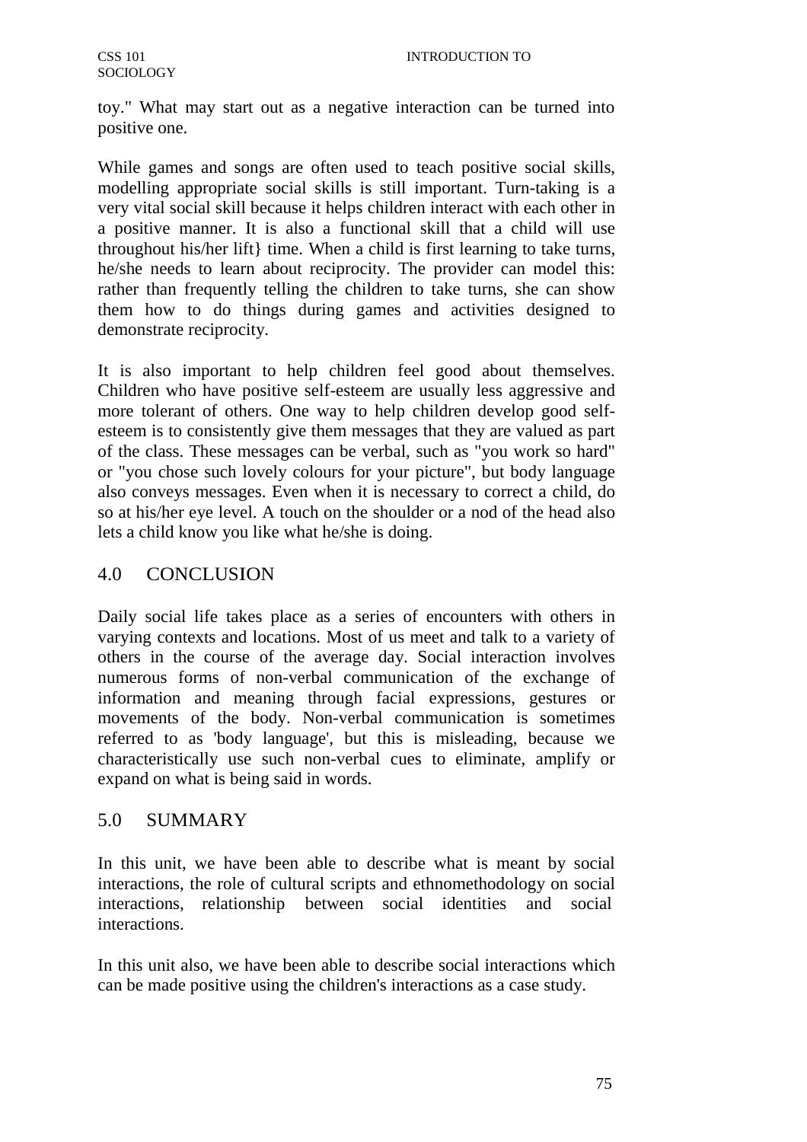toy." What may start out as a negative interaction can be turned into positive one.

While games and songs are often used to teach positive social skills, modelling appropriate social skills is still important. Turn-taking is a very vital social skill because it helps children interact with each other in a positive manner. It is also a functional skill that a child will use throughout his/her lift} time. When a child is first learning to take turns, he/she needs to learn about reciprocity. The provider can model this: rather than frequently telling the children to take turns, she can show them how to do things during games and activities designed to demonstrate reciprocity.

It is also important to help children feel good about themselves. Children who have positive self-esteem are usually less aggressive and more tolerant of others. One way to help children develop good selfesteem is to consistently give them messages that they are valued as part of the class. These messages can be verbal, such as "you work so hard" or "you chose such lovely colours for your picture", but body language also conveys messages. Even when it is necessary to correct a child, do so at his/her eye level. A touch on the shoulder or a nod of the head also lets a child know you like what he/she is doing.

# 4.0 CONCLUSION

Daily social life takes place as a series of encounters with others in varying contexts and locations. Most of us meet and talk to a variety of others in the course of the average day. Social interaction involves numerous forms of non-verbal communication of the exchange of information and meaning through facial expressions, gestures or movements of the body. Non-verbal communication is sometimes referred to as 'body language', but this is misleading, because we characteristically use such non-verbal cues to eliminate, amplify or expand on what is being said in words.

# 5.0 SUMMARY

In this unit, we have been able to describe what is meant by social interactions, the role of cultural scripts and ethnomethodology on social interactions, relationship between social identities and social interactions.

In this unit also, we have been able to describe social interactions which can be made positive using the children's interactions as a case study.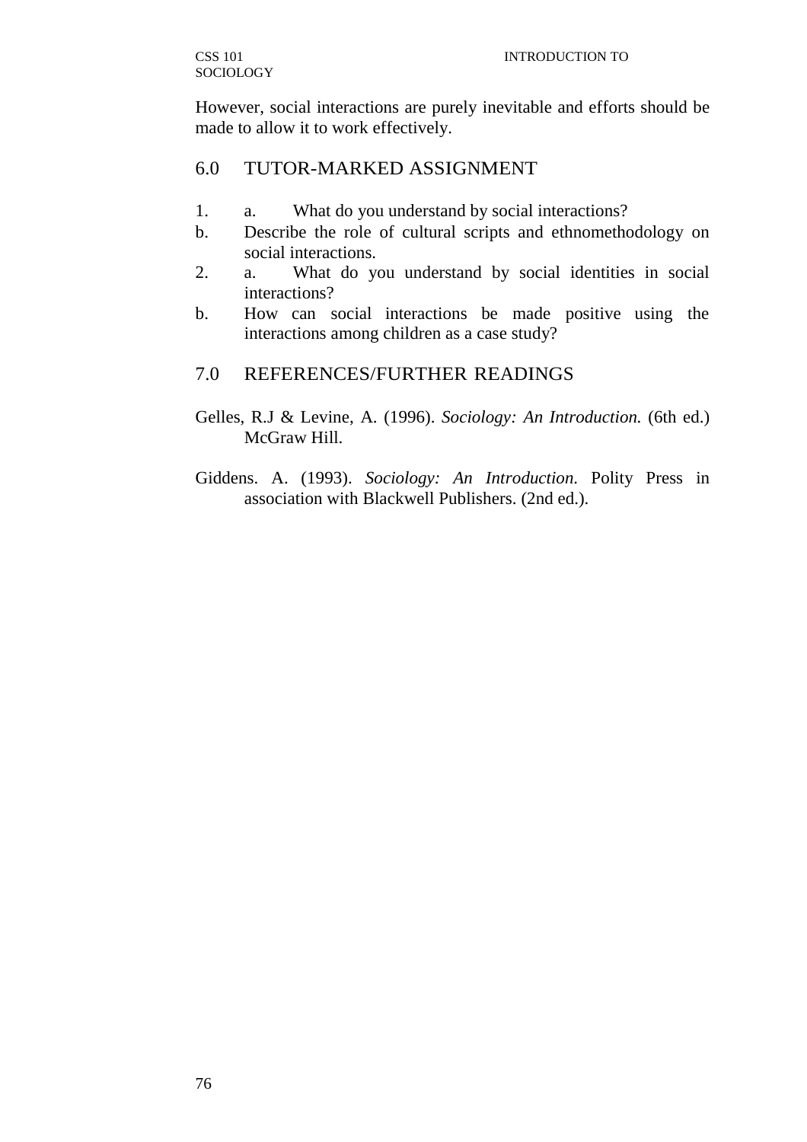However, social interactions are purely inevitable and efforts should be made to allow it to work effectively.

# 6.0 TUTOR-MARKED ASSIGNMENT

- 1. a. What do you understand by social interactions?
- b. Describe the role of cultural scripts and ethnomethodology on social interactions.
- 2. a. What do you understand by social identities in social interactions?
- b. How can social interactions be made positive using the interactions among children as a case study?

# 7.0 REFERENCES/FURTHER READINGS

- Gelles, R.J & Levine, A. (1996). *Sociology: An Introduction.* (6th ed.) McGraw Hill.
- Giddens. A. (1993). *Sociology: An Introduction.* Polity Press in association with Blackwell Publishers. (2nd ed.).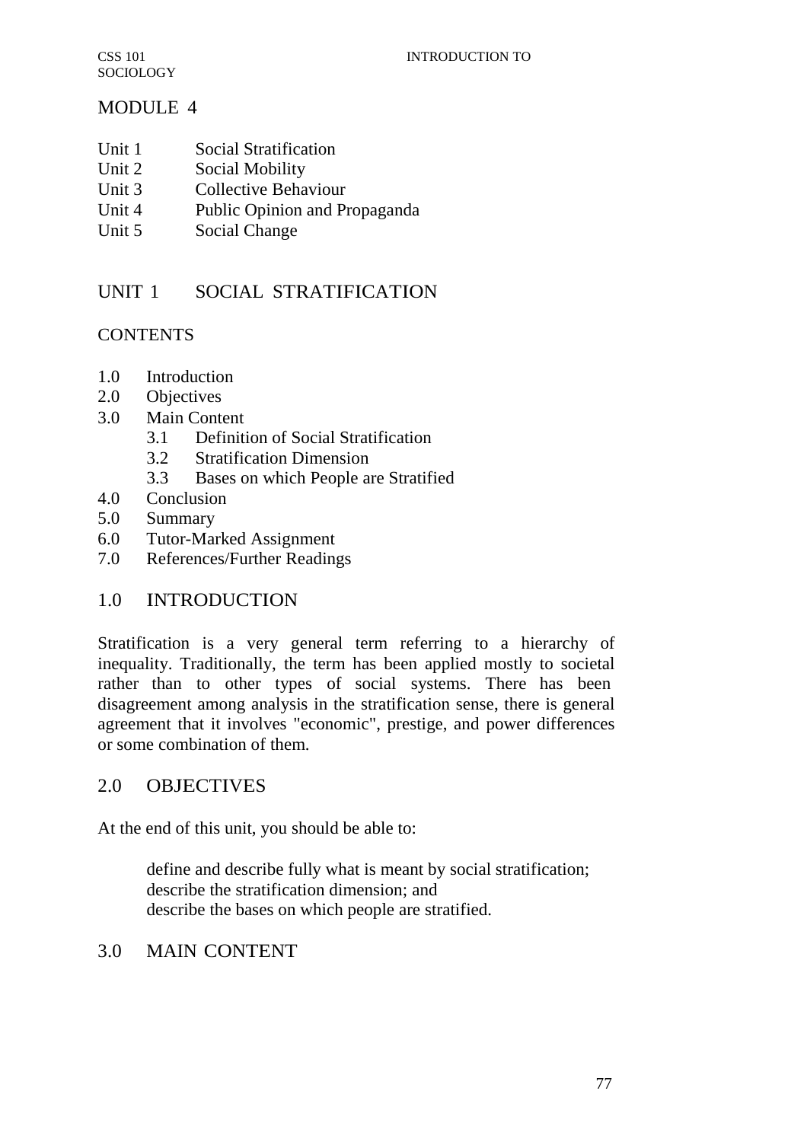# MODULE 4

- Unit 1 Social Stratification
- Unit 2 Social Mobility
- Unit 3 Collective Behaviour
- Unit 4 Public Opinion and Propaganda
- Unit 5 Social Change

# UNIT 1 SOCIAL STRATIFICATION

# **CONTENTS**

- 1.0 Introduction
- 2.0 Objectives
- 3.0 Main Content
	- 3.1 Definition of Social Stratification
	- 3.2 Stratification Dimension
	- 3.3 Bases on which People are Stratified
- 4.0 Conclusion
- 5.0 Summary
- 6.0 Tutor-Marked Assignment
- 7.0 References/Further Readings

# 1.0 INTRODUCTION

Stratification is a very general term referring to a hierarchy of inequality. Traditionally, the term has been applied mostly to societal rather than to other types of social systems. There has been disagreement among analysis in the stratification sense, there is general agreement that it involves "economic", prestige, and power differences or some combination of them.

# 2.0 OBJECTIVES

At the end of this unit, you should be able to:

define and describe fully what is meant by social stratification; describe the stratification dimension; and describe the bases on which people are stratified.

# 3.0 MAIN CONTENT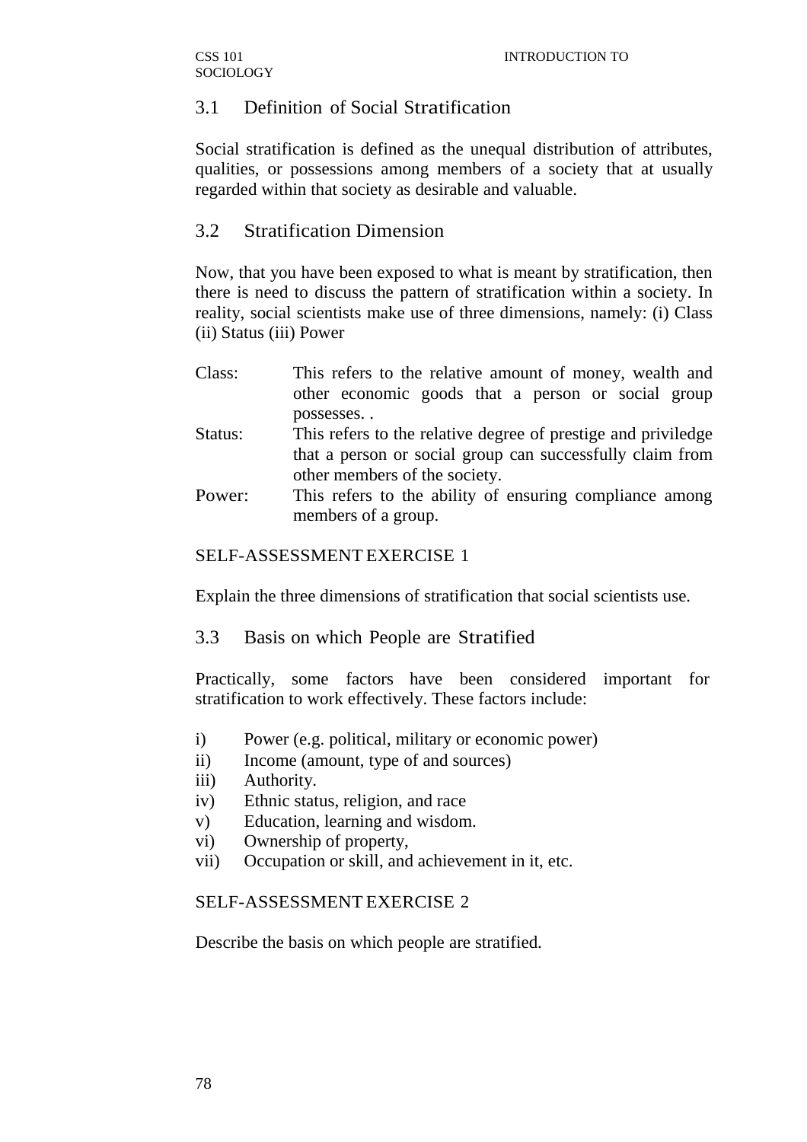# 3.1 Definition of Social Stratification

Social stratification is defined as the unequal distribution of attributes, qualities, or possessions among members of a society that at usually regarded within that society as desirable and valuable.

# 3.2 Stratification Dimension

Now, that you have been exposed to what is meant by stratification, then there is need to discuss the pattern of stratification within a society. In reality, social scientists make use of three dimensions, namely: (i) Class (ii) Status (iii) Power

- Class: This refers to the relative amount of money, wealth and other economic goods that a person or social group possesses. . Status: This refers to the relative degree of prestige and priviledge that a person or social group can successfully claim from
- other members of the society. Power: This refers to the ability of ensuring compliance among members of a group.

## SELF-ASSESSMENT EXERCISE 1

Explain the three dimensions of stratification that social scientists use.

3.3 Basis on which People are Stratified

Practically, some factors have been considered important for stratification to work effectively. These factors include:

- i) Power (e.g. political, military or economic power)
- ii) Income (amount, type of and sources)
- iii) Authority.
- iv) Ethnic status, religion, and race
- v) Education, learning and wisdom.
- vi) Ownership of property,
- vii) Occupation or skill, and achievement in it, etc.

### SELF-ASSESSMENT EXERCISE 2

Describe the basis on which people are stratified.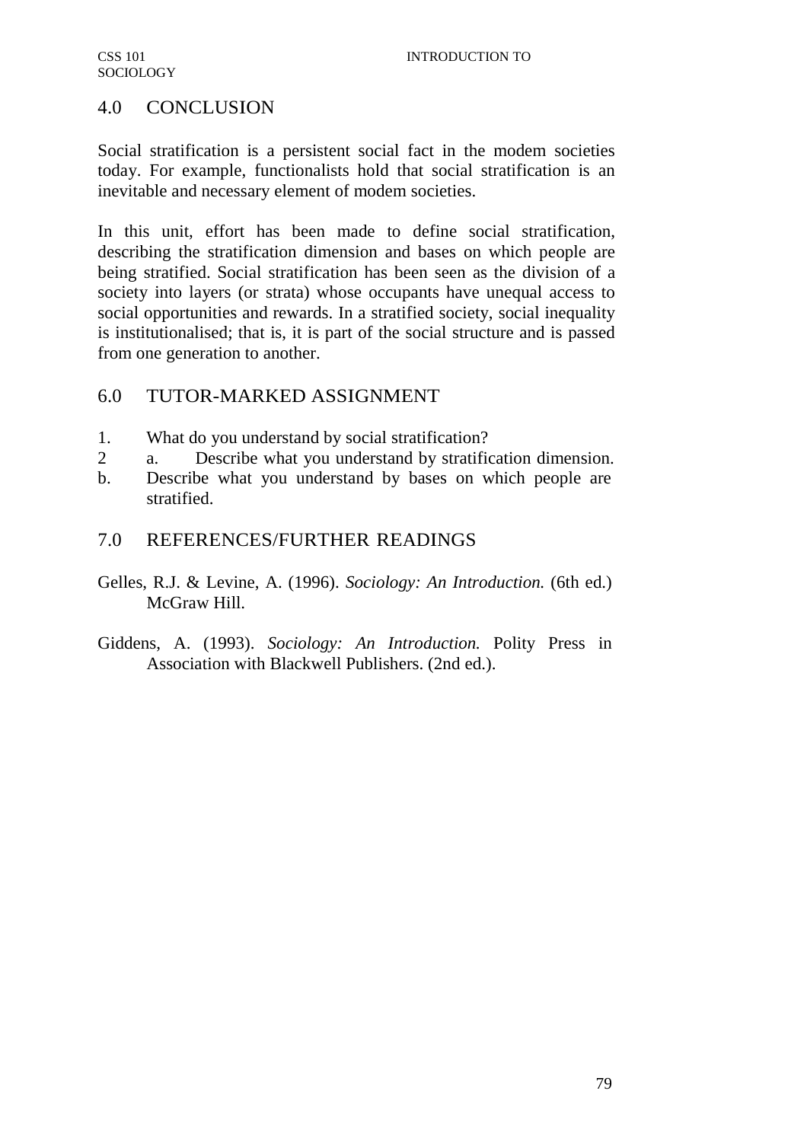# 4.0 CONCLUSION

Social stratification is a persistent social fact in the modem societies today. For example, functionalists hold that social stratification is an inevitable and necessary element of modem societies.

In this unit, effort has been made to define social stratification, describing the stratification dimension and bases on which people are being stratified. Social stratification has been seen as the division of a society into layers (or strata) whose occupants have unequal access to social opportunities and rewards. In a stratified society, social inequality is institutionalised; that is, it is part of the social structure and is passed from one generation to another.

# 6.0 TUTOR-MARKED ASSIGNMENT

- 1. What do you understand by social stratification?
- 2 a. Describe what you understand by stratification dimension.
- b. Describe what you understand by bases on which people are stratified.

# 7.0 REFERENCES/FURTHER READINGS

- Gelles, R.J. & Levine, A. (1996). *Sociology: An Introduction.* (6th ed.) McGraw Hill.
- Giddens, A. (1993). *Sociology: An Introduction.* Polity Press in Association with Blackwell Publishers. (2nd ed.).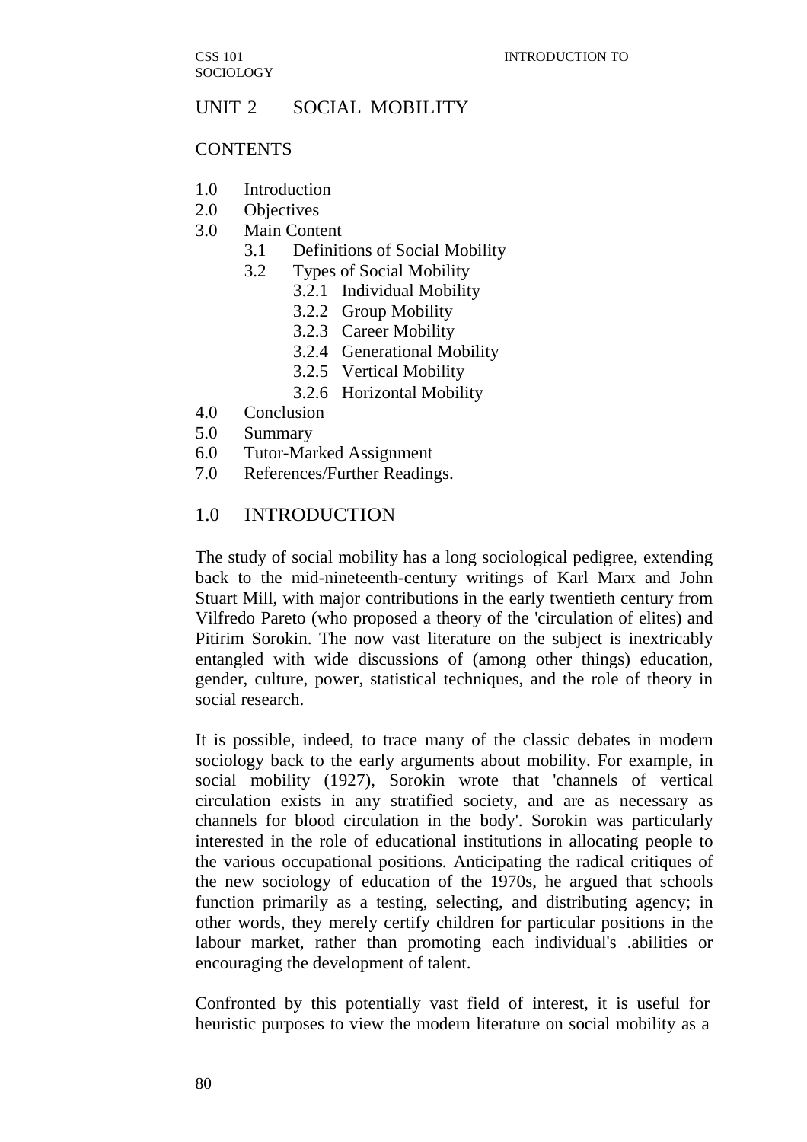# UNIT 2 SOCIAL MOBILITY

#### **CONTENTS**

- 1.0 Introduction
- 2.0 Objectives
- 3.0 Main Content
	- 3.1 Definitions of Social Mobility
	- 3.2 Types of Social Mobility
		- 3.2.1 Individual Mobility
		- 3.2.2 Group Mobility
		- 3.2.3 Career Mobility
		- 3.2.4 Generational Mobility
		- 3.2.5 Vertical Mobility
		- 3.2.6 Horizontal Mobility
- 4.0 Conclusion
- 5.0 Summary
- 6.0 Tutor-Marked Assignment
- 7.0 References/Further Readings.

#### 1.0 INTRODUCTION

The study of social mobility has a long sociological pedigree, extending back to the mid-nineteenth-century writings of Karl Marx and John Stuart Mill, with major contributions in the early twentieth century from Vilfredo Pareto (who proposed a theory of the 'circulation of elites) and Pitirim Sorokin. The now vast literature on the subject is inextricably entangled with wide discussions of (among other things) education, gender, culture, power, statistical techniques, and the role of theory in social research.

It is possible, indeed, to trace many of the classic debates in modern sociology back to the early arguments about mobility. For example, in social mobility (1927), Sorokin wrote that 'channels of vertical circulation exists in any stratified society, and are as necessary as channels for blood circulation in the body'. Sorokin was particularly interested in the role of educational institutions in allocating people to the various occupational positions. Anticipating the radical critiques of the new sociology of education of the 1970s, he argued that schools function primarily as a testing, selecting, and distributing agency; in other words, they merely certify children for particular positions in the labour market, rather than promoting each individual's .abilities or encouraging the development of talent.

Confronted by this potentially vast field of interest, it is useful for heuristic purposes to view the modern literature on social mobility as a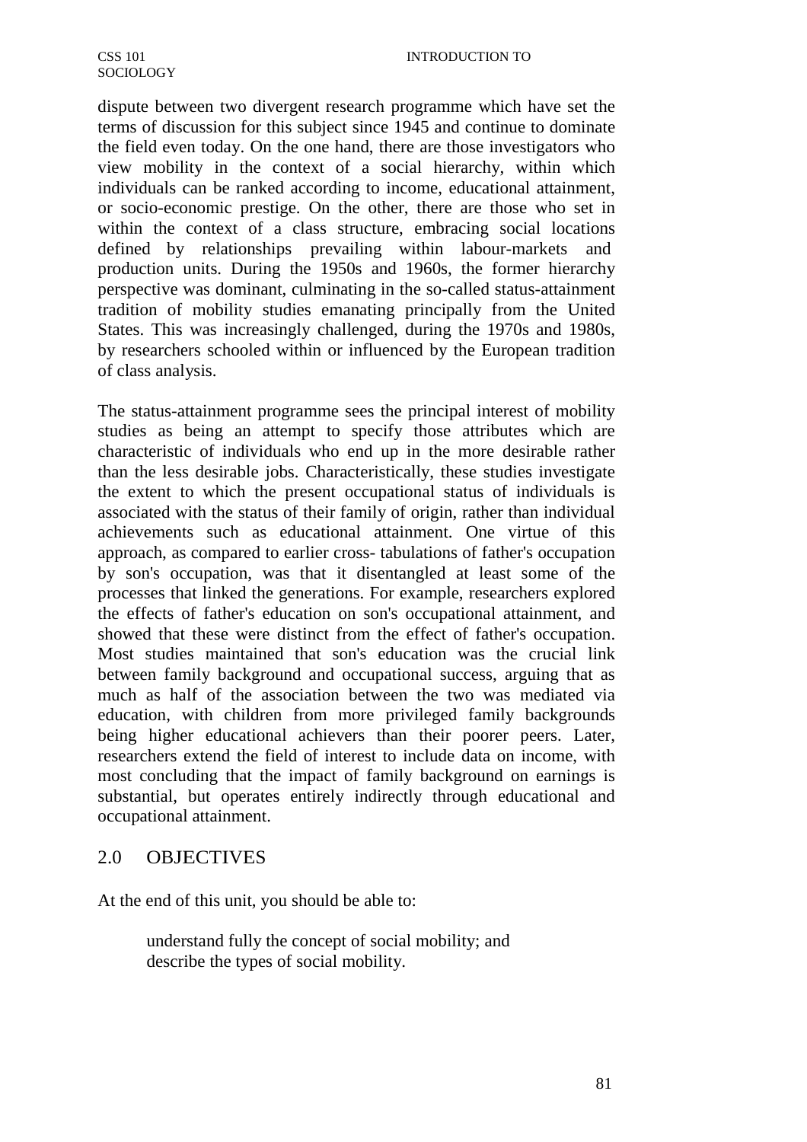dispute between two divergent research programme which have set the terms of discussion for this subject since 1945 and continue to dominate the field even today. On the one hand, there are those investigators who view mobility in the context of a social hierarchy, within which individuals can be ranked according to income, educational attainment, or socio-economic prestige. On the other, there are those who set in within the context of a class structure, embracing social locations defined by relationships prevailing within labour-markets and production units. During the 1950s and 1960s, the former hierarchy perspective was dominant, culminating in the so-called status-attainment tradition of mobility studies emanating principally from the United States. This was increasingly challenged, during the 1970s and 1980s, by researchers schooled within or influenced by the European tradition of class analysis.

The status-attainment programme sees the principal interest of mobility studies as being an attempt to specify those attributes which are characteristic of individuals who end up in the more desirable rather than the less desirable jobs. Characteristically, these studies investigate the extent to which the present occupational status of individuals is associated with the status of their family of origin, rather than individual achievements such as educational attainment. One virtue of this approach, as compared to earlier cross- tabulations of father's occupation by son's occupation, was that it disentangled at least some of the processes that linked the generations. For example, researchers explored the effects of father's education on son's occupational attainment, and showed that these were distinct from the effect of father's occupation. Most studies maintained that son's education was the crucial link between family background and occupational success, arguing that as much as half of the association between the two was mediated via education, with children from more privileged family backgrounds being higher educational achievers than their poorer peers. Later, researchers extend the field of interest to include data on income, with most concluding that the impact of family background on earnings is substantial, but operates entirely indirectly through educational and occupational attainment.

# 2.0 OBJECTIVES

At the end of this unit, you should be able to:

understand fully the concept of social mobility; and describe the types of social mobility.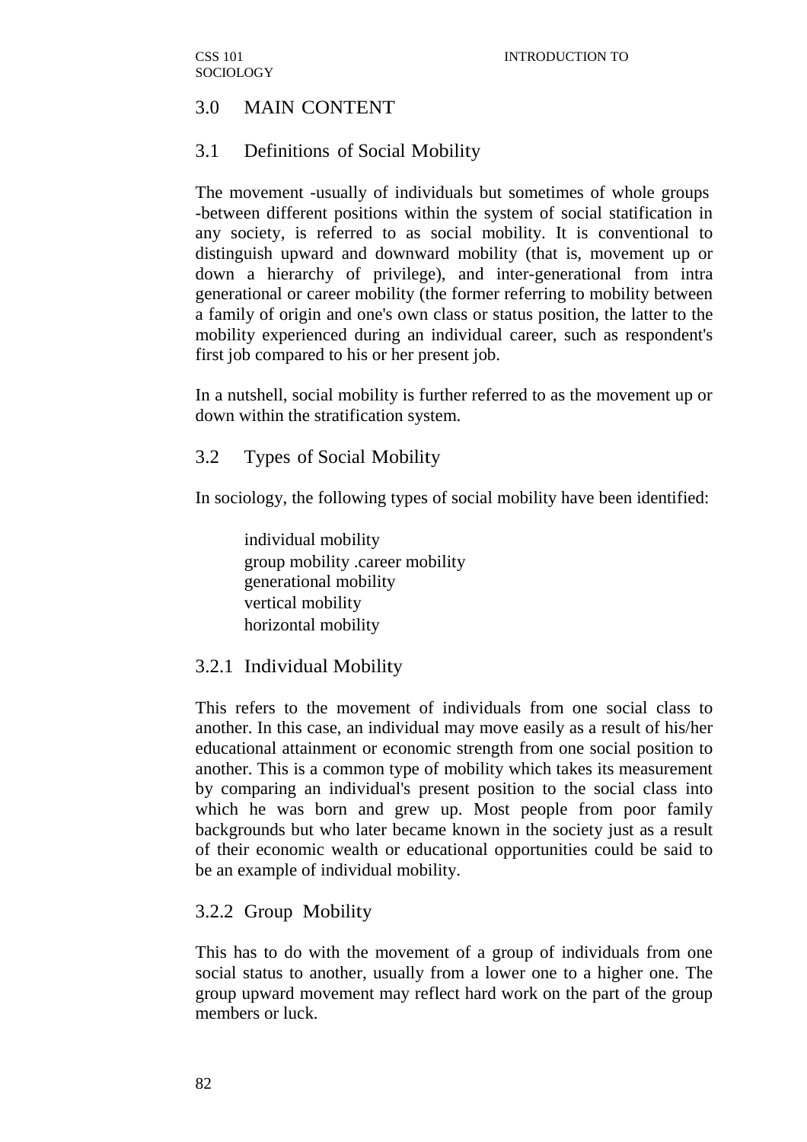# 3.0 MAIN CONTENT

# 3.1 Definitions of Social Mobility

The movement -usually of individuals but sometimes of whole groups -between different positions within the system of social statification in any society, is referred to as social mobility. It is conventional to distinguish upward and downward mobility (that is, movement up or down a hierarchy of privilege), and inter-generational from intra generational or career mobility (the former referring to mobility between a family of origin and one's own class or status position, the latter to the mobility experienced during an individual career, such as respondent's first job compared to his or her present job.

In a nutshell, social mobility is further referred to as the movement up or down within the stratification system.

## 3.2 Types of Social Mobility

In sociology, the following types of social mobility have been identified:

individual mobility group mobility .career mobility generational mobility vertical mobility horizontal mobility

# 3.2.1 Individual Mobility

This refers to the movement of individuals from one social class to another. In this case, an individual may move easily as a result of his/her educational attainment or economic strength from one social position to another. This is a common type of mobility which takes its measurement by comparing an individual's present position to the social class into which he was born and grew up. Most people from poor family backgrounds but who later became known in the society just as a result of their economic wealth or educational opportunities could be said to be an example of individual mobility.

### 3.2.2 Group Mobility

This has to do with the movement of a group of individuals from one social status to another, usually from a lower one to a higher one. The group upward movement may reflect hard work on the part of the group members or luck.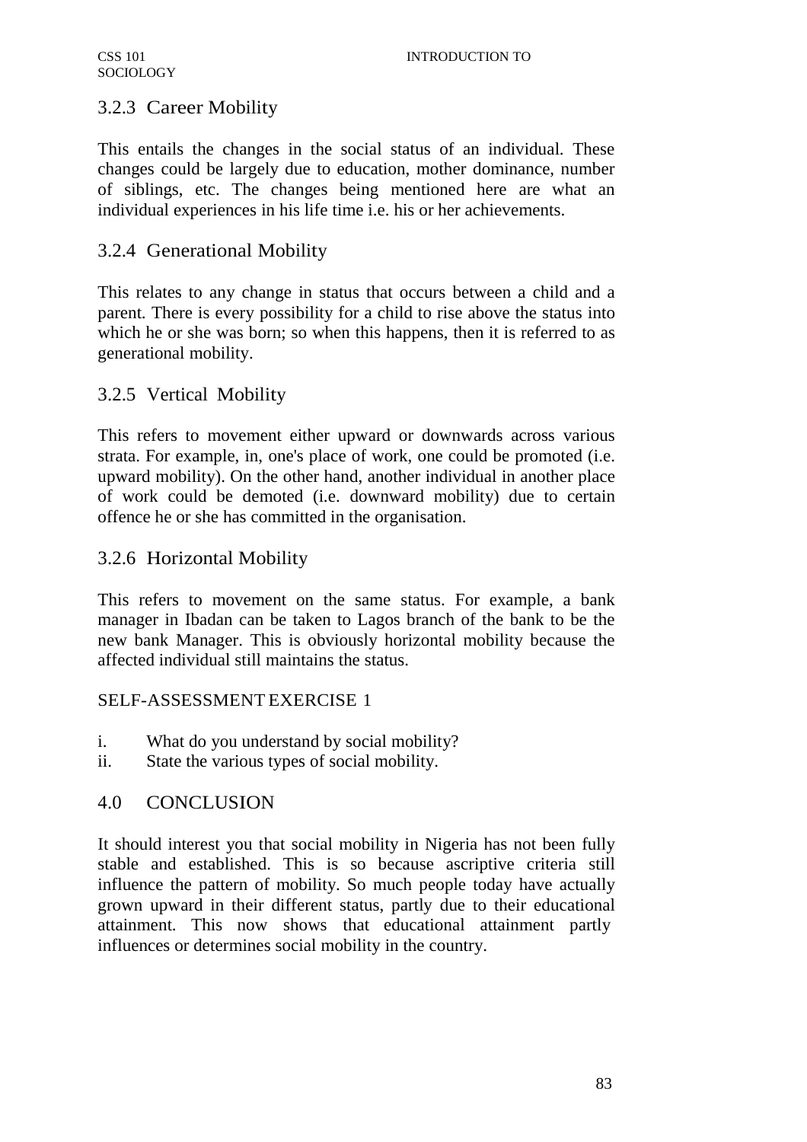# 3.2.3 Career Mobility

This entails the changes in the social status of an individual. These changes could be largely due to education, mother dominance, number of siblings, etc. The changes being mentioned here are what an individual experiences in his life time i.e. his or her achievements.

# 3.2.4 Generational Mobility

This relates to any change in status that occurs between a child and a parent. There is every possibility for a child to rise above the status into which he or she was born; so when this happens, then it is referred to as generational mobility.

# 3.2.5 Vertical Mobility

This refers to movement either upward or downwards across various strata. For example, in, one's place of work, one could be promoted (i.e. upward mobility). On the other hand, another individual in another place of work could be demoted (i.e. downward mobility) due to certain offence he or she has committed in the organisation.

# 3.2.6 Horizontal Mobility

This refers to movement on the same status. For example, a bank manager in Ibadan can be taken to Lagos branch of the bank to be the new bank Manager. This is obviously horizontal mobility because the affected individual still maintains the status.

### SELF-ASSESSMENT EXERCISE 1

- i. What do you understand by social mobility?
- ii. State the various types of social mobility.

# 4.0 CONCLUSION

It should interest you that social mobility in Nigeria has not been fully stable and established. This is so because ascriptive criteria still influence the pattern of mobility. So much people today have actually grown upward in their different status, partly due to their educational attainment. This now shows that educational attainment partly influences or determines social mobility in the country.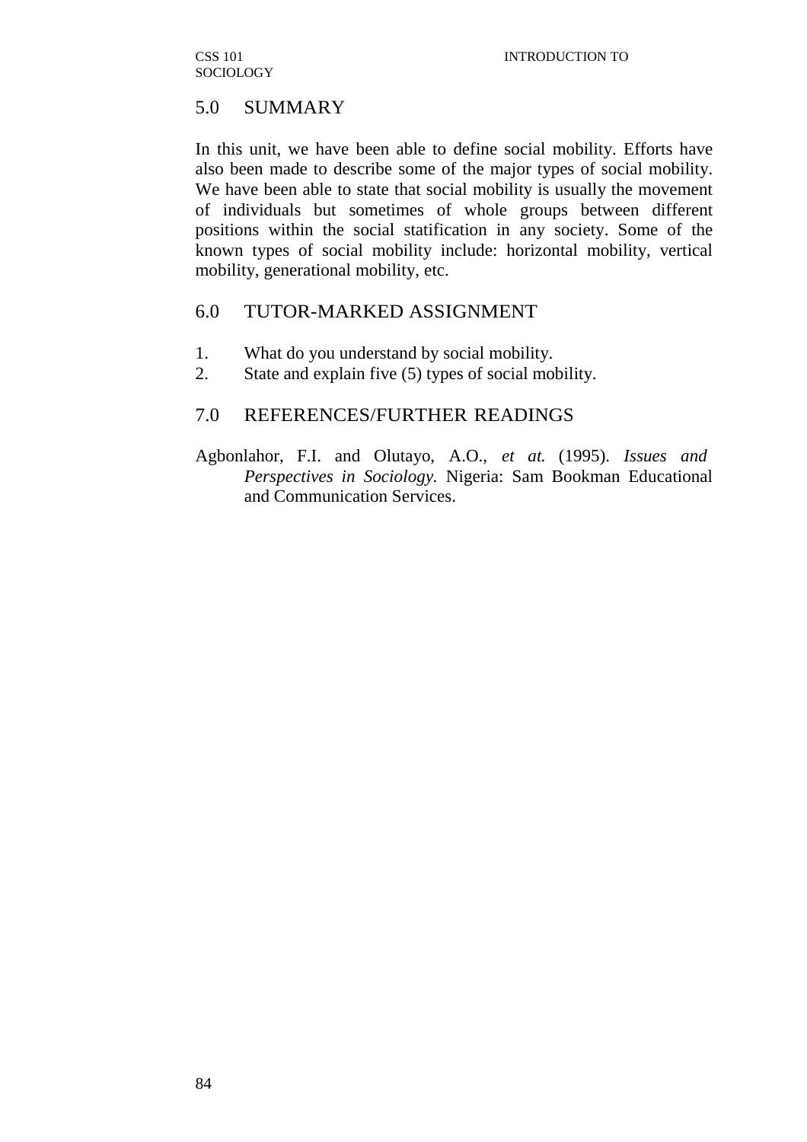# 5.0 SUMMARY

In this unit, we have been able to define social mobility. Efforts have also been made to describe some of the major types of social mobility. We have been able to state that social mobility is usually the movement of individuals but sometimes of whole groups between different positions within the social statification in any society. Some of the known types of social mobility include: horizontal mobility, vertical mobility, generational mobility, etc.

## 6.0 TUTOR-MARKED ASSIGNMENT

- 1. What do you understand by social mobility.
- 2. State and explain five (5) types of social mobility.

# 7.0 REFERENCES/FURTHER READINGS

Agbonlahor, F.I. and Olutayo, A.O., *et at.* (1995). *Issues and Perspectives in Sociology.* Nigeria: Sam Bookman Educational and Communication Services.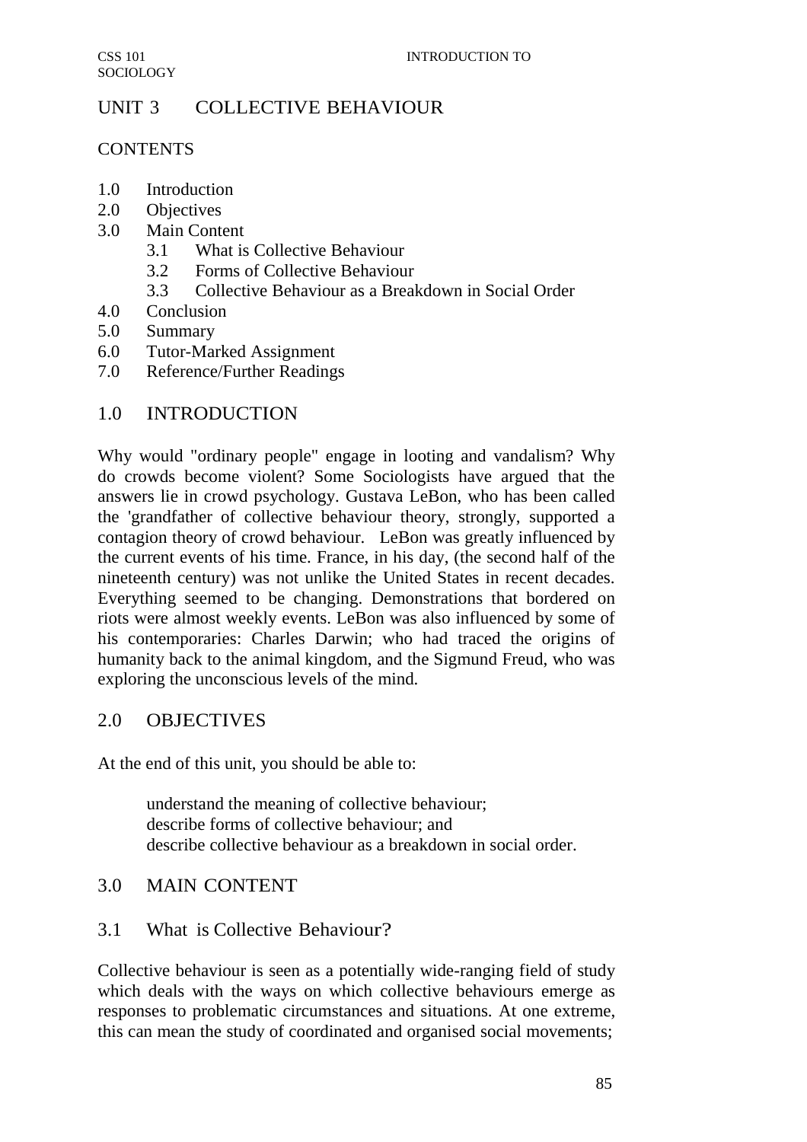# UNIT 3 COLLECTIVE BEHAVIOUR

## **CONTENTS**

- 1.0 Introduction
- 2.0 Objectives
- 3.0 Main Content
	- 3.1 What is Collective Behaviour
	- 3.2 Forms of Collective Behaviour
	- 3.3 Collective Behaviour as a Breakdown in Social Order
- 4.0 Conclusion
- 5.0 Summary
- 6.0 Tutor-Marked Assignment
- 7.0 Reference/Further Readings

# 1.0 INTRODUCTION

Why would "ordinary people" engage in looting and vandalism? Why do crowds become violent? Some Sociologists have argued that the answers lie in crowd psychology. Gustava LeBon, who has been called the 'grandfather of collective behaviour theory, strongly, supported a contagion theory of crowd behaviour. LeBon was greatly influenced by the current events of his time. France, in his day, (the second half of the nineteenth century) was not unlike the United States in recent decades. Everything seemed to be changing. Demonstrations that bordered on riots were almost weekly events. LeBon was also influenced by some of his contemporaries: Charles Darwin; who had traced the origins of humanity back to the animal kingdom, and the Sigmund Freud, who was exploring the unconscious levels of the mind.

# 2.0 OBJECTIVES

At the end of this unit, you should be able to:

understand the meaning of collective behaviour; describe forms of collective behaviour; and describe collective behaviour as a breakdown in social order.

# 3.0 MAIN CONTENT

# 3.1 What is Collective Behaviour?

Collective behaviour is seen as a potentially wide-ranging field of study which deals with the ways on which collective behaviours emerge as responses to problematic circumstances and situations. At one extreme, this can mean the study of coordinated and organised social movements;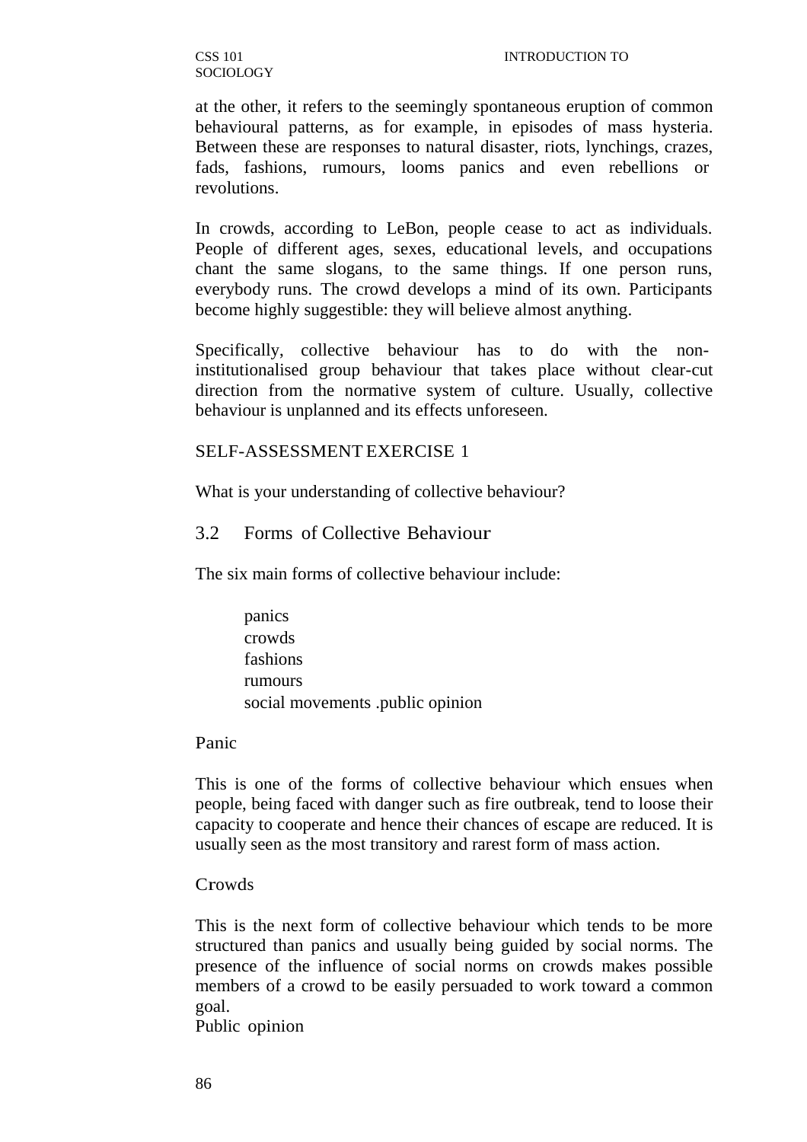at the other, it refers to the seemingly spontaneous eruption of common behavioural patterns, as for example, in episodes of mass hysteria. Between these are responses to natural disaster, riots, lynchings, crazes, fads, fashions, rumours, looms panics and even rebellions or revolutions.

In crowds, according to LeBon, people cease to act as individuals. People of different ages, sexes, educational levels, and occupations chant the same slogans, to the same things. If one person runs, everybody runs. The crowd develops a mind of its own. Participants become highly suggestible: they will believe almost anything.

Specifically, collective behaviour has to do with the noninstitutionalised group behaviour that takes place without clear-cut direction from the normative system of culture. Usually, collective behaviour is unplanned and its effects unforeseen.

#### SELF-ASSESSMENT EXERCISE 1

What is your understanding of collective behaviour?

### 3.2 Forms of Collective Behaviour

The six main forms of collective behaviour include:

panics crowds fashions rumours social movements .public opinion

Panic

This is one of the forms of collective behaviour which ensues when people, being faced with danger such as fire outbreak, tend to loose their capacity to cooperate and hence their chances of escape are reduced. It is usually seen as the most transitory and rarest form of mass action.

#### **Crowds**

This is the next form of collective behaviour which tends to be more structured than panics and usually being guided by social norms. The presence of the influence of social norms on crowds makes possible members of a crowd to be easily persuaded to work toward a common goal.

Public opinion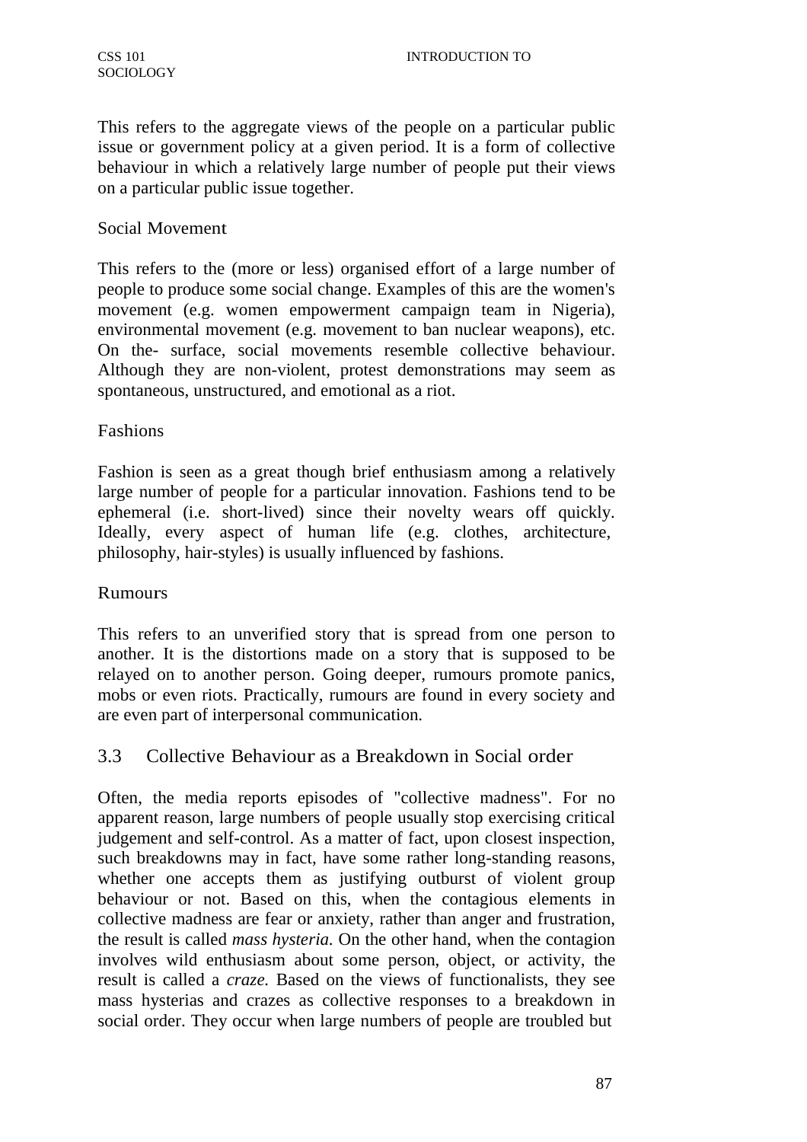This refers to the aggregate views of the people on a particular public issue or government policy at a given period. It is a form of collective behaviour in which a relatively large number of people put their views on a particular public issue together.

### Social Movement

This refers to the (more or less) organised effort of a large number of people to produce some social change. Examples of this are the women's movement (e.g. women empowerment campaign team in Nigeria), environmental movement (e.g. movement to ban nuclear weapons), etc. On the- surface, social movements resemble collective behaviour. Although they are non-violent, protest demonstrations may seem as spontaneous, unstructured, and emotional as a riot.

## Fashions

Fashion is seen as a great though brief enthusiasm among a relatively large number of people for a particular innovation. Fashions tend to be ephemeral (i.e. short-lived) since their novelty wears off quickly. Ideally, every aspect of human life (e.g. clothes, architecture, philosophy, hair-styles) is usually influenced by fashions.

### Rumours

This refers to an unverified story that is spread from one person to another. It is the distortions made on a story that is supposed to be relayed on to another person. Going deeper, rumours promote panics, mobs or even riots. Practically, rumours are found in every society and are even part of interpersonal communication.

# 3.3 Collective Behaviour as a Breakdown in Social order

Often, the media reports episodes of "collective madness". For no apparent reason, large numbers of people usually stop exercising critical judgement and self-control. As a matter of fact, upon closest inspection, such breakdowns may in fact, have some rather long-standing reasons, whether one accepts them as justifying outburst of violent group behaviour or not. Based on this, when the contagious elements in collective madness are fear or anxiety, rather than anger and frustration, the result is called *mass hysteria.* On the other hand, when the contagion involves wild enthusiasm about some person, object, or activity, the result is called a *craze.* Based on the views of functionalists, they see mass hysterias and crazes as collective responses to a breakdown in social order. They occur when large numbers of people are troubled but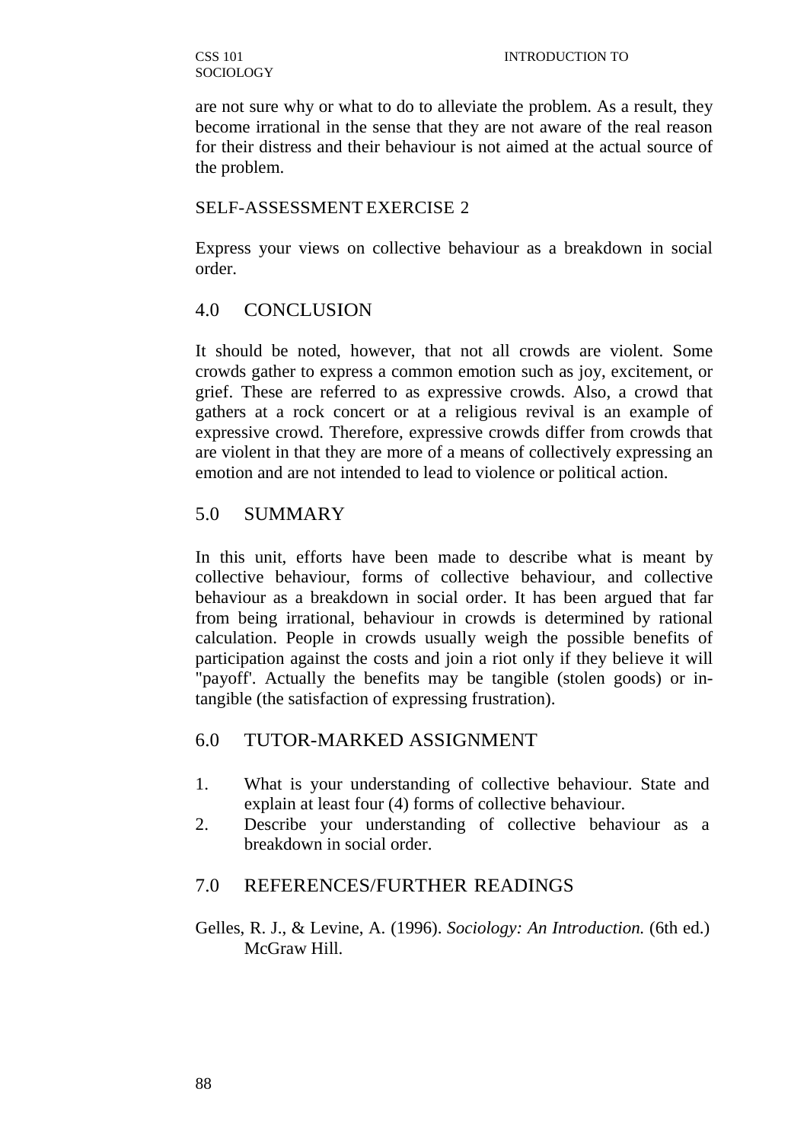are not sure why or what to do to alleviate the problem. As a result, they become irrational in the sense that they are not aware of the real reason for their distress and their behaviour is not aimed at the actual source of the problem.

### SELF-ASSESSMENT EXERCISE 2

Express your views on collective behaviour as a breakdown in social order.

# 4.0 CONCLUSION

It should be noted, however, that not all crowds are violent. Some crowds gather to express a common emotion such as joy, excitement, or grief. These are referred to as expressive crowds. Also, a crowd that gathers at a rock concert or at a religious revival is an example of expressive crowd. Therefore, expressive crowds differ from crowds that are violent in that they are more of a means of collectively expressing an emotion and are not intended to lead to violence or political action.

# 5.0 SUMMARY

In this unit, efforts have been made to describe what is meant by collective behaviour, forms of collective behaviour, and collective behaviour as a breakdown in social order. It has been argued that far from being irrational, behaviour in crowds is determined by rational calculation. People in crowds usually weigh the possible benefits of participation against the costs and join a riot only if they believe it will "payoff'. Actually the benefits may be tangible (stolen goods) or intangible (the satisfaction of expressing frustration).

# 6.0 TUTOR-MARKED ASSIGNMENT

- 1. What is your understanding of collective behaviour. State and explain at least four (4) forms of collective behaviour.
- 2. Describe your understanding of collective behaviour as a breakdown in social order.

# 7.0 REFERENCES/FURTHER READINGS

Gelles, R. J., & Levine, A. (1996). *Sociology: An Introduction.* (6th ed.) McGraw Hill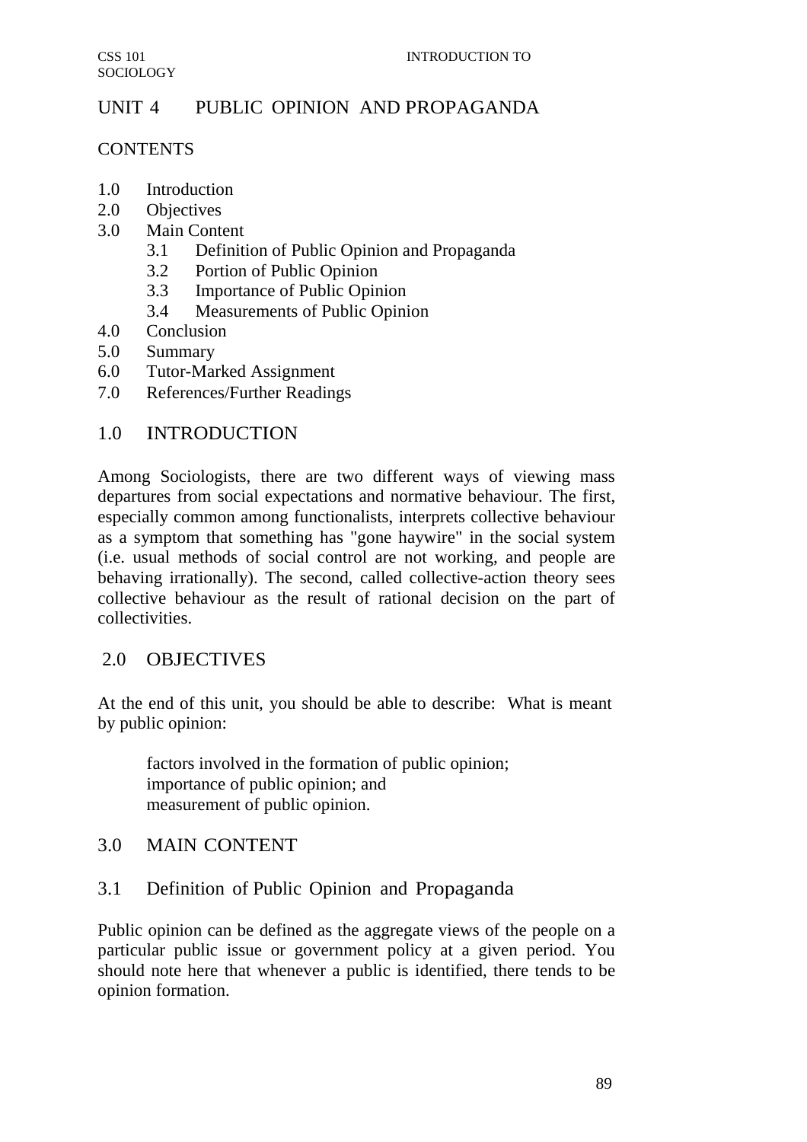# UNIT 4 PUBLIC OPINION AND PROPAGANDA

## **CONTENTS**

- 1.0 Introduction
- 2.0 Objectives
- 3.0 Main Content
	- 3.1 Definition of Public Opinion and Propaganda
	- 3.2 Portion of Public Opinion
	- 3.3 Importance of Public Opinion
	- 3.4 Measurements of Public Opinion
- 4.0 Conclusion
- 5.0 Summary
- 6.0 Tutor-Marked Assignment
- 7.0 References/Further Readings

# 1.0 INTRODUCTION

Among Sociologists, there are two different ways of viewing mass departures from social expectations and normative behaviour. The first, especially common among functionalists, interprets collective behaviour as a symptom that something has "gone haywire" in the social system (i.e. usual methods of social control are not working, and people are behaving irrationally). The second, called collective-action theory sees collective behaviour as the result of rational decision on the part of collectivities.

# 2.0 OBJECTIVES

At the end of this unit, you should be able to describe: What is meant by public opinion:

factors involved in the formation of public opinion; importance of public opinion; and measurement of public opinion.

# 3.0 MAIN CONTENT

# 3.1 Definition of Public Opinion and Propaganda

Public opinion can be defined as the aggregate views of the people on a particular public issue or government policy at a given period. You should note here that whenever a public is identified, there tends to be opinion formation.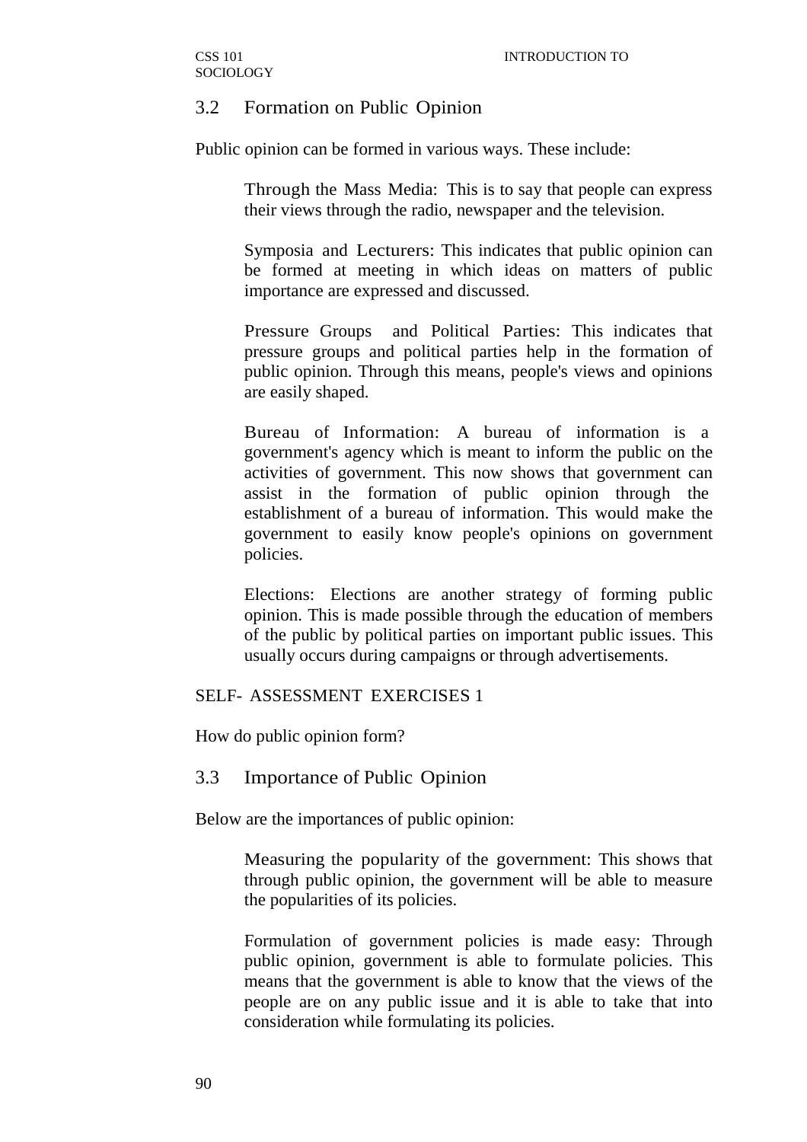## 3.2 Formation on Public Opinion

Public opinion can be formed in various ways. These include:

Through the Mass Media: This is to say that people can express their views through the radio, newspaper and the television.

Symposia and Lecturers: This indicates that public opinion can be formed at meeting in which ideas on matters of public importance are expressed and discussed.

Pressure Groups and Political Parties: This indicates that pressure groups and political parties help in the formation of public opinion. Through this means, people's views and opinions are easily shaped.

Bureau of Information: A bureau of information is a government's agency which is meant to inform the public on the activities of government. This now shows that government can assist in the formation of public opinion through the establishment of a bureau of information. This would make the government to easily know people's opinions on government policies.

Elections: Elections are another strategy of forming public opinion. This is made possible through the education of members of the public by political parties on important public issues. This usually occurs during campaigns or through advertisements.

### SELF- ASSESSMENT EXERCISES 1

How do public opinion form?

#### 3.3 Importance of Public Opinion

Below are the importances of public opinion:

Measuring the popularity of the government: This shows that through public opinion, the government will be able to measure the popularities of its policies.

Formulation of government policies is made easy: Through public opinion, government is able to formulate policies. This means that the government is able to know that the views of the people are on any public issue and it is able to take that into consideration while formulating its policies.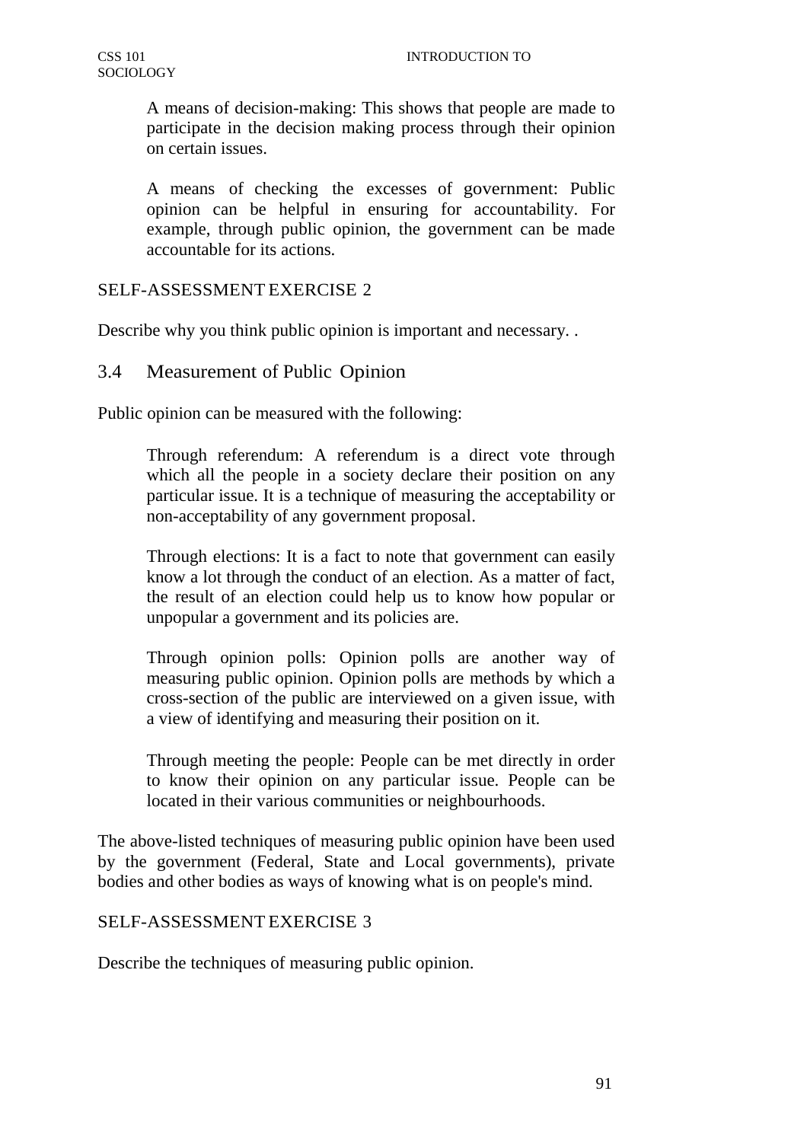A means of decision-making: This shows that people are made to participate in the decision making process through their opinion on certain issues.

A means of checking the excesses of government: Public opinion can be helpful in ensuring for accountability. For example, through public opinion, the government can be made accountable for its actions.

## SELF-ASSESSMENT EXERCISE 2

Describe why you think public opinion is important and necessary. .

## 3.4 Measurement of Public Opinion

Public opinion can be measured with the following:

Through referendum: A referendum is a direct vote through which all the people in a society declare their position on any particular issue. It is a technique of measuring the acceptability or non-acceptability of any government proposal.

Through elections: It is a fact to note that government can easily know a lot through the conduct of an election. As a matter of fact, the result of an election could help us to know how popular or unpopular a government and its policies are.

Through opinion polls: Opinion polls are another way of measuring public opinion. Opinion polls are methods by which a cross-section of the public are interviewed on a given issue, with a view of identifying and measuring their position on it.

Through meeting the people: People can be met directly in order to know their opinion on any particular issue. People can be located in their various communities or neighbourhoods.

The above-listed techniques of measuring public opinion have been used by the government (Federal, State and Local governments), private bodies and other bodies as ways of knowing what is on people's mind.

#### SELF-ASSESSMENT EXERCISE 3

Describe the techniques of measuring public opinion.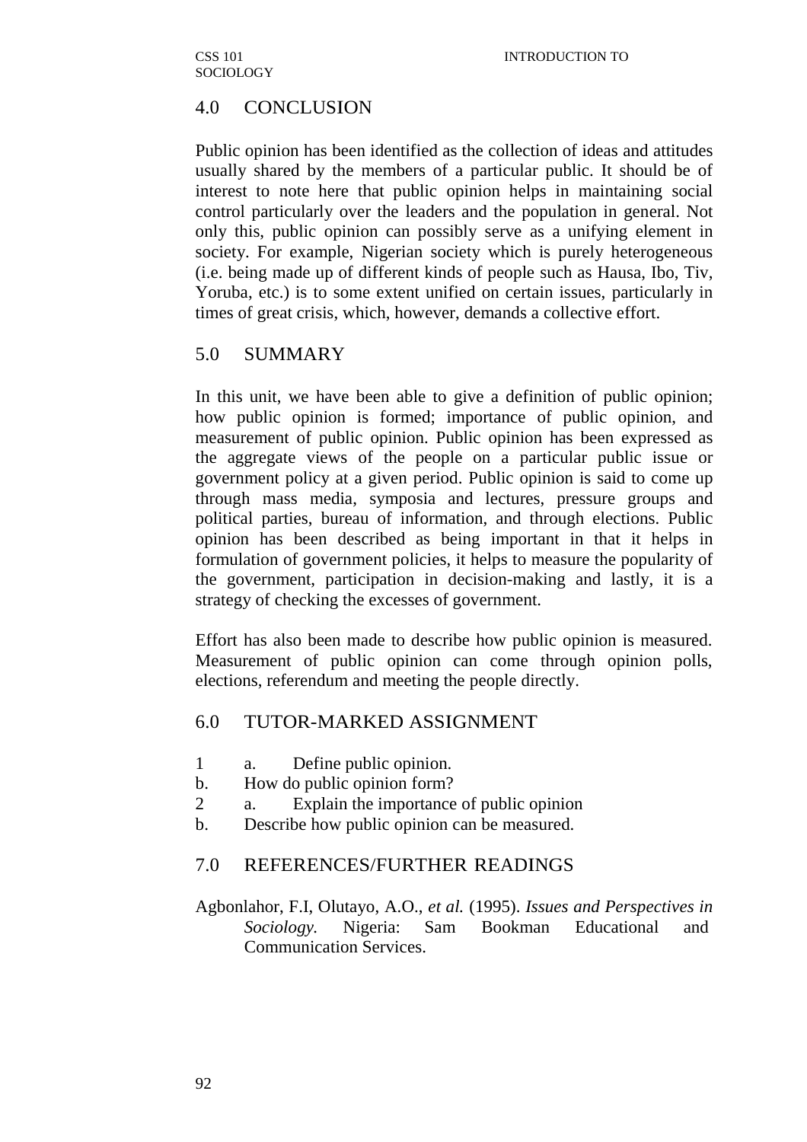# 4.0 CONCLUSION

Public opinion has been identified as the collection of ideas and attitudes usually shared by the members of a particular public. It should be of interest to note here that public opinion helps in maintaining social control particularly over the leaders and the population in general. Not only this, public opinion can possibly serve as a unifying element in society. For example, Nigerian society which is purely heterogeneous (i.e. being made up of different kinds of people such as Hausa, Ibo, Tiv, Yoruba, etc.) is to some extent unified on certain issues, particularly in times of great crisis, which, however, demands a collective effort.

## 5.0 SUMMARY

In this unit, we have been able to give a definition of public opinion; how public opinion is formed; importance of public opinion, and measurement of public opinion. Public opinion has been expressed as the aggregate views of the people on a particular public issue or government policy at a given period. Public opinion is said to come up through mass media, symposia and lectures, pressure groups and political parties, bureau of information, and through elections. Public opinion has been described as being important in that it helps in formulation of government policies, it helps to measure the popularity of the government, participation in decision-making and lastly, it is a strategy of checking the excesses of government.

Effort has also been made to describe how public opinion is measured. Measurement of public opinion can come through opinion polls, elections, referendum and meeting the people directly.

# 6.0 TUTOR-MARKED ASSIGNMENT

- 1 a. Define public opinion.
- b. How do public opinion form?
- 2 a. Explain the importance of public opinion
- b. Describe how public opinion can be measured.

# 7.0 REFERENCES/FURTHER READINGS

Agbonlahor, F.I, Olutayo, A.O., *et al.* (1995). *Issues and Perspectives in Sociology.* Nigeria: Sam Bookman Educational and Communication Services.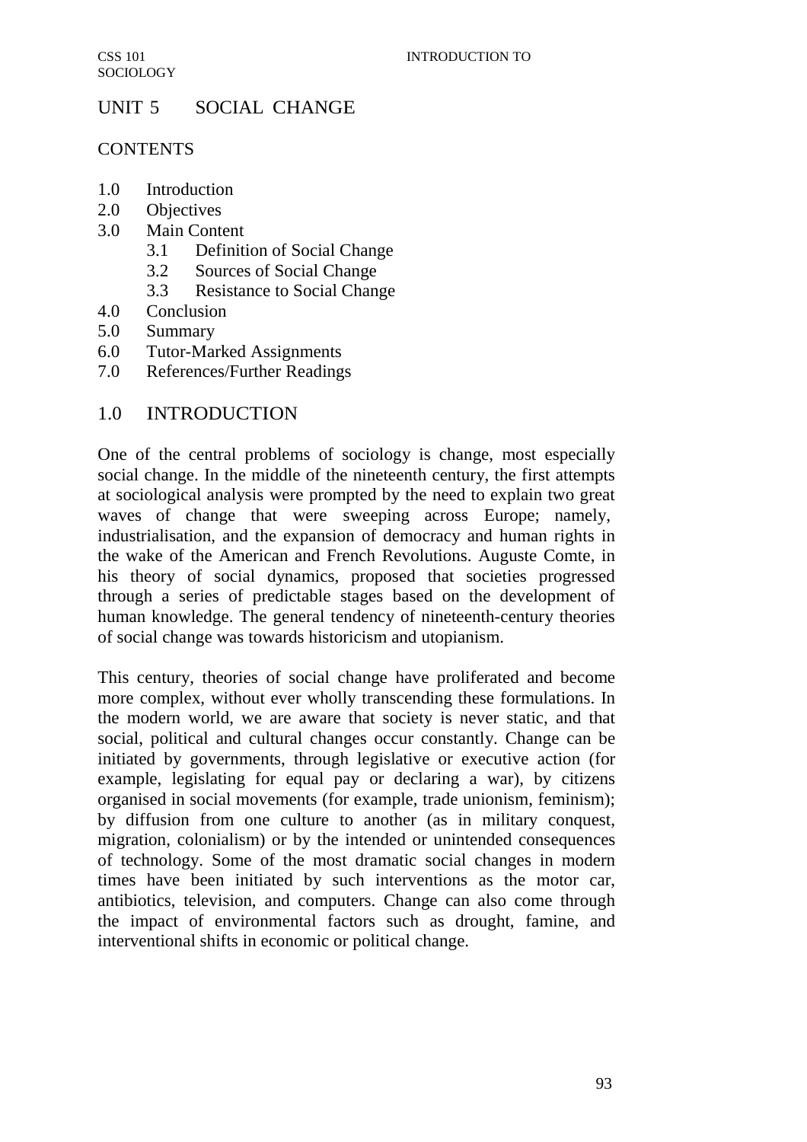# UNIT 5 SOCIAL CHANGE

## **CONTENTS**

- 1.0 Introduction
- 2.0 Objectives
- 3.0 Main Content
	- 3.1 Definition of Social Change
	- 3.2 Sources of Social Change
	- 3.3 Resistance to Social Change
- 4.0 Conclusion
- 5.0 Summary
- 6.0 Tutor-Marked Assignments
- 7.0 References/Further Readings

# 1.0 INTRODUCTION

One of the central problems of sociology is change, most especially social change. In the middle of the nineteenth century, the first attempts at sociological analysis were prompted by the need to explain two great waves of change that were sweeping across Europe; namely, industrialisation, and the expansion of democracy and human rights in the wake of the American and French Revolutions. Auguste Comte, in his theory of social dynamics, proposed that societies progressed through a series of predictable stages based on the development of human knowledge. The general tendency of nineteenth-century theories of social change was towards historicism and utopianism.

This century, theories of social change have proliferated and become more complex, without ever wholly transcending these formulations. In the modern world, we are aware that society is never static, and that social, political and cultural changes occur constantly. Change can be initiated by governments, through legislative or executive action (for example, legislating for equal pay or declaring a war), by citizens organised in social movements (for example, trade unionism, feminism); by diffusion from one culture to another (as in military conquest, migration, colonialism) or by the intended or unintended consequences of technology. Some of the most dramatic social changes in modern times have been initiated by such interventions as the motor car, antibiotics, television, and computers. Change can also come through the impact of environmental factors such as drought, famine, and interventional shifts in economic or political change.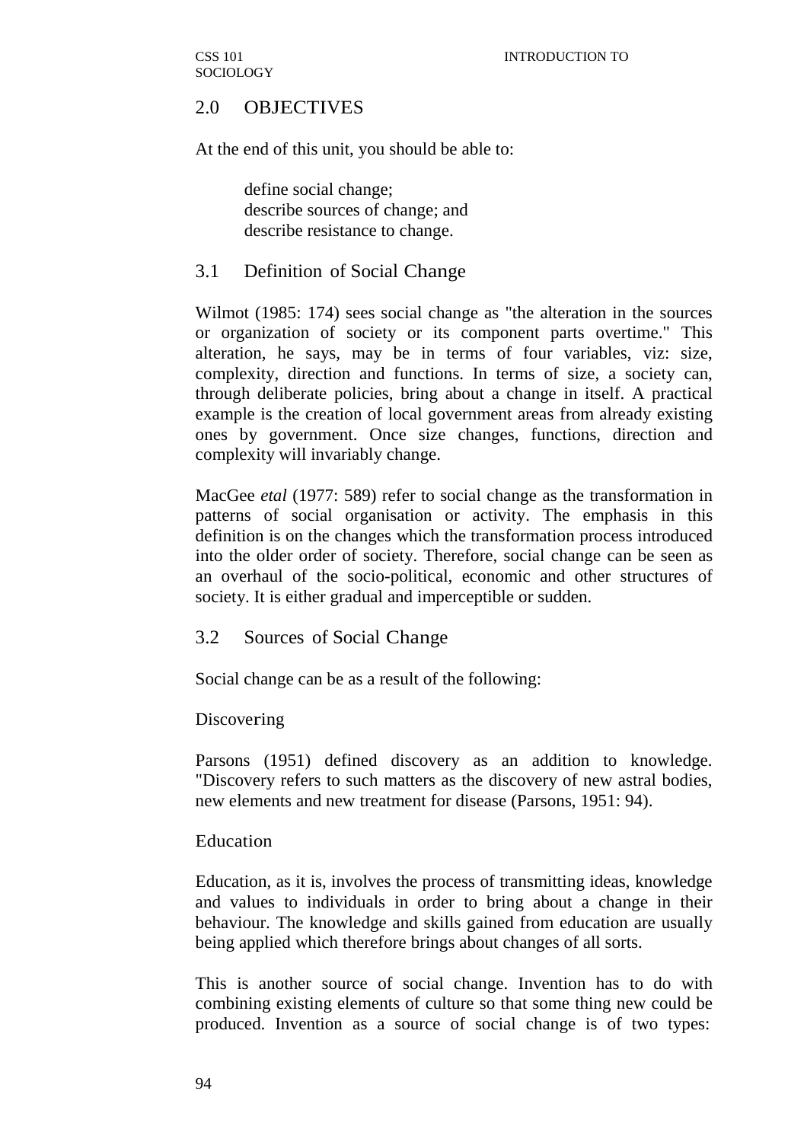# 2.0 OBJECTIVES

At the end of this unit, you should be able to:

define social change; describe sources of change; and describe resistance to change.

## 3.1 Definition of Social Change

Wilmot (1985: 174) sees social change as "the alteration in the sources or organization of society or its component parts overtime." This alteration, he says, may be in terms of four variables, viz: size, complexity, direction and functions. In terms of size, a society can, through deliberate policies, bring about a change in itself. A practical example is the creation of local government areas from already existing ones by government. Once size changes, functions, direction and complexity will invariably change.

MacGee *etal* (1977: 589) refer to social change as the transformation in patterns of social organisation or activity. The emphasis in this definition is on the changes which the transformation process introduced into the older order of society. Therefore, social change can be seen as an overhaul of the socio-political, economic and other structures of society. It is either gradual and imperceptible or sudden.

#### 3.2 Sources of Social Change

Social change can be as a result of the following:

#### Discovering

Parsons (1951) defined discovery as an addition to knowledge. "Discovery refers to such matters as the discovery of new astral bodies, new elements and new treatment for disease (Parsons, 1951: 94).

#### Education

Education, as it is, involves the process of transmitting ideas, knowledge and values to individuals in order to bring about a change in their behaviour. The knowledge and skills gained from education are usually being applied which therefore brings about changes of all sorts.

This is another source of social change. Invention has to do with combining existing elements of culture so that some thing new could be produced. Invention as a source of social change is of two types: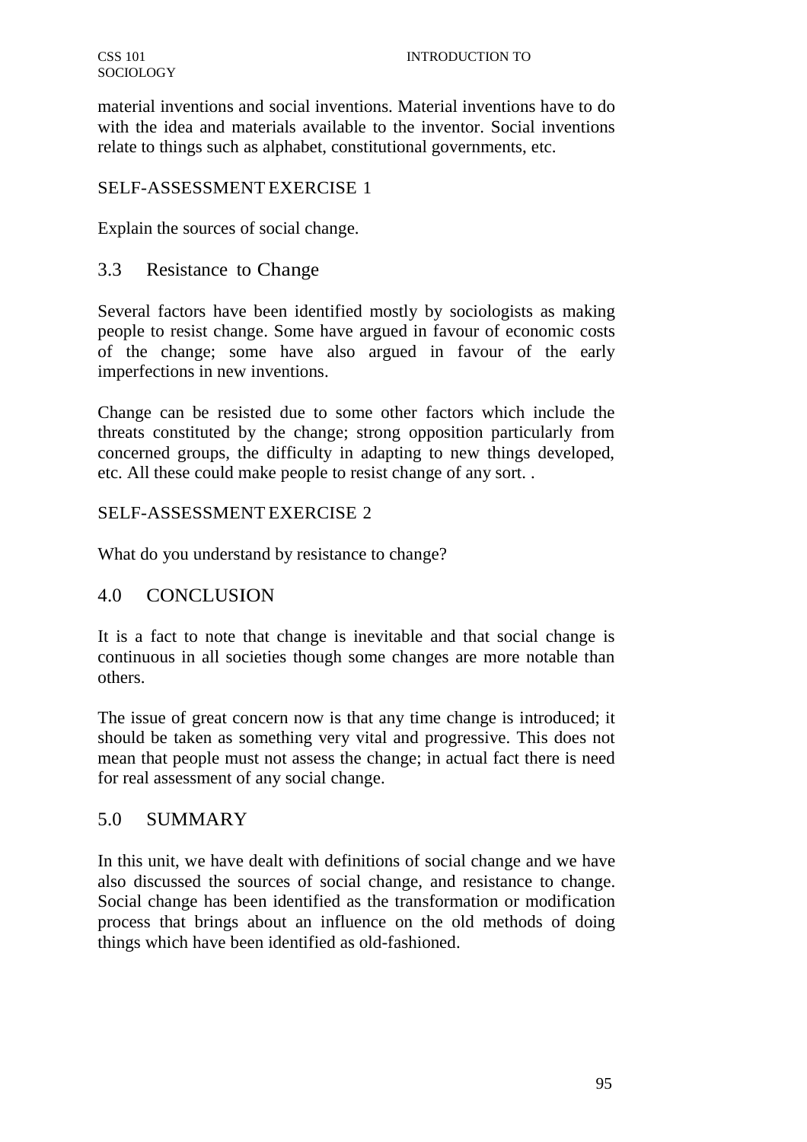material inventions and social inventions. Material inventions have to do with the idea and materials available to the inventor. Social inventions relate to things such as alphabet, constitutional governments, etc.

#### SELF-ASSESSMENT EXERCISE 1

Explain the sources of social change.

## 3.3 Resistance to Change

Several factors have been identified mostly by sociologists as making people to resist change. Some have argued in favour of economic costs of the change; some have also argued in favour of the early imperfections in new inventions.

Change can be resisted due to some other factors which include the threats constituted by the change; strong opposition particularly from concerned groups, the difficulty in adapting to new things developed, etc. All these could make people to resist change of any sort. .

## SELF-ASSESSMENT EXERCISE 2

What do you understand by resistance to change?

# 4.0 CONCLUSION

It is a fact to note that change is inevitable and that social change is continuous in all societies though some changes are more notable than others.

The issue of great concern now is that any time change is introduced; it should be taken as something very vital and progressive. This does not mean that people must not assess the change; in actual fact there is need for real assessment of any social change.

#### 5.0 SUMMARY

In this unit, we have dealt with definitions of social change and we have also discussed the sources of social change, and resistance to change. Social change has been identified as the transformation or modification process that brings about an influence on the old methods of doing things which have been identified as old-fashioned.